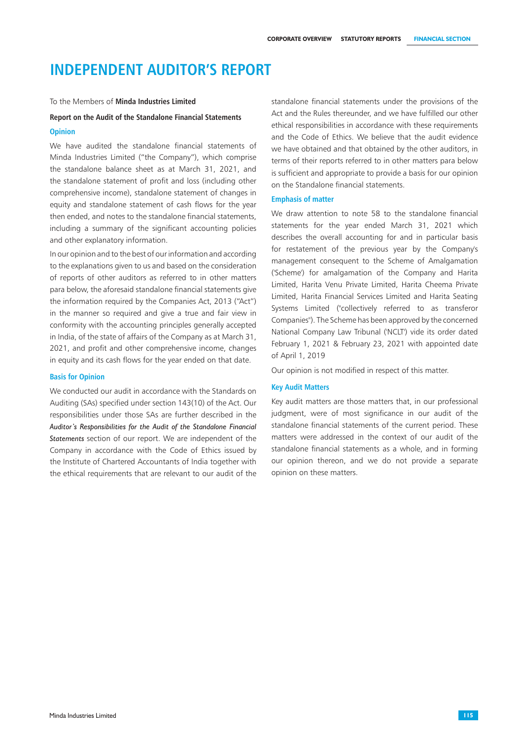#### To the Members of **Minda Industries Limited**

#### **Report on the Audit of the Standalone Financial Statements**

#### **Opinion**

We have audited the standalone financial statements of Minda Industries Limited ("the Company"), which comprise the standalone balance sheet as at March 31, 2021, and the standalone statement of profit and loss (including other comprehensive income), standalone statement of changes in equity and standalone statement of cash flows for the year then ended, and notes to the standalone financial statements, including a summary of the significant accounting policies and other explanatory information.

In our opinion and to the best of our information and according to the explanations given to us and based on the consideration of reports of other auditors as referred to in other matters para below, the aforesaid standalone financial statements give the information required by the Companies Act, 2013 ("Act") in the manner so required and give a true and fair view in conformity with the accounting principles generally accepted in India, of the state of affairs of the Company as at March 31, 2021, and profit and other comprehensive income, changes in equity and its cash flows for the year ended on that date.

#### **Basis for Opinion**

We conducted our audit in accordance with the Standards on Auditing (SAs) specified under section 143(10) of the Act. Our responsibilities under those SAs are further described in the *Auditor's Responsibilities for the Audit of the Standalone Financial Statements* section of our report. We are independent of the Company in accordance with the Code of Ethics issued by the Institute of Chartered Accountants of India together with the ethical requirements that are relevant to our audit of the

standalone financial statements under the provisions of the Act and the Rules thereunder, and we have fulfilled our other ethical responsibilities in accordance with these requirements and the Code of Ethics. We believe that the audit evidence we have obtained and that obtained by the other auditors, in terms of their reports referred to in other matters para below is sufficient and appropriate to provide a basis for our opinion on the Standalone financial statements.

#### **Emphasis of matter**

We draw attention to note 58 to the standalone financial statements for the year ended March 31, 2021 which describes the overall accounting for and in particular basis for restatement of the previous year by the Company's management consequent to the Scheme of Amalgamation ('Scheme') for amalgamation of the Company and Harita Limited, Harita Venu Private Limited, Harita Cheema Private Limited, Harita Financial Services Limited and Harita Seating Systems Limited ("collectively referred to as transferor Companies"). The Scheme has been approved by the concerned National Company Law Tribunal ('NCLT') vide its order dated February 1, 2021 & February 23, 2021 with appointed date of April 1, 2019

Our opinion is not modified in respect of this matter.

#### **Key Audit Matters**

Key audit matters are those matters that, in our professional judgment, were of most significance in our audit of the standalone financial statements of the current period. These matters were addressed in the context of our audit of the standalone financial statements as a whole, and in forming our opinion thereon, and we do not provide a separate opinion on these matters.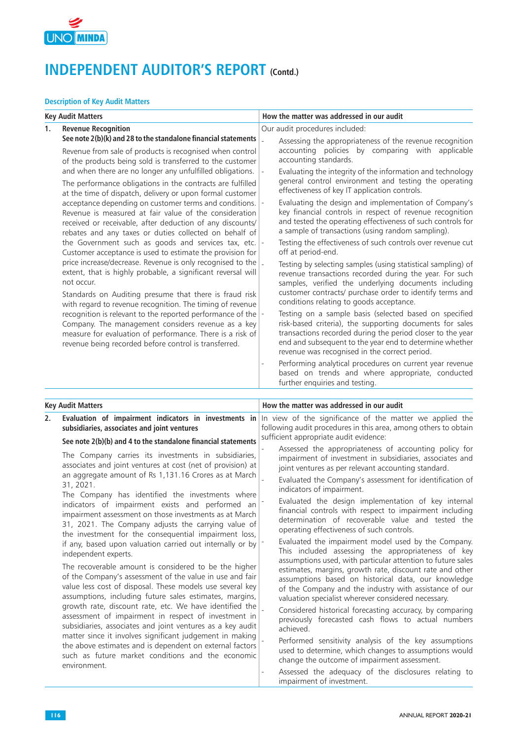

#### **Description of Key Audit Matters**

| <b>Key Audit Matters</b> |                                                                                                                                                                                                                                                                                                                                                                                                                                                                                                                                                                                                                                                                                         | How the matter was addressed in our audit |                                                                                                                                                                                                                                                                                                                                                                                                                                                                                                                                                                                                                                                                                                                                                                                               |  |
|--------------------------|-----------------------------------------------------------------------------------------------------------------------------------------------------------------------------------------------------------------------------------------------------------------------------------------------------------------------------------------------------------------------------------------------------------------------------------------------------------------------------------------------------------------------------------------------------------------------------------------------------------------------------------------------------------------------------------------|-------------------------------------------|-----------------------------------------------------------------------------------------------------------------------------------------------------------------------------------------------------------------------------------------------------------------------------------------------------------------------------------------------------------------------------------------------------------------------------------------------------------------------------------------------------------------------------------------------------------------------------------------------------------------------------------------------------------------------------------------------------------------------------------------------------------------------------------------------|--|
| 1.                       | <b>Revenue Recognition</b><br>See note 2(b)(k) and 28 to the standalone financial statements<br>Revenue from sale of products is recognised when control<br>of the products being sold is transferred to the customer<br>and when there are no longer any unfulfilled obligations.<br>The performance obligations in the contracts are fulfilled<br>at the time of dispatch, delivery or upon formal customer<br>acceptance depending on customer terms and conditions.<br>Revenue is measured at fair value of the consideration<br>received or receivable, after deduction of any discounts/                                                                                          |                                           | Our audit procedures included:<br>Assessing the appropriateness of the revenue recognition<br>accounting policies by comparing with applicable<br>accounting standards.<br>Evaluating the integrity of the information and technology<br>general control environment and testing the operating<br>effectiveness of key IT application controls.<br>Evaluating the design and implementation of Company's<br>key financial controls in respect of revenue recognition<br>and tested the operating effectiveness of such controls for                                                                                                                                                                                                                                                           |  |
|                          | rebates and any taxes or duties collected on behalf of<br>the Government such as goods and services tax, etc.<br>Customer acceptance is used to estimate the provision for<br>price increase/decrease. Revenue is only recognised to the<br>extent, that is highly probable, a significant reversal will<br>not occur.<br>Standards on Auditing presume that there is fraud risk<br>with regard to revenue recognition. The timing of revenue<br>recognition is relevant to the reported performance of the<br>Company. The management considers revenue as a key<br>measure for evaluation of performance. There is a risk of<br>revenue being recorded before control is transferred. |                                           | a sample of transactions (using random sampling).<br>Testing the effectiveness of such controls over revenue cut<br>off at period-end.<br>Testing by selecting samples (using statistical sampling) of<br>revenue transactions recorded during the year. For such<br>samples, verified the underlying documents including<br>customer contracts/ purchase order to identify terms and<br>conditions relating to goods acceptance.<br>Testing on a sample basis (selected based on specified<br>risk-based criteria), the supporting documents for sales<br>transactions recorded during the period closer to the year<br>end and subsequent to the year end to determine whether<br>revenue was recognised in the correct period.<br>Performing analytical procedures on current year revenue |  |
|                          |                                                                                                                                                                                                                                                                                                                                                                                                                                                                                                                                                                                                                                                                                         |                                           | based on trends and where appropriate, conducted<br>further enquiries and testing.                                                                                                                                                                                                                                                                                                                                                                                                                                                                                                                                                                                                                                                                                                            |  |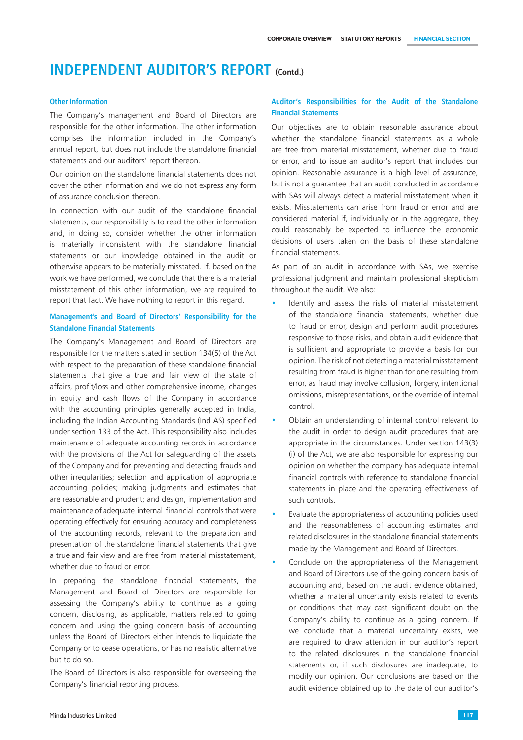#### **Other Information**

The Company's management and Board of Directors are responsible for the other information. The other information comprises the information included in the Company's annual report, but does not include the standalone financial statements and our auditors' report thereon.

Our opinion on the standalone financial statements does not cover the other information and we do not express any form of assurance conclusion thereon.

In connection with our audit of the standalone financial statements, our responsibility is to read the other information and, in doing so, consider whether the other information is materially inconsistent with the standalone financial statements or our knowledge obtained in the audit or otherwise appears to be materially misstated. If, based on the work we have performed, we conclude that there is a material misstatement of this other information, we are required to report that fact. We have nothing to report in this regard.

#### **Management's and Board of Directors' Responsibility for the Standalone Financial Statements**

The Company's Management and Board of Directors are responsible for the matters stated in section 134(5) of the Act with respect to the preparation of these standalone financial statements that give a true and fair view of the state of affairs, profit/loss and other comprehensive income, changes in equity and cash flows of the Company in accordance with the accounting principles generally accepted in India, including the Indian Accounting Standards (Ind AS) specified under section 133 of the Act. This responsibility also includes maintenance of adequate accounting records in accordance with the provisions of the Act for safeguarding of the assets of the Company and for preventing and detecting frauds and other irregularities; selection and application of appropriate accounting policies; making judgments and estimates that are reasonable and prudent; and design, implementation and maintenance of adequate internal financial controls that were operating effectively for ensuring accuracy and completeness of the accounting records, relevant to the preparation and presentation of the standalone financial statements that give a true and fair view and are free from material misstatement, whether due to fraud or error.

In preparing the standalone financial statements, the Management and Board of Directors are responsible for assessing the Company's ability to continue as a going concern, disclosing, as applicable, matters related to going concern and using the going concern basis of accounting unless the Board of Directors either intends to liquidate the Company or to cease operations, or has no realistic alternative but to do so.

The Board of Directors is also responsible for overseeing the Company's financial reporting process.

#### **Auditor's Responsibilities for the Audit of the Standalone Financial Statements**

Our objectives are to obtain reasonable assurance about whether the standalone financial statements as a whole are free from material misstatement, whether due to fraud or error, and to issue an auditor's report that includes our opinion. Reasonable assurance is a high level of assurance, but is not a guarantee that an audit conducted in accordance with SAs will always detect a material misstatement when it exists. Misstatements can arise from fraud or error and are considered material if, individually or in the aggregate, they could reasonably be expected to influence the economic decisions of users taken on the basis of these standalone financial statements.

As part of an audit in accordance with SAs, we exercise professional judgment and maintain professional skepticism throughout the audit. We also:

- Identify and assess the risks of material misstatement of the standalone financial statements, whether due to fraud or error, design and perform audit procedures responsive to those risks, and obtain audit evidence that is sufficient and appropriate to provide a basis for our opinion. The risk of not detecting a material misstatement resulting from fraud is higher than for one resulting from error, as fraud may involve collusion, forgery, intentional omissions, misrepresentations, or the override of internal control.
- Obtain an understanding of internal control relevant to the audit in order to design audit procedures that are appropriate in the circumstances. Under section 143(3) (i) of the Act, we are also responsible for expressing our opinion on whether the company has adequate internal financial controls with reference to standalone financial statements in place and the operating effectiveness of such controls.
- Evaluate the appropriateness of accounting policies used and the reasonableness of accounting estimates and related disclosures in the standalone financial statements made by the Management and Board of Directors.
- Conclude on the appropriateness of the Management and Board of Directors use of the going concern basis of accounting and, based on the audit evidence obtained, whether a material uncertainty exists related to events or conditions that may cast significant doubt on the Company's ability to continue as a going concern. If we conclude that a material uncertainty exists, we are required to draw attention in our auditor's report to the related disclosures in the standalone financial statements or, if such disclosures are inadequate, to modify our opinion. Our conclusions are based on the audit evidence obtained up to the date of our auditor's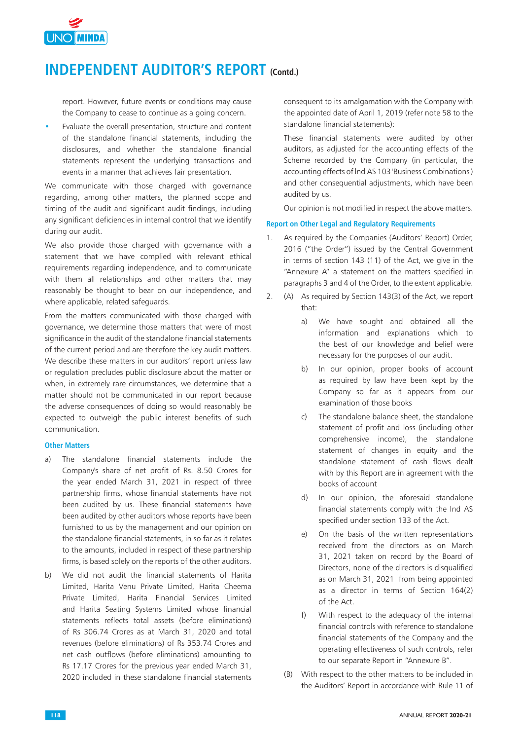

report. However, future events or conditions may cause the Company to cease to continue as a going concern.

• Evaluate the overall presentation, structure and content of the standalone financial statements, including the disclosures, and whether the standalone financial statements represent the underlying transactions and events in a manner that achieves fair presentation.

We communicate with those charged with governance regarding, among other matters, the planned scope and timing of the audit and significant audit findings, including any significant deficiencies in internal control that we identify during our audit.

We also provide those charged with governance with a statement that we have complied with relevant ethical requirements regarding independence, and to communicate with them all relationships and other matters that may reasonably be thought to bear on our independence, and where applicable, related safeguards.

From the matters communicated with those charged with governance, we determine those matters that were of most significance in the audit of the standalone financial statements of the current period and are therefore the key audit matters. We describe these matters in our auditors' report unless law or regulation precludes public disclosure about the matter or when, in extremely rare circumstances, we determine that a matter should not be communicated in our report because the adverse consequences of doing so would reasonably be expected to outweigh the public interest benefits of such communication.

#### **Other Matters**

- a) The standalone financial statements include the Company's share of net profit of Rs. 8.50 Crores for the year ended March 31, 2021 in respect of three partnership firms, whose financial statements have not been audited by us. These financial statements have been audited by other auditors whose reports have been furnished to us by the management and our opinion on the standalone financial statements, in so far as it relates to the amounts, included in respect of these partnership firms, is based solely on the reports of the other auditors.
- b) We did not audit the financial statements of Harita Limited, Harita Venu Private Limited, Harita Cheema Private Limited, Harita Financial Services Limited and Harita Seating Systems Limited whose financial statements reflects total assets (before eliminations) of Rs 306.74 Crores as at March 31, 2020 and total revenues (before eliminations) of Rs 353.74 Crores and net cash outflows (before eliminations) amounting to Rs 17.17 Crores for the previous year ended March 31, 2020 included in these standalone financial statements

consequent to its amalgamation with the Company with the appointed date of April 1, 2019 (refer note 58 to the standalone financial statements):

These financial statements were audited by other auditors, as adjusted for the accounting effects of the Scheme recorded by the Company (in particular, the accounting effects of lnd AS 103 'Business Combinations') and other consequential adjustments, which have been audited by us.

Our opinion is not modified in respect the above matters.

#### **Report on Other Legal and Regulatory Requirements**

- 1. As required by the Companies (Auditors' Report) Order, 2016 ("the Order") issued by the Central Government in terms of section 143 (11) of the Act, we give in the "Annexure A" a statement on the matters specified in paragraphs 3 and 4 of the Order, to the extent applicable.
- 2. (A) As required by Section 143(3) of the Act, we report that:
	- a) We have sought and obtained all the information and explanations which to the best of our knowledge and belief were necessary for the purposes of our audit.
	- b) In our opinion, proper books of account as required by law have been kept by the Company so far as it appears from our examination of those books
	- c) The standalone balance sheet, the standalone statement of profit and loss (including other comprehensive income), the standalone statement of changes in equity and the standalone statement of cash flows dealt with by this Report are in agreement with the books of account
	- d) In our opinion, the aforesaid standalone financial statements comply with the Ind AS specified under section 133 of the Act.
	- e) On the basis of the written representations received from the directors as on March 31, 2021 taken on record by the Board of Directors, none of the directors is disqualified as on March 31, 2021 from being appointed as a director in terms of Section 164(2) of the Act.
	- f) With respect to the adequacy of the internal financial controls with reference to standalone financial statements of the Company and the operating effectiveness of such controls, refer to our separate Report in "Annexure B".
	- (B) With respect to the other matters to be included in the Auditors' Report in accordance with Rule 11 of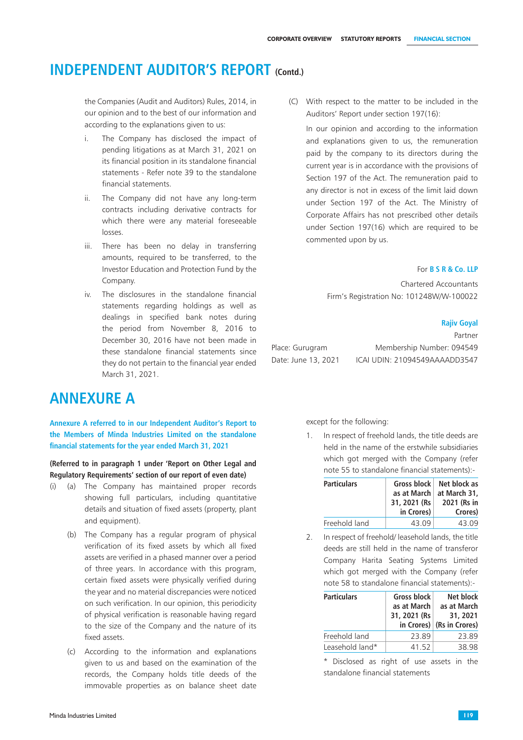the Companies (Audit and Auditors) Rules, 2014, in our opinion and to the best of our information and according to the explanations given to us:

- i. The Company has disclosed the impact of pending litigations as at March 31, 2021 on its financial position in its standalone financial statements - Refer note 39 to the standalone financial statements.
- ii. The Company did not have any long-term contracts including derivative contracts for which there were any material foreseeable losses.
- iii. There has been no delay in transferring amounts, required to be transferred, to the Investor Education and Protection Fund by the Company.
- iv. The disclosures in the standalone financial statements regarding holdings as well as dealings in specified bank notes during the period from November 8, 2016 to December 30, 2016 have not been made in these standalone financial statements since they do not pertain to the financial year ended March 31, 2021.

## **ANNEXURE A**

**Annexure A referred to in our Independent Auditor's Report to the Members of Minda Industries Limited on the standalone financial statements for the year ended March 31, 2021**

**(Referred to in paragraph 1 under 'Report on Other Legal and Regulatory Requirements' section of our report of even date)**

- (i) (a) The Company has maintained proper records showing full particulars, including quantitative details and situation of fixed assets (property, plant and equipment).
	- (b) The Company has a regular program of physical verification of its fixed assets by which all fixed assets are verified in a phased manner over a period of three years. In accordance with this program, certain fixed assets were physically verified during the year and no material discrepancies were noticed on such verification. In our opinion, this periodicity of physical verification is reasonable having regard to the size of the Company and the nature of its fixed assets.
	- (c) According to the information and explanations given to us and based on the examination of the records, the Company holds title deeds of the immovable properties as on balance sheet date

(C) With respect to the matter to be included in the Auditors' Report under section 197(16):

In our opinion and according to the information and explanations given to us, the remuneration paid by the company to its directors during the current year is in accordance with the provisions of Section 197 of the Act. The remuneration paid to any director is not in excess of the limit laid down under Section 197 of the Act. The Ministry of Corporate Affairs has not prescribed other details under Section 197(16) which are required to be commented upon by us.

#### For **B S R & Co. LLP**

Chartered Accountants Firm's Registration No: 101248W/W-100022

#### **Rajiv Goyal**

Partner

|                     | .                             |
|---------------------|-------------------------------|
| Place: Gurugram     | Membership Number: 094549     |
| Date: June 13, 2021 | ICAI UDIN: 21094549AAAADD3547 |

except for the following:

1. In respect of freehold lands, the title deeds are held in the name of the erstwhile subsidiaries which got merged with the Company (refer note 55 to standalone financial statements):-

| <b>Particulars</b> | 31, 2021 (Rs)<br>in Crores) | Gross block Net block as<br>as at March at March 31.<br>2021 (Rs in<br>Crores) |
|--------------------|-----------------------------|--------------------------------------------------------------------------------|
| Freehold land      | 43.09                       | 43.09                                                                          |

2. In respect of freehold/ leasehold lands, the title deeds are still held in the name of transferor Company Harita Seating Systems Limited which got merged with the Company (refer note 58 to standalone financial statements):-

| <b>Particulars</b> | <b>Gross block</b><br>as at March<br>31, 2021 (Rs) | Net block<br>as at March<br>31, 2021<br>in Crores) $(Rs$ in Crores) |  |
|--------------------|----------------------------------------------------|---------------------------------------------------------------------|--|
| Freehold land      | 23.89                                              | 23.89                                                               |  |
| Leasehold land*    | 41.52                                              | 38.98                                                               |  |

\* Disclosed as right of use assets in the standalone financial statements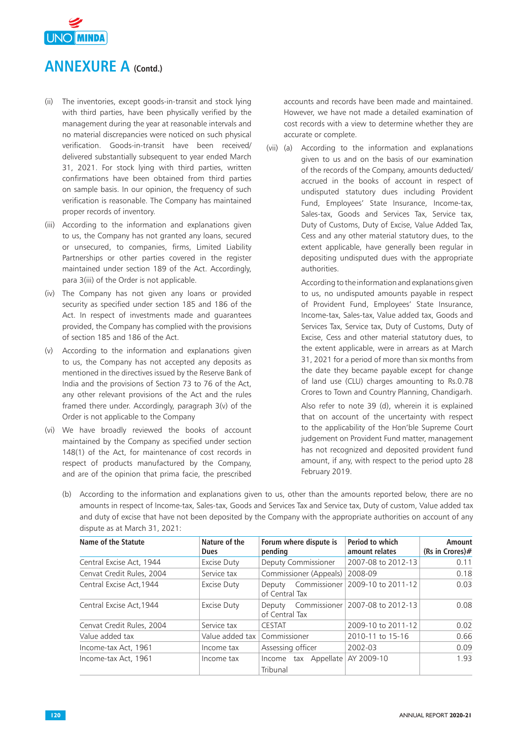

## **ANNEXURE A (Contd.)**

- (ii) The inventories, except goods-in-transit and stock lying with third parties, have been physically verified by the management during the year at reasonable intervals and no material discrepancies were noticed on such physical verification. Goods-in-transit have been received/ delivered substantially subsequent to year ended March 31, 2021. For stock lying with third parties, written confirmations have been obtained from third parties on sample basis. In our opinion, the frequency of such verification is reasonable. The Company has maintained proper records of inventory.
- (iii) According to the information and explanations given to us, the Company has not granted any loans, secured or unsecured, to companies, firms, Limited Liability Partnerships or other parties covered in the register maintained under section 189 of the Act. Accordingly, para 3(iii) of the Order is not applicable.
- (iv) The Company has not given any loans or provided security as specified under section 185 and 186 of the Act. In respect of investments made and guarantees provided, the Company has complied with the provisions of section 185 and 186 of the Act.
- (v) According to the information and explanations given to us, the Company has not accepted any deposits as mentioned in the directives issued by the Reserve Bank of India and the provisions of Section 73 to 76 of the Act, any other relevant provisions of the Act and the rules framed there under. Accordingly, paragraph 3(v) of the Order is not applicable to the Company
- (vi) We have broadly reviewed the books of account maintained by the Company as specified under section 148(1) of the Act, for maintenance of cost records in respect of products manufactured by the Company, and are of the opinion that prima facie, the prescribed

accounts and records have been made and maintained. However, we have not made a detailed examination of cost records with a view to determine whether they are accurate or complete.

(vii) (a) According to the information and explanations given to us and on the basis of our examination of the records of the Company, amounts deducted/ accrued in the books of account in respect of undisputed statutory dues including Provident Fund, Employees' State Insurance, Income-tax, Sales-tax, Goods and Services Tax, Service tax, Duty of Customs, Duty of Excise, Value Added Tax, Cess and any other material statutory dues, to the extent applicable, have generally been regular in depositing undisputed dues with the appropriate authorities.

> According to the information and explanations given to us, no undisputed amounts payable in respect of Provident Fund, Employees' State Insurance, Income-tax, Sales-tax, Value added tax, Goods and Services Tax, Service tax, Duty of Customs, Duty of Excise, Cess and other material statutory dues, to the extent applicable, were in arrears as at March 31, 2021 for a period of more than six months from the date they became payable except for change of land use (CLU) charges amounting to Rs.0.78 Crores to Town and Country Planning, Chandigarh. Also refer to note 39 (d), wherein it is explained that on account of the uncertainty with respect to the applicability of the Hon'ble Supreme Court judgement on Provident Fund matter, management has not recognized and deposited provident fund amount, if any, with respect to the period upto 28 February 2019.

(b) According to the information and explanations given to us, other than the amounts reported below, there are no amounts in respect of Income-tax, Sales-tax, Goods and Services Tax and Service tax, Duty of custom, Value added tax and duty of excise that have not been deposited by the Company with the appropriate authorities on account of any dispute as at March 31, 2021:

| Name of the Statute       | Nature of the<br><b>Dues</b> | Forum where dispute is<br>pending     | Period to which<br>amount relates | Amount<br>(Rs in Crores)# |
|---------------------------|------------------------------|---------------------------------------|-----------------------------------|---------------------------|
| Central Excise Act, 1944  | Excise Duty                  | Deputy Commissioner                   | 2007-08 to 2012-13                | 0.11                      |
| Cenvat Credit Rules, 2004 | Service tax                  | Commissioner (Appeals)                | 2008-09                           | 0.18                      |
| Central Excise Act, 1944  | <b>Excise Duty</b>           | Deputy Commissioner<br>of Central Tax | 2009-10 to 2011-12                | 0.03                      |
| Central Excise Act, 1944  | Excise Duty                  | Deputy<br>of Central Tax              | Commissioner   2007-08 to 2012-13 | 0.08                      |
| Cenvat Credit Rules, 2004 | Service tax                  | <b>CESTAT</b>                         | 2009-10 to 2011-12                | 0.02                      |
| Value added tax           | Value added tax              | Commissioner                          | 2010-11 to 15-16                  | 0.66                      |
| Income-tax Act, 1961      | Income tax                   | Assessing officer                     | 2002-03                           | 0.09                      |
| Income-tax Act, 1961      | Income tax                   | tax Appellate<br>Income               | AY 2009-10                        | 1.93                      |
|                           |                              | Tribunal                              |                                   |                           |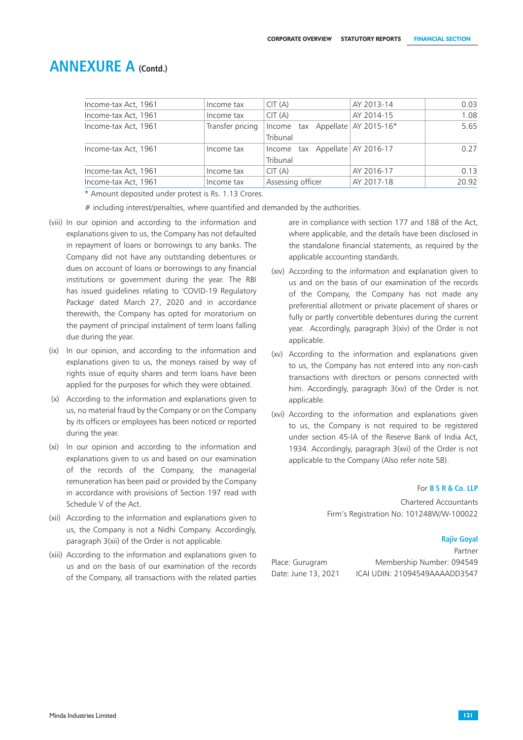## **ANNEXURE A (Contd.)**

| Income-tax Act, 1961 | Income tax       | CIT(A)                                               | AY 2013-14 | 0.03  |
|----------------------|------------------|------------------------------------------------------|------------|-------|
| Income-tax Act, 1961 | Income tax       | CIT(A)                                               | AY 2014-15 | 1.08  |
| Income-tax Act, 1961 | Transfer pricing | Income tax Appellate   AY 2015-16*<br>Tribunal       |            | 5.65  |
| Income-tax Act, 1961 | Income tax       | Income $\text{tax}$ Appellate AY 2016-17<br>Tribunal |            | 0.27  |
| Income-tax Act, 1961 | Income tax       | CIT(A)                                               | AY 2016-17 | 0.13  |
| Income-tax Act, 1961 | Income tax       | Assessing officer                                    | AY 2017-18 | 20.92 |

\* Amount deposited under protest is Rs. 1.13 Crores.

 $#$  including interest/penalties, where quantified and demanded by the authorities.

- (viii) In our opinion and according to the information and explanations given to us, the Company has not defaulted in repayment of loans or borrowings to any banks. The Company did not have any outstanding debentures or dues on account of loans or borrowings to any financial institutions or government during the year. The RBI has issued guidelines relating to 'COVID-19 Regulatory Package' dated March 27, 2020 and in accordance therewith, the Company has opted for moratorium on the payment of principal instalment of term loans falling due during the year.
- (ix) In our opinion, and according to the information and explanations given to us, the moneys raised by way of rights issue of equity shares and term loans have been applied for the purposes for which they were obtained.
- (x) According to the information and explanations given to us, no material fraud by the Company or on the Company by its officers or employees has been noticed or reported during the year.
- (xi) In our opinion and according to the information and explanations given to us and based on our examination of the records of the Company, the managerial remuneration has been paid or provided by the Company in accordance with provisions of Section 197 read with Schedule V of the Act.
- (xii) According to the information and explanations given to us, the Company is not a Nidhi Company. Accordingly, paragraph 3(xii) of the Order is not applicable.
- (xiii) According to the information and explanations given to us and on the basis of our examination of the records of the Company, all transactions with the related parties

are in compliance with section 177 and 188 of the Act, where applicable, and the details have been disclosed in the standalone financial statements, as required by the applicable accounting standards.

- (xiv) According to the information and explanation given to us and on the basis of our examination of the records of the Company, the Company has not made any preferential allotment or private placement of shares or fully or partly convertible debentures during the current year. Accordingly, paragraph 3(xiv) of the Order is not applicable.
- (xv) According to the information and explanations given to us, the Company has not entered into any non-cash transactions with directors or persons connected with him. Accordingly, paragraph 3(xv) of the Order is not applicable.
- (xvi) According to the information and explanations given to us, the Company is not required to be registered under section 45-IA of the Reserve Bank of India Act, 1934. Accordingly, paragraph 3(xvi) of the Order is not applicable to the Company (Also refer note 58).

#### For **B S R & Co. LLP**

Chartered Accountants Firm's Registration No: 101248W/W-100022

#### **Rajiv Goyal**

Partner Place: Gurugram Membership Number: 094549 Date: June 13, 2021 ICAI UDIN: 21094549AAAADD3547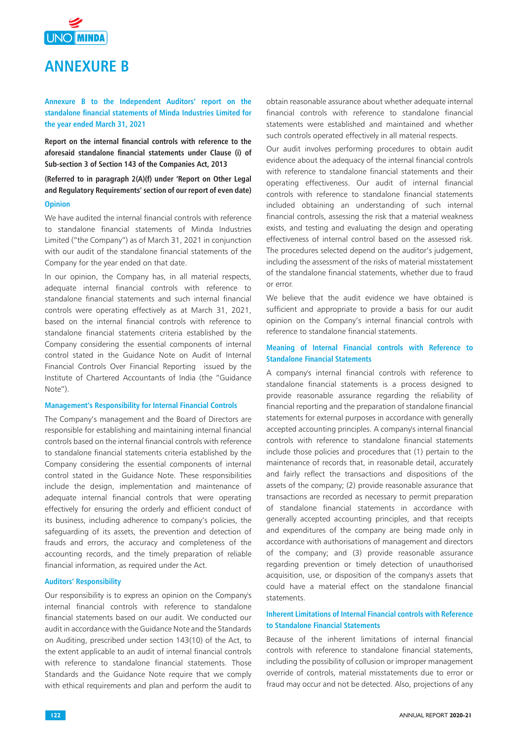

## **ANNEXURE B**

**Annexure B to the Independent Auditors' report on the standalone financial statements of Minda Industries Limited for the year ended March 31, 2021**

**Report on the internal financial controls with reference to the aforesaid standalone financial statements under Clause (i) of Sub-section 3 of Section 143 of the Companies Act, 2013**

**(Referred to in paragraph 2(A)(f) under 'Report on Other Legal and Regulatory Requirements' section of our report of even date) Opinion**

We have audited the internal financial controls with reference to standalone financial statements of Minda Industries Limited ("the Company") as of March 31, 2021 in conjunction with our audit of the standalone financial statements of the Company for the year ended on that date.

In our opinion, the Company has, in all material respects, adequate internal financial controls with reference to standalone financial statements and such internal financial controls were operating effectively as at March 31, 2021, based on the internal financial controls with reference to standalone financial statements criteria established by the Company considering the essential components of internal control stated in the Guidance Note on Audit of Internal Financial Controls Over Financial Reporting issued by the Institute of Chartered Accountants of India (the "Guidance Note").

#### **Management's Responsibility for Internal Financial Controls**

The Company's management and the Board of Directors are responsible for establishing and maintaining internal financial controls based on the internal financial controls with reference to standalone financial statements criteria established by the Company considering the essential components of internal control stated in the Guidance Note. These responsibilities include the design, implementation and maintenance of adequate internal financial controls that were operating effectively for ensuring the orderly and efficient conduct of its business, including adherence to company's policies, the safeguarding of its assets, the prevention and detection of frauds and errors, the accuracy and completeness of the accounting records, and the timely preparation of reliable financial information, as required under the Act.

#### **Auditors' Responsibility**

Our responsibility is to express an opinion on the Company's internal financial controls with reference to standalone financial statements based on our audit. We conducted our audit in accordance with the Guidance Note and the Standards on Auditing, prescribed under section 143(10) of the Act, to the extent applicable to an audit of internal financial controls with reference to standalone financial statements. Those Standards and the Guidance Note require that we comply with ethical requirements and plan and perform the audit to

obtain reasonable assurance about whether adequate internal financial controls with reference to standalone financial statements were established and maintained and whether such controls operated effectively in all material respects.

Our audit involves performing procedures to obtain audit evidence about the adequacy of the internal financial controls with reference to standalone financial statements and their operating effectiveness. Our audit of internal financial controls with reference to standalone financial statements included obtaining an understanding of such internal financial controls, assessing the risk that a material weakness exists, and testing and evaluating the design and operating effectiveness of internal control based on the assessed risk. The procedures selected depend on the auditor's judgement, including the assessment of the risks of material misstatement of the standalone financial statements, whether due to fraud or error.

We believe that the audit evidence we have obtained is sufficient and appropriate to provide a basis for our audit opinion on the Company's internal financial controls with reference to standalone financial statements.

#### **Meaning of Internal Financial controls with Reference to Standalone Financial Statements**

A company's internal financial controls with reference to standalone financial statements is a process designed to provide reasonable assurance regarding the reliability of financial reporting and the preparation of standalone financial statements for external purposes in accordance with generally accepted accounting principles. A company's internal financial controls with reference to standalone financial statements include those policies and procedures that (1) pertain to the maintenance of records that, in reasonable detail, accurately and fairly reflect the transactions and dispositions of the assets of the company; (2) provide reasonable assurance that transactions are recorded as necessary to permit preparation of standalone financial statements in accordance with generally accepted accounting principles, and that receipts and expenditures of the company are being made only in accordance with authorisations of management and directors of the company; and (3) provide reasonable assurance regarding prevention or timely detection of unauthorised acquisition, use, or disposition of the company's assets that could have a material effect on the standalone financial statements.

#### **Inherent Limitations of Internal Financial controls with Reference to Standalone Financial Statements**

Because of the inherent limitations of internal financial controls with reference to standalone financial statements, including the possibility of collusion or improper management override of controls, material misstatements due to error or fraud may occur and not be detected. Also, projections of any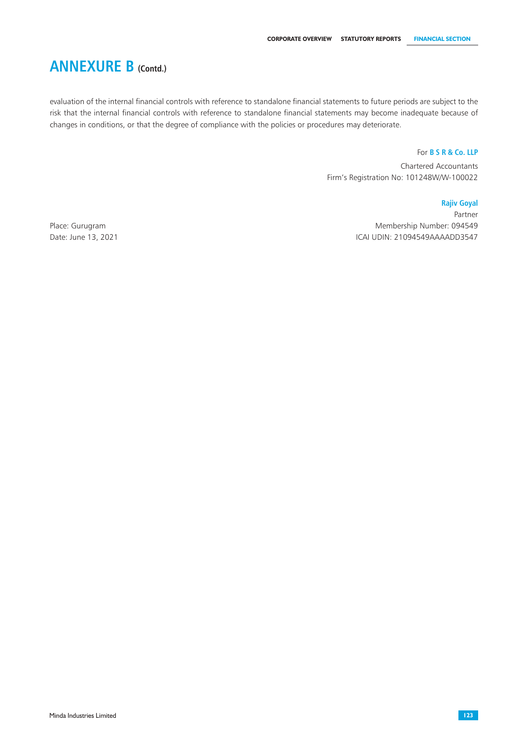## **ANNEXURE B (Contd.)**

evaluation of the internal financial controls with reference to standalone financial statements to future periods are subject to the risk that the internal financial controls with reference to standalone financial statements may become inadequate because of changes in conditions, or that the degree of compliance with the policies or procedures may deteriorate.

#### For **B S R & Co. LLP**

Chartered Accountants Firm's Registration No: 101248W/W-100022

#### **Rajiv Goyal**

Partner Place: Gurugram Membership Number: 094549 Date: June 13, 2021 ICAI UDIN: 21094549AAAADD3547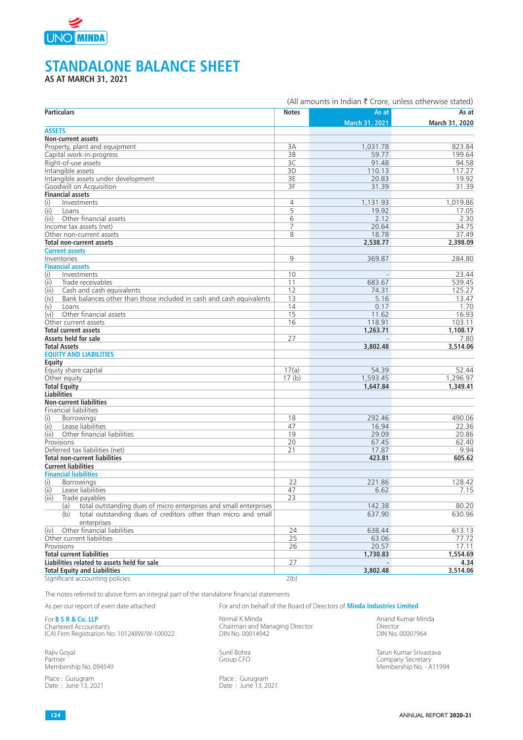

## **STANDALONE BALANCE SHEET**

**AS AT MARCH 31, 2021**

|                                                                                      |                | (All amounts in Indian ₹ Crore, unless otherwise stated) |                |
|--------------------------------------------------------------------------------------|----------------|----------------------------------------------------------|----------------|
| <b>Particulars</b>                                                                   | <b>Notes</b>   | As at                                                    | As at          |
|                                                                                      |                | March 31, 2021                                           | March 31, 2020 |
| <b>ASSETS</b>                                                                        |                |                                                          |                |
| <b>Non-current assets</b>                                                            |                |                                                          |                |
| Property, plant and equipment                                                        | 3A             | 1,031.78                                                 | 823.84         |
| Capital work-in-progress                                                             | 3B             | 59.77                                                    | 199.64         |
| Right-of-use assets                                                                  | 3C             | 91.48                                                    | 94.58          |
| Intangible assets                                                                    | 3D             | 110.13                                                   | 117.27         |
| Intangible assets under development                                                  | 3E             | 20.83                                                    | 19.92          |
| Goodwill on Acquisition                                                              | 3F             | 31.39                                                    | 31.39          |
| <b>Financial assets</b>                                                              |                |                                                          |                |
| Investments<br>(i)                                                                   | $\overline{4}$ | 1,131.93                                                 | 1,019.86       |
| (ii)<br>Loans                                                                        | 5              | 19.92                                                    | 17.05          |
| Other financial assets<br>(iii)                                                      | 6              | 2.12                                                     | 2.30           |
| Income tax assets (net)                                                              | $\overline{7}$ | 20.64                                                    | 34.75          |
| Other non-current assets                                                             | 8              | 18.78                                                    | 37.49          |
| <b>Total non-current assets</b>                                                      |                | 2,538.77                                                 | 2,398.09       |
| <b>Current assets</b>                                                                |                |                                                          |                |
| Inventories                                                                          | 9              | 369.87                                                   | 284.80         |
| <b>Financial assets</b>                                                              |                |                                                          |                |
| (i)<br>Investments                                                                   | 10             |                                                          | 23.44          |
| Trade receivables<br>(ii)                                                            | 11             | 683.67                                                   | 539.45         |
| Cash and cash equivalents<br>(iii)                                                   | 12             | 74.31                                                    | 125.27         |
| Bank balances other than those included in cash and cash equivalents<br>(iv)         | 13             | 5.16                                                     | 13.47          |
| (v)<br>Loans                                                                         | 14             | 0.17                                                     | 1.70           |
| Other financial assets<br>(vi)                                                       | 15             | 11.62                                                    | 16.93          |
| Other current assets                                                                 | 16             | 118.91                                                   | 103.11         |
| <b>Total current assets</b>                                                          |                | 1,263.71                                                 | 1,108.17       |
| Assets held for sale                                                                 | 27             |                                                          | 7.80           |
| <b>Total Assets</b>                                                                  |                | 3,802.48                                                 | 3,514.06       |
| <b>EQUITY AND LIABILITIES</b>                                                        |                |                                                          |                |
| Equity                                                                               |                |                                                          |                |
| Equity share capital                                                                 | 17(a)          | 54.39                                                    | 52.44          |
| Other equity                                                                         | 17(b)          | 1,593.45                                                 | 1,296.97       |
| <b>Total Equity</b>                                                                  |                | 1,647.84                                                 | 1,349.41       |
| <b>Liabilities</b>                                                                   |                |                                                          |                |
| <b>Non-current liabilities</b>                                                       |                |                                                          |                |
| Financial liabilities                                                                |                |                                                          |                |
| <b>Borrowings</b><br>(i)                                                             | 18             | 292.46                                                   | 490.06         |
| Lease liabilities<br>(ii)                                                            | 47             | 16.94                                                    | 22.36          |
| Other financial liabilities<br>(iii)                                                 | 19             | 29.09                                                    | 20.86          |
| Provisions                                                                           | 20             | 67.45                                                    | 62.40          |
| Deferred tax liabilities (net)                                                       | 21             | 17.87                                                    | 9.94           |
| <b>Total non-current liabilities</b>                                                 |                | 423.81                                                   | 605.62         |
| <b>Current liabilities</b>                                                           |                |                                                          |                |
| <b>Financial liabilities</b>                                                         |                |                                                          |                |
| (i)<br>Borrowings                                                                    | 22             | 221.86                                                   | 128.42         |
| (ii) Lease liabilities                                                               | 47             | 6.62                                                     | 7.15           |
| (iii)<br>Trade payables                                                              | 23             |                                                          |                |
| total outstanding dues of micro enterprises and small enterprises<br>(a)             |                | 142.38                                                   | 80.20          |
| total outstanding dues of creditors other than micro and small<br>(b)<br>enterprises |                | 637.90                                                   | 630.96         |
| Other financial liabilities<br>(iv)                                                  | 24             | 638.44                                                   | 613.13         |
| Other current liabilities                                                            | 25             | 63.06                                                    | 77.72          |
| Provisions                                                                           | 26             | 20.57                                                    | 17.11          |
| <b>Total current liabilities</b>                                                     |                | 1,730.83                                                 | 1,554.69       |
| Liabilities related to assets held for sale                                          | 27             |                                                          | 4.34           |
| <b>Total Equity and Liabilities</b>                                                  |                | 3,802.48                                                 | 3,514.06       |
| Significant accounting policies                                                      | 2(b)           |                                                          |                |

The notes referred to above form an integral part of the standalone financial statements

ICAI Firm Registration No: 101248W/W-100022

Rajiv Goyal Sunil Bohra Tarun Kumar Srivastava Partner Group CFO Company Secretary

Place : Gurugram Place : Gurugram Date : June 13, 2021 Date : June 13, 2021

As per our report of even date attached For and on behalf of the Board of Directors of **Minda Industries Limited**

For **B S R & Co. LLP Nirmal K Minda** Anand Kumar Minda Chartered Accountants **Anand Kumar Minda** Chairman and Managing Director **Chartered Accountants** Chairman and Managing Director<br>
DIN No. 00014942<br>
DIN No. 00007964

Sunil Bohra<br>Group CFO Strompton Membership No. - A11994<br>Membership No. - A11994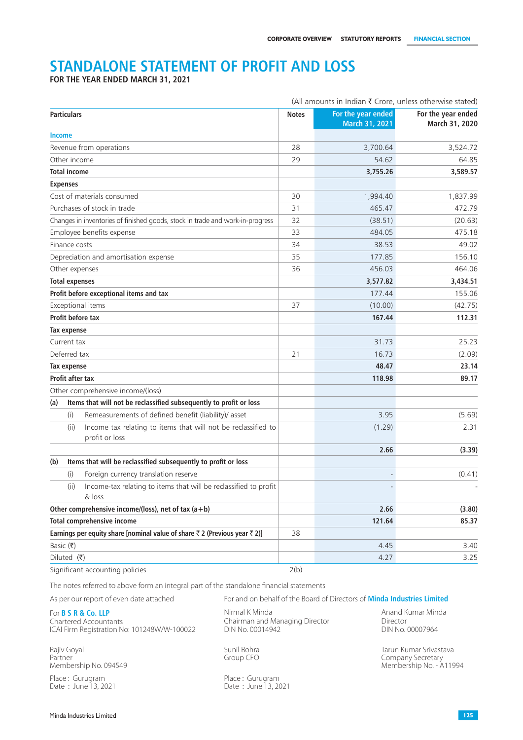## **STANDALONE STATEMENT OF PROFIT AND LOSS**

**FOR THE YEAR ENDED MARCH 31, 2021**

| For the year ended<br>For the year ended<br><b>Particulars</b><br><b>Notes</b><br>March 31, 2021<br>March 31, 2020<br><b>Income</b><br>Revenue from operations<br>28<br>3,524.72<br>3,700.64<br>Other income<br>29<br>54.62<br><b>Total income</b><br>3,755.26<br>3,589.57<br><b>Expenses</b><br>Cost of materials consumed<br>30<br>1,994.40<br>1,837.99<br>Purchases of stock in trade<br>31<br>472.79<br>465.47<br>Changes in inventories of finished goods, stock in trade and work-in-progress<br>32<br>(20.63)<br>(38.51)<br>Employee benefits expense<br>33<br>475.18<br>484.05<br>Finance costs<br>34<br>38.53<br>49.02<br>Depreciation and amortisation expense<br>35<br>156.10<br>177.85<br>Other expenses<br>36<br>456.03<br>464.06<br><b>Total expenses</b><br>3,577.82<br>3,434.51<br>Profit before exceptional items and tax<br>155.06<br>177.44<br>Exceptional items<br>37<br>(42.75)<br>(10.00)<br>Profit before tax<br>112.31<br>167.44<br>Tax expense<br>Current tax<br>31.73<br>25.23<br>Deferred tax<br>21<br>16.73<br>(2.09)<br>48.47<br>23.14<br>Tax expense<br><b>Profit after tax</b><br>118.98<br>89.17<br>Other comprehensive income/(loss)<br>Items that will not be reclassified subsequently to profit or loss<br>(a)<br>Remeasurements of defined benefit (liability)/ asset<br>(i)<br>3.95<br>(5.69)<br>Income tax relating to items that will not be reclassified to<br>(ii)<br>2.31<br>(1.29)<br>profit or loss<br>2.66<br>(3.39)<br>Items that will be reclassified subsequently to profit or loss<br>(b)<br>(i)<br>Foreign currency translation reserve<br>(0.41)<br>(ii)<br>Income-tax relating to items that will be reclassified to profit<br>& loss<br>Other comprehensive income/(loss), net of tax $(a + b)$<br>2.66<br>(3.80)<br><b>Total comprehensive income</b><br>121.64<br>85.37<br>Earnings per equity share [nominal value of share $\bar{z}$ 2 (Previous year $\bar{z}$ 2)]<br>38<br>Basic $(\overline{\tau})$<br>4.45<br>3.40<br>Diluted $(3)$<br>4.27 | (All amounts in Indian $\bar{\tau}$ Crore, unless otherwise stated) |  |  |       |
|-----------------------------------------------------------------------------------------------------------------------------------------------------------------------------------------------------------------------------------------------------------------------------------------------------------------------------------------------------------------------------------------------------------------------------------------------------------------------------------------------------------------------------------------------------------------------------------------------------------------------------------------------------------------------------------------------------------------------------------------------------------------------------------------------------------------------------------------------------------------------------------------------------------------------------------------------------------------------------------------------------------------------------------------------------------------------------------------------------------------------------------------------------------------------------------------------------------------------------------------------------------------------------------------------------------------------------------------------------------------------------------------------------------------------------------------------------------------------------------------------------------------------------------------------------------------------------------------------------------------------------------------------------------------------------------------------------------------------------------------------------------------------------------------------------------------------------------------------------------------------------------------------------------------------------------------------------------------------------------------------------------|---------------------------------------------------------------------|--|--|-------|
|                                                                                                                                                                                                                                                                                                                                                                                                                                                                                                                                                                                                                                                                                                                                                                                                                                                                                                                                                                                                                                                                                                                                                                                                                                                                                                                                                                                                                                                                                                                                                                                                                                                                                                                                                                                                                                                                                                                                                                                                           |                                                                     |  |  |       |
|                                                                                                                                                                                                                                                                                                                                                                                                                                                                                                                                                                                                                                                                                                                                                                                                                                                                                                                                                                                                                                                                                                                                                                                                                                                                                                                                                                                                                                                                                                                                                                                                                                                                                                                                                                                                                                                                                                                                                                                                           |                                                                     |  |  |       |
|                                                                                                                                                                                                                                                                                                                                                                                                                                                                                                                                                                                                                                                                                                                                                                                                                                                                                                                                                                                                                                                                                                                                                                                                                                                                                                                                                                                                                                                                                                                                                                                                                                                                                                                                                                                                                                                                                                                                                                                                           |                                                                     |  |  |       |
|                                                                                                                                                                                                                                                                                                                                                                                                                                                                                                                                                                                                                                                                                                                                                                                                                                                                                                                                                                                                                                                                                                                                                                                                                                                                                                                                                                                                                                                                                                                                                                                                                                                                                                                                                                                                                                                                                                                                                                                                           |                                                                     |  |  | 64.85 |
|                                                                                                                                                                                                                                                                                                                                                                                                                                                                                                                                                                                                                                                                                                                                                                                                                                                                                                                                                                                                                                                                                                                                                                                                                                                                                                                                                                                                                                                                                                                                                                                                                                                                                                                                                                                                                                                                                                                                                                                                           |                                                                     |  |  |       |
|                                                                                                                                                                                                                                                                                                                                                                                                                                                                                                                                                                                                                                                                                                                                                                                                                                                                                                                                                                                                                                                                                                                                                                                                                                                                                                                                                                                                                                                                                                                                                                                                                                                                                                                                                                                                                                                                                                                                                                                                           |                                                                     |  |  |       |
|                                                                                                                                                                                                                                                                                                                                                                                                                                                                                                                                                                                                                                                                                                                                                                                                                                                                                                                                                                                                                                                                                                                                                                                                                                                                                                                                                                                                                                                                                                                                                                                                                                                                                                                                                                                                                                                                                                                                                                                                           |                                                                     |  |  |       |
|                                                                                                                                                                                                                                                                                                                                                                                                                                                                                                                                                                                                                                                                                                                                                                                                                                                                                                                                                                                                                                                                                                                                                                                                                                                                                                                                                                                                                                                                                                                                                                                                                                                                                                                                                                                                                                                                                                                                                                                                           |                                                                     |  |  |       |
|                                                                                                                                                                                                                                                                                                                                                                                                                                                                                                                                                                                                                                                                                                                                                                                                                                                                                                                                                                                                                                                                                                                                                                                                                                                                                                                                                                                                                                                                                                                                                                                                                                                                                                                                                                                                                                                                                                                                                                                                           |                                                                     |  |  |       |
|                                                                                                                                                                                                                                                                                                                                                                                                                                                                                                                                                                                                                                                                                                                                                                                                                                                                                                                                                                                                                                                                                                                                                                                                                                                                                                                                                                                                                                                                                                                                                                                                                                                                                                                                                                                                                                                                                                                                                                                                           |                                                                     |  |  |       |
|                                                                                                                                                                                                                                                                                                                                                                                                                                                                                                                                                                                                                                                                                                                                                                                                                                                                                                                                                                                                                                                                                                                                                                                                                                                                                                                                                                                                                                                                                                                                                                                                                                                                                                                                                                                                                                                                                                                                                                                                           |                                                                     |  |  |       |
|                                                                                                                                                                                                                                                                                                                                                                                                                                                                                                                                                                                                                                                                                                                                                                                                                                                                                                                                                                                                                                                                                                                                                                                                                                                                                                                                                                                                                                                                                                                                                                                                                                                                                                                                                                                                                                                                                                                                                                                                           |                                                                     |  |  |       |
|                                                                                                                                                                                                                                                                                                                                                                                                                                                                                                                                                                                                                                                                                                                                                                                                                                                                                                                                                                                                                                                                                                                                                                                                                                                                                                                                                                                                                                                                                                                                                                                                                                                                                                                                                                                                                                                                                                                                                                                                           |                                                                     |  |  |       |
|                                                                                                                                                                                                                                                                                                                                                                                                                                                                                                                                                                                                                                                                                                                                                                                                                                                                                                                                                                                                                                                                                                                                                                                                                                                                                                                                                                                                                                                                                                                                                                                                                                                                                                                                                                                                                                                                                                                                                                                                           |                                                                     |  |  |       |
|                                                                                                                                                                                                                                                                                                                                                                                                                                                                                                                                                                                                                                                                                                                                                                                                                                                                                                                                                                                                                                                                                                                                                                                                                                                                                                                                                                                                                                                                                                                                                                                                                                                                                                                                                                                                                                                                                                                                                                                                           |                                                                     |  |  |       |
|                                                                                                                                                                                                                                                                                                                                                                                                                                                                                                                                                                                                                                                                                                                                                                                                                                                                                                                                                                                                                                                                                                                                                                                                                                                                                                                                                                                                                                                                                                                                                                                                                                                                                                                                                                                                                                                                                                                                                                                                           |                                                                     |  |  |       |
|                                                                                                                                                                                                                                                                                                                                                                                                                                                                                                                                                                                                                                                                                                                                                                                                                                                                                                                                                                                                                                                                                                                                                                                                                                                                                                                                                                                                                                                                                                                                                                                                                                                                                                                                                                                                                                                                                                                                                                                                           |                                                                     |  |  |       |
|                                                                                                                                                                                                                                                                                                                                                                                                                                                                                                                                                                                                                                                                                                                                                                                                                                                                                                                                                                                                                                                                                                                                                                                                                                                                                                                                                                                                                                                                                                                                                                                                                                                                                                                                                                                                                                                                                                                                                                                                           |                                                                     |  |  |       |
|                                                                                                                                                                                                                                                                                                                                                                                                                                                                                                                                                                                                                                                                                                                                                                                                                                                                                                                                                                                                                                                                                                                                                                                                                                                                                                                                                                                                                                                                                                                                                                                                                                                                                                                                                                                                                                                                                                                                                                                                           |                                                                     |  |  |       |
|                                                                                                                                                                                                                                                                                                                                                                                                                                                                                                                                                                                                                                                                                                                                                                                                                                                                                                                                                                                                                                                                                                                                                                                                                                                                                                                                                                                                                                                                                                                                                                                                                                                                                                                                                                                                                                                                                                                                                                                                           |                                                                     |  |  |       |
|                                                                                                                                                                                                                                                                                                                                                                                                                                                                                                                                                                                                                                                                                                                                                                                                                                                                                                                                                                                                                                                                                                                                                                                                                                                                                                                                                                                                                                                                                                                                                                                                                                                                                                                                                                                                                                                                                                                                                                                                           |                                                                     |  |  |       |
|                                                                                                                                                                                                                                                                                                                                                                                                                                                                                                                                                                                                                                                                                                                                                                                                                                                                                                                                                                                                                                                                                                                                                                                                                                                                                                                                                                                                                                                                                                                                                                                                                                                                                                                                                                                                                                                                                                                                                                                                           |                                                                     |  |  |       |
|                                                                                                                                                                                                                                                                                                                                                                                                                                                                                                                                                                                                                                                                                                                                                                                                                                                                                                                                                                                                                                                                                                                                                                                                                                                                                                                                                                                                                                                                                                                                                                                                                                                                                                                                                                                                                                                                                                                                                                                                           |                                                                     |  |  |       |
|                                                                                                                                                                                                                                                                                                                                                                                                                                                                                                                                                                                                                                                                                                                                                                                                                                                                                                                                                                                                                                                                                                                                                                                                                                                                                                                                                                                                                                                                                                                                                                                                                                                                                                                                                                                                                                                                                                                                                                                                           |                                                                     |  |  |       |
|                                                                                                                                                                                                                                                                                                                                                                                                                                                                                                                                                                                                                                                                                                                                                                                                                                                                                                                                                                                                                                                                                                                                                                                                                                                                                                                                                                                                                                                                                                                                                                                                                                                                                                                                                                                                                                                                                                                                                                                                           |                                                                     |  |  |       |
|                                                                                                                                                                                                                                                                                                                                                                                                                                                                                                                                                                                                                                                                                                                                                                                                                                                                                                                                                                                                                                                                                                                                                                                                                                                                                                                                                                                                                                                                                                                                                                                                                                                                                                                                                                                                                                                                                                                                                                                                           |                                                                     |  |  |       |
|                                                                                                                                                                                                                                                                                                                                                                                                                                                                                                                                                                                                                                                                                                                                                                                                                                                                                                                                                                                                                                                                                                                                                                                                                                                                                                                                                                                                                                                                                                                                                                                                                                                                                                                                                                                                                                                                                                                                                                                                           |                                                                     |  |  |       |
|                                                                                                                                                                                                                                                                                                                                                                                                                                                                                                                                                                                                                                                                                                                                                                                                                                                                                                                                                                                                                                                                                                                                                                                                                                                                                                                                                                                                                                                                                                                                                                                                                                                                                                                                                                                                                                                                                                                                                                                                           |                                                                     |  |  |       |
|                                                                                                                                                                                                                                                                                                                                                                                                                                                                                                                                                                                                                                                                                                                                                                                                                                                                                                                                                                                                                                                                                                                                                                                                                                                                                                                                                                                                                                                                                                                                                                                                                                                                                                                                                                                                                                                                                                                                                                                                           |                                                                     |  |  |       |
|                                                                                                                                                                                                                                                                                                                                                                                                                                                                                                                                                                                                                                                                                                                                                                                                                                                                                                                                                                                                                                                                                                                                                                                                                                                                                                                                                                                                                                                                                                                                                                                                                                                                                                                                                                                                                                                                                                                                                                                                           |                                                                     |  |  |       |
|                                                                                                                                                                                                                                                                                                                                                                                                                                                                                                                                                                                                                                                                                                                                                                                                                                                                                                                                                                                                                                                                                                                                                                                                                                                                                                                                                                                                                                                                                                                                                                                                                                                                                                                                                                                                                                                                                                                                                                                                           |                                                                     |  |  |       |
|                                                                                                                                                                                                                                                                                                                                                                                                                                                                                                                                                                                                                                                                                                                                                                                                                                                                                                                                                                                                                                                                                                                                                                                                                                                                                                                                                                                                                                                                                                                                                                                                                                                                                                                                                                                                                                                                                                                                                                                                           |                                                                     |  |  |       |
|                                                                                                                                                                                                                                                                                                                                                                                                                                                                                                                                                                                                                                                                                                                                                                                                                                                                                                                                                                                                                                                                                                                                                                                                                                                                                                                                                                                                                                                                                                                                                                                                                                                                                                                                                                                                                                                                                                                                                                                                           |                                                                     |  |  |       |
|                                                                                                                                                                                                                                                                                                                                                                                                                                                                                                                                                                                                                                                                                                                                                                                                                                                                                                                                                                                                                                                                                                                                                                                                                                                                                                                                                                                                                                                                                                                                                                                                                                                                                                                                                                                                                                                                                                                                                                                                           |                                                                     |  |  |       |
|                                                                                                                                                                                                                                                                                                                                                                                                                                                                                                                                                                                                                                                                                                                                                                                                                                                                                                                                                                                                                                                                                                                                                                                                                                                                                                                                                                                                                                                                                                                                                                                                                                                                                                                                                                                                                                                                                                                                                                                                           |                                                                     |  |  | 3.25  |

Significant accounting policies 2(b)

The notes referred to above form an integral part of the standalone financial statements

#### As per our report of even date attached For and on behalf of the Board of Directors of **Minda Industries Limited**

| Chartered Accountants                       |  |
|---------------------------------------------|--|
| ICAI Firm Registration No: 101248W/W-100022 |  |

Rajiv Goyal Sunil Bohra Tarun Kumar Srivastava Partner Company Secretary Company Secretary Company Secretary Company Secretary

Place : Gurugram Place : Gurugram Place : Gurugram Place : Gurugram Place : Gurugram Place : June 13, 20

For **B S R & Co. LLP Example 2** Nirmal K Minda **Chartered Accountants** Anand Kumar Minda Chartered Accountants **Anand Kumar Minda** Chartered Accountants Chairman and Managing Director **Chairman and Managing Director** DIN No. 00007964 DIN No. 00014942

Date : June 13, 2021

Membership No. 094549 Membership No. - A11994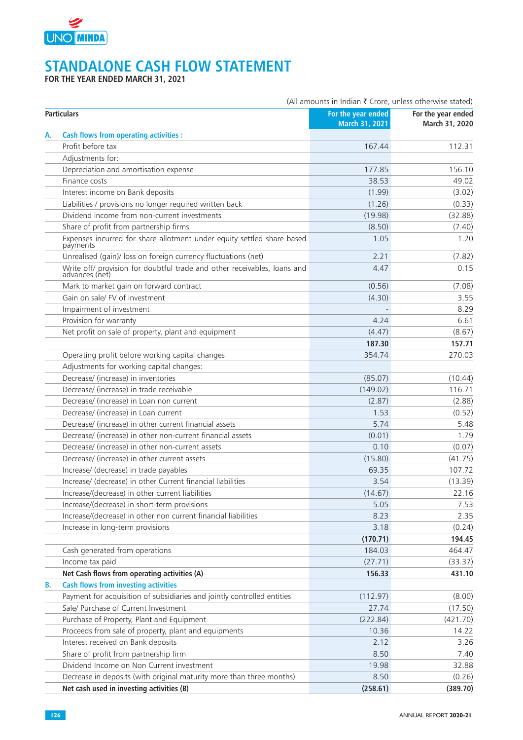

## **STANDALONE CASH FLOW STATEMENT**

**FOR THE YEAR ENDED MARCH 31, 2021**

| (All amounts in Indian ₹ Crore, unless otherwise stated) |                                                                                            |                                      |                                      |
|----------------------------------------------------------|--------------------------------------------------------------------------------------------|--------------------------------------|--------------------------------------|
|                                                          | <b>Particulars</b>                                                                         | For the year ended<br>March 31, 2021 | For the year ended<br>March 31, 2020 |
| А.                                                       | <b>Cash flows from operating activities:</b>                                               |                                      |                                      |
|                                                          | Profit before tax                                                                          | 167.44                               | 112.31                               |
|                                                          | Adjustments for:                                                                           |                                      |                                      |
|                                                          | Depreciation and amortisation expense                                                      | 177.85                               | 156.10                               |
|                                                          | Finance costs                                                                              | 38.53                                | 49.02                                |
|                                                          | Interest income on Bank deposits                                                           | (1.99)                               | (3.02)                               |
|                                                          | Liabilities / provisions no longer required written back                                   | (1.26)                               | (0.33)                               |
|                                                          | Dividend income from non-current investments                                               | (19.98)                              | (32.88)                              |
|                                                          | Share of profit from partnership firms                                                     | (8.50)                               | (7.40)                               |
|                                                          | Expenses incurred for share allotment under equity settled share based<br>payments         | 1.05                                 | 1.20                                 |
|                                                          | Unrealised (gain)/ loss on foreign currency fluctuations (net)                             | 2.21                                 | (7.82)                               |
|                                                          | Write off/ provision for doubtful trade and other receivables, loans and<br>advances (net) | 4.47                                 | 0.15                                 |
|                                                          | Mark to market gain on forward contract                                                    | (0.56)                               | (7.08)                               |
|                                                          | Gain on sale/ FV of investment                                                             | (4.30)                               | 3.55                                 |
|                                                          | Impairment of investment                                                                   |                                      | 8.29                                 |
|                                                          | Provision for warranty                                                                     | 4.24                                 | 6.61                                 |
|                                                          | Net profit on sale of property, plant and equipment                                        | (4.47)                               | (8.67)                               |
|                                                          |                                                                                            | 187.30                               | 157.71                               |
|                                                          | Operating profit before working capital changes                                            | 354.74                               | 270.03                               |
|                                                          | Adjustments for working capital changes:                                                   |                                      |                                      |
|                                                          | Decrease/ (increase) in inventories                                                        | (85.07)                              | (10.44)                              |
|                                                          | Decrease/ (increase) in trade receivable                                                   | (149.02)                             | 116.71                               |
|                                                          | Decrease/ (increase) in Loan non current                                                   | (2.87)                               | (2.88)                               |
|                                                          | Decrease/ (increase) in Loan current                                                       | 1.53                                 | (0.52)                               |
|                                                          | Decrease/ (increase) in other current financial assets                                     | 5.74                                 | 5.48                                 |
|                                                          | Decrease/ (increase) in other non-current financial assets                                 | (0.01)                               | 1.79                                 |
|                                                          | Decrease/ (increase) in other non-current assets                                           | 0.10                                 | (0.07)                               |
|                                                          | Decrease/ (increase) in other current assets                                               | (15.80)                              | (41.75)                              |
|                                                          | Increase/ (decrease) in trade payables                                                     | 69.35                                | 107.72                               |
|                                                          | Increase/ (decrease) in other Current financial liabilities                                | 3.54                                 | (13.39)                              |
|                                                          | Increase/(decrease) in other current liabilities                                           | (14.67)                              | 22.16                                |
|                                                          | Increase/(decrease) in short-term provisions                                               | 5.05                                 | 7.53                                 |
|                                                          | Increase/(decrease) in other non current financial liabilities                             | 8.23                                 | 2.35                                 |
|                                                          | Increase in long-term provisions                                                           | 3.18                                 | (0.24)                               |
|                                                          |                                                                                            | (170.71)                             | 194.45                               |
|                                                          | Cash generated from operations                                                             | 184.03                               | 464.47                               |
|                                                          | Income tax paid                                                                            | (27.71)                              | (33.37)                              |
|                                                          | Net Cash flows from operating activities (A)                                               | 156.33                               | 431.10                               |
| В.                                                       | <b>Cash flows from investing activities</b>                                                |                                      |                                      |
|                                                          | Payment for acquisition of subsidiaries and jointly controlled entities                    | (112.97)                             | (8.00)                               |
|                                                          | Sale/ Purchase of Current Investment                                                       | 27.74                                | (17.50)                              |
|                                                          | Purchase of Property, Plant and Equipment                                                  | (222.84)                             | (421.70)                             |
|                                                          | Proceeds from sale of property, plant and equipments                                       | 10.36                                | 14.22                                |
|                                                          | Interest received on Bank deposits                                                         | 2.12                                 | 3.26                                 |
|                                                          | Share of profit from partnership firm                                                      | 8.50                                 | 7.40                                 |
|                                                          | Dividend Income on Non Current investment                                                  | 19.98                                | 32.88                                |
|                                                          | Decrease in deposits (with original maturity more than three months)                       | 8.50                                 | (0.26)                               |
|                                                          | Net cash used in investing activities (B)                                                  | (258.61)                             | (389.70)                             |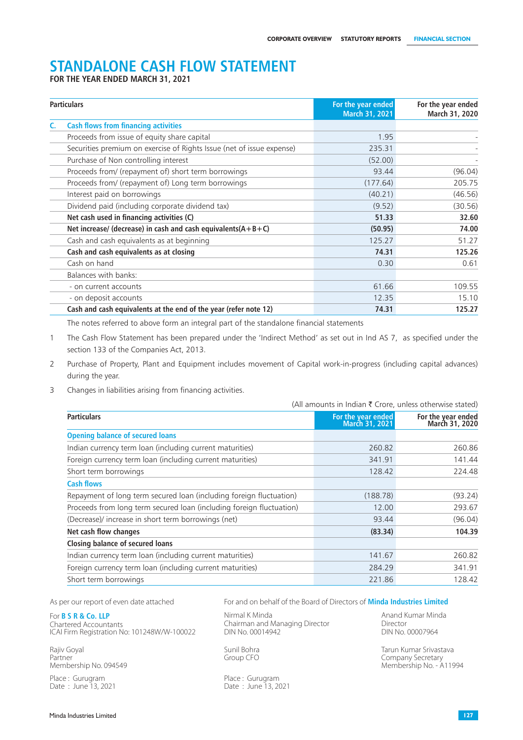## **STANDALONE CASH FLOW STATEMENT**

**FOR THE YEAR ENDED MARCH 31, 2021**

| <b>Particulars</b>                                                    | For the year ended<br>March 31, 2021 | For the year ended<br>March 31, 2020 |
|-----------------------------------------------------------------------|--------------------------------------|--------------------------------------|
| <b>Cash flows from financing activities</b><br>C.                     |                                      |                                      |
| Proceeds from issue of equity share capital                           | 1.95                                 |                                      |
| Securities premium on exercise of Rights Issue (net of issue expense) | 235.31                               |                                      |
| Purchase of Non controlling interest                                  | (52.00)                              |                                      |
| Proceeds from/ (repayment of) short term borrowings                   | 93.44                                | (96.04)                              |
| Proceeds from/ (repayment of) Long term borrowings                    | (177.64)                             | 205.75                               |
| Interest paid on borrowings                                           | (40.21)                              | (46.56)                              |
| Dividend paid (including corporate dividend tax)                      | (9.52)                               | (30.56)                              |
| Net cash used in financing activities (C)                             | 51.33                                | 32.60                                |
| Net increase/ (decrease) in cash and cash equivalents( $A + B + C$ )  | (50.95)                              | 74.00                                |
| Cash and cash equivalents as at beginning                             | 125.27                               | 51.27                                |
| Cash and cash equivalents as at closing                               | 74.31                                | 125.26                               |
| Cash on hand                                                          | 0.30                                 | 0.61                                 |
| Balances with banks:                                                  |                                      |                                      |
| - on current accounts                                                 | 61.66                                | 109.55                               |
| - on deposit accounts                                                 | 12.35                                | 15.10                                |
| Cash and cash equivalents at the end of the year (refer note 12)      | 74.31                                | 125.27                               |

The notes referred to above form an integral part of the standalone financial statements

- 1 The Cash Flow Statement has been prepared under the 'Indirect Method' as set out in Ind AS 7, as specified under the section 133 of the Companies Act, 2013.
- 2 Purchase of Property, Plant and Equipment includes movement of Capital work-in-progress (including capital advances) during the year.
- 3 Changes in liabilities arising from financing activities.

|                                                                      |                                      | (All amounts in Indian $\bar{\tau}$ Crore, unless otherwise stated) |
|----------------------------------------------------------------------|--------------------------------------|---------------------------------------------------------------------|
| <b>Particulars</b>                                                   | For the year ended<br>March 31, 2021 | For the year ended<br>March 31, 2020                                |
| <b>Opening balance of secured loans</b>                              |                                      |                                                                     |
| Indian currency term loan (including current maturities)             | 260.82                               | 260.86                                                              |
| Foreign currency term loan (including current maturities)            | 341.91                               | 141.44                                                              |
| Short term borrowings                                                | 128.42                               | 224.48                                                              |
| <b>Cash flows</b>                                                    |                                      |                                                                     |
| Repayment of long term secured loan (including foreign fluctuation)  | (188.78)                             | (93.24)                                                             |
| Proceeds from long term secured loan (including foreign fluctuation) | 12.00                                | 293.67                                                              |
| (Decrease)/ increase in short term borrowings (net)                  | 93.44                                | (96.04)                                                             |
| Net cash flow changes                                                | (83.34)                              | 104.39                                                              |
| <b>Closing balance of secured loans</b>                              |                                      |                                                                     |
| Indian currency term loan (including current maturities)             | 141.67                               | 260.82                                                              |
| Foreign currency term loan (including current maturities)            | 284.29                               | 341.91                                                              |
| Short term borrowings                                                | 221.86                               | 128.42                                                              |

ICAI Firm Registration No: 101248W/W-100022

Rajiv Goyal Sunil Bohra Tarun Kumar Srivastava Partner Theorem Company Secretary<br>
Membership No. 094549<br>
Membership No. - A

Place : Gurugram Place : Gurugram Place : Gurugram Place : Gurugram Place : Gurugram Place : June 13, 20

As per our report of even date attached For and on behalf of the Board of Directors of **Minda Industries Limited**

For **B S R & Co. LLP Example 2** Nirmal K Minda **Chartered Accountants** Anand Kumar Minda Chartered Accountants **Anand Kumar Minda** Chairman and Managing Director **Anand Kumar Minda** Chairman and Managing Director **Chairman and Managing Director** DIN No. 00007964

Date : June 13, 2021

Membership No. - A11994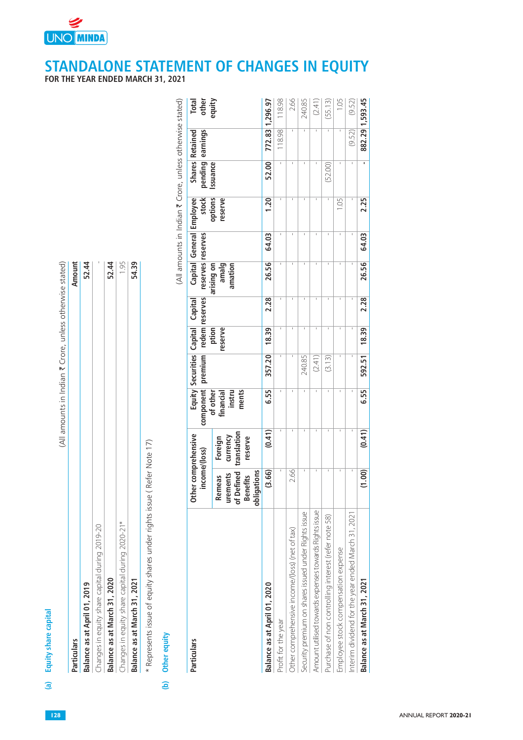

|                                                                       | (All amounts in Indian ₹ Crore, unless otherwise stated) |
|-----------------------------------------------------------------------|----------------------------------------------------------|
| articulars                                                            | Amount                                                   |
| alance as at April 01, 2019                                           | 52.44                                                    |
| hanges in equity share capital during 2019-20                         |                                                          |
| alance as at March 31, 2020                                           | 52.44                                                    |
| hanges in equity share capital during 2020-21*                        | 1.95                                                     |
| alance as at March 31, 2021                                           | 54.39                                                    |
| Represents issue of equity shares under rights issue ( Refer Note 17) |                                                          |

| 118.98<br>2.66<br>240.85<br>(All amounts in Indian ₹ Crore, unless otherwise stated)<br>other<br>equity<br>(55.13)<br>1.05<br>(9.52)<br>882.29 1,593.45<br><b>Total</b><br>(2.41)<br>772.83 1,296.97<br>Shares Retained<br>eamings<br>118.98<br>1<br>٠<br>(9.52)<br>pending<br><b>Issuance</b><br>52.00<br>$\mathbf{I}$<br>(52.00)<br>$\mathbf{I}$<br>$\blacksquare$<br>$\mathbf{I}$<br>Capital General Employee<br>stock<br>options<br>reserve<br>1.20<br>1<br>$\mathbf{I}$<br>2.25<br>1.05<br>reserves<br>64.03<br>64.03<br>$\mathbf{I}$<br>52.44<br>52.44<br>1.95<br>54.39<br>reserves<br>$\mathbf{I}$<br>$\mathbf{I}$<br>$\mathbf{1}$<br>26.56<br>arising on<br>amation<br>26.56<br>$\mathbf{1}$<br>amalg<br>Capital<br>redem reserves<br>$\mathbf{I}$<br>2.28<br>2.28<br>٠<br>$\mathbf{I}$<br>$\mathbf{I}$<br>$\mathbf{I}$<br>Capital<br>ption<br>18.39<br>reserve<br>18.39<br>Equity Securities<br>premium<br>357.20<br>240.85<br>(2.41)<br>592.51<br>(3.13)<br>component<br>6.55<br>of other<br>instru<br>ments<br>$\mathbf{I}$<br>financial<br>6.55<br>$\mathbf{I}$<br>$\mathbf{I}$<br>$\mathbf{I}$<br>(0.41)<br>$\mathbf{I}$<br>$\blacksquare$<br>$\mathbf{1}$<br>$\mathbf{1}$<br>$\mathbf{I}$<br>(0.41)<br>translation<br>Other comprehensive<br>currency<br>Foreign<br>reserve<br>Refer Note 17)<br>income/(loss)<br>2.66<br>(1.00)<br>$\blacksquare$<br>$\blacksquare$<br>$\mathbf{I}$<br>obligations<br>(3.66)<br>of Defined<br>urements<br><b>Benefits</b><br>Remeas<br>* Represents issue of equity shares under rights issue (<br>Amount utilised towards expenses towards Rights issue<br>Interim dividend for the year ended March 31, 2021<br>Security premium on shares issued under Rights issue<br>Purchase of non controlling interest (refer note 58)<br>Changes in equity share capital during 2020-21*<br>Changes in equity share capital during 2019-20<br>Other comprehensive income/(loss) (net of tax)<br>Employee stock compensation expense<br>Balance as at March 31, 2021<br>Balance as at March 31, 2020<br>Balance as at March 31, 2021<br>Balance as at April 01, 2020<br>Balance as at April 01, 2019<br>Profit for the year<br>Other equity<br>Particulars<br>$\widehat{\mathbf{e}}$ |
|-----------------------------------------------------------------------------------------------------------------------------------------------------------------------------------------------------------------------------------------------------------------------------------------------------------------------------------------------------------------------------------------------------------------------------------------------------------------------------------------------------------------------------------------------------------------------------------------------------------------------------------------------------------------------------------------------------------------------------------------------------------------------------------------------------------------------------------------------------------------------------------------------------------------------------------------------------------------------------------------------------------------------------------------------------------------------------------------------------------------------------------------------------------------------------------------------------------------------------------------------------------------------------------------------------------------------------------------------------------------------------------------------------------------------------------------------------------------------------------------------------------------------------------------------------------------------------------------------------------------------------------------------------------------------------------------------------------------------------------------------------------------------------------------------------------------------------------------------------------------------------------------------------------------------------------------------------------------------------------------------------------------------------------------------------------------------------------------------------------------------------------------------------------------------------------------------------------------------------|
|                                                                                                                                                                                                                                                                                                                                                                                                                                                                                                                                                                                                                                                                                                                                                                                                                                                                                                                                                                                                                                                                                                                                                                                                                                                                                                                                                                                                                                                                                                                                                                                                                                                                                                                                                                                                                                                                                                                                                                                                                                                                                                                                                                                                                             |
|                                                                                                                                                                                                                                                                                                                                                                                                                                                                                                                                                                                                                                                                                                                                                                                                                                                                                                                                                                                                                                                                                                                                                                                                                                                                                                                                                                                                                                                                                                                                                                                                                                                                                                                                                                                                                                                                                                                                                                                                                                                                                                                                                                                                                             |
|                                                                                                                                                                                                                                                                                                                                                                                                                                                                                                                                                                                                                                                                                                                                                                                                                                                                                                                                                                                                                                                                                                                                                                                                                                                                                                                                                                                                                                                                                                                                                                                                                                                                                                                                                                                                                                                                                                                                                                                                                                                                                                                                                                                                                             |
|                                                                                                                                                                                                                                                                                                                                                                                                                                                                                                                                                                                                                                                                                                                                                                                                                                                                                                                                                                                                                                                                                                                                                                                                                                                                                                                                                                                                                                                                                                                                                                                                                                                                                                                                                                                                                                                                                                                                                                                                                                                                                                                                                                                                                             |
|                                                                                                                                                                                                                                                                                                                                                                                                                                                                                                                                                                                                                                                                                                                                                                                                                                                                                                                                                                                                                                                                                                                                                                                                                                                                                                                                                                                                                                                                                                                                                                                                                                                                                                                                                                                                                                                                                                                                                                                                                                                                                                                                                                                                                             |
|                                                                                                                                                                                                                                                                                                                                                                                                                                                                                                                                                                                                                                                                                                                                                                                                                                                                                                                                                                                                                                                                                                                                                                                                                                                                                                                                                                                                                                                                                                                                                                                                                                                                                                                                                                                                                                                                                                                                                                                                                                                                                                                                                                                                                             |
|                                                                                                                                                                                                                                                                                                                                                                                                                                                                                                                                                                                                                                                                                                                                                                                                                                                                                                                                                                                                                                                                                                                                                                                                                                                                                                                                                                                                                                                                                                                                                                                                                                                                                                                                                                                                                                                                                                                                                                                                                                                                                                                                                                                                                             |
|                                                                                                                                                                                                                                                                                                                                                                                                                                                                                                                                                                                                                                                                                                                                                                                                                                                                                                                                                                                                                                                                                                                                                                                                                                                                                                                                                                                                                                                                                                                                                                                                                                                                                                                                                                                                                                                                                                                                                                                                                                                                                                                                                                                                                             |
|                                                                                                                                                                                                                                                                                                                                                                                                                                                                                                                                                                                                                                                                                                                                                                                                                                                                                                                                                                                                                                                                                                                                                                                                                                                                                                                                                                                                                                                                                                                                                                                                                                                                                                                                                                                                                                                                                                                                                                                                                                                                                                                                                                                                                             |
|                                                                                                                                                                                                                                                                                                                                                                                                                                                                                                                                                                                                                                                                                                                                                                                                                                                                                                                                                                                                                                                                                                                                                                                                                                                                                                                                                                                                                                                                                                                                                                                                                                                                                                                                                                                                                                                                                                                                                                                                                                                                                                                                                                                                                             |
|                                                                                                                                                                                                                                                                                                                                                                                                                                                                                                                                                                                                                                                                                                                                                                                                                                                                                                                                                                                                                                                                                                                                                                                                                                                                                                                                                                                                                                                                                                                                                                                                                                                                                                                                                                                                                                                                                                                                                                                                                                                                                                                                                                                                                             |
|                                                                                                                                                                                                                                                                                                                                                                                                                                                                                                                                                                                                                                                                                                                                                                                                                                                                                                                                                                                                                                                                                                                                                                                                                                                                                                                                                                                                                                                                                                                                                                                                                                                                                                                                                                                                                                                                                                                                                                                                                                                                                                                                                                                                                             |
|                                                                                                                                                                                                                                                                                                                                                                                                                                                                                                                                                                                                                                                                                                                                                                                                                                                                                                                                                                                                                                                                                                                                                                                                                                                                                                                                                                                                                                                                                                                                                                                                                                                                                                                                                                                                                                                                                                                                                                                                                                                                                                                                                                                                                             |
|                                                                                                                                                                                                                                                                                                                                                                                                                                                                                                                                                                                                                                                                                                                                                                                                                                                                                                                                                                                                                                                                                                                                                                                                                                                                                                                                                                                                                                                                                                                                                                                                                                                                                                                                                                                                                                                                                                                                                                                                                                                                                                                                                                                                                             |
|                                                                                                                                                                                                                                                                                                                                                                                                                                                                                                                                                                                                                                                                                                                                                                                                                                                                                                                                                                                                                                                                                                                                                                                                                                                                                                                                                                                                                                                                                                                                                                                                                                                                                                                                                                                                                                                                                                                                                                                                                                                                                                                                                                                                                             |
|                                                                                                                                                                                                                                                                                                                                                                                                                                                                                                                                                                                                                                                                                                                                                                                                                                                                                                                                                                                                                                                                                                                                                                                                                                                                                                                                                                                                                                                                                                                                                                                                                                                                                                                                                                                                                                                                                                                                                                                                                                                                                                                                                                                                                             |
|                                                                                                                                                                                                                                                                                                                                                                                                                                                                                                                                                                                                                                                                                                                                                                                                                                                                                                                                                                                                                                                                                                                                                                                                                                                                                                                                                                                                                                                                                                                                                                                                                                                                                                                                                                                                                                                                                                                                                                                                                                                                                                                                                                                                                             |
|                                                                                                                                                                                                                                                                                                                                                                                                                                                                                                                                                                                                                                                                                                                                                                                                                                                                                                                                                                                                                                                                                                                                                                                                                                                                                                                                                                                                                                                                                                                                                                                                                                                                                                                                                                                                                                                                                                                                                                                                                                                                                                                                                                                                                             |

## **UNO MINDA STANDALONE STATEMENT OF CHANGES IN EQUITY FOR THE YEAR ENDED MARCH 31, 2021**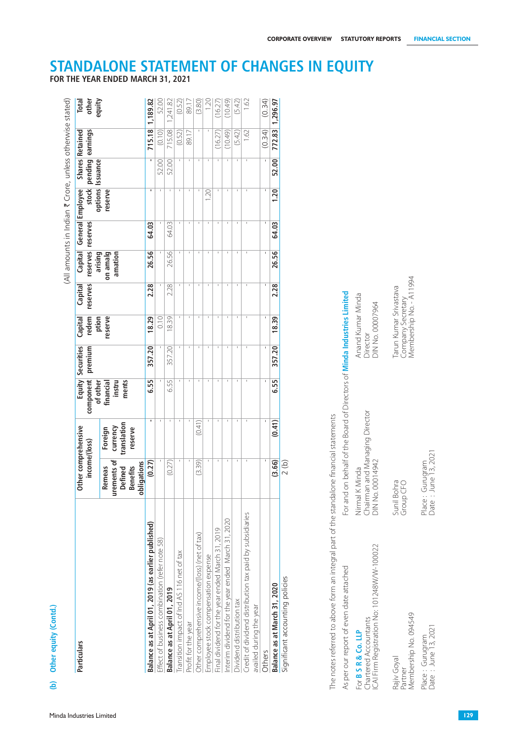| ars |  |
|-----|--|
|     |  |
|     |  |
| ē   |  |
|     |  |

| Particulars                                                                         |                                                                    | Other comprehensive<br>income/(loss)          | component<br>of other        | Equity Securities<br>premium | redem<br>Capital<br>ption | reserves<br>Capital | reserves reserves<br>arising | Capital General Employee |         | stock pending earnings<br>options Issuance | Shares Retained | other<br>equity<br>Total |
|-------------------------------------------------------------------------------------|--------------------------------------------------------------------|-----------------------------------------------|------------------------------|------------------------------|---------------------------|---------------------|------------------------------|--------------------------|---------|--------------------------------------------|-----------------|--------------------------|
|                                                                                     | urements of<br>obligations<br><b>Benefits</b><br>Remeas<br>Defined | translation<br>currency<br>Foreign<br>reserve | instru<br>ments<br>financial |                              | reserve                   |                     | on amalg<br>amation          |                          | reserve |                                            |                 |                          |
| Balance as at April 01, 2019 (as earlier published)                                 | (0.27)                                                             |                                               | 6.55                         | 357.20                       | 18.29                     | 2.28                | 26.56                        | 64.03                    |         |                                            | 715.18          | 1,189.82                 |
| Effect of business combination (refer note 58)                                      |                                                                    |                                               |                              |                              | 0.10                      |                     |                              |                          |         | 52.00                                      | (0.10)          | 52.00                    |
| Balance as at April 01, 2019                                                        | (0.27)                                                             |                                               | 6.55                         | 357.20                       | 18.39                     | 2.28                | 26.56                        | 64.03                    |         | 52.00                                      | 715.08          | 1,241.82                 |
| Transition impact of Ind AS 116 net of tax                                          |                                                                    |                                               |                              |                              |                           |                     |                              |                          |         |                                            | (0.52)          | (0.52)                   |
| Profit for the year                                                                 |                                                                    |                                               |                              | J.                           |                           |                     | J.                           |                          |         |                                            | 89.17           | 89.17                    |
| Other comprehensive income/(loss) (net of tax)                                      | (3.39)                                                             | (0.41)                                        |                              |                              |                           |                     |                              |                          |         |                                            |                 | (3.80)                   |
| Employee stock compensation expense                                                 |                                                                    |                                               |                              | J.                           |                           |                     | J.                           |                          | 07.1    |                                            |                 | 1.20                     |
| Final dividend for the year ended March 31, 2019                                    |                                                                    |                                               |                              |                              |                           |                     |                              |                          |         |                                            | (16.27)         | (16.27)                  |
| Interim dividend for the year ended March 31, 2020                                  |                                                                    |                                               |                              | ٠                            |                           |                     | ٠                            |                          |         |                                            | (10.49)         | (10.49)                  |
| Dividend distribution tax                                                           |                                                                    |                                               |                              | I                            |                           |                     | ٠                            |                          |         |                                            | (5.42)          | (5.42)                   |
| Credit of dividend distribution tax paid by subsidiaries<br>availed during the year |                                                                    |                                               |                              | J.                           |                           |                     | J.                           |                          |         | ı                                          | 1.62            | 1.62                     |
| Others                                                                              |                                                                    |                                               |                              |                              | I                         | ı                   |                              |                          |         | ı                                          | (0.34)          | (0.34)                   |
| Balance as at March 31, 2020                                                        | (3.66)                                                             | (0.41)                                        | 6.55                         | 357.20                       | 18.39                     | 2.28                | 26.56                        | 64.03                    | 1.20    | 52.00                                      |                 | 772.83 1,296.97          |

The notes referred to above form an integral part of the standalone financial statements The notes referred to above form an integral part of the standalone financial statements

Anand Kumar Minda<br>Director<br>DIN No. 00007964 For and on behalf of the Board of Directors of Minda Industries Limited As per our report of even date attached For and on behalf of the Board of Directors of **Minda Industries Limited** Nirmal K Minda As per our report of even date attached

# For **B S R & Co. LLP** Nirmal K Minda Anand Kumar Minda For B S R & Co. LLP

**1**COI Firm Registration No: 1012482 DIN No. 1012002-10122 DIN No. 00014972 DIN No. 00014942 DIN No. 00000-0002 D Chartered Accountants Chairman and Managing Director Director Chairman and Managing Director<br>DIN No. 00014942 Chartered Accountants<br>ICAI Firm Registration No: 101248W/W-100022

Sunil Bohra<br>Group CFO

Rajiv Goyal<br>Partner<br>Membership No. 094549

Place : Gurugram Place : Gurugram Date : June 13, 2021 Date : June 13, 2021

Place : Gurugram<br>Date : June 13, 2021

Place : Gurugram<br>Date : June 13, 2021

Tarun Kumar Srivastava<br>Company Secretary<br>Membership No. - A11994 Membership No. 094549 Membership No. - A11994 Rajiv Goyal Sunil Bohra Tarun Kumar Srivastava Pattner Group Company Secretary Secretary Secretary Secretary Secretary Secretary

## **STANDALONE STATEMENT OF CHANGES IN EQUITY FOR THE YEAR ENDED MARCH 31, 2021**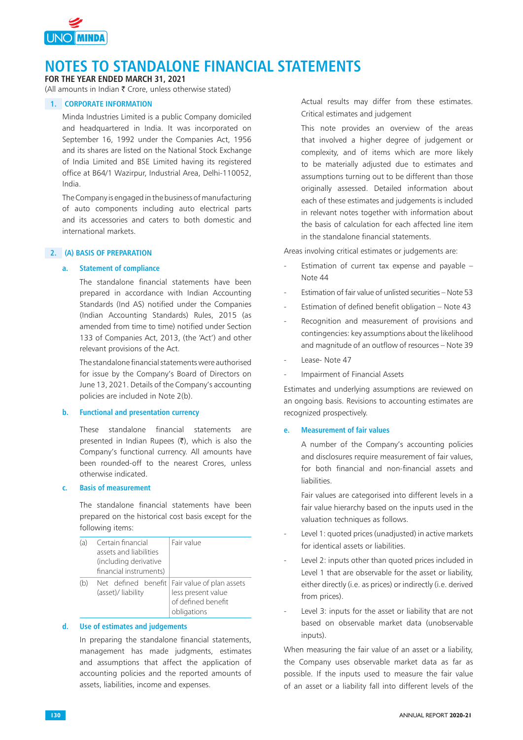

**FOR THE YEAR ENDED MARCH 31, 2021**

(All amounts in Indian  $\bar{\tau}$  Crore, unless otherwise stated)

#### **1. CORPORATE INFORMATION**

Minda Industries Limited is a public Company domiciled and headquartered in India. It was incorporated on September 16, 1992 under the Companies Act, 1956 and its shares are listed on the National Stock Exchange of India Limited and BSE Limited having its registered office at B64/1 Wazirpur, Industrial Area, Delhi-110052, India.

The Company is engaged in the business of manufacturing of auto components including auto electrical parts and its accessories and caters to both domestic and international markets.

#### **2. (A) BASIS OF PREPARATION**

#### **a. Statement of compliance**

The standalone financial statements have been prepared in accordance with Indian Accounting Standards (Ind AS) notified under the Companies (Indian Accounting Standards) Rules, 2015 (as amended from time to time) notified under Section 133 of Companies Act, 2013, (the 'Act') and other relevant provisions of the Act.

The standalone financial statements were authorised for issue by the Company's Board of Directors on June 13, 2021. Details of the Company's accounting policies are included in Note 2(b).

#### **b. Functional and presentation currency**

These standalone financial statements are presented in Indian Rupees  $(\bar{\tau})$ , which is also the Company's functional currency. All amounts have been rounded-off to the nearest Crores, unless otherwise indicated.

#### **c. Basis of measurement**

The standalone financial statements have been prepared on the historical cost basis except for the following items:

| (a | Certain financial<br>assets and liabilities<br>(including derivative<br>financial instruments) | Fair value                                                                                                 |
|----|------------------------------------------------------------------------------------------------|------------------------------------------------------------------------------------------------------------|
| (b | (asset)/liability                                                                              | Net defined benefit   Fair value of plan assets<br>less present value<br>of defined benefit<br>obligations |

#### **d. Use of estimates and judgements**

In preparing the standalone financial statements, management has made judgments, estimates and assumptions that affect the application of accounting policies and the reported amounts of assets, liabilities, income and expenses.

Actual results may differ from these estimates. Critical estimates and judgement

This note provides an overview of the areas that involved a higher degree of judgement or complexity, and of items which are more likely to be materially adjusted due to estimates and assumptions turning out to be different than those originally assessed. Detailed information about each of these estimates and judgements is included in relevant notes together with information about the basis of calculation for each affected line item in the standalone financial statements.

Areas involving critical estimates or judgements are:

- Estimation of current tax expense and payable  $-$ Note 44
- Estimation of fair value of unlisted securities Note 53
- Estimation of defined benefit obligation Note 43
- Recognition and measurement of provisions and contingencies: key assumptions about the likelihood and magnitude of an outflow of resources – Note 39
- Lease- Note 47
- Impairment of Financial Assets

Estimates and underlying assumptions are reviewed on an ongoing basis. Revisions to accounting estimates are recognized prospectively.

#### **e. Measurement of fair values**

A number of the Company's accounting policies and disclosures require measurement of fair values, for both financial and non-financial assets and liabilities.

Fair values are categorised into different levels in a fair value hierarchy based on the inputs used in the valuation techniques as follows.

- Level 1: quoted prices (unadjusted) in active markets for identical assets or liabilities.
- Level 2: inputs other than quoted prices included in Level 1 that are observable for the asset or liability, either directly (i.e. as prices) or indirectly (i.e. derived from prices).
- Level 3: inputs for the asset or liability that are not based on observable market data (unobservable inputs).

When measuring the fair value of an asset or a liability, the Company uses observable market data as far as possible. If the inputs used to measure the fair value of an asset or a liability fall into different levels of the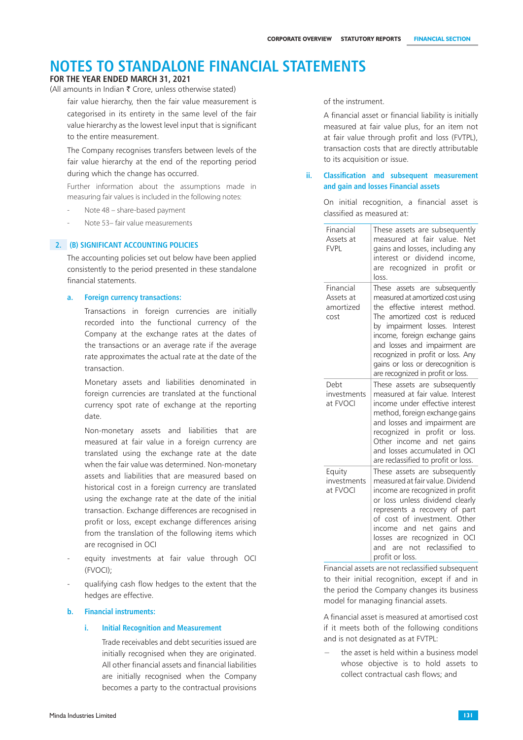#### **FOR THE YEAR ENDED MARCH 31, 2021**

(All amounts in Indian  $\bar{\tau}$  Crore, unless otherwise stated)

fair value hierarchy, then the fair value measurement is categorised in its entirety in the same level of the fair value hierarchy as the lowest level input that is significant to the entire measurement.

The Company recognises transfers between levels of the fair value hierarchy at the end of the reporting period during which the change has occurred.

Further information about the assumptions made in measuring fair values is included in the following notes:

- Note 48 share-based payment
- Note 53- fair value measurements

#### **2. (B) SIGNIFICANT ACCOUNTING POLICIES**

The accounting policies set out below have been applied consistently to the period presented in these standalone financial statements.

#### **a. Foreign currency transactions:**

Transactions in foreign currencies are initially recorded into the functional currency of the Company at the exchange rates at the dates of the transactions or an average rate if the average rate approximates the actual rate at the date of the transaction.

Monetary assets and liabilities denominated in foreign currencies are translated at the functional currency spot rate of exchange at the reporting date.

Non-monetary assets and liabilities that are measured at fair value in a foreign currency are translated using the exchange rate at the date when the fair value was determined. Non-monetary assets and liabilities that are measured based on historical cost in a foreign currency are translated using the exchange rate at the date of the initial transaction. Exchange differences are recognised in profit or loss, except exchange differences arising from the translation of the following items which are recognised in OCI

- equity investments at fair value through OCI (FVOCI);
- qualifying cash flow hedges to the extent that the hedges are effective.

#### **b. Financial instruments:**

#### **i. Initial Recognition and Measurement**

Trade receivables and debt securities issued are initially recognised when they are originated. All other financial assets and financial liabilities are initially recognised when the Company becomes a party to the contractual provisions

of the instrument.

A financial asset or financial liability is initially measured at fair value plus, for an item not at fair value through profit and loss (FVTPL), transaction costs that are directly attributable to its acquisition or issue.

#### **ii. Classification and subsequent measurement and gain and losses Financial assets**

On initial recognition, a financial asset is classified as measured at:

| Financial<br>Assets at<br><b>FVPL</b>       | These assets are subsequently<br>measured at fair value. Net<br>gains and losses, including any<br>interest or dividend income,<br>are recognized in profit or<br>loss.                                                                                                                                                                                           |
|---------------------------------------------|-------------------------------------------------------------------------------------------------------------------------------------------------------------------------------------------------------------------------------------------------------------------------------------------------------------------------------------------------------------------|
| Financial<br>Assets at<br>amortized<br>cost | These<br>assets<br>are subsequently<br>measured at amortized cost using<br>the effective<br>interest method.<br>The amortized cost is reduced<br>by impairment losses. Interest<br>income, foreign exchange gains<br>and losses and impairment are<br>recognized in profit or loss. Any<br>gains or loss or derecognition is<br>are recognized in profit or loss. |
| Debt<br>investments<br>at FVOCI             | These assets are subsequently<br>measured at fair value. Interest<br>income under effective interest<br>method, foreign exchange gains<br>and losses and impairment are<br>recognized in profit or loss.<br>Other income and net gains<br>and losses accumulated in OCI<br>are reclassified to profit or loss.                                                    |
| Equity<br>investments<br>at FVOCI           | These assets are subsequently<br>measured at fair value. Dividend<br>income are recognized in profit<br>or loss unless dividend clearly<br>represents a recovery of part<br>of cost of investment. Other<br>and<br>net gains<br>income<br>and<br>losses are recognized in<br>OCI<br>not reclassified<br>and<br>ി to<br>are<br>profit or loss.                     |

Financial assets are not reclassified subsequent to their initial recognition, except if and in the period the Company changes its business model for managing financial assets.

A financial asset is measured at amortised cost if it meets both of the following conditions and is not designated as at FVTPL:

the asset is held within a business model whose objective is to hold assets to collect contractual cash flows; and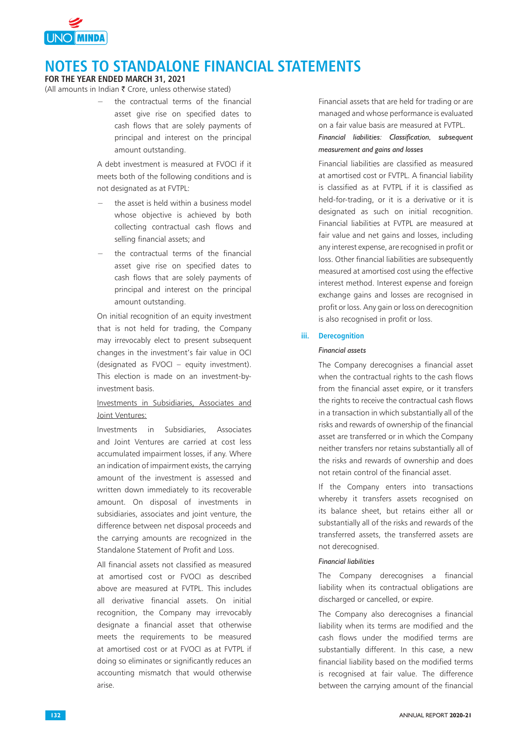

#### **FOR THE YEAR ENDED MARCH 31, 2021**

(All amounts in Indian  $\bar{\tau}$  Crore, unless otherwise stated)

the contractual terms of the financial asset give rise on specified dates to cash flows that are solely payments of principal and interest on the principal amount outstanding.

A debt investment is measured at FVOCI if it meets both of the following conditions and is not designated as at FVTPL:

- the asset is held within a business model whose objective is achieved by both collecting contractual cash flows and selling financial assets; and
- the contractual terms of the financial asset give rise on specified dates to cash flows that are solely payments of principal and interest on the principal amount outstanding.

On initial recognition of an equity investment that is not held for trading, the Company may irrevocably elect to present subsequent changes in the investment's fair value in OCI (designated as FVOCI – equity investment). This election is made on an investment-byinvestment basis.

#### Investments in Subsidiaries, Associates and Joint Ventures:

Investments in Subsidiaries, Associates and Joint Ventures are carried at cost less accumulated impairment losses, if any. Where an indication of impairment exists, the carrying amount of the investment is assessed and written down immediately to its recoverable amount. On disposal of investments in subsidiaries, associates and joint venture, the difference between net disposal proceeds and the carrying amounts are recognized in the Standalone Statement of Profit and Loss.

All financial assets not classified as measured at amortised cost or FVOCI as described above are measured at FVTPL. This includes all derivative financial assets. On initial recognition, the Company may irrevocably designate a financial asset that otherwise meets the requirements to be measured at amortised cost or at FVOCI as at FVTPL if doing so eliminates or significantly reduces an accounting mismatch that would otherwise arise.

Financial assets that are held for trading or are managed and whose performance is evaluated on a fair value basis are measured at FVTPL.

*Financial liabilities: Classification, subsequent measurement and gains and losses*

Financial liabilities are classified as measured at amortised cost or FVTPL. A financial liability is classified as at FVTPL if it is classified as held-for-trading, or it is a derivative or it is designated as such on initial recognition. Financial liabilities at FVTPL are measured at fair value and net gains and losses, including any interest expense, are recognised in profit or loss. Other financial liabilities are subsequently measured at amortised cost using the effective interest method. Interest expense and foreign exchange gains and losses are recognised in profit or loss. Any gain or loss on derecognition is also recognised in profit or loss.

#### **iii. Derecognition**

#### *Financial assets*

The Company derecognises a financial asset when the contractual rights to the cash flows from the financial asset expire, or it transfers the rights to receive the contractual cash flows in a transaction in which substantially all of the risks and rewards of ownership of the financial asset are transferred or in which the Company neither transfers nor retains substantially all of the risks and rewards of ownership and does not retain control of the financial asset.

If the Company enters into transactions whereby it transfers assets recognised on its balance sheet, but retains either all or substantially all of the risks and rewards of the transferred assets, the transferred assets are not derecognised.

#### *Financial liabilities*

The Company derecognises a financial liability when its contractual obligations are discharged or cancelled, or expire.

The Company also derecognises a financial liability when its terms are modified and the cash flows under the modified terms are substantially different. In this case, a new financial liability based on the modified terms is recognised at fair value. The difference between the carrying amount of the financial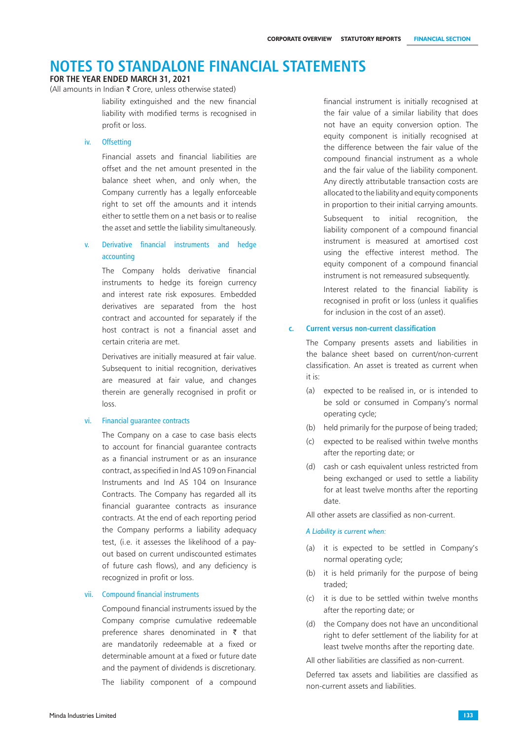#### **FOR THE YEAR ENDED MARCH 31, 2021**

(All amounts in Indian  $\bar{\tau}$  Crore, unless otherwise stated)

liability extinguished and the new financial liability with modified terms is recognised in profit or loss.

#### iv. Offsetting

Financial assets and financial liabilities are offset and the net amount presented in the balance sheet when, and only when, the Company currently has a legally enforceable right to set off the amounts and it intends either to settle them on a net basis or to realise the asset and settle the liability simultaneously.

#### v. Derivative financial instruments and hedge accounting

The Company holds derivative financial instruments to hedge its foreign currency and interest rate risk exposures. Embedded derivatives are separated from the host contract and accounted for separately if the host contract is not a financial asset and certain criteria are met.

Derivatives are initially measured at fair value. Subsequent to initial recognition, derivatives are measured at fair value, and changes therein are generally recognised in profit or loss.

#### vi. Financial quarantee contracts

The Company on a case to case basis elects to account for financial guarantee contracts as a financial instrument or as an insurance contract, as specified in Ind AS 109 on Financial Instruments and Ind AS 104 on Insurance Contracts. The Company has regarded all its financial guarantee contracts as insurance contracts. At the end of each reporting period the Company performs a liability adequacy test, (i.e. it assesses the likelihood of a payout based on current undiscounted estimates of future cash flows), and any deficiency is recognized in profit or loss.

#### vii. Compound financial instruments

Compound financial instruments issued by the Company comprise cumulative redeemable preference shares denominated in  $\bar{\tau}$  that are mandatorily redeemable at a fixed or determinable amount at a fixed or future date and the payment of dividends is discretionary. The liability component of a compound

financial instrument is initially recognised at the fair value of a similar liability that does not have an equity conversion option. The equity component is initially recognised at the difference between the fair value of the compound financial instrument as a whole and the fair value of the liability component. Any directly attributable transaction costs are allocated to the liability and equity components in proportion to their initial carrying amounts.

Subsequent to initial recognition, the liability component of a compound financial instrument is measured at amortised cost using the effective interest method. The equity component of a compound financial instrument is not remeasured subsequently.

Interest related to the financial liability is recognised in profit or loss (unless it qualifies for inclusion in the cost of an asset).

#### **c. Current versus non-current classification**

The Company presents assets and liabilities in the balance sheet based on current/non-current classification. An asset is treated as current when it is:

- (a) expected to be realised in, or is intended to be sold or consumed in Company's normal operating cycle;
- (b) held primarily for the purpose of being traded;
- (c) expected to be realised within twelve months after the reporting date; or
- (d) cash or cash equivalent unless restricted from being exchanged or used to settle a liability for at least twelve months after the reporting date.

All other assets are classified as non-current.

#### *A Liability is current when:*

- (a) it is expected to be settled in Company's normal operating cycle;
- (b) it is held primarily for the purpose of being traded;
- (c) it is due to be settled within twelve months after the reporting date; or
- (d) the Company does not have an unconditional right to defer settlement of the liability for at least twelve months after the reporting date.

All other liabilities are classified as non-current.

Deferred tax assets and liabilities are classified as non-current assets and liabilities.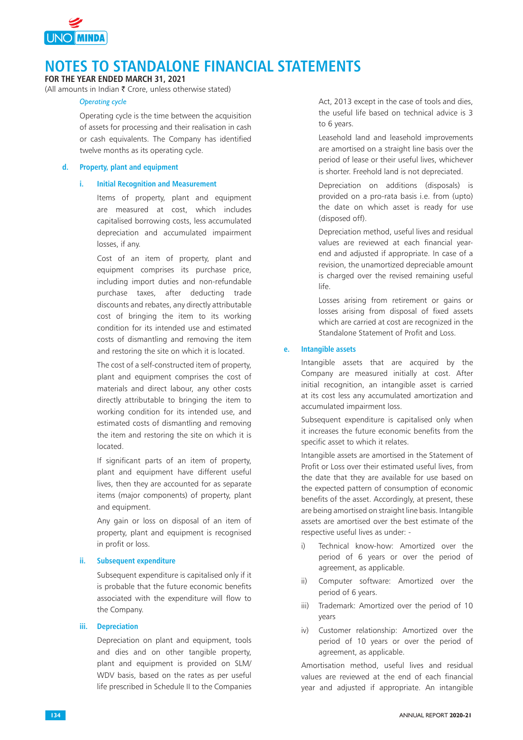

#### **FOR THE YEAR ENDED MARCH 31, 2021**

(All amounts in Indian  $\bar{\tau}$  Crore, unless otherwise stated)

#### *Operating cycle*

Operating cycle is the time between the acquisition of assets for processing and their realisation in cash or cash equivalents. The Company has identified twelve months as its operating cycle.

#### **d. Property, plant and equipment**

#### **i. Initial Recognition and Measurement**

 Items of property, plant and equipment are measured at cost, which includes capitalised borrowing costs, less accumulated depreciation and accumulated impairment losses, if any.

Cost of an item of property, plant and equipment comprises its purchase price, including import duties and non-refundable purchase taxes, after deducting trade discounts and rebates, any directly attributable cost of bringing the item to its working condition for its intended use and estimated costs of dismantling and removing the item and restoring the site on which it is located.

The cost of a self-constructed item of property, plant and equipment comprises the cost of materials and direct labour, any other costs directly attributable to bringing the item to working condition for its intended use, and estimated costs of dismantling and removing the item and restoring the site on which it is located.

If significant parts of an item of property, plant and equipment have different useful lives, then they are accounted for as separate items (major components) of property, plant and equipment.

Any gain or loss on disposal of an item of property, plant and equipment is recognised in profit or loss.

#### **ii. Subsequent expenditure**

Subsequent expenditure is capitalised only if it is probable that the future economic benefits associated with the expenditure will flow to the Company.

#### **iii. Depreciation**

Depreciation on plant and equipment, tools and dies and on other tangible property, plant and equipment is provided on SLM/ WDV basis, based on the rates as per useful life prescribed in Schedule II to the Companies

Act, 2013 except in the case of tools and dies, the useful life based on technical advice is 3 to 6 years.

Leasehold land and leasehold improvements are amortised on a straight line basis over the period of lease or their useful lives, whichever is shorter. Freehold land is not depreciated.

Depreciation on additions (disposals) is provided on a pro-rata basis i.e. from (upto) the date on which asset is ready for use (disposed off).

Depreciation method, useful lives and residual values are reviewed at each financial yearend and adjusted if appropriate. In case of a revision, the unamortized depreciable amount is charged over the revised remaining useful life.

Losses arising from retirement or gains or losses arising from disposal of fixed assets which are carried at cost are recognized in the Standalone Statement of Profit and Loss.

#### **e. Intangible assets**

Intangible assets that are acquired by the Company are measured initially at cost. After initial recognition, an intangible asset is carried at its cost less any accumulated amortization and accumulated impairment loss.

Subsequent expenditure is capitalised only when it increases the future economic benefits from the specific asset to which it relates.

Intangible assets are amortised in the Statement of Profit or Loss over their estimated useful lives, from the date that they are available for use based on the expected pattern of consumption of economic benefits of the asset. Accordingly, at present, these are being amortised on straight line basis. Intangible assets are amortised over the best estimate of the respective useful lives as under: -

- i) Technical know-how: Amortized over the period of 6 years or over the period of agreement, as applicable.
- ii) Computer software: Amortized over the period of 6 years.
- iii) Trademark: Amortized over the period of 10 years
- iv) Customer relationship: Amortized over the period of 10 years or over the period of agreement, as applicable.

Amortisation method, useful lives and residual values are reviewed at the end of each financial year and adjusted if appropriate. An intangible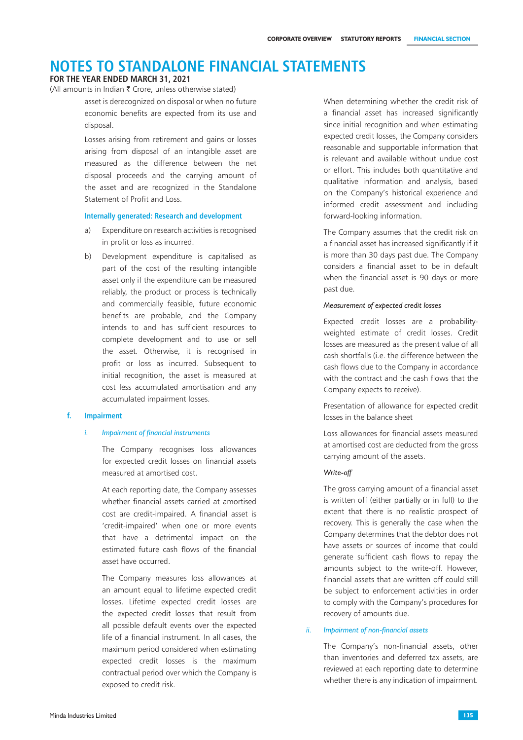#### **FOR THE YEAR ENDED MARCH 31, 2021**

(All amounts in Indian  $\bar{\tau}$  Crore, unless otherwise stated)

asset is derecognized on disposal or when no future economic benefits are expected from its use and disposal.

Losses arising from retirement and gains or losses arising from disposal of an intangible asset are measured as the difference between the net disposal proceeds and the carrying amount of the asset and are recognized in the Standalone Statement of Profit and Loss.

#### **Internally generated: Research and development**

- a) Expenditure on research activities is recognised in profit or loss as incurred.
- b) Development expenditure is capitalised as part of the cost of the resulting intangible asset only if the expenditure can be measured reliably, the product or process is technically and commercially feasible, future economic benefits are probable, and the Company intends to and has sufficient resources to complete development and to use or sell the asset. Otherwise, it is recognised in profit or loss as incurred. Subsequent to initial recognition, the asset is measured at cost less accumulated amortisation and any accumulated impairment losses.

#### **f. Impairment**

#### *i. Impairment of financial instruments*

The Company recognises loss allowances for expected credit losses on financial assets measured at amortised cost.

At each reporting date, the Company assesses whether financial assets carried at amortised cost are credit-impaired. A financial asset is 'credit-impaired' when one or more events that have a detrimental impact on the estimated future cash flows of the financial asset have occurred.

The Company measures loss allowances at an amount equal to lifetime expected credit losses. Lifetime expected credit losses are the expected credit losses that result from all possible default events over the expected life of a financial instrument. In all cases, the maximum period considered when estimating expected credit losses is the maximum contractual period over which the Company is exposed to credit risk.

When determining whether the credit risk of a financial asset has increased significantly since initial recognition and when estimating expected credit losses, the Company considers reasonable and supportable information that is relevant and available without undue cost or effort. This includes both quantitative and qualitative information and analysis, based on the Company's historical experience and informed credit assessment and including forward-looking information.

 The Company assumes that the credit risk on a financial asset has increased significantly if it is more than 30 days past due. The Company considers a financial asset to be in default when the financial asset is 90 days or more past due.

#### *Measurement of expected credit losses*

Expected credit losses are a probabilityweighted estimate of credit losses. Credit losses are measured as the present value of all cash shortfalls (i.e. the difference between the cash flows due to the Company in accordance with the contract and the cash flows that the Company expects to receive).

Presentation of allowance for expected credit losses in the balance sheet

Loss allowances for financial assets measured at amortised cost are deducted from the gross carrying amount of the assets.

#### *Write-off*

The gross carrying amount of a financial asset is written off (either partially or in full) to the extent that there is no realistic prospect of recovery. This is generally the case when the Company determines that the debtor does not have assets or sources of income that could generate sufficient cash flows to repay the amounts subject to the write-off. However, financial assets that are written off could still be subject to enforcement activities in order to comply with the Company's procedures for recovery of amounts due.

#### *ii. Impairment of non-financial assets*

The Company's non-financial assets, other than inventories and deferred tax assets, are reviewed at each reporting date to determine whether there is any indication of impairment.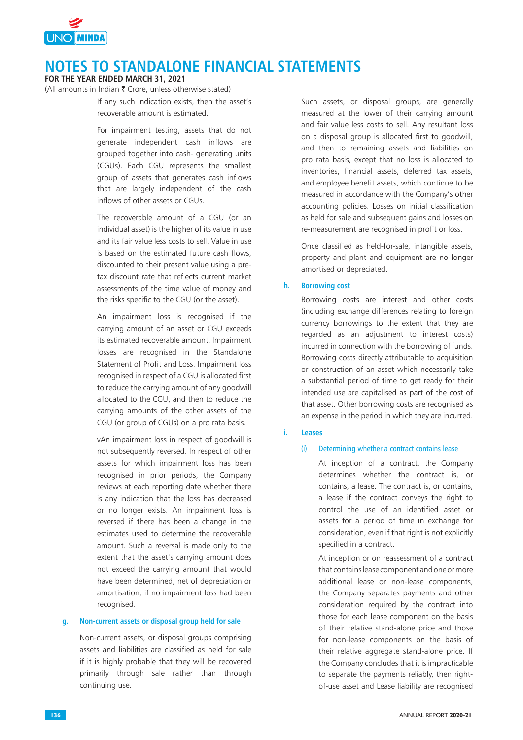

#### **FOR THE YEAR ENDED MARCH 31, 2021**

(All amounts in Indian  $\bar{\tau}$  Crore, unless otherwise stated)

If any such indication exists, then the asset's recoverable amount is estimated.

For impairment testing, assets that do not generate independent cash inflows are grouped together into cash- generating units (CGUs). Each CGU represents the smallest group of assets that generates cash inflows that are largely independent of the cash inflows of other assets or CGUs.

The recoverable amount of a CGU (or an individual asset) is the higher of its value in use and its fair value less costs to sell. Value in use is based on the estimated future cash flows, discounted to their present value using a pretax discount rate that reflects current market assessments of the time value of money and the risks specific to the CGU (or the asset).

An impairment loss is recognised if the carrying amount of an asset or CGU exceeds its estimated recoverable amount. Impairment losses are recognised in the Standalone Statement of Profit and Loss. Impairment loss recognised in respect of a CGU is allocated first to reduce the carrying amount of any goodwill allocated to the CGU, and then to reduce the carrying amounts of the other assets of the CGU (or group of CGUs) on a pro rata basis.

vAn impairment loss in respect of goodwill is not subsequently reversed. In respect of other assets for which impairment loss has been recognised in prior periods, the Company reviews at each reporting date whether there is any indication that the loss has decreased or no longer exists. An impairment loss is reversed if there has been a change in the estimates used to determine the recoverable amount. Such a reversal is made only to the extent that the asset's carrying amount does not exceed the carrying amount that would have been determined, net of depreciation or amortisation, if no impairment loss had been recognised.

#### **g. Non-current assets or disposal group held for sale**

Non-current assets, or disposal groups comprising assets and liabilities are classified as held for sale if it is highly probable that they will be recovered primarily through sale rather than through continuing use.

Such assets, or disposal groups, are generally measured at the lower of their carrying amount and fair value less costs to sell. Any resultant loss on a disposal group is allocated first to goodwill, and then to remaining assets and liabilities on pro rata basis, except that no loss is allocated to inventories, financial assets, deferred tax assets, and employee benefit assets, which continue to be measured in accordance with the Company's other accounting policies. Losses on initial classification as held for sale and subsequent gains and losses on re-measurement are recognised in profit or loss.

Once classified as held-for-sale, intangible assets, property and plant and equipment are no longer amortised or depreciated.

#### **h. Borrowing cost**

Borrowing costs are interest and other costs (including exchange differences relating to foreign currency borrowings to the extent that they are regarded as an adjustment to interest costs) incurred in connection with the borrowing of funds. Borrowing costs directly attributable to acquisition or construction of an asset which necessarily take a substantial period of time to get ready for their intended use are capitalised as part of the cost of that asset. Other borrowing costs are recognised as an expense in the period in which they are incurred.

#### **i. Leases**

#### (i) Determining whether a contract contains lease

At inception of a contract, the Company determines whether the contract is, or contains, a lease. The contract is, or contains, a lease if the contract conveys the right to control the use of an identified asset or assets for a period of time in exchange for consideration, even if that right is not explicitly specified in a contract.

At inception or on reassessment of a contract that contains lease component and one or more additional lease or non-lease components, the Company separates payments and other consideration required by the contract into those for each lease component on the basis of their relative stand-alone price and those for non-lease components on the basis of their relative aggregate stand-alone price. If the Company concludes that it is impracticable to separate the payments reliably, then rightof-use asset and Lease liability are recognised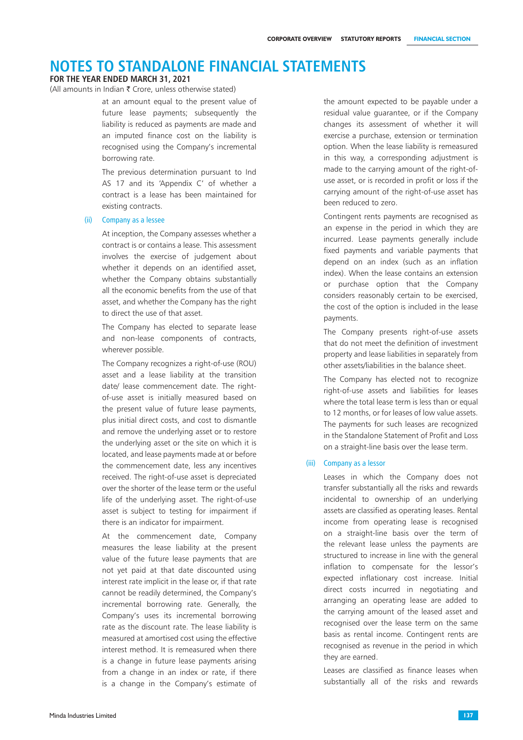#### **FOR THE YEAR ENDED MARCH 31, 2021**

(All amounts in Indian  $\bar{\tau}$  Crore, unless otherwise stated)

at an amount equal to the present value of future lease payments; subsequently the liability is reduced as payments are made and an imputed finance cost on the liability is recognised using the Company's incremental borrowing rate.

 The previous determination pursuant to Ind AS 17 and its 'Appendix C' of whether a contract is a lease has been maintained for existing contracts.

#### (ii) Company as a lessee

At inception, the Company assesses whether a contract is or contains a lease. This assessment involves the exercise of judgement about whether it depends on an identified asset, whether the Company obtains substantially all the economic benefits from the use of that asset, and whether the Company has the right to direct the use of that asset.

The Company has elected to separate lease and non-lease components of contracts, wherever possible.

The Company recognizes a right-of-use (ROU) asset and a lease liability at the transition date/ lease commencement date. The rightof-use asset is initially measured based on the present value of future lease payments, plus initial direct costs, and cost to dismantle and remove the underlying asset or to restore the underlying asset or the site on which it is located, and lease payments made at or before the commencement date, less any incentives received. The right-of-use asset is depreciated over the shorter of the lease term or the useful life of the underlying asset. The right-of-use asset is subject to testing for impairment if there is an indicator for impairment.

At the commencement date, Company measures the lease liability at the present value of the future lease payments that are not yet paid at that date discounted using interest rate implicit in the lease or, if that rate cannot be readily determined, the Company's incremental borrowing rate. Generally, the Company's uses its incremental borrowing rate as the discount rate. The lease liability is measured at amortised cost using the effective interest method. It is remeasured when there is a change in future lease payments arising from a change in an index or rate, if there is a change in the Company's estimate of

the amount expected to be payable under a residual value guarantee, or if the Company changes its assessment of whether it will exercise a purchase, extension or termination option. When the lease liability is remeasured in this way, a corresponding adjustment is made to the carrying amount of the right-ofuse asset, or is recorded in profit or loss if the carrying amount of the right-of-use asset has been reduced to zero.

Contingent rents payments are recognised as an expense in the period in which they are incurred. Lease payments generally include fixed payments and variable payments that depend on an index (such as an inflation index). When the lease contains an extension or purchase option that the Company considers reasonably certain to be exercised, the cost of the option is included in the lease payments.

The Company presents right-of-use assets that do not meet the definition of investment property and lease liabilities in separately from other assets/liabilities in the balance sheet.

The Company has elected not to recognize right-of-use assets and liabilities for leases where the total lease term is less than or equal to 12 months, or for leases of low value assets. The payments for such leases are recognized in the Standalone Statement of Profit and Loss on a straight-line basis over the lease term.

#### (iii) Company as a lessor

Leases in which the Company does not transfer substantially all the risks and rewards incidental to ownership of an underlying assets are classified as operating leases. Rental income from operating lease is recognised on a straight-line basis over the term of the relevant lease unless the payments are structured to increase in line with the general inflation to compensate for the lessor's expected inflationary cost increase. Initial direct costs incurred in negotiating and arranging an operating lease are added to the carrying amount of the leased asset and recognised over the lease term on the same basis as rental income. Contingent rents are recognised as revenue in the period in which they are earned.

Leases are classified as finance leases when substantially all of the risks and rewards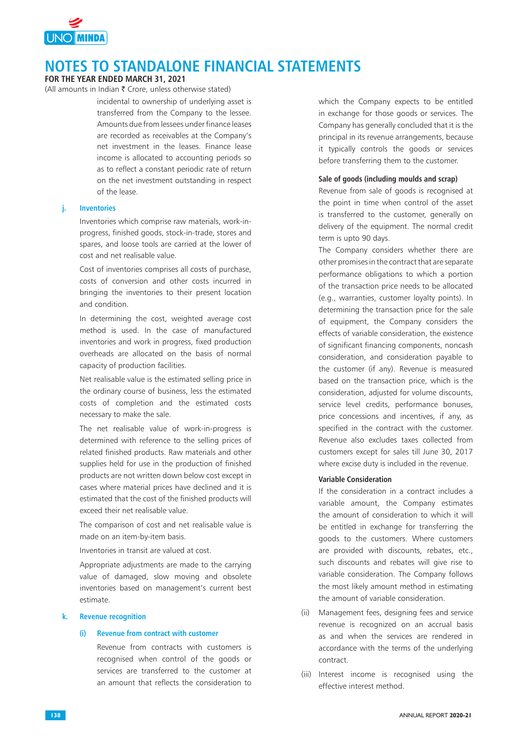

#### **FOR THE YEAR ENDED MARCH 31, 2021**

(All amounts in Indian  $\bar{\tau}$  Crore, unless otherwise stated)

incidental to ownership of underlying asset is transferred from the Company to the lessee. Amounts due from lessees under finance leases are recorded as receivables at the Company's net investment in the leases. Finance lease income is allocated to accounting periods so as to reflect a constant periodic rate of return on the net investment outstanding in respect of the lease.

#### **j. Inventories**

Inventories which comprise raw materials, work-inprogress, finished goods, stock-in-trade, stores and spares, and loose tools are carried at the lower of cost and net realisable value.

 Cost of inventories comprises all costs of purchase, costs of conversion and other costs incurred in bringing the inventories to their present location and condition.

In determining the cost, weighted average cost method is used. In the case of manufactured inventories and work in progress, fixed production overheads are allocated on the basis of normal capacity of production facilities.

Net realisable value is the estimated selling price in the ordinary course of business, less the estimated costs of completion and the estimated costs necessary to make the sale.

The net realisable value of work-in-progress is determined with reference to the selling prices of related finished products. Raw materials and other supplies held for use in the production of finished products are not written down below cost except in cases where material prices have declined and it is estimated that the cost of the finished products will exceed their net realisable value.

The comparison of cost and net realisable value is made on an item-by-item basis.

Inventories in transit are valued at cost.

Appropriate adjustments are made to the carrying value of damaged, slow moving and obsolete inventories based on management's current best estimate.

#### **k. Revenue recognition**

#### **(i) Revenue from contract with customer**

Revenue from contracts with customers is recognised when control of the goods or services are transferred to the customer at an amount that reflects the consideration to

which the Company expects to be entitled in exchange for those goods or services. The Company has generally concluded that it is the principal in its revenue arrangements, because it typically controls the goods or services before transferring them to the customer.

#### **Sale of goods (including moulds and scrap)**

Revenue from sale of goods is recognised at the point in time when control of the asset is transferred to the customer, generally on delivery of the equipment. The normal credit term is upto 90 days.

The Company considers whether there are other promises in the contract that are separate performance obligations to which a portion of the transaction price needs to be allocated (e.g., warranties, customer loyalty points). In determining the transaction price for the sale of equipment, the Company considers the effects of variable consideration, the existence of significant financing components, noncash consideration, and consideration payable to the customer (if any). Revenue is measured based on the transaction price, which is the consideration, adjusted for volume discounts, service level credits, performance bonuses, price concessions and incentives, if any, as specified in the contract with the customer. Revenue also excludes taxes collected from customers except for sales till June 30, 2017 where excise duty is included in the revenue.

#### **Variable Consideration**

If the consideration in a contract includes a variable amount, the Company estimates the amount of consideration to which it will be entitled in exchange for transferring the goods to the customers. Where customers are provided with discounts, rebates, etc., such discounts and rebates will give rise to variable consideration. The Company follows the most likely amount method in estimating the amount of variable consideration.

- (ii) Management fees, designing fees and service revenue is recognized on an accrual basis as and when the services are rendered in accordance with the terms of the underlying contract.
- (iii) Interest income is recognised using the effective interest method.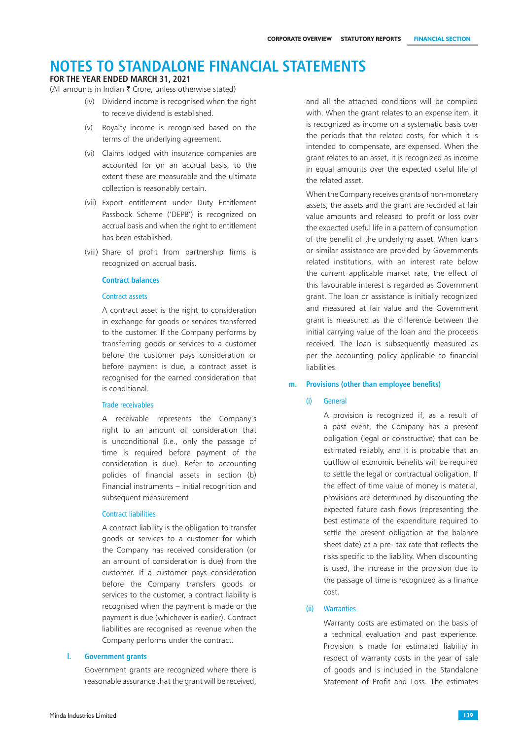#### **FOR THE YEAR ENDED MARCH 31, 2021**

(All amounts in Indian  $\bar{\tau}$  Crore, unless otherwise stated)

- (iv) Dividend income is recognised when the right to receive dividend is established.
- (v) Royalty income is recognised based on the terms of the underlying agreement.
- (vi) Claims lodged with insurance companies are accounted for on an accrual basis, to the extent these are measurable and the ultimate collection is reasonably certain.
- (vii) Export entitlement under Duty Entitlement Passbook Scheme ('DEPB') is recognized on accrual basis and when the right to entitlement has been established.
- (viii) Share of profit from partnership firms is recognized on accrual basis.

#### **Contract balances**

#### Contract assets

A contract asset is the right to consideration in exchange for goods or services transferred to the customer. If the Company performs by transferring goods or services to a customer before the customer pays consideration or before payment is due, a contract asset is recognised for the earned consideration that is conditional.

#### Trade receivables

A receivable represents the Company's right to an amount of consideration that is unconditional (i.e., only the passage of time is required before payment of the consideration is due). Refer to accounting policies of financial assets in section (b) Financial instruments – initial recognition and subsequent measurement.

#### Contract liabilities

A contract liability is the obligation to transfer goods or services to a customer for which the Company has received consideration (or an amount of consideration is due) from the customer. If a customer pays consideration before the Company transfers goods or services to the customer, a contract liability is recognised when the payment is made or the payment is due (whichever is earlier). Contract liabilities are recognised as revenue when the Company performs under the contract.

#### **l. Government grants**

Government grants are recognized where there is reasonable assurance that the grant will be received,

and all the attached conditions will be complied with. When the grant relates to an expense item, it is recognized as income on a systematic basis over the periods that the related costs, for which it is intended to compensate, are expensed. When the grant relates to an asset, it is recognized as income in equal amounts over the expected useful life of the related asset.

When the Company receives grants of non-monetary assets, the assets and the grant are recorded at fair value amounts and released to profit or loss over the expected useful life in a pattern of consumption of the benefit of the underlying asset. When loans or similar assistance are provided by Governments related institutions, with an interest rate below the current applicable market rate, the effect of this favourable interest is regarded as Government grant. The loan or assistance is initially recognized and measured at fair value and the Government grant is measured as the difference between the initial carrying value of the loan and the proceeds received. The loan is subsequently measured as per the accounting policy applicable to financial liabilities.

#### **m. Provisions (other than employee benefits)**

#### (i) General

A provision is recognized if, as a result of a past event, the Company has a present obligation (legal or constructive) that can be estimated reliably, and it is probable that an outflow of economic benefits will be required to settle the legal or contractual obligation. If the effect of time value of money is material, provisions are determined by discounting the expected future cash flows (representing the best estimate of the expenditure required to settle the present obligation at the balance sheet date) at a pre- tax rate that reflects the risks specific to the liability. When discounting is used, the increase in the provision due to the passage of time is recognized as a finance cost.

#### (ii) Warranties

Warranty costs are estimated on the basis of a technical evaluation and past experience. Provision is made for estimated liability in respect of warranty costs in the year of sale of goods and is included in the Standalone Statement of Profit and Loss. The estimates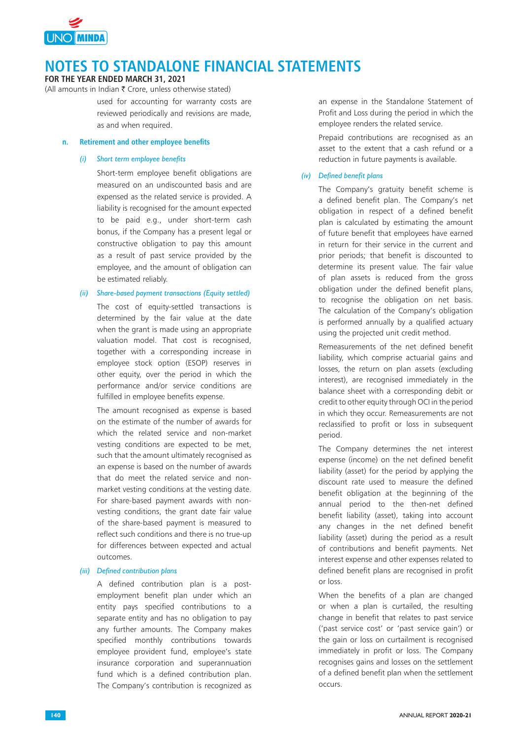

#### **FOR THE YEAR ENDED MARCH 31, 2021**

(All amounts in Indian  $\bar{\tau}$  Crore, unless otherwise stated)

used for accounting for warranty costs are reviewed periodically and revisions are made, as and when required.

#### **n. Retirement and other employee benefits**

#### *(i) Short term employee benefits*

Short-term employee benefit obligations are measured on an undiscounted basis and are expensed as the related service is provided. A liability is recognised for the amount expected to be paid e.g., under short-term cash bonus, if the Company has a present legal or constructive obligation to pay this amount as a result of past service provided by the employee, and the amount of obligation can be estimated reliably.

#### *(ii) Share-based payment transactions (Equity settled)*

The cost of equity-settled transactions is determined by the fair value at the date when the grant is made using an appropriate valuation model. That cost is recognised, together with a corresponding increase in employee stock option (ESOP) reserves in other equity, over the period in which the performance and/or service conditions are fulfilled in employee benefits expense.

The amount recognised as expense is based on the estimate of the number of awards for which the related service and non-market vesting conditions are expected to be met, such that the amount ultimately recognised as an expense is based on the number of awards that do meet the related service and nonmarket vesting conditions at the vesting date. For share-based payment awards with nonvesting conditions, the grant date fair value of the share-based payment is measured to reflect such conditions and there is no true-up for differences between expected and actual outcomes.

#### *(iii) Defined contribution plans*

A defined contribution plan is a postemployment benefit plan under which an entity pays specified contributions to a separate entity and has no obligation to pay any further amounts. The Company makes specified monthly contributions towards employee provident fund, employee's state insurance corporation and superannuation fund which is a defined contribution plan. The Company's contribution is recognized as

an expense in the Standalone Statement of Profit and Loss during the period in which the employee renders the related service.

Prepaid contributions are recognised as an asset to the extent that a cash refund or a reduction in future payments is available.

#### *(iv) Defined benefit plans*

The Company's gratuity benefit scheme is a defined benefit plan. The Company's net obligation in respect of a defined benefit plan is calculated by estimating the amount of future benefit that employees have earned in return for their service in the current and prior periods; that benefit is discounted to determine its present value. The fair value of plan assets is reduced from the gross obligation under the defined benefit plans, to recognise the obligation on net basis. The calculation of the Company's obligation is performed annually by a qualified actuary using the projected unit credit method.

Remeasurements of the net defined benefit liability, which comprise actuarial gains and losses, the return on plan assets (excluding interest), are recognised immediately in the balance sheet with a corresponding debit or credit to other equity through OCI in the period in which they occur. Remeasurements are not reclassified to profit or loss in subsequent period.

 The Company determines the net interest expense (income) on the net defined benefit liability (asset) for the period by applying the discount rate used to measure the defined benefit obligation at the beginning of the annual period to the then-net defined benefit liability (asset), taking into account any changes in the net defined benefit liability (asset) during the period as a result of contributions and benefit payments. Net interest expense and other expenses related to defined benefit plans are recognised in profit or loss.

When the benefits of a plan are changed or when a plan is curtailed, the resulting change in benefit that relates to past service ('past service cost' or 'past service gain') or the gain or loss on curtailment is recognised immediately in profit or loss. The Company recognises gains and losses on the settlement of a defined benefit plan when the settlement occurs.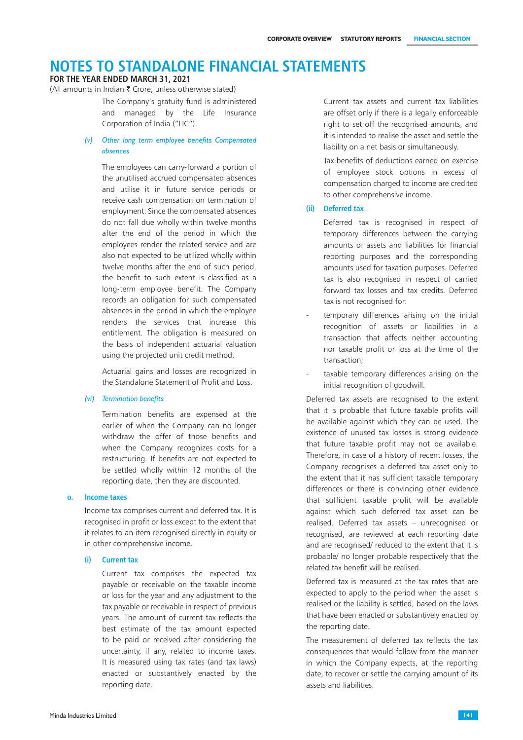#### **FOR THE YEAR ENDED MARCH 31, 2021**

(All amounts in Indian  $\bar{\tau}$  Crore, unless otherwise stated)

 The Company's gratuity fund is administered and managed by the Life Insurance Corporation of India ("LIC").

#### *(v) Other long term employee benefits Compensated absences*

The employees can carry-forward a portion of the unutilised accrued compensated absences and utilise it in future service periods or receive cash compensation on termination of employment. Since the compensated absences do not fall due wholly within twelve months after the end of the period in which the employees render the related service and are also not expected to be utilized wholly within twelve months after the end of such period, the benefit to such extent is classified as a long-term employee benefit. The Company records an obligation for such compensated absences in the period in which the employee renders the services that increase this entitlement. The obligation is measured on the basis of independent actuarial valuation using the projected unit credit method.

Actuarial gains and losses are recognized in the Standalone Statement of Profit and Loss.

#### *(vi) Termination benefits*

Termination benefits are expensed at the earlier of when the Company can no longer withdraw the offer of those benefits and when the Company recognizes costs for a restructuring. If benefits are not expected to be settled wholly within 12 months of the reporting date, then they are discounted.

#### **o. Income taxes**

Income tax comprises current and deferred tax. It is recognised in profit or loss except to the extent that it relates to an item recognised directly in equity or in other comprehensive income.

#### **(i) Current tax**

Current tax comprises the expected tax payable or receivable on the taxable income or loss for the year and any adjustment to the tax payable or receivable in respect of previous years. The amount of current tax reflects the best estimate of the tax amount expected to be paid or received after considering the uncertainty, if any, related to income taxes. It is measured using tax rates (and tax laws) enacted or substantively enacted by the reporting date.

Current tax assets and current tax liabilities are offset only if there is a legally enforceable right to set off the recognised amounts, and it is intended to realise the asset and settle the liability on a net basis or simultaneously.

Tax benefits of deductions earned on exercise of employee stock options in excess of compensation charged to income are credited to other comprehensive income.

#### **(ii) Deferred tax**

Deferred tax is recognised in respect of temporary differences between the carrying amounts of assets and liabilities for financial reporting purposes and the corresponding amounts used for taxation purposes. Deferred tax is also recognised in respect of carried forward tax losses and tax credits. Deferred tax is not recognised for:

- temporary differences arising on the initial recognition of assets or liabilities in a transaction that affects neither accounting nor taxable profit or loss at the time of the transaction;
- taxable temporary differences arising on the initial recognition of goodwill.

Deferred tax assets are recognised to the extent that it is probable that future taxable profits will be available against which they can be used. The existence of unused tax losses is strong evidence that future taxable profit may not be available. Therefore, in case of a history of recent losses, the Company recognises a deferred tax asset only to the extent that it has sufficient taxable temporary differences or there is convincing other evidence that sufficient taxable profit will be available against which such deferred tax asset can be realised. Deferred tax assets – unrecognised or recognised, are reviewed at each reporting date and are recognised/ reduced to the extent that it is probable/ no longer probable respectively that the related tax benefit will be realised.

Deferred tax is measured at the tax rates that are expected to apply to the period when the asset is realised or the liability is settled, based on the laws that have been enacted or substantively enacted by the reporting date.

The measurement of deferred tax reflects the tax consequences that would follow from the manner in which the Company expects, at the reporting date, to recover or settle the carrying amount of its assets and liabilities.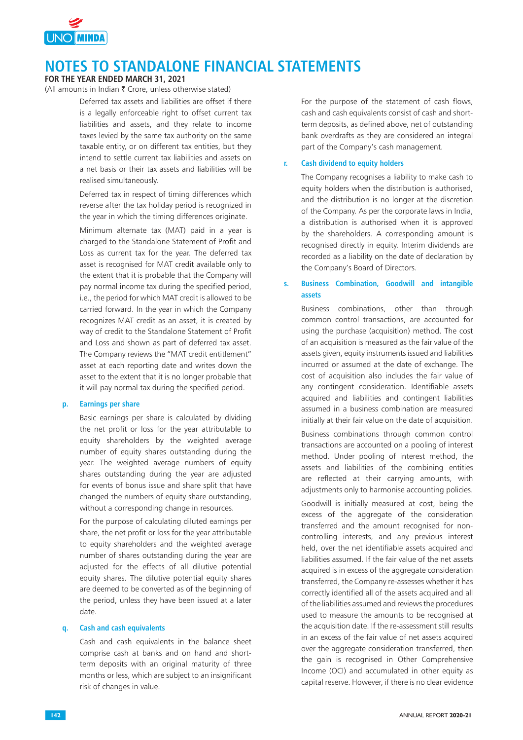

#### **FOR THE YEAR ENDED MARCH 31, 2021**

(All amounts in Indian  $\bar{\tau}$  Crore, unless otherwise stated)

Deferred tax assets and liabilities are offset if there is a legally enforceable right to offset current tax liabilities and assets, and they relate to income taxes levied by the same tax authority on the same taxable entity, or on different tax entities, but they intend to settle current tax liabilities and assets on a net basis or their tax assets and liabilities will be realised simultaneously.

Deferred tax in respect of timing differences which reverse after the tax holiday period is recognized in the year in which the timing differences originate.

 Minimum alternate tax (MAT) paid in a year is charged to the Standalone Statement of Profit and Loss as current tax for the year. The deferred tax asset is recognised for MAT credit available only to the extent that it is probable that the Company will pay normal income tax during the specified period, i.e., the period for which MAT credit is allowed to be carried forward. In the year in which the Company recognizes MAT credit as an asset, it is created by way of credit to the Standalone Statement of Profit and Loss and shown as part of deferred tax asset. The Company reviews the "MAT credit entitlement" asset at each reporting date and writes down the asset to the extent that it is no longer probable that it will pay normal tax during the specified period.

#### **p. Earnings per share**

Basic earnings per share is calculated by dividing the net profit or loss for the year attributable to equity shareholders by the weighted average number of equity shares outstanding during the year. The weighted average numbers of equity shares outstanding during the year are adjusted for events of bonus issue and share split that have changed the numbers of equity share outstanding, without a corresponding change in resources.

For the purpose of calculating diluted earnings per share, the net profit or loss for the year attributable to equity shareholders and the weighted average number of shares outstanding during the year are adjusted for the effects of all dilutive potential equity shares. The dilutive potential equity shares are deemed to be converted as of the beginning of the period, unless they have been issued at a later date.

#### **q. Cash and cash equivalents**

Cash and cash equivalents in the balance sheet comprise cash at banks and on hand and shortterm deposits with an original maturity of three months or less, which are subject to an insignificant risk of changes in value.

For the purpose of the statement of cash flows, cash and cash equivalents consist of cash and shortterm deposits, as defined above, net of outstanding bank overdrafts as they are considered an integral part of the Company's cash management.

#### **r. Cash dividend to equity holders**

The Company recognises a liability to make cash to equity holders when the distribution is authorised. and the distribution is no longer at the discretion of the Company. As per the corporate laws in India, a distribution is authorised when it is approved by the shareholders. A corresponding amount is recognised directly in equity. Interim dividends are recorded as a liability on the date of declaration by the Company's Board of Directors.

#### **s. Business Combination, Goodwill and intangible assets**

Business combinations, other than through common control transactions, are accounted for using the purchase (acquisition) method. The cost of an acquisition is measured as the fair value of the assets given, equity instruments issued and liabilities incurred or assumed at the date of exchange. The cost of acquisition also includes the fair value of any contingent consideration. Identifiable assets acquired and liabilities and contingent liabilities assumed in a business combination are measured initially at their fair value on the date of acquisition.

Business combinations through common control transactions are accounted on a pooling of interest method. Under pooling of interest method, the assets and liabilities of the combining entities are reflected at their carrying amounts, with adjustments only to harmonise accounting policies.

Goodwill is initially measured at cost, being the excess of the aggregate of the consideration transferred and the amount recognised for noncontrolling interests, and any previous interest held, over the net identifiable assets acquired and liabilities assumed. If the fair value of the net assets acquired is in excess of the aggregate consideration transferred, the Company re-assesses whether it has correctly identified all of the assets acquired and all of the liabilities assumed and reviews the procedures used to measure the amounts to be recognised at the acquisition date. If the re-assessment still results in an excess of the fair value of net assets acquired over the aggregate consideration transferred, then the gain is recognised in Other Comprehensive Income (OCI) and accumulated in other equity as capital reserve. However, if there is no clear evidence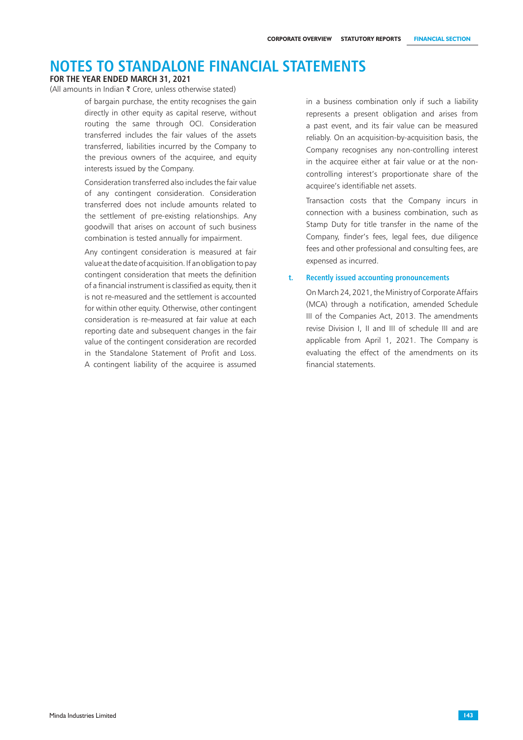#### **FOR THE YEAR ENDED MARCH 31, 2021**

(All amounts in Indian  $\bar{\tau}$  Crore, unless otherwise stated)

of bargain purchase, the entity recognises the gain directly in other equity as capital reserve, without routing the same through OCI. Consideration transferred includes the fair values of the assets transferred, liabilities incurred by the Company to the previous owners of the acquiree, and equity interests issued by the Company.

Consideration transferred also includes the fair value of any contingent consideration. Consideration transferred does not include amounts related to the settlement of pre-existing relationships. Any goodwill that arises on account of such business combination is tested annually for impairment.

Any contingent consideration is measured at fair value at the date of acquisition. If an obligation to pay contingent consideration that meets the definition of a financial instrument is classified as equity, then it is not re-measured and the settlement is accounted for within other equity. Otherwise, other contingent consideration is re-measured at fair value at each reporting date and subsequent changes in the fair value of the contingent consideration are recorded in the Standalone Statement of Profit and Loss. A contingent liability of the acquiree is assumed

in a business combination only if such a liability represents a present obligation and arises from a past event, and its fair value can be measured reliably. On an acquisition-by-acquisition basis, the Company recognises any non-controlling interest in the acquiree either at fair value or at the noncontrolling interest's proportionate share of the acquiree's identifiable net assets.

Transaction costs that the Company incurs in connection with a business combination, such as Stamp Duty for title transfer in the name of the Company, finder's fees, legal fees, due diligence fees and other professional and consulting fees, are expensed as incurred.

#### **t. Recently issued accounting pronouncements**

On March 24, 2021, the Ministry of Corporate Affairs (MCA) through a notification, amended Schedule III of the Companies Act, 2013. The amendments revise Division I, II and III of schedule III and are applicable from April 1, 2021. The Company is evaluating the effect of the amendments on its financial statements.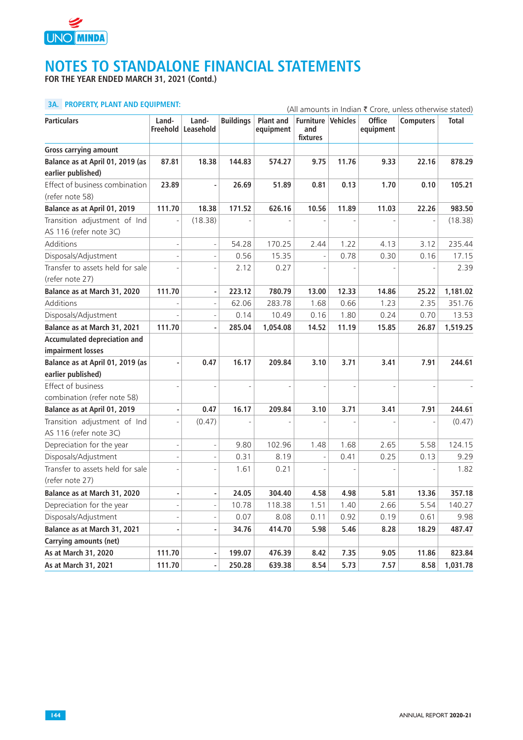

**FOR THE YEAR ENDED MARCH 31, 2021 (Contd.)**

## **3A. PROPERTY, PLANT AND EQUIPMENT:** (All amounts in Indian <sup>3</sup> Crore, unless otherwise

|                                                        |                          |                             |                  |                               |                                     |          |                            | (All amounts in Indian $\zeta$ Crore, unless otherwise stated) |              |
|--------------------------------------------------------|--------------------------|-----------------------------|------------------|-------------------------------|-------------------------------------|----------|----------------------------|----------------------------------------------------------------|--------------|
| <b>Particulars</b>                                     | Land-                    | Land-<br>Freehold Leasehold | <b>Buildings</b> | <b>Plant and</b><br>equipment | <b>Furniture</b><br>and<br>fixtures | Vehicles | <b>Office</b><br>equipment | <b>Computers</b>                                               | <b>Total</b> |
| <b>Gross carrying amount</b>                           |                          |                             |                  |                               |                                     |          |                            |                                                                |              |
| Balance as at April 01, 2019 (as                       | 87.81                    | 18.38                       | 144.83           | 574.27                        | 9.75                                | 11.76    | 9.33                       | 22.16                                                          | 878.29       |
| earlier published)                                     |                          |                             |                  |                               |                                     |          |                            |                                                                |              |
| Effect of business combination                         | 23.89                    |                             | 26.69            | 51.89                         | 0.81                                | 0.13     | 1.70                       | 0.10                                                           | 105.21       |
| (refer note 58)                                        |                          |                             |                  |                               |                                     |          |                            |                                                                |              |
| Balance as at April 01, 2019                           | 111.70                   | 18.38                       | 171.52           | 626.16                        | 10.56                               | 11.89    | 11.03                      | 22.26                                                          | 983.50       |
| Transition adjustment of Ind                           |                          | (18.38)                     |                  |                               |                                     |          |                            |                                                                | (18.38)      |
| AS 116 (refer note 3C)                                 |                          |                             |                  |                               |                                     |          |                            |                                                                |              |
| Additions                                              |                          |                             | 54.28            | 170.25                        | 2.44                                | 1.22     | 4.13                       | 3.12                                                           | 235.44       |
| Disposals/Adjustment                                   |                          |                             | 0.56             | 15.35                         |                                     | 0.78     | 0.30                       | 0.16                                                           | 17.15        |
| Transfer to assets held for sale                       |                          |                             | 2.12             | 0.27                          |                                     |          |                            |                                                                | 2.39         |
| (refer note 27)                                        |                          |                             |                  |                               |                                     |          |                            |                                                                |              |
| Balance as at March 31, 2020                           | 111.70                   |                             | 223.12           | 780.79                        | 13.00                               | 12.33    | 14.86                      | 25.22                                                          | 1,181.02     |
| Additions                                              |                          |                             | 62.06            | 283.78                        | 1.68                                | 0.66     | 1.23                       | 2.35                                                           | 351.76       |
| Disposals/Adjustment                                   |                          | $\overline{\phantom{a}}$    | 0.14             | 10.49                         | 0.16                                | 1.80     | 0.24                       | 0.70                                                           | 13.53        |
| Balance as at March 31, 2021                           | 111.70                   |                             | 285.04           | 1,054.08                      | 14.52                               | 11.19    | 15.85                      | 26.87                                                          | 1,519.25     |
| <b>Accumulated depreciation and</b>                    |                          |                             |                  |                               |                                     |          |                            |                                                                |              |
| impairment losses                                      |                          |                             |                  |                               |                                     |          |                            |                                                                |              |
| Balance as at April 01, 2019 (as                       |                          | 0.47                        | 16.17            | 209.84                        | 3.10                                | 3.71     | 3.41                       | 7.91                                                           | 244.61       |
| earlier published)                                     |                          |                             |                  |                               |                                     |          |                            |                                                                |              |
| Effect of business                                     |                          |                             |                  |                               |                                     |          |                            |                                                                |              |
| combination (refer note 58)                            |                          |                             |                  |                               |                                     |          |                            |                                                                |              |
| Balance as at April 01, 2019                           | $\overline{\phantom{0}}$ | 0.47                        | 16.17            | 209.84                        | 3.10                                | 3.71     | 3.41                       | 7.91                                                           | 244.61       |
| Transition adjustment of Ind<br>AS 116 (refer note 3C) |                          | (0.47)                      |                  |                               |                                     |          |                            |                                                                | (0.47)       |
| Depreciation for the year                              | $\overline{a}$           |                             | 9.80             | 102.96                        | 1.48                                | 1.68     | 2.65                       | 5.58                                                           | 124.15       |
| Disposals/Adjustment                                   |                          |                             | 0.31             | 8.19                          |                                     | 0.41     | 0.25                       | 0.13                                                           | 9.29         |
| Transfer to assets held for sale                       |                          |                             | 1.61             | 0.21                          |                                     |          |                            |                                                                | 1.82         |
| (refer note 27)                                        |                          |                             |                  |                               |                                     |          |                            |                                                                |              |
| Balance as at March 31, 2020                           |                          |                             | 24.05            | 304.40                        | 4.58                                | 4.98     | 5.81                       | 13.36                                                          | 357.18       |
| Depreciation for the year                              | $\overline{\phantom{a}}$ | $\overline{\phantom{a}}$    | 10.78            | 118.38                        | 1.51                                | 1.40     | 2.66                       | 5.54                                                           | 140.27       |
| Disposals/Adjustment                                   |                          |                             | 0.07             | 8.08                          | 0.11                                | 0.92     | 0.19                       | 0.61                                                           | 9.98         |
| Balance as at March 31, 2021                           |                          |                             | 34.76            | 414.70                        | 5.98                                | 5.46     | 8.28                       | 18.29                                                          | 487.47       |
| Carrying amounts (net)                                 |                          |                             |                  |                               |                                     |          |                            |                                                                |              |
| As at March 31, 2020                                   | 111.70                   | ÷                           | 199.07           | 476.39                        | 8.42                                | 7.35     | 9.05                       | 11.86                                                          | 823.84       |
| As at March 31, 2021                                   | 111.70                   |                             | 250.28           | 639.38                        | 8.54                                | 5.73     | 7.57                       | 8.58                                                           | 1,031.78     |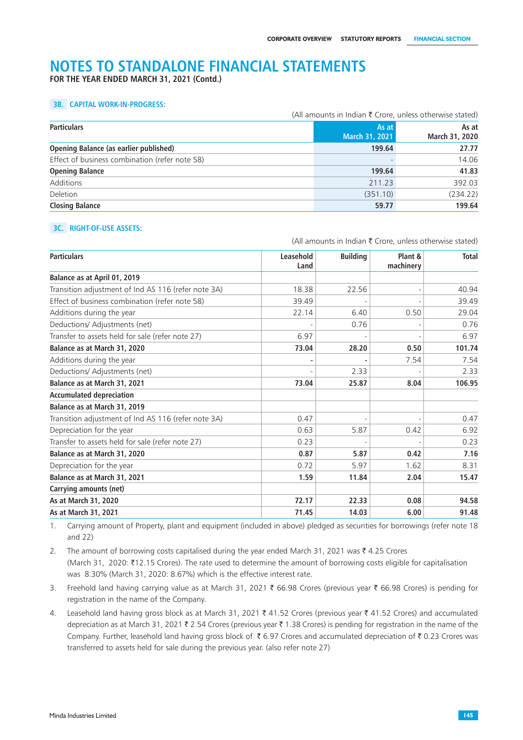**FOR THE YEAR ENDED MARCH 31, 2021 (Contd.)**

#### **3B. CAPITAL WORK-IN-PROGRESS:**

|                                                | (All amounts in Indian $\bar{\tau}$ Crore, unless otherwise stated) |                         |  |  |
|------------------------------------------------|---------------------------------------------------------------------|-------------------------|--|--|
| <b>Particulars</b>                             | As at<br>March 31, 2021                                             | As at<br>March 31, 2020 |  |  |
| <b>Opening Balance (as earlier published)</b>  | 199.64                                                              | 27.77                   |  |  |
| Effect of business combination (refer note 58) |                                                                     | 14.06                   |  |  |
| <b>Opening Balance</b>                         | 199.64                                                              | 41.83                   |  |  |
| Additions                                      | 211.23                                                              | 392.03                  |  |  |
| <b>Deletion</b>                                | (351.10)                                                            | (234.22)                |  |  |
| <b>Closing Balance</b>                         | 59.77                                                               | 199.64                  |  |  |

#### **3C. RIGHT-OF-USE ASSETS:**

|                                                     |                   |                 | (All amounts in Indian ₹ Crore, unless otherwise stated) |              |
|-----------------------------------------------------|-------------------|-----------------|----------------------------------------------------------|--------------|
| <b>Particulars</b>                                  | Leasehold<br>Land | <b>Building</b> | Plant &<br>machinery                                     | <b>Total</b> |
| Balance as at April 01, 2019                        |                   |                 |                                                          |              |
| Transition adjustment of Ind AS 116 (refer note 3A) | 18.38             | 22.56           | $\overline{\phantom{a}}$                                 | 40.94        |
| Effect of business combination (refer note 58)      | 39.49             |                 | $\overline{\phantom{a}}$                                 | 39.49        |
| Additions during the year                           | 22.14             | 6.40            | 0.50                                                     | 29.04        |
| Deductions/ Adjustments (net)                       |                   | 0.76            |                                                          | 0.76         |
| Transfer to assets held for sale (refer note 27)    | 6.97              |                 |                                                          | 6.97         |
| Balance as at March 31, 2020                        | 73.04             | 28.20           | 0.50                                                     | 101.74       |
| Additions during the year                           |                   |                 | 7.54                                                     | 7.54         |
| Deductions/ Adjustments (net)                       |                   | 2.33            |                                                          | 2.33         |
| Balance as at March 31, 2021                        | 73.04             | 25.87           | 8.04                                                     | 106.95       |
| <b>Accumulated depreciation</b>                     |                   |                 |                                                          |              |
| Balance as at March 31, 2019                        |                   |                 |                                                          |              |
| Transition adjustment of Ind AS 116 (refer note 3A) | 0.47              |                 |                                                          | 0.47         |
| Depreciation for the year                           | 0.63              | 5.87            | 0.42                                                     | 6.92         |
| Transfer to assets held for sale (refer note 27)    | 0.23              |                 |                                                          | 0.23         |
| Balance as at March 31, 2020                        | 0.87              | 5.87            | 0.42                                                     | 7.16         |
| Depreciation for the year                           | 0.72              | 5.97            | 1.62                                                     | 8.31         |
| Balance as at March 31, 2021                        | 1.59              | 11.84           | 2.04                                                     | 15.47        |
| Carrying amounts (net)                              |                   |                 |                                                          |              |
| As at March 31, 2020                                | 72.17             | 22.33           | 0.08                                                     | 94.58        |
| As at March 31, 2021                                | 71.45             | 14.03           | 6.00                                                     | 91.48        |

1. Carrying amount of Property, plant and equipment (included in above) pledged as securities for borrowings (refer note 18 and 22)

2. The amount of borrowing costs capitalised during the year ended March 31, 2021 was  $\bar{\tau}$  4.25 Crores (March 31, 2020: ₹12.15 Crores). The rate used to determine the amount of borrowing costs eligible for capitalisation was 8.30% (March 31, 2020: 8.67%) which is the effective interest rate.

- 3. Freehold land having carrying value as at March 31, 2021 ₹ 66.98 Crores (previous year ₹ 66.98 Crores) is pending for registration in the name of the Company.
- 4. Leasehold land having gross block as at March 31, 2021  $\bar{\tau}$  41.52 Crores (previous year  $\bar{\tau}$  41.52 Crores) and accumulated depreciation as at March 31, 2021  $\bar{\tau}$  2.54 Crores (previous year  $\bar{\tau}$  1.38 Crores) is pending for registration in the name of the Company. Further, leasehold land having gross block of  $\bar{\tau}$  6.97 Crores and accumulated depreciation of  $\bar{\tau}$  0.23 Crores was transferred to assets held for sale during the previous year. (also refer note 27)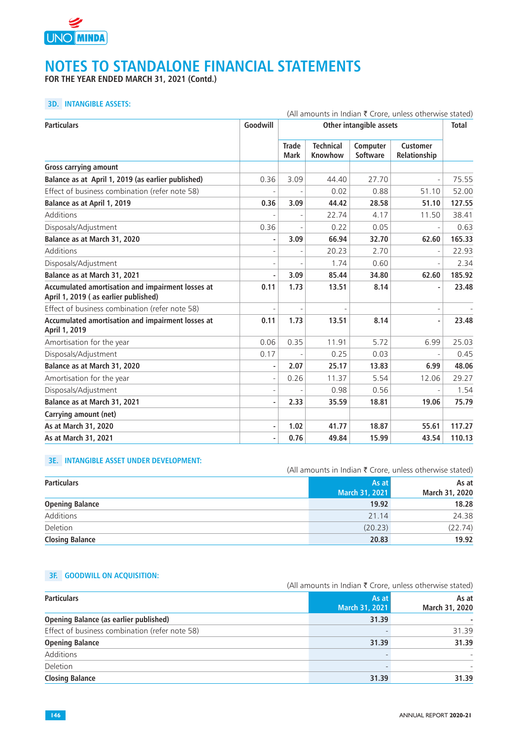

**FOR THE YEAR ENDED MARCH 31, 2021 (Contd.)**

#### **3D. INTANGIBLE ASSETS:**

| (All amounts in Indian $\bar{\tau}$ Crore, unless otherwise stated)                       |                |                             |                             |                             |                                 |        |  |
|-------------------------------------------------------------------------------------------|----------------|-----------------------------|-----------------------------|-----------------------------|---------------------------------|--------|--|
| <b>Particulars</b>                                                                        | Goodwill       |                             | Other intangible assets     |                             |                                 |        |  |
|                                                                                           |                | <b>Trade</b><br><b>Mark</b> | <b>Technical</b><br>Knowhow | Computer<br><b>Software</b> | <b>Customer</b><br>Relationship |        |  |
| <b>Gross carrying amount</b>                                                              |                |                             |                             |                             |                                 |        |  |
| Balance as at April 1, 2019 (as earlier published)                                        | 0.36           | 3.09                        | 44.40                       | 27.70                       | ÷,                              | 75.55  |  |
| Effect of business combination (refer note 58)                                            |                |                             | 0.02                        | 0.88                        | 51.10                           | 52.00  |  |
| Balance as at April 1, 2019                                                               | 0.36           | 3.09                        | 44.42                       | 28.58                       | 51.10                           | 127.55 |  |
| <b>Additions</b>                                                                          |                |                             | 22.74                       | 4.17                        | 11.50                           | 38.41  |  |
| Disposals/Adjustment                                                                      | 0.36           |                             | 0.22                        | 0.05                        |                                 | 0.63   |  |
| Balance as at March 31, 2020                                                              |                | 3.09                        | 66.94                       | 32.70                       | 62.60                           | 165.33 |  |
| <b>Additions</b>                                                                          |                |                             | 20.23                       | 2.70                        |                                 | 22.93  |  |
| Disposals/Adjustment                                                                      |                |                             | 1.74                        | 0.60                        |                                 | 2.34   |  |
| Balance as at March 31, 2021                                                              |                | 3.09                        | 85.44                       | 34.80                       | 62.60                           | 185.92 |  |
| Accumulated amortisation and impairment losses at<br>April 1, 2019 (as earlier published) | 0.11           | 1.73                        | 13.51                       | 8.14                        |                                 | 23.48  |  |
| Effect of business combination (refer note 58)                                            |                |                             |                             |                             |                                 |        |  |
| Accumulated amortisation and impairment losses at<br>April 1, 2019                        | 0.11           | 1.73                        | 13.51                       | 8.14                        | ä,                              | 23.48  |  |
| Amortisation for the year                                                                 | 0.06           | 0.35                        | 11.91                       | 5.72                        | 6.99                            | 25.03  |  |
| Disposals/Adjustment                                                                      | 0.17           |                             | 0.25                        | 0.03                        |                                 | 0.45   |  |
| Balance as at March 31, 2020                                                              |                | 2.07                        | 25.17                       | 13.83                       | 6.99                            | 48.06  |  |
| Amortisation for the year                                                                 |                | 0.26                        | 11.37                       | 5.54                        | 12.06                           | 29.27  |  |
| Disposals/Adjustment                                                                      |                |                             | 0.98                        | 0.56                        |                                 | 1.54   |  |
| Balance as at March 31, 2021                                                              | $\blacksquare$ | 2.33                        | 35.59                       | 18.81                       | 19.06                           | 75.79  |  |
| Carrying amount (net)                                                                     |                |                             |                             |                             |                                 |        |  |
| As at March 31, 2020                                                                      |                | 1.02                        | 41.77                       | 18.87                       | 55.61                           | 117.27 |  |
| As at March 31, 2021                                                                      | ٠              | 0.76                        | 49.84                       | 15.99                       | 43.54                           | 110.13 |  |

#### **3E. INTANGIBLE ASSET UNDER DEVELOPMENT:**

| JE. INTRONATURE RJJET VINDEN DEVERVI MENTI |                         | (All amounts in Indian ₹ Crore, unless otherwise stated) |  |
|--------------------------------------------|-------------------------|----------------------------------------------------------|--|
| <b>Particulars</b>                         | As at<br>March 31, 2021 | As at<br>March 31, 2020                                  |  |
| <b>Opening Balance</b>                     | 19.92                   | 18.28                                                    |  |
| Additions                                  | 21.14                   | 24.38                                                    |  |
| <b>Deletion</b>                            | (20.23)                 | (22.74)                                                  |  |
| <b>Closing Balance</b>                     | 20.83                   | 19.92                                                    |  |

## **3F. GOODWILL ON ACQUISITION:**

|                                                |                         | (All amounts in Indian $\bar{\tau}$ Crore, unless otherwise stated) |  |
|------------------------------------------------|-------------------------|---------------------------------------------------------------------|--|
| <b>Particulars</b>                             | As at<br>March 31, 2021 | As at<br>March 31, 2020                                             |  |
| <b>Opening Balance (as earlier published)</b>  | 31.39                   |                                                                     |  |
| Effect of business combination (refer note 58) |                         | 31.39                                                               |  |
| <b>Opening Balance</b>                         | 31.39                   | 31.39                                                               |  |
| Additions                                      |                         |                                                                     |  |
| Deletion                                       |                         |                                                                     |  |
| <b>Closing Balance</b>                         | 31.39                   | 31.39                                                               |  |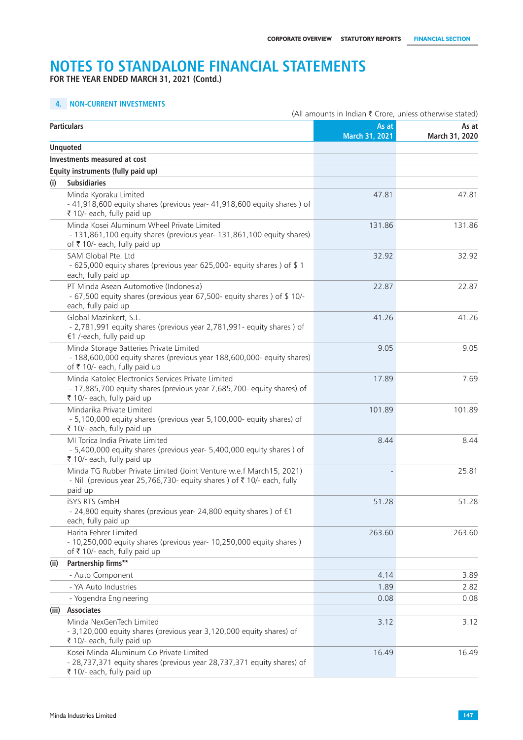**FOR THE YEAR ENDED MARCH 31, 2021 (Contd.)**

### **4. NON-CURRENT INVESTMENTS**

| (All amounts in Indian $\bar{\tau}$ Crore, unless otherwise stated) |                                                                                                                                                            |                         |                         |
|---------------------------------------------------------------------|------------------------------------------------------------------------------------------------------------------------------------------------------------|-------------------------|-------------------------|
|                                                                     | <b>Particulars</b>                                                                                                                                         | As at<br>March 31, 2021 | As at<br>March 31, 2020 |
|                                                                     | <b>Unquoted</b>                                                                                                                                            |                         |                         |
|                                                                     | Investments measured at cost                                                                                                                               |                         |                         |
|                                                                     | Equity instruments (fully paid up)                                                                                                                         |                         |                         |
| (i)                                                                 | <b>Subsidiaries</b>                                                                                                                                        |                         |                         |
|                                                                     | Minda Kyoraku Limited<br>- 41,918,600 equity shares (previous year- 41,918,600 equity shares ) of<br>₹ 10/- each, fully paid up                            | 47.81                   | 47.81                   |
|                                                                     | Minda Kosei Aluminum Wheel Private Limited<br>- 131,861,100 equity shares (previous year- 131,861,100 equity shares)<br>of ₹ 10/- each, fully paid up      | 131.86                  | 131.86                  |
|                                                                     | SAM Global Pte. Ltd<br>- 625,000 equity shares (previous year 625,000- equity shares) of \$1<br>each, fully paid up                                        | 32.92                   | 32.92                   |
|                                                                     | PT Minda Asean Automotive (Indonesia)<br>- 67,500 equity shares (previous year 67,500- equity shares) of \$10/-<br>each, fully paid up                     | 22.87                   | 22.87                   |
|                                                                     | Global Mazinkert, S.L.<br>- 2,781,991 equity shares (previous year 2,781,991- equity shares) of<br>€1 /-each, fully paid up                                | 41.26                   | 41.26                   |
|                                                                     | Minda Storage Batteries Private Limited<br>- 188,600,000 equity shares (previous year 188,600,000- equity shares)<br>of ₹ 10/- each, fully paid up         | 9.05                    | 9.05                    |
|                                                                     | Minda Katolec Electronics Services Private Limited<br>- 17,885,700 equity shares (previous year 7,685,700- equity shares) of<br>₹ 10/- each, fully paid up | 17.89                   | 7.69                    |
|                                                                     | Mindarika Private Limited<br>- 5,100,000 equity shares (previous year 5,100,000- equity shares) of<br>₹ 10/- each, fully paid up                           | 101.89                  | 101.89                  |
|                                                                     | MI Torica India Private Limited<br>- 5,400,000 equity shares (previous year- 5,400,000 equity shares ) of<br>₹ 10/- each, fully paid up                    | 8.44                    | 8.44                    |
|                                                                     | Minda TG Rubber Private Limited (Joint Venture w.e.f March15, 2021)<br>- Nil (previous year 25,766,730- equity shares) of ₹10/- each, fully<br>paid up     |                         | 25.81                   |
|                                                                     | <b>iSYS RTS GmbH</b><br>- 24,800 equity shares (previous year- 24,800 equity shares) of $\epsilon$ 1<br>each, fully paid up                                | 51.28                   | 51.28                   |
|                                                                     | Harita Fehrer Limited<br>- 10,250,000 equity shares (previous year- 10,250,000 equity shares)<br>of ₹ 10/- each, fully paid up                             | 263.60                  | 263.60                  |
| (ii)                                                                | Partnership firms**                                                                                                                                        |                         |                         |
|                                                                     | - Auto Component                                                                                                                                           | 4.14                    | 3.89                    |
|                                                                     | - YA Auto Industries                                                                                                                                       | 1.89                    | 2.82                    |
|                                                                     | - Yogendra Engineering                                                                                                                                     | 0.08                    | 0.08                    |
| (iii)                                                               | <b>Associates</b>                                                                                                                                          |                         |                         |
|                                                                     | Minda NexGenTech Limited<br>- 3,120,000 equity shares (previous year 3,120,000 equity shares) of<br>₹ 10/- each, fully paid up                             | 3.12                    | 3.12                    |
|                                                                     | Kosei Minda Aluminum Co Private Limited<br>- 28,737,371 equity shares (previous year 28,737,371 equity shares) of<br>₹ 10/- each, fully paid up            | 16.49                   | 16.49                   |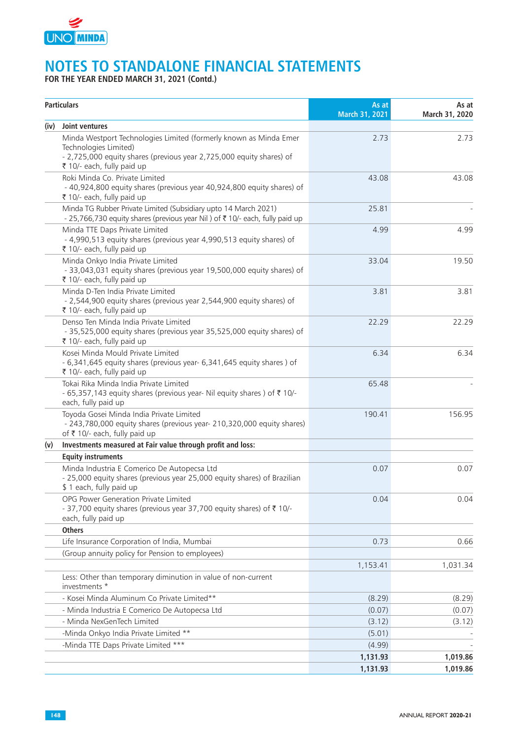

**FOR THE YEAR ENDED MARCH 31, 2021 (Contd.)**

|      | <b>Particulars</b>                                                                                                                                                                               | As at<br>March 31, 2021 | As at<br>March 31, 2020 |
|------|--------------------------------------------------------------------------------------------------------------------------------------------------------------------------------------------------|-------------------------|-------------------------|
| (iv) | Joint ventures                                                                                                                                                                                   |                         |                         |
|      | Minda Westport Technologies Limited (formerly known as Minda Emer<br>Technologies Limited)<br>- 2,725,000 equity shares (previous year 2,725,000 equity shares) of<br>₹ 10/- each, fully paid up | 2.73                    | 2.73                    |
|      | Roki Minda Co. Private Limited<br>- 40,924,800 equity shares (previous year 40,924,800 equity shares) of<br>₹ 10/- each, fully paid up                                                           | 43.08                   | 43.08                   |
|      | Minda TG Rubber Private Limited (Subsidiary upto 14 March 2021)<br>- 25,766,730 equity shares (previous year Nil) of ₹10/- each, fully paid up                                                   | 25.81                   |                         |
|      | Minda TTE Daps Private Limited<br>- 4,990,513 equity shares (previous year 4,990,513 equity shares) of<br>₹ 10/- each, fully paid up                                                             | 4.99                    | 4.99                    |
|      | Minda Onkyo India Private Limited<br>- 33,043,031 equity shares (previous year 19,500,000 equity shares) of<br>₹ 10/- each, fully paid up                                                        | 33.04                   | 19.50                   |
|      | Minda D-Ten India Private Limited<br>- 2,544,900 equity shares (previous year 2,544,900 equity shares) of<br>₹ 10/- each, fully paid up                                                          | 3.81                    | 3.81                    |
|      | Denso Ten Minda India Private Limited<br>- 35,525,000 equity shares (previous year 35,525,000 equity shares) of<br>₹ 10/- each, fully paid up                                                    | 22.29                   | 22.29                   |
|      | Kosei Minda Mould Private Limited<br>- 6,341,645 equity shares (previous year- 6,341,645 equity shares ) of<br>₹ 10/- each, fully paid up                                                        | 6.34                    | 6.34                    |
|      | Tokai Rika Minda India Private Limited<br>- 65,357,143 equity shares (previous year- Nil equity shares ) of ₹ 10/-<br>each, fully paid up                                                        | 65.48                   |                         |
|      | Toyoda Gosei Minda India Private Limited<br>- 243,780,000 equity shares (previous year- 210,320,000 equity shares)<br>of ₹ 10/- each, fully paid up                                              | 190.41                  | 156.95                  |
| (v)  | Investments measured at Fair value through profit and loss:                                                                                                                                      |                         |                         |
|      | <b>Equity instruments</b>                                                                                                                                                                        |                         |                         |
|      | Minda Industria E Comerico De Autopecsa Ltd<br>- 25,000 equity shares (previous year 25,000 equity shares) of Brazilian<br>\$1 each, fully paid up                                               | 0.07                    | 0.07                    |
|      | OPG Power Generation Private Limited<br>- 37,700 equity shares (previous year 37,700 equity shares) of ₹ 10/-<br>each, fully paid up                                                             | 0.04                    | 0.04                    |
|      | <b>Others</b>                                                                                                                                                                                    |                         |                         |
|      | Life Insurance Corporation of India, Mumbai                                                                                                                                                      | 0.73                    | 0.66                    |
|      | (Group annuity policy for Pension to employees)                                                                                                                                                  |                         |                         |
|      |                                                                                                                                                                                                  | 1,153.41                | 1,031.34                |
|      | Less: Other than temporary diminution in value of non-current<br>investments *                                                                                                                   |                         |                         |
|      | - Kosei Minda Aluminum Co Private Limited**                                                                                                                                                      | (8.29)                  | (8.29)                  |
|      | - Minda Industria E Comerico De Autopecsa Ltd                                                                                                                                                    | (0.07)                  | (0.07)                  |
|      | - Minda NexGenTech Limited                                                                                                                                                                       | (3.12)                  | (3.12)                  |
|      | -Minda Onkyo India Private Limited **                                                                                                                                                            | (5.01)                  |                         |
|      | -Minda TTE Daps Private Limited ***                                                                                                                                                              | (4.99)                  |                         |
|      |                                                                                                                                                                                                  | 1,131.93                | 1,019.86                |
|      |                                                                                                                                                                                                  | 1,131.93                | 1,019.86                |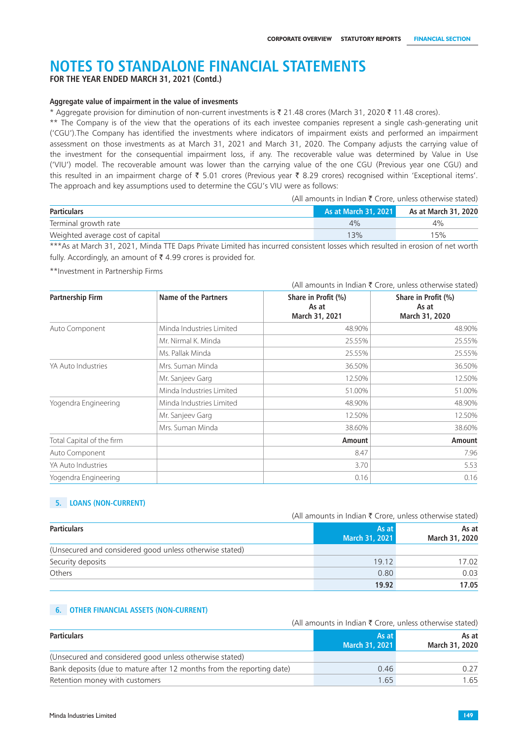**FOR THE YEAR ENDED MARCH 31, 2021 (Contd.)**

#### **Aggregate value of impairment in the value of invesments**

\* Aggregate provision for diminution of non-current investments is  $\bar{\xi}$  21.48 crores (March 31, 2020  $\bar{\xi}$  11.48 crores).

\*\* The Company is of the view that the operations of its each investee companies represent a single cash-generating unit ('CGU').The Company has identified the investments where indicators of impairment exists and performed an impairment assessment on those investments as at March 31, 2021 and March 31, 2020. The Company adjusts the carrying value of the investment for the consequential impairment loss, if any. The recoverable value was determined by Value in Use ('VIU') model. The recoverable amount was lower than the carrying value of the one CGU (Previous year one CGU) and this resulted in an impairment charge of  $\bar{\tau}$  5.01 crores (Previous year  $\bar{\tau}$  8.29 crores) recognised within 'Exceptional items'. The approach and key assumptions used to determine the CGU's VIU were as follows:

(All amounts in Indian  $\bar{\tau}$  Crore, unless otherwise stated)

| <b>Particulars</b>                                                                                                                                                                                                               | <b>As at March 31, 2021</b> | As at March 31, 2020 |
|----------------------------------------------------------------------------------------------------------------------------------------------------------------------------------------------------------------------------------|-----------------------------|----------------------|
| Terminal growth rate                                                                                                                                                                                                             | $4\%$                       | 4%                   |
| Weighted average cost of capital                                                                                                                                                                                                 | 13%                         | 15%                  |
| $\frac{1}{2}$ , and the contract of the contract of the contract of the contract of the contract of the contract of the contract of the contract of the contract of the contract of the contract of the contract of the contract |                             |                      |

\*As at March 31, 2021, Minda TTE Daps Private Limited has incurred consistent losses which resulted in erosion of net worth fully. Accordingly, an amount of  $\bar{\tau}$  4.99 crores is provided for.

\*\*Investment in Partnership Firms

| (All amounts in Indian ₹ Crore, unless otherwise stated) |                          |                                                |                                                |
|----------------------------------------------------------|--------------------------|------------------------------------------------|------------------------------------------------|
| <b>Partnership Firm</b>                                  | Name of the Partners     | Share in Profit (%)<br>As at<br>March 31, 2021 | Share in Profit (%)<br>As at<br>March 31, 2020 |
| Auto Component                                           | Minda Industries Limited | 48.90%                                         | 48.90%                                         |
|                                                          | Mr. Nirmal K. Minda      | 25.55%                                         | 25.55%                                         |
|                                                          | Ms. Pallak Minda         | 25.55%                                         | 25.55%                                         |
| YA Auto Industries                                       | Mrs. Suman Minda         | 36.50%                                         | 36.50%                                         |
|                                                          | Mr. Sanjeev Garg         | 12.50%                                         | 12.50%                                         |
|                                                          | Minda Industries Limited | 51.00%                                         | 51.00%                                         |
| Yogendra Engineering                                     | Minda Industries Limited | 48.90%                                         | 48.90%                                         |
|                                                          | Mr. Sanjeev Garg         | 12.50%                                         | 12.50%                                         |
|                                                          | Mrs. Suman Minda         | 38.60%                                         | 38.60%                                         |
| Total Capital of the firm                                |                          | <b>Amount</b>                                  | <b>Amount</b>                                  |
| Auto Component                                           |                          | 8.47                                           | 7.96                                           |
| YA Auto Industries                                       |                          | 3.70                                           | 5.53                                           |
| Yogendra Engineering                                     |                          | 0.16                                           | 0.16                                           |

#### **5. LOANS (NON-CURRENT)**

|                                                         | (All amounts in Indian $\bar{\tau}$ Crore, unless otherwise stated) |                         |                         |
|---------------------------------------------------------|---------------------------------------------------------------------|-------------------------|-------------------------|
| <b>Particulars</b>                                      |                                                                     | As at<br>March 31, 2021 | As at<br>March 31, 2020 |
| (Unsecured and considered good unless otherwise stated) |                                                                     |                         |                         |
| Security deposits                                       |                                                                     | 19.12                   | 17.02                   |
| Others                                                  |                                                                     | 0.80                    | 0.03                    |
|                                                         |                                                                     | 19.92                   | 17.05                   |

#### **6. OTHER FINANCIAL ASSETS (NON-CURRENT)**

(All amounts in Indian  $\bar{\tau}$  Crore, unless otherwise stated)

| <b>Particulars</b>                                                    | As at<br>March 31, 2021 | As at<br>March 31, 2020 |
|-----------------------------------------------------------------------|-------------------------|-------------------------|
| (Unsecured and considered good unless otherwise stated)               |                         |                         |
| Bank deposits (due to mature after 12 months from the reporting date) | 0.46                    | 0.27                    |
| Retention money with customers                                        | 1.65                    | 1.65                    |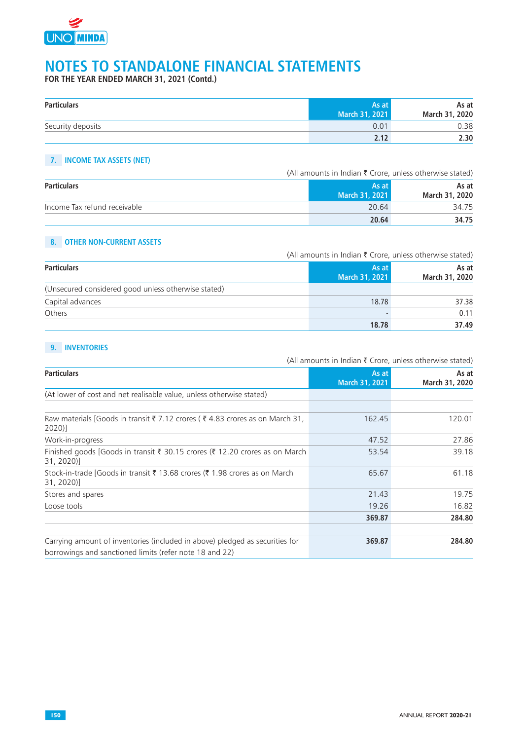

**FOR THE YEAR ENDED MARCH 31, 2021 (Contd.)**

| <b>Particulars</b> | As at I        | As at          |
|--------------------|----------------|----------------|
|                    | March 31, 2021 | March 31, 2020 |
| Security deposits  | 0.01           | 0.38           |
|                    | 2.12           | 2.30           |

### **7. INCOME TAX ASSETS (NET)**

|                              | (All amounts in Indian $\bar{\tau}$ Crore, unless otherwise stated) |                                |
|------------------------------|---------------------------------------------------------------------|--------------------------------|
| <b>Particulars</b>           | As at<br><b>March 31, 2021</b>                                      | As at<br><b>March 31, 2020</b> |
| Income Tax refund receivable | 20.64                                                               | 34.75                          |
|                              | 20.64                                                               | 34.75                          |

#### **8. OTHER NON-CURRENT ASSETS**

|                                                     | (All amounts in Indian $\bar{\tau}$ Crore, unless otherwise stated) |                         |
|-----------------------------------------------------|---------------------------------------------------------------------|-------------------------|
| <b>Particulars</b>                                  | As at<br>March 31, 2021                                             | As at<br>March 31, 2020 |
| (Unsecured considered good unless otherwise stated) |                                                                     |                         |
| Capital advances                                    | 18.78                                                               | 37.38                   |
| <b>Others</b>                                       |                                                                     | 0.11                    |
|                                                     | 18.78                                                               | 37.49                   |

#### **9. INVENTORIES**

(All amounts in Indian  $\bar{\tau}$  Crore, unless otherwise stated)

| <b>Particulars</b>                                                                        | As at<br>March 31, 2021 | As at<br>March 31, 2020 |
|-------------------------------------------------------------------------------------------|-------------------------|-------------------------|
| (At lower of cost and net realisable value, unless otherwise stated)                      |                         |                         |
|                                                                                           |                         |                         |
| Raw materials [Goods in transit ₹ 7.12 crores (₹ 4.83 crores as on March 31,<br>2020)     | 162.45                  | 120.01                  |
| Work-in-progress                                                                          | 47.52                   | 27.86                   |
| Finished goods [Goods in transit ₹ 30.15 crores (₹ 12.20 crores as on March<br>31, 2020)] | 53.54                   | 39.18                   |
| Stock-in-trade [Goods in transit ₹ 13.68 crores (₹ 1.98 crores as on March<br>31, 2020)]  | 65.67                   | 61.18                   |
| Stores and spares                                                                         | 21.43                   | 19.75                   |
| Loose tools                                                                               | 19.26                   | 16.82                   |
|                                                                                           | 369.87                  | 284.80                  |
|                                                                                           |                         |                         |
| Carrying amount of inventories (included in above) pledged as securities for              | 369.87                  | 284.80                  |
| borrowings and sanctioned limits (refer note 18 and 22)                                   |                         |                         |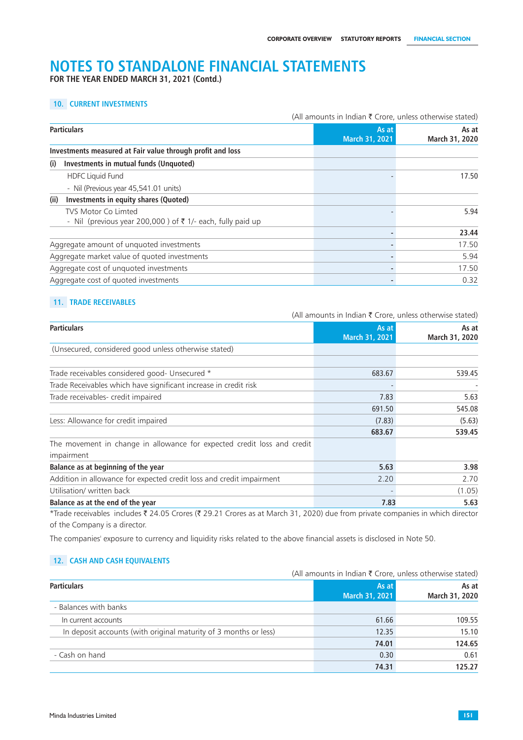**FOR THE YEAR ENDED MARCH 31, 2021 (Contd.)**

### **10. CURRENT INVESTMENTS**

|                                                                                   | (All amounts in Indian $\bar{\tau}$ Crore, unless otherwise stated) |                         |
|-----------------------------------------------------------------------------------|---------------------------------------------------------------------|-------------------------|
| <b>Particulars</b>                                                                | As at<br>March 31, 2021                                             | As at<br>March 31, 2020 |
| Investments measured at Fair value through profit and loss                        |                                                                     |                         |
| Investments in mutual funds (Unquoted)<br>(i)                                     |                                                                     |                         |
| <b>HDFC Liquid Fund</b>                                                           |                                                                     | 17.50                   |
| - Nil (Previous year 45,541.01 units)                                             |                                                                     |                         |
| (ii)<br>Investments in equity shares (Quoted)                                     |                                                                     |                         |
| TVS Motor Co Limted<br>- Nil (previous year 200,000) of ₹ 1/- each, fully paid up |                                                                     | 5.94                    |
|                                                                                   |                                                                     | 23.44                   |
| Aggregate amount of unquoted investments                                          |                                                                     | 17.50                   |
| Aggregate market value of quoted investments                                      |                                                                     | 5.94                    |
| Aggregate cost of unquoted investments                                            |                                                                     | 17.50                   |
| Aggregate cost of quoted investments                                              |                                                                     | 0.32                    |

### **11. TRADE RECEIVABLES**

|                                                                         |                         | (All amounts in Indian $\bar{\tau}$ Crore, unless otherwise stated) |
|-------------------------------------------------------------------------|-------------------------|---------------------------------------------------------------------|
| <b>Particulars</b>                                                      | As at<br>March 31, 2021 | As at<br>March 31, 2020                                             |
| (Unsecured, considered good unless otherwise stated)                    |                         |                                                                     |
| Trade receivables considered good- Unsecured *                          | 683.67                  | 539.45                                                              |
| Trade Receivables which have significant increase in credit risk        |                         |                                                                     |
| Trade receivables- credit impaired                                      | 7.83                    | 5.63                                                                |
|                                                                         | 691.50                  | 545.08                                                              |
| Less: Allowance for credit impaired                                     | (7.83)                  | (5.63)                                                              |
|                                                                         | 683.67                  | 539.45                                                              |
| The movement in change in allowance for expected credit loss and credit |                         |                                                                     |
| impairment                                                              |                         |                                                                     |
| Balance as at beginning of the year                                     | 5.63                    | 3.98                                                                |
| Addition in allowance for expected credit loss and credit impairment    | 2.20                    | 2.70                                                                |
| Utilisation/ written back                                               |                         | (1.05)                                                              |
| Balance as at the end of the year                                       | 7.83                    | 5.63                                                                |

\*Trade receivables includes ₹ 24.05 Crores (₹ 29.21 Crores as at March 31, 2020) due from private companies in which director of the Company is a director.

The companies' exposure to currency and liquidity risks related to the above financial assets is disclosed in Note 50.

### **12. CASH AND CASH EQUIVALENTS**

|                                                                  | (All amounts in Indian $\bar{\tau}$ Crore, unless otherwise stated) |                         |
|------------------------------------------------------------------|---------------------------------------------------------------------|-------------------------|
| <b>Particulars</b>                                               | As at<br><b>March 31, 2021</b>                                      | As at<br>March 31, 2020 |
| - Balances with banks                                            |                                                                     |                         |
| In current accounts                                              | 61.66                                                               | 109.55                  |
| In deposit accounts (with original maturity of 3 months or less) | 12.35                                                               | 15.10                   |
|                                                                  | 74.01                                                               | 124.65                  |
| - Cash on hand                                                   | 0.30                                                                | 0.61                    |
|                                                                  | 74.31                                                               | 125.27                  |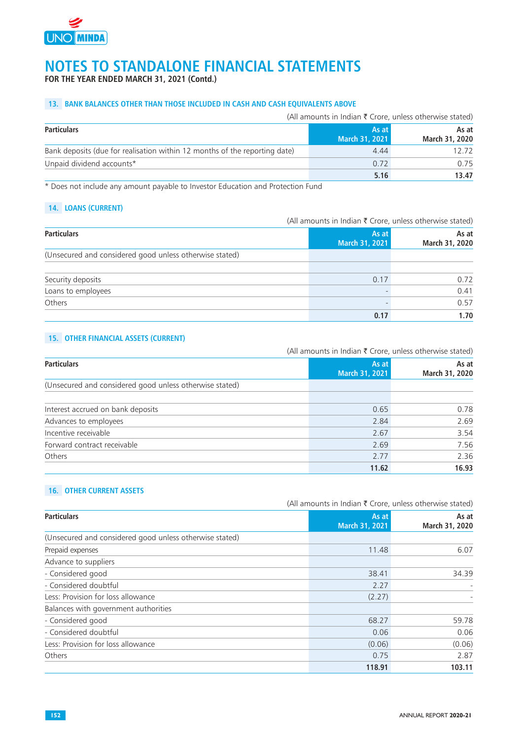

**FOR THE YEAR ENDED MARCH 31, 2021 (Contd.)**

### **13. BANK BALANCES OTHER THAN THOSE INCLUDED IN CASH AND CASH EQUIVALENTS ABOVE**

|                                                                            | (All amounts in Indian $\bar{\tau}$ Crore, unless otherwise stated) |                         |
|----------------------------------------------------------------------------|---------------------------------------------------------------------|-------------------------|
| <b>Particulars</b>                                                         | As at<br>March 31, 2021                                             | As at<br>March 31, 2020 |
| Bank deposits (due for realisation within 12 months of the reporting date) | 4.44                                                                | 12.72                   |
| Unpaid dividend accounts*                                                  | 0.72                                                                | 0.75                    |
|                                                                            | 5.16                                                                | 13.47                   |

\* Does not include any amount payable to Investor Education and Protection Fund

### **14. LOANS (CURRENT)**

|                                                         | (All amounts in Indian ₹ Crore, unless otherwise stated) |                         |
|---------------------------------------------------------|----------------------------------------------------------|-------------------------|
| <b>Particulars</b>                                      | As at<br><b>March 31, 2021</b>                           | As at<br>March 31, 2020 |
| (Unsecured and considered good unless otherwise stated) |                                                          |                         |
| Security deposits                                       | 0.17                                                     | 0.72                    |
| Loans to employees                                      |                                                          | 0.41                    |
| Others                                                  |                                                          | 0.57                    |
|                                                         | 0.17                                                     | 1.70                    |

### **15. OTHER FINANCIAL ASSETS (CURRENT)**

|                                                         | (All amounts in Indian ₹ Crore, unless otherwise stated) |                         |
|---------------------------------------------------------|----------------------------------------------------------|-------------------------|
| <b>Particulars</b>                                      | As at<br>March 31, 2021                                  | As at<br>March 31, 2020 |
| (Unsecured and considered good unless otherwise stated) |                                                          |                         |
| Interest accrued on bank deposits                       | 0.65                                                     | 0.78                    |
| Advances to employees                                   | 2.84                                                     | 2.69                    |
| Incentive receivable                                    | 2.67                                                     | 3.54                    |
| Forward contract receivable                             | 2.69                                                     | 7.56                    |
| Others                                                  | 2.77                                                     | 2.36                    |
|                                                         | 11.62                                                    | 16.93                   |

### **16. OTHER CURRENT ASSETS**

(All amounts in Indian  $\bar{\tau}$  Crore, unless otherwise stated)

| <b>Particulars</b>                                      | As at          | As at          |
|---------------------------------------------------------|----------------|----------------|
|                                                         | March 31, 2021 | March 31, 2020 |
| (Unsecured and considered good unless otherwise stated) |                |                |
| Prepaid expenses                                        | 11.48          | 6.07           |
| Advance to suppliers                                    |                |                |
| - Considered good                                       | 38.41          | 34.39          |
| - Considered doubtful                                   | 2.27           |                |
| Less: Provision for loss allowance                      | (2.27)         |                |
| Balances with government authorities                    |                |                |
| - Considered good                                       | 68.27          | 59.78          |
| - Considered doubtful                                   | 0.06           | 0.06           |
| Less: Provision for loss allowance                      | (0.06)         | (0.06)         |
| Others                                                  | 0.75           | 2.87           |
|                                                         | 118.91         | 103.11         |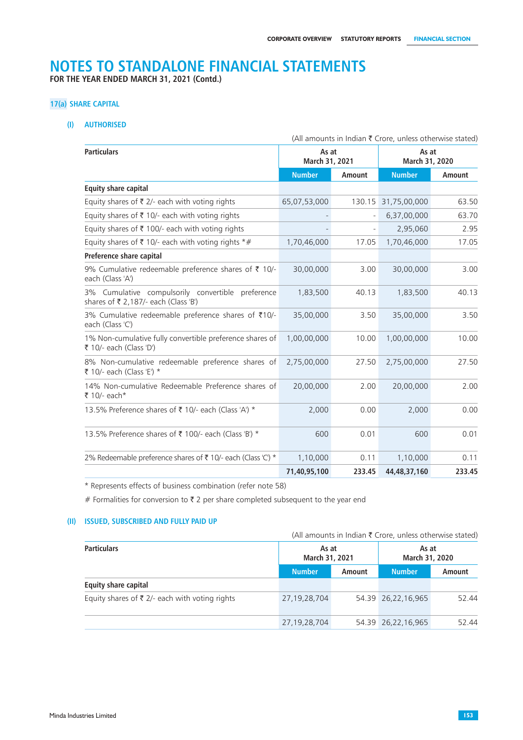**FOR THE YEAR ENDED MARCH 31, 2021 (Contd.)**

### **17(a) SHARE CAPITAL**

### **(I) AUTHORISED**

|                                                                                           | (All amounts in Indian ₹ Crore, unless otherwise stated) |                          |                         |               |  |
|-------------------------------------------------------------------------------------------|----------------------------------------------------------|--------------------------|-------------------------|---------------|--|
| <b>Particulars</b>                                                                        | As at<br>March 31, 2021                                  |                          | As at<br>March 31, 2020 |               |  |
|                                                                                           | <b>Number</b>                                            | <b>Amount</b>            | <b>Number</b>           | <b>Amount</b> |  |
| <b>Equity share capital</b>                                                               |                                                          |                          |                         |               |  |
| Equity shares of ₹ 2/- each with voting rights                                            | 65,07,53,000                                             |                          | 130.15 31,75,00,000     | 63.50         |  |
| Equity shares of $\bar{\tau}$ 10/- each with voting rights                                |                                                          |                          | 6,37,00,000             | 63.70         |  |
| Equity shares of ₹ 100/- each with voting rights                                          |                                                          | $\overline{\phantom{a}}$ | 2,95,060                | 2.95          |  |
| Equity shares of ₹ 10/- each with voting rights *#                                        | 1,70,46,000                                              | 17.05                    | 1,70,46,000             | 17.05         |  |
| Preference share capital                                                                  |                                                          |                          |                         |               |  |
| 9% Cumulative redeemable preference shares of ₹ 10/-<br>each (Class 'A')                  | 30,00,000                                                | 3.00                     | 30,00,000               | 3.00          |  |
| 3% Cumulative compulsorily convertible preference<br>shares of ₹ 2,187/- each (Class 'B') | 1,83,500                                                 | 40.13                    | 1,83,500                | 40.13         |  |
| 3% Cumulative redeemable preference shares of ₹10/-<br>each (Class 'C')                   | 35,00,000                                                | 3.50                     | 35,00,000               | 3.50          |  |
| 1% Non-cumulative fully convertible preference shares of<br>₹ 10/- each (Class 'D')       | 1,00,00,000                                              | 10.00                    | 1,00,00,000             | 10.00         |  |
| 8% Non-cumulative redeemable preference shares of<br>₹ 10/- each (Class 'E') *            | 2,75,00,000                                              | 27.50                    | 2,75,00,000             | 27.50         |  |
| 14% Non-cumulative Redeemable Preference shares of<br>₹ 10/- each*                        | 20,00,000                                                | 2.00                     | 20,00,000               | 2.00          |  |
| 13.5% Preference shares of ₹ 10/- each (Class 'A') *                                      | 2,000                                                    | 0.00                     | 2,000                   | 0.00          |  |
| 13.5% Preference shares of ₹ 100/- each (Class 'B') *                                     | 600                                                      | 0.01                     | 600                     | 0.01          |  |
| 2% Redeemable preference shares of ₹ 10/- each (Class 'C) *                               | 1,10,000                                                 | 0.11                     | 1,10,000                | 0.11          |  |
|                                                                                           | 71,40,95,100                                             | 233.45                   | 44,48,37,160            | 233.45        |  |

\* Represents effects of business combination (refer note 58)

# Formalities for conversion to  $\bar{z}$  2 per share completed subsequent to the year end

#### **(II) ISSUED, SUBSCRIBED AND FULLY PAID UP**

| (All amounts in Indian ₹ Crore, unless otherwise stated) |  |  |  |  |  |  |  |
|----------------------------------------------------------|--|--|--|--|--|--|--|
|----------------------------------------------------------|--|--|--|--|--|--|--|

| <b>Particulars</b>                                        | As at<br>March 31, 2021 |        | As at<br>March 31, 2020 |        |  |
|-----------------------------------------------------------|-------------------------|--------|-------------------------|--------|--|
|                                                           | <b>Number</b>           | Amount | <b>Number</b>           | Amount |  |
| <b>Equity share capital</b>                               |                         |        |                         |        |  |
| Equity shares of $\bar{\tau}$ 2/- each with voting rights | 27,19,28,704            |        | 54.39 26,22,16,965      | 52.44  |  |
|                                                           | 27,19,28,704            |        | 54.39 26,22,16,965      | 52.44  |  |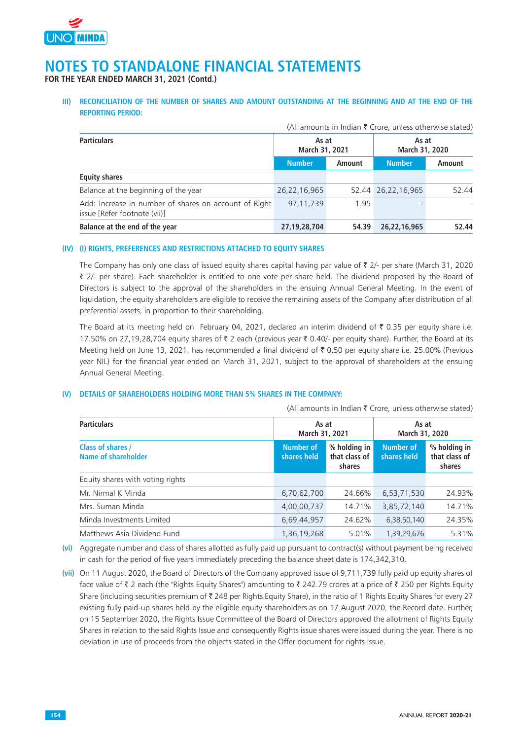

**FOR THE YEAR ENDED MARCH 31, 2021 (Contd.)**

**III) RECONCILIATION OF THE NUMBER OF SHARES AND AMOUNT OUTSTANDING AT THE BEGINNING AND AT THE END OF THE REPORTING PERIOD:**

|                                                                                       |                         |                         | (All amounts in Indian ₹ Crore, unless otherwise stated) |        |
|---------------------------------------------------------------------------------------|-------------------------|-------------------------|----------------------------------------------------------|--------|
| <b>Particulars</b>                                                                    | As at<br>March 31, 2021 | As at<br>March 31, 2020 |                                                          |        |
|                                                                                       | <b>Number</b>           | Amount                  | <b>Number</b>                                            | Amount |
| <b>Equity shares</b>                                                                  |                         |                         |                                                          |        |
| Balance at the beginning of the year                                                  | 26,22,16,965            |                         | 52.44 26,22,16,965                                       | 52.44  |
| Add: Increase in number of shares on account of Right<br>issue [Refer footnote (vii)] | 97.11.739               | 1.95                    |                                                          |        |
| Balance at the end of the year                                                        | 27,19,28,704            | 54.39                   | 26,22,16,965                                             | 52.44  |

#### **(IV) (I) RIGHTS, PREFERENCES AND RESTRICTIONS ATTACHED TO EQUITY SHARES**

The Company has only one class of issued equity shares capital having par value of  $\bar{\tau}$  2/- per share (March 31, 2020 ` 2/- per share). Each shareholder is entitled to one vote per share held. The dividend proposed by the Board of Directors is subject to the approval of the shareholders in the ensuing Annual General Meeting. In the event of liquidation, the equity shareholders are eligible to receive the remaining assets of the Company after distribution of all preferential assets, in proportion to their shareholding.

The Board at its meeting held on February 04, 2021, declared an interim dividend of  $\bar{\tau}$  0.35 per equity share i.e. 17.50% on 27,19,28,704 equity shares of  $\bar{\tau}$  2 each (previous year  $\bar{\tau}$  0.40/- per equity share). Further, the Board at its Meeting held on June 13, 2021, has recommended a final dividend of ` 0.50 per equity share i.e. 25.00% (Previous year NIL) for the financial year ended on March 31, 2021, subject to the approval of shareholders at the ensuing Annual General Meeting.

#### **(V) DETAILS OF SHAREHOLDERS HOLDING MORE THAN 5% SHARES IN THE COMPANY:**

(All amounts in Indian  $\bar{\tau}$  Crore, unless otherwise stated)

| <b>Particulars</b>                       | As at<br>March 31, 2021         |                                         | As at<br>March 31, 2020         |                                         |  |
|------------------------------------------|---------------------------------|-----------------------------------------|---------------------------------|-----------------------------------------|--|
| Class of shares /<br>Name of shareholder | <b>Number of</b><br>shares held | % holding in<br>that class of<br>shares | <b>Number of</b><br>shares held | % holding in<br>that class of<br>shares |  |
| Equity shares with voting rights         |                                 |                                         |                                 |                                         |  |
| Mr. Nirmal K Minda                       | 6,70,62,700                     | 24.66%                                  | 6,53,71,530                     | 24.93%                                  |  |
| Mrs. Suman Minda                         | 4,00,00,737                     | 14.71%                                  | 3.85.72.140                     | 14.71%                                  |  |
| Minda Investments Limited                | 6,69,44,957                     | 24.62%                                  | 6,38,50,140                     | 24.35%                                  |  |
| Matthews Asia Dividend Fund              | 1,36,19,268                     | 5.01%                                   | 1,39,29,676                     | 5.31%                                   |  |

**(vi)** Aggregate number and class of shares allotted as fully paid up pursuant to contract(s) without payment being received in cash for the period of five years immediately preceding the balance sheet date is 174,342,310.

**(vii)** On 11 August 2020, the Board of Directors of the Company approved issue of 9,711,739 fully paid up equity shares of face value of  $\bar{\tau}$  2 each (the "Rights Equity Shares") amounting to  $\bar{\tau}$  242.79 crores at a price of  $\bar{\tau}$  250 per Rights Equity Share (including securities premium of  $\bar{z}$  248 per Rights Equity Share), in the ratio of 1 Rights Equity Shares for every 27 existing fully paid-up shares held by the eligible equity shareholders as on 17 August 2020, the Record date. Further, on 15 September 2020, the Rights Issue Committee of the Board of Directors approved the allotment of Rights Equity Shares in relation to the said Rights Issue and consequently Rights issue shares were issued during the year. There is no deviation in use of proceeds from the objects stated in the Offer document for rights issue.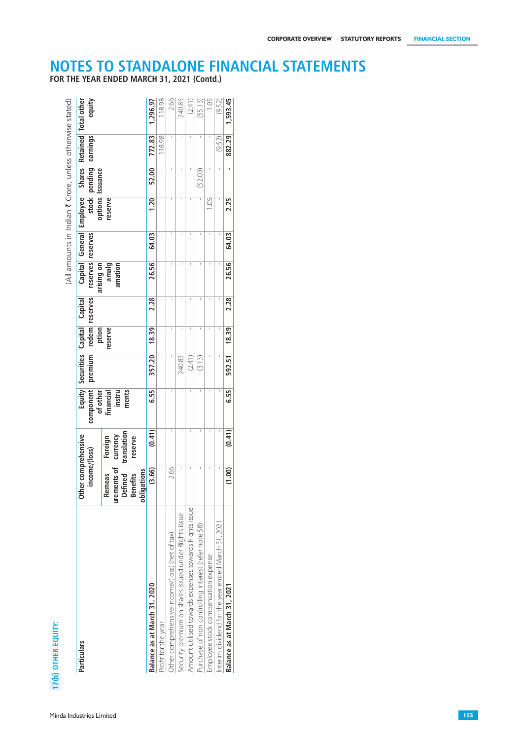| Particulars                                                                                                               | Other comprehensive<br>income/(loss)          |        | Equity<br>component                      | Securities<br>premium | Capital<br>redem | <b>Capital</b><br>reserves | reserves                       | reserves     | Capital General Employee<br>stock | <b>Shares</b><br>pending | Retained Total other<br>earnings | equity                    |
|---------------------------------------------------------------------------------------------------------------------------|-----------------------------------------------|--------|------------------------------------------|-----------------------|------------------|----------------------------|--------------------------------|--------------|-----------------------------------|--------------------------|----------------------------------|---------------------------|
| urements of<br>Defined<br><b>Benefits</b><br>Remeas                                                                       | translation<br>currency<br>reserve<br>Foreign |        | of other<br>instru<br>ments<br>financial |                       | ption<br>reserve |                            | arising on<br>amation<br>amalg |              | options<br>reserve                | <b>Issuance</b>          |                                  |                           |
| obligations<br>Balance as at March 31, 2020                                                                               | (3.66)                                        | (0.41) | 6.55                                     |                       |                  |                            |                                |              |                                   |                          |                                  |                           |
| Profit for the year                                                                                                       |                                               |        |                                          |                       |                  |                            |                                |              |                                   |                          |                                  |                           |
| Other comprehensive income/(loss) (net of tax)                                                                            | 2.66                                          |        |                                          | 357.20                | 18.39            | 2.28                       | 26.56                          | 64.03        | 1.20                              | 52.00                    | 772.83                           |                           |
| Security premium on shares issued under Rights issue                                                                      |                                               |        | $\mathbf{L}$                             |                       |                  | $\mathbf{I}$               |                                | $\mathbf{L}$ |                                   |                          | 118.98                           | 1,296.97                  |
| Amount utilised towards expenses towards Rights issue                                                                     |                                               |        | -                                        | 240.85                |                  | -                          |                                | - 1          |                                   |                          | - 1                              | 2.66<br>118.98            |
| Purchase of non controlling interest (refer note 58)                                                                      |                                               |        |                                          |                       |                  |                            |                                |              |                                   |                          |                                  | 240.85                    |
|                                                                                                                           | $\mathbf{I}$                                  |        |                                          | (2.41)                |                  |                            |                                | $\mathbf{I}$ |                                   |                          | <b>ILL 1</b>                     |                           |
|                                                                                                                           |                                               |        |                                          | (3.13)                |                  |                            |                                |              |                                   | (52.00)                  |                                  | (2.41)<br>(55.13)<br>1.05 |
| Interim dividend for the year ended March 31, 2021<br>Employee stock compensation expense<br>Balance as at March 31, 2021 | (0.00)                                        |        |                                          |                       |                  |                            | 26.56                          |              | 1.05                              | $\mathbf{I}$             | (9.52)                           | 1,593.45<br>(9.52)        |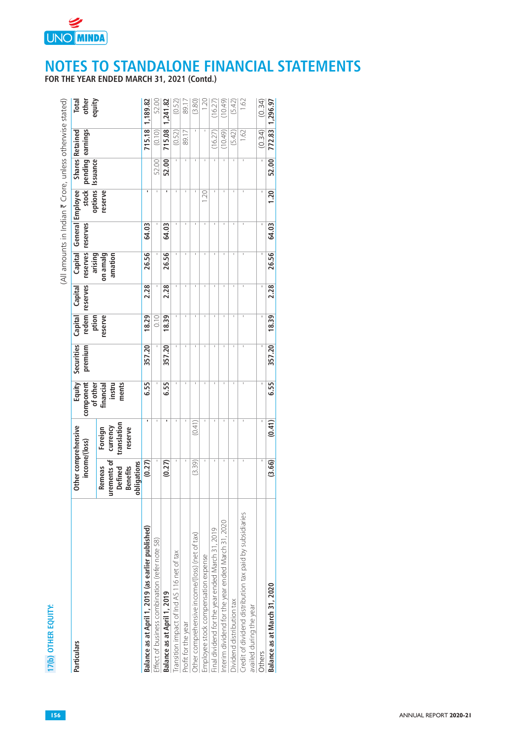

## **NOTES TO STANDALONE FINANCIAL STATEMENTS FOR THE YEAR ENDED MARCH 31, 2021 (Contd.)**

**UNO MINDA**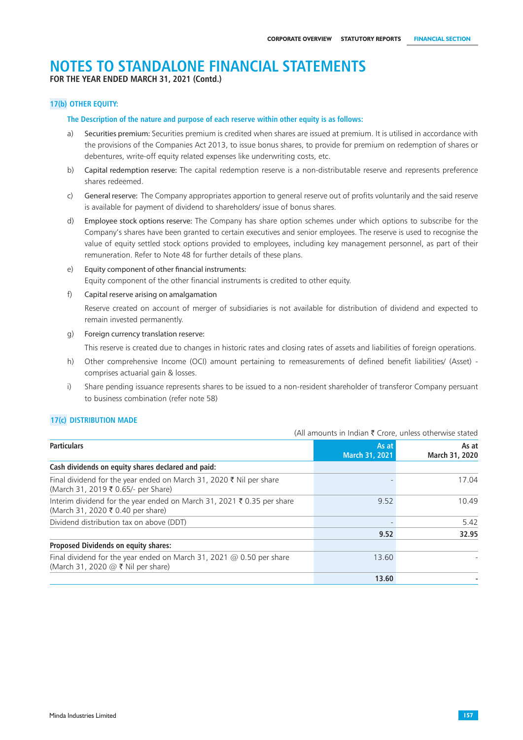**FOR THE YEAR ENDED MARCH 31, 2021 (Contd.)**

#### **17(b) OTHER EQUITY:**

#### **The Description of the nature and purpose of each reserve within other equity is as follows:**

- a) Securities premium: Securities premium is credited when shares are issued at premium. It is utilised in accordance with the provisions of the Companies Act 2013, to issue bonus shares, to provide for premium on redemption of shares or debentures, write-off equity related expenses like underwriting costs, etc.
- b) Capital redemption reserve: The capital redemption reserve is a non-distributable reserve and represents preference shares redeemed.
- c) General reserve: The Company appropriates apportion to general reserve out of profits voluntarily and the said reserve is available for payment of dividend to shareholders/ issue of bonus shares.
- d) Employee stock options reserve: The Company has share option schemes under which options to subscribe for the Company's shares have been granted to certain executives and senior employees. The reserve is used to recognise the value of equity settled stock options provided to employees, including key management personnel, as part of their remuneration. Refer to Note 48 for further details of these plans.
- e) Equity component of other financial instruments: Equity component of the other financial instruments is credited to other equity.
- f) Capital reserve arising on amalgamation

Reserve created on account of merger of subsidiaries is not available for distribution of dividend and expected to remain invested permanently.

- g) Foreign currency translation reserve: This reserve is created due to changes in historic rates and closing rates of assets and liabilities of foreign operations.
- h) Other comprehensive Income (OCI) amount pertaining to remeasurements of defined benefit liabilities/ (Asset) comprises actuarial gain & losses.
- i) Share pending issuance represents shares to be issued to a non-resident shareholder of transferor Company persuant to business combination (refer note 58)

### **17(c) DISTRIBUTION MADE**

|                                                                                                                       |                                | (All amounts in Indian ₹ Crore, unless otherwise stated |  |
|-----------------------------------------------------------------------------------------------------------------------|--------------------------------|---------------------------------------------------------|--|
| <b>Particulars</b>                                                                                                    | As at<br><b>March 31, 2021</b> | As at<br>March 31, 2020                                 |  |
| Cash dividends on equity shares declared and paid:                                                                    |                                |                                                         |  |
| Final dividend for the year ended on March 31, 2020 $\bar{\tau}$ Nil per share<br>(March 31, 2019 ₹ 0.65/- per Share) |                                | 17.04                                                   |  |
| Interim dividend for the year ended on March 31, 2021 ₹ 0.35 per share<br>(March 31, 2020 ₹ 0.40 per share)           | 9.52                           | 10.49                                                   |  |
| Dividend distribution tax on above (DDT)                                                                              |                                | 5.42                                                    |  |
|                                                                                                                       | 9.52                           | 32.95                                                   |  |
| <b>Proposed Dividends on equity shares:</b>                                                                           |                                |                                                         |  |
| Final dividend for the year ended on March 31, 2021 $\omega$ 0.50 per share<br>(March 31, 2020 $@$ ₹ Nil per share)   | 13.60                          |                                                         |  |
|                                                                                                                       | 13.60                          |                                                         |  |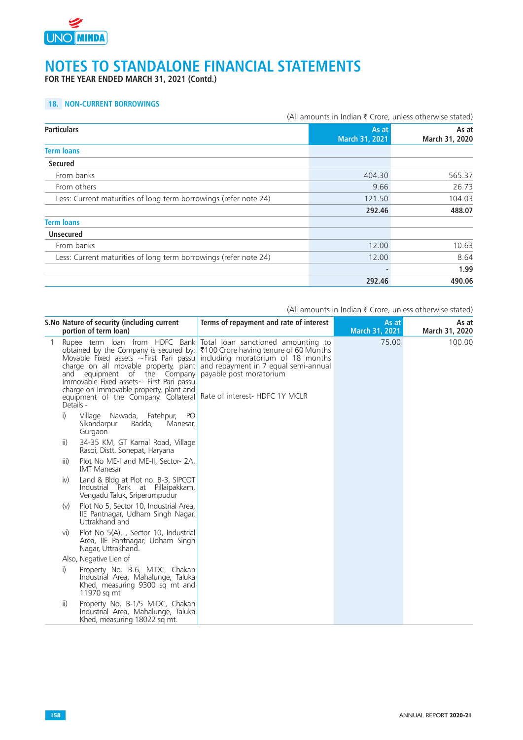

**FOR THE YEAR ENDED MARCH 31, 2021 (Contd.)**

### **18. NON-CURRENT BORROWINGS**

|                                                                  | (All amounts in Indian ₹ Crore, unless otherwise stated) |                         |  |
|------------------------------------------------------------------|----------------------------------------------------------|-------------------------|--|
| <b>Particulars</b>                                               | As at<br>March 31, 2021                                  | As at<br>March 31, 2020 |  |
| <b>Term loans</b>                                                |                                                          |                         |  |
| Secured                                                          |                                                          |                         |  |
| From banks                                                       | 404.30                                                   | 565.37                  |  |
| From others                                                      | 9.66                                                     | 26.73                   |  |
| Less: Current maturities of long term borrowings (refer note 24) | 121.50                                                   | 104.03                  |  |
|                                                                  | 292.46                                                   | 488.07                  |  |
| <b>Term loans</b>                                                |                                                          |                         |  |
| <b>Unsecured</b>                                                 |                                                          |                         |  |
| From banks                                                       | 12.00                                                    | 10.63                   |  |
| Less: Current maturities of long term borrowings (refer note 24) | 12.00                                                    | 8.64                    |  |
|                                                                  |                                                          | 1.99                    |  |
|                                                                  | 292.46                                                   | 490.06                  |  |

(All amounts in Indian  $\bar{\tau}$  Crore, unless otherwise stated)

|              | S.No Nature of security (including current<br>portion of term loan)                                                                                                                                                                                                                                                                                                         | Terms of repayment and rate of interest                                                                                                                                              | As at<br>March 31, 2021 | As at<br>March 31, 2020 |  |
|--------------|-----------------------------------------------------------------------------------------------------------------------------------------------------------------------------------------------------------------------------------------------------------------------------------------------------------------------------------------------------------------------------|--------------------------------------------------------------------------------------------------------------------------------------------------------------------------------------|-------------------------|-------------------------|--|
| $\mathbf{1}$ | Rupee term loan from HDFC Bank Total loan sanctioned amounting to<br>obtained by the Company is secured by:<br>charge on all movable property, plant and repayment in 7 equal semi-annual<br>and equipment of the Company<br>Immovable Fixed assets $\sim$ First Pari passu<br>charge on Immovable property, plant and<br>equipment of the Company. Collateral<br>Details - | ₹100 Crore having tenure of 60 Months<br>Movable Fixed assets $\sim$ First Pari passu including moratorium of 18 months<br>payable post moratorium<br>Rate of interest- HDFC 1Y MCLR | 75.00                   | 100.00                  |  |
|              | i)<br>Village Nawada, Fatehpur,<br>PO<br>Badda,<br>Sikandarpur<br>Manesar,<br>Gurgaon                                                                                                                                                                                                                                                                                       |                                                                                                                                                                                      |                         |                         |  |
|              | $\overline{ii}$<br>34-35 KM, GT Karnal Road, Village<br>Rasoi, Distt. Sonepat, Haryana                                                                                                                                                                                                                                                                                      |                                                                                                                                                                                      |                         |                         |  |
|              | Plot No ME-I and ME-II, Sector- 2A,<br>$\overline{III}$<br><b>IMT Manesar</b>                                                                                                                                                                                                                                                                                               |                                                                                                                                                                                      |                         |                         |  |
|              | Land & Bldg at Plot no. B-3, SIPCOT<br>iv)<br>Industrial Park at Pillaipakkam,<br>Vengadu Taluk, Sriperumpudur                                                                                                                                                                                                                                                              |                                                                                                                                                                                      |                         |                         |  |
|              | Plot No 5, Sector 10, Industrial Area,<br>(v)<br>IIE Pantnagar, Udham Singh Nagar,<br>Uttrakhand and                                                                                                                                                                                                                                                                        |                                                                                                                                                                                      |                         |                         |  |
|              | Plot No 5(A), Sector 10, Industrial<br>Vi)<br>Area, IIE Pantnagar, Udham Singh<br>Nagar, Uttrakhand.                                                                                                                                                                                                                                                                        |                                                                                                                                                                                      |                         |                         |  |
|              | Also, Negative Lien of                                                                                                                                                                                                                                                                                                                                                      |                                                                                                                                                                                      |                         |                         |  |
|              | i)<br>Property No. B-6, MIDC, Chakan<br>Industrial Area, Mahalunge, Taluka<br>Khed, measuring 9300 sq mt and<br>11970 sq mt                                                                                                                                                                                                                                                 |                                                                                                                                                                                      |                         |                         |  |
|              | $\overline{ii}$<br>Property No. B-1/5 MIDC, Chakan<br>Industrial Area, Mahalunge, Taluka<br>Khed, measuring 18022 sq mt.                                                                                                                                                                                                                                                    |                                                                                                                                                                                      |                         |                         |  |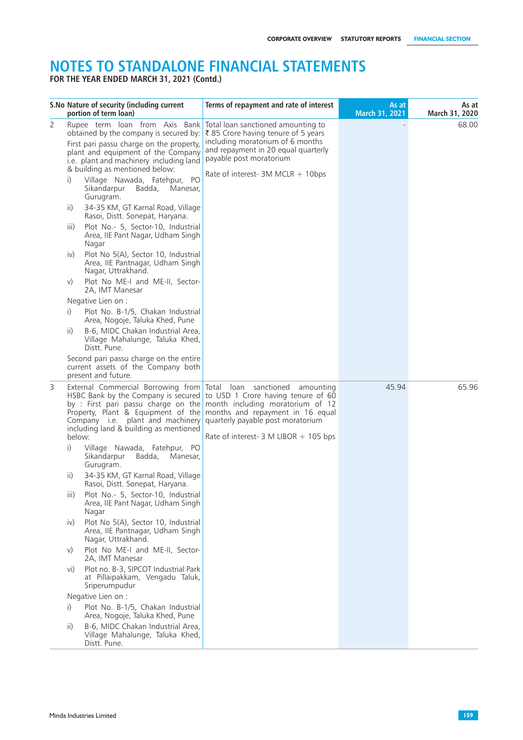|   |                 | S. No Nature of security (including current<br>portion of term loan)                                                                                                                                                                    | Terms of repayment and rate of interest                                                                                                                                                                                                                                                        | As at<br>March 31, 2021 | As at<br>March 31, 2020 |
|---|-----------------|-----------------------------------------------------------------------------------------------------------------------------------------------------------------------------------------------------------------------------------------|------------------------------------------------------------------------------------------------------------------------------------------------------------------------------------------------------------------------------------------------------------------------------------------------|-------------------------|-------------------------|
| 2 |                 | Rupee term loan from Axis Bank<br>obtained by the company is secured by:<br>First pari passu charge on the property,<br>plant and equipment of the Company<br>i.e. plant and machinery including land<br>& building as mentioned below: | Total loan sanctioned amounting to<br>₹85 Crore having tenure of 5 years<br>including moratorium of 6 months<br>and repayment in 20 equal quarterly<br>payable post moratorium                                                                                                                 |                         | 68.00                   |
|   | i)<br>ii)       | Village Nawada, Fatehpur, PO<br>Badda, Manesar,<br>Sikandarpur<br>Gurugram.<br>34-35 KM, GT Karnal Road, Village                                                                                                                        | Rate of interest- $3M MCLR + 10bps$                                                                                                                                                                                                                                                            |                         |                         |
|   | iii)            | Rasoi, Distt. Sonepat, Haryana.<br>Plot No.- 5, Sector-10, Industrial<br>Area, IIE Pant Nagar, Udham Singh                                                                                                                              |                                                                                                                                                                                                                                                                                                |                         |                         |
|   | $\mathsf{iv}$   | Nagar<br>Plot No 5(A), Sector 10, Industrial<br>Area, IIE Pantnagar, Udham Singh<br>Nagar, Uttrakhand.                                                                                                                                  |                                                                                                                                                                                                                                                                                                |                         |                         |
|   | V)              | Plot No ME-I and ME-II, Sector-<br>2A. IMT Manesar                                                                                                                                                                                      |                                                                                                                                                                                                                                                                                                |                         |                         |
|   | i)              | Negative Lien on :<br>Plot No. B-1/5, Chakan Industrial<br>Area, Nogoje, Taluka Khed, Pune                                                                                                                                              |                                                                                                                                                                                                                                                                                                |                         |                         |
|   | ii)             | B-6, MIDC Chakan Industrial Area,<br>Village Mahalunge, Taluka Khed,<br>Distt. Pune.                                                                                                                                                    |                                                                                                                                                                                                                                                                                                |                         |                         |
|   |                 | Second pari passu charge on the entire<br>current assets of the Company both<br>present and future.                                                                                                                                     |                                                                                                                                                                                                                                                                                                |                         |                         |
| 3 | below:          | External Commercial Borrowing from Total loan sanctioned<br>HSBC Bank by the Company is secured<br>Company i.e. plant and machinery<br>including land & building as mentioned                                                           | amounting<br>to USD 1 Crore having tenure of 60<br>by : First pari passu charge on the month including moratorium of 12<br>Property, Plant & Equipment of the months and repayment in 16 equal<br>quarterly payable post moratorium<br>Rate of interest- $3 \text{ M LIBOR} + 105 \text{ bps}$ | 45.94                   | 65.96                   |
|   | i)              | Village Nawada, Fatehpur, PO<br>Sikandarpur<br>Manesar,<br>Badda,<br>Gurugram.                                                                                                                                                          |                                                                                                                                                                                                                                                                                                |                         |                         |
|   | $\overline{ii}$ | 34-35 KM, GT Karnal Road, Village<br>Rasoi, Distt. Sonepat, Haryana.                                                                                                                                                                    |                                                                                                                                                                                                                                                                                                |                         |                         |
|   | iii)            | Plot No.- 5, Sector-10, Industrial<br>Area, IIE Pant Nagar, Udham Singh<br>Nagar                                                                                                                                                        |                                                                                                                                                                                                                                                                                                |                         |                         |
|   | iv)             | Plot No 5(A), Sector 10, Industrial<br>Area, IIE Pantnagar, Udham Singh<br>Nagar, Uttrakhand.                                                                                                                                           |                                                                                                                                                                                                                                                                                                |                         |                         |
|   | V)              | Plot No ME-I and ME-II, Sector-<br>2A, IMT Manesar                                                                                                                                                                                      |                                                                                                                                                                                                                                                                                                |                         |                         |
|   | vi)             | Plot no. B-3, SIPCOT Industrial Park<br>at Pillaipakkam, Vengadu Taluk,<br>Sriperumpudur                                                                                                                                                |                                                                                                                                                                                                                                                                                                |                         |                         |
|   |                 | Negative Lien on :                                                                                                                                                                                                                      |                                                                                                                                                                                                                                                                                                |                         |                         |
|   | i)              | Plot No. B-1/5, Chakan Industrial<br>Area, Nogoje, Taluka Khed, Pune                                                                                                                                                                    |                                                                                                                                                                                                                                                                                                |                         |                         |
|   | ii)             | B-6, MIDC Chakan Industrial Area,<br>Village Mahalunge, Taluka Khed,<br>Distt. Pune.                                                                                                                                                    |                                                                                                                                                                                                                                                                                                |                         |                         |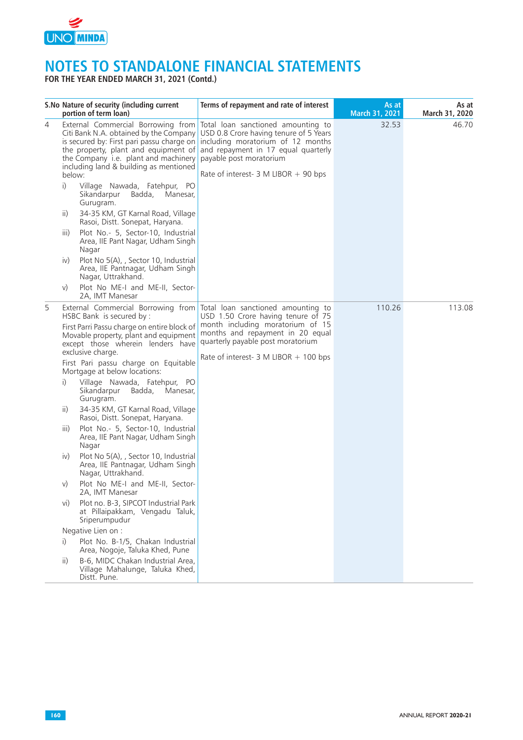

|   |                    | S. No Nature of security (including current<br>portion of term loan)                                                                                                                                                                                | Terms of repayment and rate of interest                                                                                                                                                                                       | As at<br>March 31, 2021 | As at<br>March 31, 2020 |
|---|--------------------|-----------------------------------------------------------------------------------------------------------------------------------------------------------------------------------------------------------------------------------------------------|-------------------------------------------------------------------------------------------------------------------------------------------------------------------------------------------------------------------------------|-------------------------|-------------------------|
| 4 | below:             | External Commercial Borrowing from<br>Citi Bank N.A. obtained by the Company<br>is secured by: First pari passu charge on<br>the property, plant and equipment of<br>the Company i.e. plant and machinery<br>including land & building as mentioned | Total loan sanctioned amounting to<br>USD 0.8 Crore having tenure of 5 Years<br>including moratorium of 12 months<br>and repayment in 17 equal quarterly<br>payable post moratorium<br>Rate of interest- $3$ M LIBOR + 90 bps | 32.53                   | 46.70                   |
|   | i)                 | Village Nawada, Fatehpur, PO<br>Sikandarpur<br>Badda,<br>Manesar,<br>Gurugram.                                                                                                                                                                      |                                                                                                                                                                                                                               |                         |                         |
|   | ii)                | 34-35 KM, GT Karnal Road, Village<br>Rasoi, Distt. Sonepat, Haryana.                                                                                                                                                                                |                                                                                                                                                                                                                               |                         |                         |
|   | $\overline{III}$ ) | Plot No.- 5, Sector-10, Industrial<br>Area, IIE Pant Nagar, Udham Singh<br>Nagar                                                                                                                                                                    |                                                                                                                                                                                                                               |                         |                         |
|   | $\mathsf{iv}$      | Plot No 5(A), Sector 10, Industrial<br>Area, IIE Pantnagar, Udham Singh<br>Nagar, Uttrakhand.                                                                                                                                                       |                                                                                                                                                                                                                               |                         |                         |
|   | V)                 | Plot No ME-I and ME-II, Sector-<br>2A, IMT Manesar                                                                                                                                                                                                  |                                                                                                                                                                                                                               |                         |                         |
| 5 |                    | External Commercial Borrowing from<br>HSBC Bank is secured by :                                                                                                                                                                                     | Total loan sanctioned amounting to<br>USD 1.50 Crore having tenure of 75                                                                                                                                                      | 110.26                  | 113.08                  |
|   |                    | First Parri Passu charge on entire block of<br>Movable property, plant and equipment<br>except those wherein lenders have<br>exclusive charge.                                                                                                      | month including moratorium of 15<br>months and repayment in 20 equal<br>quarterly payable post moratorium                                                                                                                     |                         |                         |
|   |                    | First Pari passu charge on Equitable<br>Mortgage at below locations:                                                                                                                                                                                | Rate of interest- 3 M LIBOR + 100 bps                                                                                                                                                                                         |                         |                         |
|   | i)                 | Village Nawada, Fatehpur, PO<br>Sikandarpur<br>Badda,<br>Manesar,<br>Gurugram.                                                                                                                                                                      |                                                                                                                                                                                                                               |                         |                         |
|   | $\overline{ii}$    | 34-35 KM, GT Karnal Road, Village<br>Rasoi, Distt. Sonepat, Haryana.                                                                                                                                                                                |                                                                                                                                                                                                                               |                         |                         |
|   | $\overline{III}$ ) | Plot No.- 5, Sector-10, Industrial<br>Area, IIE Pant Nagar, Udham Singh<br>Nagar                                                                                                                                                                    |                                                                                                                                                                                                                               |                         |                         |
|   | $\mathsf{iv}$      | Plot No 5(A), Sector 10, Industrial<br>Area, IIE Pantnagar, Udham Singh<br>Nagar, Uttrakhand.                                                                                                                                                       |                                                                                                                                                                                                                               |                         |                         |
|   | V)                 | Plot No ME-I and ME-II, Sector-<br>2A, IMT Manesar                                                                                                                                                                                                  |                                                                                                                                                                                                                               |                         |                         |
|   | vi)                | Plot no. B-3, SIPCOT Industrial Park<br>at Pillaipakkam, Vengadu Taluk,<br>Sriperumpudur                                                                                                                                                            |                                                                                                                                                                                                                               |                         |                         |
|   |                    | Negative Lien on :                                                                                                                                                                                                                                  |                                                                                                                                                                                                                               |                         |                         |
|   | i)                 | Plot No. B-1/5, Chakan Industrial<br>Area, Nogoje, Taluka Khed, Pune                                                                                                                                                                                |                                                                                                                                                                                                                               |                         |                         |
|   | ii)                | B-6, MIDC Chakan Industrial Area,<br>Village Mahalunge, Taluka Khed,<br>Distt. Pune.                                                                                                                                                                |                                                                                                                                                                                                                               |                         |                         |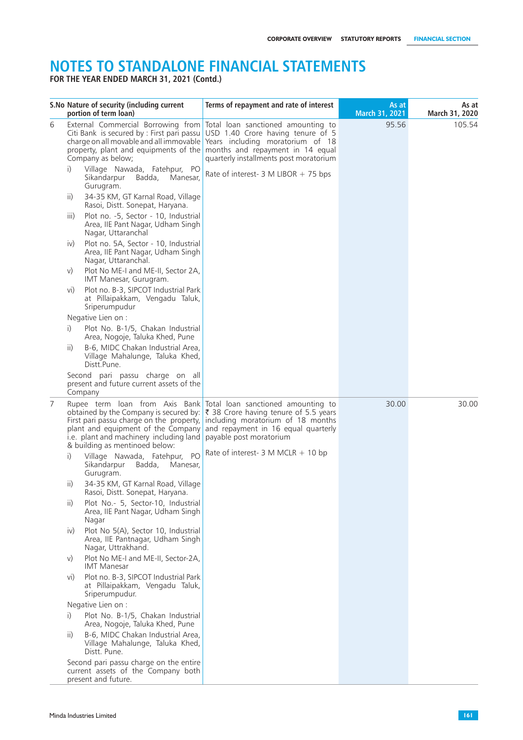|   |                 | S. No Nature of security (including current<br>portion of term loan)                                                                                                                                  | Terms of repayment and rate of interest                                                                                                                                                                                                                                 | As at<br><b>March 31, 2021</b> | As at<br>March 31, 2020 |
|---|-----------------|-------------------------------------------------------------------------------------------------------------------------------------------------------------------------------------------------------|-------------------------------------------------------------------------------------------------------------------------------------------------------------------------------------------------------------------------------------------------------------------------|--------------------------------|-------------------------|
| 6 |                 | External Commercial Borrowing from<br>Citi Bank is secured by : First pari passu<br>Company as below;                                                                                                 | Total loan sanctioned amounting to<br>USD 1.40 Crore having tenure of 5<br>charge on all movable and all immovable Years including moratorium of 18<br>property, plant and equipments of the months and repayment in 14 equal<br>quarterly installments post moratorium | 95.56                          | 105.54                  |
|   | i)              | Village Nawada, Fatehpur, PO<br>Sikandarpur<br>Badda,<br>Manesar,<br>Gurugram.                                                                                                                        | Rate of interest- $3$ M LIBOR + 75 bps                                                                                                                                                                                                                                  |                                |                         |
|   | $\overline{11}$ | 34-35 KM, GT Karnal Road, Village<br>Rasoi, Distt. Sonepat, Haryana.                                                                                                                                  |                                                                                                                                                                                                                                                                         |                                |                         |
|   | iii)            | Plot no. -5, Sector - 10, Industrial<br>Area, IIE Pant Nagar, Udham Singh<br>Nagar, Uttaranchal                                                                                                       |                                                                                                                                                                                                                                                                         |                                |                         |
|   | $\mathsf{iv}$   | Plot no. 5A, Sector - 10, Industrial<br>Area, IIE Pant Nagar, Udham Singh<br>Nagar, Uttaranchal.                                                                                                      |                                                                                                                                                                                                                                                                         |                                |                         |
|   | V)              | Plot No ME-I and ME-II, Sector 2A,<br>IMT Manesar, Gurugram.                                                                                                                                          |                                                                                                                                                                                                                                                                         |                                |                         |
|   | Vi)             | Plot no. B-3, SIPCOT Industrial Park<br>at Pillaipakkam, Vengadu Taluk,<br>Sriperumpudur                                                                                                              |                                                                                                                                                                                                                                                                         |                                |                         |
|   |                 | Negative Lien on :                                                                                                                                                                                    |                                                                                                                                                                                                                                                                         |                                |                         |
|   | i)              | Plot No. B-1/5, Chakan Industrial<br>Area, Nogoje, Taluka Khed, Pune                                                                                                                                  |                                                                                                                                                                                                                                                                         |                                |                         |
|   | $\overline{ii}$ | B-6, MIDC Chakan Industrial Area,<br>Village Mahalunge, Taluka Khed,<br>Distt.Pune.                                                                                                                   |                                                                                                                                                                                                                                                                         |                                |                         |
|   |                 | Second pari passu charge on all<br>present and future current assets of the<br>Company                                                                                                                |                                                                                                                                                                                                                                                                         |                                |                         |
| 7 |                 | obtained by the Company is secured by:<br>First pari passu charge on the property,<br>plant and equipment of the Company<br>i.e. plant and machinery including land<br>& building as mentinoed below: | Rupee term loan from Axis Bank Total loan sanctioned amounting to<br>₹ 38 Crore having tenure of 5.5 years<br>including moratorium of 18 months<br>and repayment in 16 equal quarterly<br>payable post moratorium                                                       | 30.00                          | 30.00                   |
|   | i)              | Village Nawada, Fatehpur, PO<br>Sikandarpur<br>Badda, Manesar,<br>Gurugram.                                                                                                                           | Rate of interest- $3 M MCLR + 10 bp$                                                                                                                                                                                                                                    |                                |                         |
|   | $\overline{ii}$ | 34-35 KM, GT Karnal Road, Village<br>Rasoi, Distt. Sonepat, Haryana.                                                                                                                                  |                                                                                                                                                                                                                                                                         |                                |                         |
|   | $\overline{ii}$ | Plot No.- 5, Sector-10, Industrial<br>Area, IIE Pant Nagar, Udham Singh<br>Nagar                                                                                                                      |                                                                                                                                                                                                                                                                         |                                |                         |
|   | iv)             | Plot No 5(A), Sector 10, Industrial<br>Area, IIE Pantnagar, Udham Singh<br>Nagar, Uttrakhand.                                                                                                         |                                                                                                                                                                                                                                                                         |                                |                         |
|   | V)              | Plot No ME-I and ME-II, Sector-2A,<br><b>IMT Manesar</b>                                                                                                                                              |                                                                                                                                                                                                                                                                         |                                |                         |
|   | Vi)             | Plot no. B-3, SIPCOT Industrial Park<br>at Pillaipakkam, Vengadu Taluk,<br>Sriperumpudur.                                                                                                             |                                                                                                                                                                                                                                                                         |                                |                         |
|   |                 | Negative Lien on :                                                                                                                                                                                    |                                                                                                                                                                                                                                                                         |                                |                         |
|   | i)              | Plot No. B-1/5, Chakan Industrial<br>Area, Nogoje, Taluka Khed, Pune                                                                                                                                  |                                                                                                                                                                                                                                                                         |                                |                         |
|   | ii)             | B-6, MIDC Chakan Industrial Area,<br>Village Mahalunge, Taluka Khed,<br>Distt. Pune.                                                                                                                  |                                                                                                                                                                                                                                                                         |                                |                         |
|   |                 | Second pari passu charge on the entire<br>current assets of the Company both<br>present and future.                                                                                                   |                                                                                                                                                                                                                                                                         |                                |                         |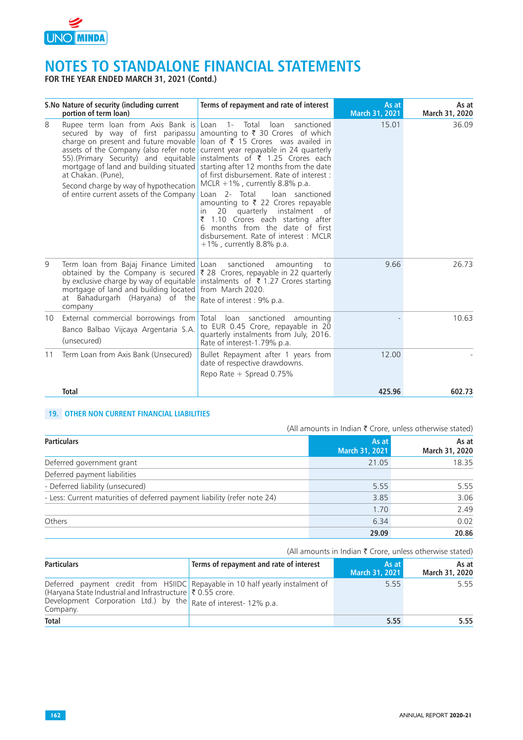

**FOR THE YEAR ENDED MARCH 31, 2021 (Contd.)**

|    | S. No Nature of security (including current<br>portion of term loan)                                                                                                                                                                                                                                                                                                                                                                   | Terms of repayment and rate of interest                                                                                                                                                                                                                                                                                                                                                                                                                                                                                 | As at<br>March 31, 2021 | As at<br>March 31, 2020 |
|----|----------------------------------------------------------------------------------------------------------------------------------------------------------------------------------------------------------------------------------------------------------------------------------------------------------------------------------------------------------------------------------------------------------------------------------------|-------------------------------------------------------------------------------------------------------------------------------------------------------------------------------------------------------------------------------------------------------------------------------------------------------------------------------------------------------------------------------------------------------------------------------------------------------------------------------------------------------------------------|-------------------------|-------------------------|
| 8  | Rupee term loan from Axis Bank is<br>secured by way of first paripassu<br>charge on present and future movable loan of $\bar{z}$ 15 Crores was availed in<br>assets of the Company (also refer note current year repayable in 24 quarterly<br>55).(Primary Security) and equitable<br>mortgage of land and building situated<br>at Chakan. (Pune),<br>Second charge by way of hypothecation<br>of entire current assets of the Company | $1 -$<br>Loan<br>Total<br>loan<br>sanctioned<br>amounting to ₹ 30 Crores of which<br>Instalments of ₹ 1.25 Crores each<br>starting after 12 months from the date<br>of first disbursement. Rate of interest :<br>MCLR $+1\%$ , currently 8.8% p.a.<br>Loan 2- Total<br>loan sanctioned<br>amounting to ₹ 22 Crores repayable<br>instalment of<br>20<br>guarterly<br>in.<br>₹ 1.10 Crores each starting after<br>6 months from the date of first<br>disbursement. Rate of interest: MCLR<br>$+1\%$ , currently 8.8% p.a. | 15.01                   | 36.09                   |
| 9  | Term loan from Bajaj Finance Limited Loan<br>obtained by the Company is secured<br>by exclusive charge by way of equitable<br>mortgage of land and building located from March 2020.<br>at Bahadurgarh (Haryana) of the<br>company                                                                                                                                                                                                     | sanctioned<br>amounting<br>to<br>₹ 28 Crores, repayable in 22 quarterly<br> instalments of ₹1.27 Crores starting<br>Rate of interest: 9% p.a.                                                                                                                                                                                                                                                                                                                                                                           | 9.66                    | 26.73                   |
| 10 | External commercial borrowings from Total loan sanctioned amounting<br>Banco Balbao Vijcaya Argentaria S.A.<br>(unsecured)                                                                                                                                                                                                                                                                                                             | to EUR 0.45 Crore, repayable in 20<br>quarterly instalments from July, 2016.<br>Rate of interest-1.79% p.a.                                                                                                                                                                                                                                                                                                                                                                                                             |                         | 10.63                   |
| 11 | Term Loan from Axis Bank (Unsecured)                                                                                                                                                                                                                                                                                                                                                                                                   | Bullet Repayment after 1 years from<br>date of respective drawdowns.<br>Repo Rate $+$ Spread 0.75%                                                                                                                                                                                                                                                                                                                                                                                                                      | 12.00                   |                         |
|    | <b>Total</b>                                                                                                                                                                                                                                                                                                                                                                                                                           |                                                                                                                                                                                                                                                                                                                                                                                                                                                                                                                         | 425.96                  | 602.73                  |

## **19. OTHER NON CURRENT FINANCIAL LIABILITIES**

|                                                                          | (All amounts in Indian ₹ Crore, unless otherwise stated) |                         |
|--------------------------------------------------------------------------|----------------------------------------------------------|-------------------------|
| <b>Particulars</b>                                                       | As at<br>March 31, 2021                                  | As at<br>March 31, 2020 |
| Deferred government grant                                                | 21.05                                                    | 18.35                   |
| Deferred payment liabilities                                             |                                                          |                         |
| - Deferred liability (unsecured)                                         | 5.55                                                     | 5.55                    |
| - Less: Current maturities of deferred payment liability (refer note 24) | 3.85                                                     | 3.06                    |
|                                                                          | 1.70                                                     | 2.49                    |
| Others                                                                   | 6.34                                                     | 0.02                    |
|                                                                          | 29.09                                                    | 20.86                   |

(All amounts in Indian  $\bar{\tau}$  Crore, unless otherwise stated)

| <b>Particulars</b>                                                                                                                                                                                                                    | Terms of repayment and rate of interest | As at<br>March 31, 2021 | As at<br>March 31, 2020 |
|---------------------------------------------------------------------------------------------------------------------------------------------------------------------------------------------------------------------------------------|-----------------------------------------|-------------------------|-------------------------|
| Deferred payment credit from HSIIDC Repayable in 10 half yearly instalment of<br>(Haryana State Industrial and Infrastructure $\bar{\zeta}$ 0.55 crore.<br>Development Corporation Ltd.) by the Rate of interest-12% p.a.<br>Company. |                                         | 5.55                    | 5.55                    |
| <b>Total</b>                                                                                                                                                                                                                          |                                         | 5.55                    | 5.55                    |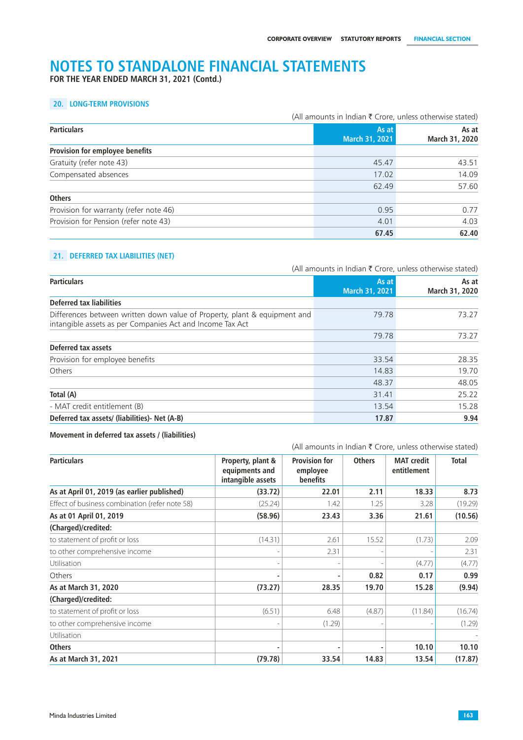**FOR THE YEAR ENDED MARCH 31, 2021 (Contd.)**

### **20. LONG-TERM PROVISIONS**

|                                        |                         | (All amounts in Indian ₹ Crore, unless otherwise stated) |  |  |
|----------------------------------------|-------------------------|----------------------------------------------------------|--|--|
| <b>Particulars</b>                     | As at<br>March 31, 2021 | As at<br>March 31, 2020                                  |  |  |
| Provision for employee benefits        |                         |                                                          |  |  |
| Gratuity (refer note 43)               | 45.47                   | 43.51                                                    |  |  |
| Compensated absences                   | 17.02                   | 14.09                                                    |  |  |
|                                        | 62.49                   | 57.60                                                    |  |  |
| <b>Others</b>                          |                         |                                                          |  |  |
| Provision for warranty (refer note 46) | 0.95                    | 0.77                                                     |  |  |
| Provision for Pension (refer note 43)  | 4.01                    | 4.03                                                     |  |  |
|                                        | 67.45                   | 62.40                                                    |  |  |

## **21. DEFERRED TAX LIABILITIES (NET)**

|                                                                                                                                        |                         | (All amounts in Indian ₹ Crore, unless otherwise stated) |  |
|----------------------------------------------------------------------------------------------------------------------------------------|-------------------------|----------------------------------------------------------|--|
| <b>Particulars</b>                                                                                                                     | As at<br>March 31, 2021 | As at<br>March 31, 2020                                  |  |
| <b>Deferred tax liabilities</b>                                                                                                        |                         |                                                          |  |
| Differences between written down value of Property, plant & equipment and<br>intangible assets as per Companies Act and Income Tax Act | 79.78                   | 73.27                                                    |  |
|                                                                                                                                        | 79.78                   | 73.27                                                    |  |
| Deferred tax assets                                                                                                                    |                         |                                                          |  |
| Provision for employee benefits                                                                                                        | 33.54                   | 28.35                                                    |  |
| Others                                                                                                                                 | 14.83                   | 19.70                                                    |  |
|                                                                                                                                        | 48.37                   | 48.05                                                    |  |
| Total (A)                                                                                                                              | 31.41                   | 25.22                                                    |  |
| - MAT credit entitlement (B)                                                                                                           | 13.54                   | 15.28                                                    |  |
| Deferred tax assets/ (liabilities)- Net (A-B)                                                                                          | 17.87                   | 9.94                                                     |  |

#### **Movement in deferred tax assets / (liabilities)**

(All amounts in Indian  $\bar{\tau}$  Crore, unless otherwise stated)

| <b>Particulars</b>                             | Property, plant &<br>equipments and<br>intangible assets | <b>Provision for</b><br>employee<br><b>benefits</b> | <b>Others</b> | <b>MAT</b> credit<br>entitlement | <b>Total</b> |
|------------------------------------------------|----------------------------------------------------------|-----------------------------------------------------|---------------|----------------------------------|--------------|
| As at April 01, 2019 (as earlier published)    | (33.72)                                                  | 22.01                                               | 2.11          | 18.33                            | 8.73         |
| Effect of business combination (refer note 58) | (25.24)                                                  | 1.42                                                | 1.25          | 3.28                             | (19.29)      |
| As at 01 April 01, 2019                        | (58.96)                                                  | 23.43                                               | 3.36          | 21.61                            | (10.56)      |
| (Charged)/credited:                            |                                                          |                                                     |               |                                  |              |
| to statement of profit or loss                 | (14.31)                                                  | 2.61                                                | 15.52         | (1.73)                           | 2.09         |
| to other comprehensive income                  |                                                          | 2.31                                                |               |                                  | 2.31         |
| Utilisation                                    |                                                          |                                                     |               | (4.77)                           | (4.77)       |
| Others                                         |                                                          | ٠                                                   | 0.82          | 0.17                             | 0.99         |
| As at March 31, 2020                           | (73.27)                                                  | 28.35                                               | 19.70         | 15.28                            | (9.94)       |
| (Charged)/credited:                            |                                                          |                                                     |               |                                  |              |
| to statement of profit or loss                 | (6.51)                                                   | 6.48                                                | (4.87)        | (11.84)                          | (16.74)      |
| to other comprehensive income                  |                                                          | (1.29)                                              |               |                                  | (1.29)       |
| Utilisation                                    |                                                          |                                                     |               |                                  |              |
| <b>Others</b>                                  |                                                          |                                                     |               | 10.10                            | 10.10        |
| As at March 31, 2021                           | (79.78)                                                  | 33.54                                               | 14.83         | 13.54                            | (17.87)      |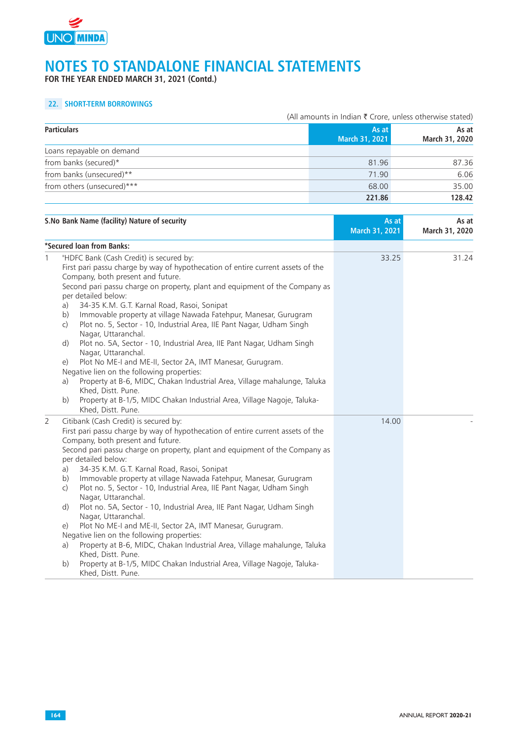

**FOR THE YEAR ENDED MARCH 31, 2021 (Contd.)**

### **22. SHORT-TERM BORROWINGS**

|                                                                 | (All amounts in Indian ₹ Crore, unless otherwise stated) |        |
|-----------------------------------------------------------------|----------------------------------------------------------|--------|
| <b>Particulars</b><br>As at<br>March 31, 2021<br>March 31, 2020 |                                                          |        |
| Loans repayable on demand                                       |                                                          |        |
| from banks (secured)*                                           | 81.96                                                    | 87.36  |
| from banks (unsecured)**                                        | 71.90                                                    | 6.06   |
| from others (unsecured)***                                      | 68.00                                                    | 35.00  |
|                                                                 | 221.86                                                   | 128.42 |

|                | S. No Bank Name (facility) Nature of security                                                                                                                                                                                                                                                                                                                                                                                                                                                                                                                                                                                                                                                                                                                                                                                                                                                                                                               | As at<br>March 31, 2021 | As at<br>March 31, 2020 |
|----------------|-------------------------------------------------------------------------------------------------------------------------------------------------------------------------------------------------------------------------------------------------------------------------------------------------------------------------------------------------------------------------------------------------------------------------------------------------------------------------------------------------------------------------------------------------------------------------------------------------------------------------------------------------------------------------------------------------------------------------------------------------------------------------------------------------------------------------------------------------------------------------------------------------------------------------------------------------------------|-------------------------|-------------------------|
|                | *Secured loan from Banks:                                                                                                                                                                                                                                                                                                                                                                                                                                                                                                                                                                                                                                                                                                                                                                                                                                                                                                                                   |                         |                         |
| 1              | "HDFC Bank (Cash Credit) is secured by:<br>First pari passu charge by way of hypothecation of entire current assets of the<br>Company, both present and future.<br>Second pari passu charge on property, plant and equipment of the Company as<br>per detailed below:<br>34-35 K.M. G.T. Karnal Road, Rasoi, Sonipat<br>a)<br>Immovable property at village Nawada Fatehpur, Manesar, Gurugram<br>b)<br>Plot no. 5, Sector - 10, Industrial Area, IIE Pant Nagar, Udham Singh<br>$\mathsf{C}$<br>Nagar, Uttaranchal.<br>Plot no. 5A, Sector - 10, Industrial Area, IIE Pant Nagar, Udham Singh<br>d)<br>Nagar, Uttaranchal.<br>Plot No ME-I and ME-II, Sector 2A, IMT Manesar, Gurugram.<br>e)<br>Negative lien on the following properties:<br>Property at B-6, MIDC, Chakan Industrial Area, Village mahalunge, Taluka<br>a)<br>Khed, Distt. Pune.<br>Property at B-1/5, MIDC Chakan Industrial Area, Village Nagoje, Taluka-<br>b)<br>Khed, Distt. Pune. | 33.25                   | 31.24                   |
| $\overline{2}$ | Citibank (Cash Credit) is secured by:<br>First pari passu charge by way of hypothecation of entire current assets of the<br>Company, both present and future.<br>Second pari passu charge on property, plant and equipment of the Company as<br>per detailed below:<br>34-35 K.M. G.T. Karnal Road, Rasoi, Sonipat<br>a)<br>Immovable property at village Nawada Fatehpur, Manesar, Gurugram<br>b)<br>Plot no. 5, Sector - 10, Industrial Area, IIE Pant Nagar, Udham Singh<br>$\mathsf{C}$<br>Nagar, Uttaranchal.<br>Plot no. 5A, Sector - 10, Industrial Area, IIE Pant Nagar, Udham Singh<br>d)<br>Nagar, Uttaranchal.<br>Plot No ME-I and ME-II, Sector 2A, IMT Manesar, Gurugram.<br>e)<br>Negative lien on the following properties:<br>Property at B-6, MIDC, Chakan Industrial Area, Village mahalunge, Taluka<br>a)<br>Khed, Distt. Pune.<br>b)<br>Property at B-1/5, MIDC Chakan Industrial Area, Village Nagoje, Taluka-<br>Khed, Distt. Pune.   | 14.00                   |                         |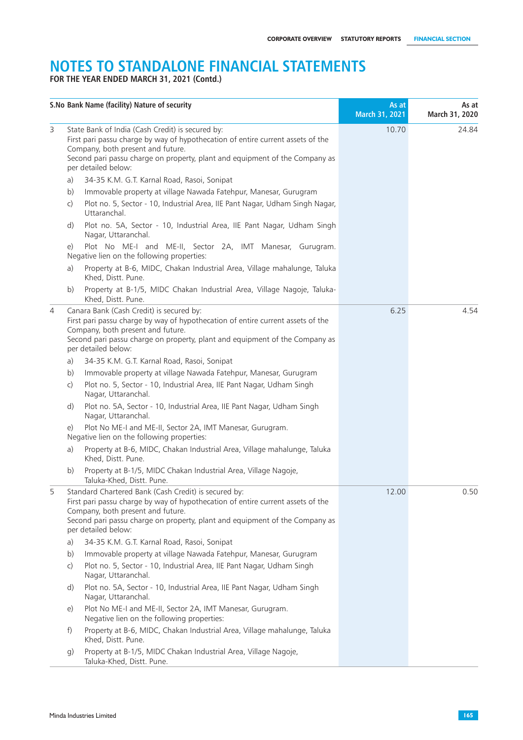|   |              | S.No Bank Name (facility) Nature of security                                                                                                                                                                                                                                       | As at<br>March 31, 2021 | As at<br>March 31, 2020 |
|---|--------------|------------------------------------------------------------------------------------------------------------------------------------------------------------------------------------------------------------------------------------------------------------------------------------|-------------------------|-------------------------|
| 3 |              | State Bank of India (Cash Credit) is secured by:<br>First pari passu charge by way of hypothecation of entire current assets of the<br>Company, both present and future.<br>Second pari passu charge on property, plant and equipment of the Company as<br>per detailed below:     | 10.70                   | 24.84                   |
|   | a)           | 34-35 K.M. G.T. Karnal Road, Rasoi, Sonipat                                                                                                                                                                                                                                        |                         |                         |
|   | b)           | Immovable property at village Nawada Fatehpur, Manesar, Gurugram                                                                                                                                                                                                                   |                         |                         |
|   | $\mathsf{C}$ | Plot no. 5, Sector - 10, Industrial Area, IIE Pant Nagar, Udham Singh Nagar,<br>Uttaranchal.                                                                                                                                                                                       |                         |                         |
|   | d)           | Plot no. 5A, Sector - 10, Industrial Area, IIE Pant Nagar, Udham Singh<br>Nagar, Uttaranchal.                                                                                                                                                                                      |                         |                         |
|   | e)           | Plot No ME-I and ME-II, Sector 2A, IMT Manesar, Gurugram.<br>Negative lien on the following properties:                                                                                                                                                                            |                         |                         |
|   | a)           | Property at B-6, MIDC, Chakan Industrial Area, Village mahalunge, Taluka<br>Khed, Distt. Pune.                                                                                                                                                                                     |                         |                         |
|   | b)           | Property at B-1/5, MIDC Chakan Industrial Area, Village Nagoje, Taluka-<br>Khed, Distt. Pune.                                                                                                                                                                                      |                         |                         |
| 4 |              | Canara Bank (Cash Credit) is secured by:<br>First pari passu charge by way of hypothecation of entire current assets of the<br>Company, both present and future.<br>Second pari passu charge on property, plant and equipment of the Company as<br>per detailed below:             | 6.25                    | 4.54                    |
|   | a)           | 34-35 K.M. G.T. Karnal Road, Rasoi, Sonipat                                                                                                                                                                                                                                        |                         |                         |
|   | b)           | Immovable property at village Nawada Fatehpur, Manesar, Gurugram                                                                                                                                                                                                                   |                         |                         |
|   | $\mathsf{C}$ | Plot no. 5, Sector - 10, Industrial Area, IIE Pant Nagar, Udham Singh<br>Nagar, Uttaranchal.                                                                                                                                                                                       |                         |                         |
|   | d)           | Plot no. 5A, Sector - 10, Industrial Area, IIE Pant Nagar, Udham Singh<br>Nagar, Uttaranchal.                                                                                                                                                                                      |                         |                         |
|   | e)           | Plot No ME-I and ME-II, Sector 2A, IMT Manesar, Gurugram.<br>Negative lien on the following properties:                                                                                                                                                                            |                         |                         |
|   | a)           | Property at B-6, MIDC, Chakan Industrial Area, Village mahalunge, Taluka<br>Khed, Distt. Pune.                                                                                                                                                                                     |                         |                         |
|   | b)           | Property at B-1/5, MIDC Chakan Industrial Area, Village Nagoje,<br>Taluka-Khed, Distt. Pune.                                                                                                                                                                                       |                         |                         |
|   |              | Standard Chartered Bank (Cash Credit) is secured by:<br>First pari passu charge by way of hypothecation of entire current assets of the<br>Company, both present and future.<br>Second pari passu charge on property, plant and equipment of the Company as<br>per detailed below: | 12.00                   | 0.50                    |
|   | a)           | 34-35 K.M. G.T. Karnal Road, Rasoi, Sonipat                                                                                                                                                                                                                                        |                         |                         |
|   | b)           | Immovable property at village Nawada Fatehpur, Manesar, Gurugram                                                                                                                                                                                                                   |                         |                         |
|   | $\mathsf{C}$ | Plot no. 5, Sector - 10, Industrial Area, IIE Pant Nagar, Udham Singh<br>Nagar, Uttaranchal.                                                                                                                                                                                       |                         |                         |
|   | d)           | Plot no. 5A, Sector - 10, Industrial Area, IIE Pant Nagar, Udham Singh<br>Nagar, Uttaranchal.                                                                                                                                                                                      |                         |                         |
|   | e)           | Plot No ME-I and ME-II, Sector 2A, IMT Manesar, Gurugram.<br>Negative lien on the following properties:                                                                                                                                                                            |                         |                         |
|   | f)           | Property at B-6, MIDC, Chakan Industrial Area, Village mahalunge, Taluka<br>Khed, Distt. Pune.                                                                                                                                                                                     |                         |                         |
|   | g)           | Property at B-1/5, MIDC Chakan Industrial Area, Village Nagoje,<br>Taluka-Khed, Distt. Pune.                                                                                                                                                                                       |                         |                         |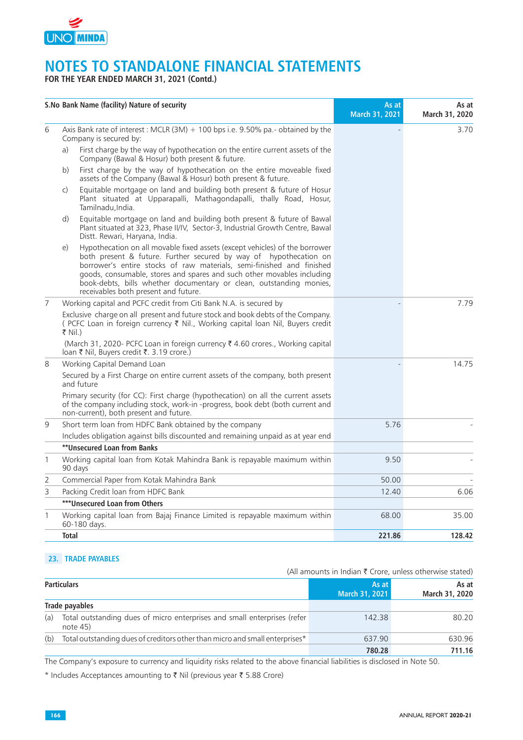

**FOR THE YEAR ENDED MARCH 31, 2021 (Contd.)**

|                |              | S. No Bank Name (facility) Nature of security                                                                                                                                                                                                                                                                                                                                                                      | As at<br>March 31, 2021 | As at<br>March 31, 2020 |
|----------------|--------------|--------------------------------------------------------------------------------------------------------------------------------------------------------------------------------------------------------------------------------------------------------------------------------------------------------------------------------------------------------------------------------------------------------------------|-------------------------|-------------------------|
| 6              |              | Axis Bank rate of interest: MCLR (3M) + 100 bps i.e. 9.50% pa.- obtained by the<br>Company is secured by:                                                                                                                                                                                                                                                                                                          |                         | 3.70                    |
|                | a)           | First charge by the way of hypothecation on the entire current assets of the<br>Company (Bawal & Hosur) both present & future.                                                                                                                                                                                                                                                                                     |                         |                         |
|                | b)           | First charge by the way of hypothecation on the entire moveable fixed<br>assets of the Company (Bawal & Hosur) both present & future.                                                                                                                                                                                                                                                                              |                         |                         |
|                | $\mathsf{C}$ | Equitable mortgage on land and building both present & future of Hosur<br>Plant situated at Upparapalli, Mathagondapalli, thally Road, Hosur,<br>Tamilnadu.India.                                                                                                                                                                                                                                                  |                         |                         |
|                | d)           | Equitable mortgage on land and building both present & future of Bawal<br>Plant situated at 323, Phase II/IV, Sector-3, Industrial Growth Centre, Bawal<br>Distt. Rewari, Haryana, India.                                                                                                                                                                                                                          |                         |                         |
|                | e)           | Hypothecation on all movable fixed assets (except vehicles) of the borrower<br>both present & future. Further secured by way of hypothecation on<br>borrower's entire stocks of raw materials, semi-finished and finished<br>goods, consumable, stores and spares and such other movables including<br>book-debts, bills whether documentary or clean, outstanding monies,<br>receivables both present and future. |                         |                         |
| $\overline{7}$ |              | Working capital and PCFC credit from Citi Bank N.A. is secured by                                                                                                                                                                                                                                                                                                                                                  |                         | 7.79                    |
|                | ₹ Nil. $)$   | Exclusive charge on all present and future stock and book debts of the Company.<br>(PCFC Loan in foreign currency ₹ Nil., Working capital loan Nil, Buyers credit                                                                                                                                                                                                                                                  |                         |                         |
|                |              | (March 31, 2020- PCFC Loan in foreign currency ₹ 4.60 crores., Working capital<br>loan ₹ Nil, Buyers credit ₹. 3.19 crore.)                                                                                                                                                                                                                                                                                        |                         |                         |
| 8              |              | Working Capital Demand Loan                                                                                                                                                                                                                                                                                                                                                                                        |                         | 14.75                   |
|                |              | Secured by a First Charge on entire current assets of the company, both present<br>and future                                                                                                                                                                                                                                                                                                                      |                         |                         |
|                |              | Primary security (for CC): First charge (hypothecation) on all the current assets<br>of the company including stock, work-in -progress, book debt (both current and<br>non-current), both present and future.                                                                                                                                                                                                      |                         |                         |
| 9              |              | Short term loan from HDFC Bank obtained by the company                                                                                                                                                                                                                                                                                                                                                             | 5.76                    |                         |
|                |              | Includes obligation against bills discounted and remaining unpaid as at year end                                                                                                                                                                                                                                                                                                                                   |                         |                         |
|                |              | **Unsecured Loan from Banks                                                                                                                                                                                                                                                                                                                                                                                        |                         |                         |
| $\mathbf{1}$   |              | Working capital loan from Kotak Mahindra Bank is repayable maximum within<br>90 days                                                                                                                                                                                                                                                                                                                               | 9.50                    |                         |
| 2              |              | Commercial Paper from Kotak Mahindra Bank                                                                                                                                                                                                                                                                                                                                                                          | 50.00                   |                         |
| 3              |              | Packing Credit loan from HDFC Bank                                                                                                                                                                                                                                                                                                                                                                                 | 12.40                   | 6.06                    |
|                |              | ***Unsecured Loan from Others                                                                                                                                                                                                                                                                                                                                                                                      |                         |                         |
| $\mathbf{1}$   |              | Working capital loan from Bajaj Finance Limited is repayable maximum within<br>60-180 days.                                                                                                                                                                                                                                                                                                                        | 68.00                   | 35.00                   |
|                | <b>Total</b> |                                                                                                                                                                                                                                                                                                                                                                                                                    | 221.86                  | 128.42                  |

### **23. TRADE PAYABLES**

(All amounts in Indian  $\bar{\tau}$  Crore, unless otherwise stated)

|     | <b>Particulars</b>                                                                     | As at<br>March 31, 2021 | As at<br>March 31, 2020 |
|-----|----------------------------------------------------------------------------------------|-------------------------|-------------------------|
|     | Trade payables                                                                         |                         |                         |
| (a) | Total outstanding dues of micro enterprises and small enterprises (refer<br>note $45)$ | 142.38                  | 80.20                   |
| (b) | Total outstanding dues of creditors other than micro and small enterprises*            | 637.90                  | 630.96                  |
|     |                                                                                        | 780.28                  | 711.16                  |

The Company's exposure to currency and liquidity risks related to the above financial liabilities is disclosed in Note 50.

\* Includes Acceptances amounting to  $\bar{\tau}$  Nil (previous year  $\bar{\tau}$  5.88 Crore)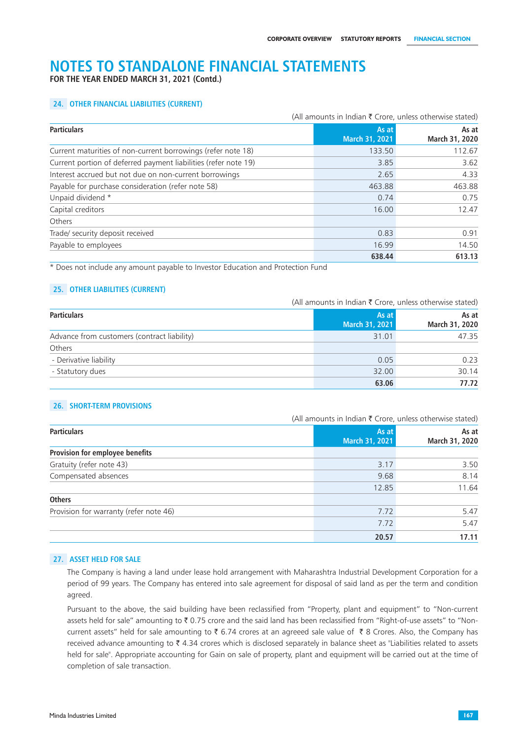**FOR THE YEAR ENDED MARCH 31, 2021 (Contd.)**

### **24. OTHER FINANCIAL LIABILITIES (CURRENT)**

|                                                                 | (All amounts in Indian $\bar{\tau}$ Crore, unless otherwise stated) |
|-----------------------------------------------------------------|---------------------------------------------------------------------|
| <b>Particulars</b>                                              | As at<br>As at<br>March 31, 2021<br>March 31, 2020                  |
| Current maturities of non-current borrowings (refer note 18)    | 112.67<br>133.50                                                    |
| Current portion of deferred payment liabilities (refer note 19) | 3.62<br>3.85                                                        |
| Interest accrued but not due on non-current borrowings          | 4.33<br>2.65                                                        |
| Payable for purchase consideration (refer note 58)              | 463.88<br>463.88                                                    |
| Unpaid dividend *                                               | 0.75<br>0.74                                                        |
| Capital creditors                                               | 12.47<br>16.00                                                      |
| Others                                                          |                                                                     |
| Trade/ security deposit received                                | 0.91<br>0.83                                                        |
| Payable to employees                                            | 14.50<br>16.99                                                      |
|                                                                 | 613.13<br>638.44                                                    |

\* Does not include any amount payable to Investor Education and Protection Fund

### **25. OTHER LIABILITIES (CURRENT)**

|                                             | (All amounts in Indian ₹ Crore, unless otherwise stated) |                         |
|---------------------------------------------|----------------------------------------------------------|-------------------------|
| <b>Particulars</b>                          | As at<br>March 31, 2021                                  | As at<br>March 31, 2020 |
| Advance from customers (contract liability) | 31.01                                                    | 47.35                   |
| Others                                      |                                                          |                         |
| - Derivative liability                      | 0.05                                                     | 0.23                    |
| - Statutory dues                            | 32.00                                                    | 30.14                   |
|                                             | 63.06                                                    | 77.72                   |

#### **26. SHORT-TERM PROVISIONS**

|                                                                 |       | (All amounts in Indian ₹ Crore, unless otherwise stated) |  |
|-----------------------------------------------------------------|-------|----------------------------------------------------------|--|
| <b>Particulars</b><br>As at<br>March 31, 2021<br>March 31, 2020 |       |                                                          |  |
| Provision for employee benefits                                 |       |                                                          |  |
| Gratuity (refer note 43)                                        | 3.17  | 3.50                                                     |  |
| Compensated absences                                            | 9.68  | 8.14                                                     |  |
|                                                                 | 12.85 | 11.64                                                    |  |
| <b>Others</b>                                                   |       |                                                          |  |
| Provision for warranty (refer note 46)                          | 7.72  | 5.47                                                     |  |
|                                                                 | 7.72  | 5.47                                                     |  |
|                                                                 | 20.57 | 17.11                                                    |  |

#### **27. ASSET HELD FOR SALE**

The Company is having a land under lease hold arrangement with Maharashtra Industrial Development Corporation for a period of 99 years. The Company has entered into sale agreement for disposal of said land as per the term and condition agreed.

Pursuant to the above, the said building have been reclassified from "Property, plant and equipment" to "Non-current assets held for sale" amounting to ₹ 0.75 crore and the said land has been reclassified from "Right-of-use assets" to "Noncurrent assets" held for sale amounting to  $\bar{z}$  6.74 crores at an agreeed sale value of  $\bar{z}$  8 Crores. Also, the Company has received advance amounting to  $\bar{\tau}$  4.34 crores which is disclosed separately in balance sheet as "Liabilities related to assets held for sale". Appropriate accounting for Gain on sale of property, plant and equipment will be carried out at the time of completion of sale transaction.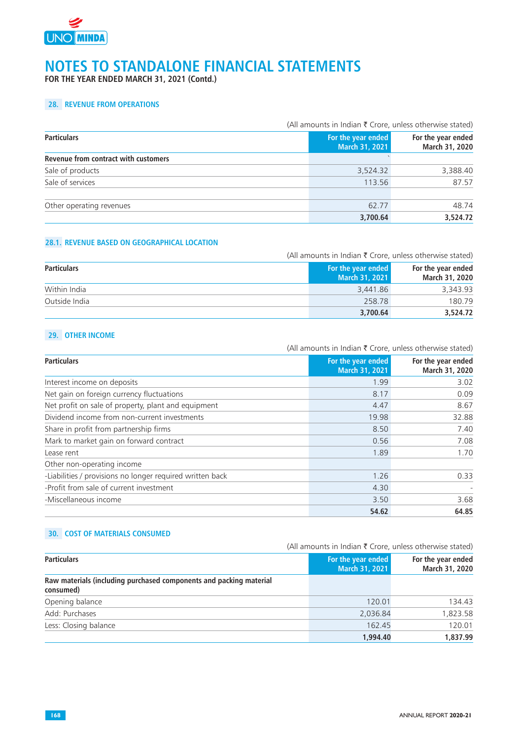

**FOR THE YEAR ENDED MARCH 31, 2021 (Contd.)**

### **28. REVENUE FROM OPERATIONS**

|                                      | (All amounts in Indian $\bar{\tau}$ Crore, unless otherwise stated) |                                      |
|--------------------------------------|---------------------------------------------------------------------|--------------------------------------|
| <b>Particulars</b>                   | For the year ended<br><b>March 31, 2021</b>                         | For the year ended<br>March 31, 2020 |
| Revenue from contract with customers |                                                                     |                                      |
| Sale of products                     | 3,524.32                                                            | 3,388.40                             |
| Sale of services                     | 113.56                                                              | 87.57                                |
| Other operating revenues             | 62.77                                                               | 48.74                                |
|                                      | 3,700.64                                                            | 3.524.72                             |

### **28.1. REVENUE BASED ON GEOGRAPHICAL LOCATION**

|                                                                                                    | (All amounts in Indian $\bar{\tau}$ Crore, unless otherwise stated) |          |
|----------------------------------------------------------------------------------------------------|---------------------------------------------------------------------|----------|
| For the year ended<br><b>Particulars</b><br>For the year ended<br>March 31, 2021<br>March 31, 2020 |                                                                     |          |
| Within India                                                                                       | 3,441.86                                                            | 3,343.93 |
| Outside India                                                                                      | 258.78                                                              | 180.79   |
|                                                                                                    | 3,700.64                                                            | 3.524.72 |

## **29. OTHER INCOME**

|                                                           | (All amounts in Indian ₹ Crore, unless otherwise stated) |                                      |
|-----------------------------------------------------------|----------------------------------------------------------|--------------------------------------|
| <b>Particulars</b>                                        | For the year ended<br><b>March 31, 2021</b>              | For the year ended<br>March 31, 2020 |
| Interest income on deposits                               | 1.99                                                     | 3.02                                 |
| Net gain on foreign currency fluctuations                 | 8.17                                                     | 0.09                                 |
| Net profit on sale of property, plant and equipment       | 4.47                                                     | 8.67                                 |
| Dividend income from non-current investments              | 19.98                                                    | 32.88                                |
| Share in profit from partnership firms                    | 8.50                                                     | 7.40                                 |
| Mark to market gain on forward contract                   | 0.56                                                     | 7.08                                 |
| Lease rent                                                | 1.89                                                     | 1.70                                 |
| Other non-operating income                                |                                                          |                                      |
| -Liabilities / provisions no longer required written back | 1.26                                                     | 0.33                                 |
| -Profit from sale of current investment                   | 4.30                                                     |                                      |
| -Miscellaneous income                                     | 3.50                                                     | 3.68                                 |
|                                                           | 54.62                                                    | 64.85                                |

### **30. COST OF MATERIALS CONSUMED**

|                                                                                 | (All amounts in Indian ₹ Crore, unless otherwise stated) |                                      |
|---------------------------------------------------------------------------------|----------------------------------------------------------|--------------------------------------|
| <b>Particulars</b>                                                              | For the year ended<br>March 31, 2021                     | For the year ended<br>March 31, 2020 |
| Raw materials (including purchased components and packing material<br>consumed) |                                                          |                                      |
| Opening balance                                                                 | 120.01                                                   | 134.43                               |
| Add: Purchases                                                                  | 2.036.84                                                 | 1,823.58                             |
| Less: Closing balance                                                           | 162.45                                                   | 120.01                               |
|                                                                                 | 1,994.40                                                 | 1,837.99                             |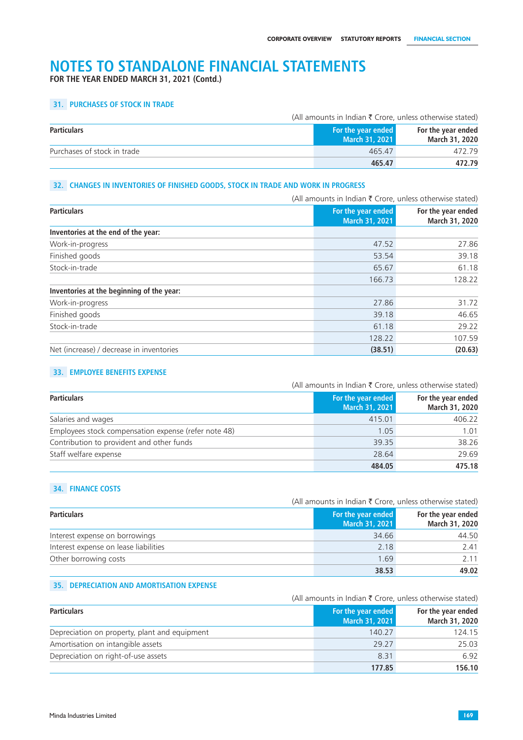**FOR THE YEAR ENDED MARCH 31, 2021 (Contd.)**

### **31. PURCHASES OF STOCK IN TRADE**

|                             | (All amounts in Indian $\bar{\tau}$ Crore, unless otherwise stated) |                                      |
|-----------------------------|---------------------------------------------------------------------|--------------------------------------|
| <b>Particulars</b>          | <b>For the year ended</b><br><b>March 31, 2021</b>                  | For the year ended<br>March 31, 2020 |
| Purchases of stock in trade | 465.47                                                              | 472.79                               |
|                             | 465.47                                                              | 472.79                               |

#### **32. CHANGES IN INVENTORIES OF FINISHED GOODS, STOCK IN TRADE AND WORK IN PROGRESS**

|                                     | (All amounts in Indian $\bar{\tau}$ Crore, unless otherwise stated) |                                      |
|-------------------------------------|---------------------------------------------------------------------|--------------------------------------|
| <b>Particulars</b>                  | <b>For the year ended</b><br>March 31, 2021                         | For the year ended<br>March 31, 2020 |
| Inventories at the end of the year: |                                                                     |                                      |
| $M = \frac{1}{2}$ $M = \frac{1}{2}$ | 17.5                                                                | 2700                                 |

| Work-in-progress                          | 47.52   | 27.86   |
|-------------------------------------------|---------|---------|
| Finished goods                            | 53.54   | 39.18   |
| Stock-in-trade                            | 65.67   | 61.18   |
|                                           | 166.73  | 128.22  |
| Inventories at the beginning of the year: |         |         |
| Work-in-progress                          | 27.86   | 31.72   |
| Finished goods                            | 39.18   | 46.65   |
| Stock-in-trade                            | 61.18   | 29.22   |
|                                           | 128.22  | 107.59  |
| Net (increase) / decrease in inventories  | (38.51) | (20.63) |

### **33. EMPLOYEE BENEFITS EXPENSE**

|                                                      | (All amounts in Indian $\bar{\tau}$ Crore, unless otherwise stated) |                                      |
|------------------------------------------------------|---------------------------------------------------------------------|--------------------------------------|
| <b>Particulars</b>                                   | For the year ended<br>March 31, 2021                                | For the year ended<br>March 31, 2020 |
| Salaries and wages                                   | 415.01                                                              | 406.22                               |
| Employees stock compensation expense (refer note 48) | 1.05                                                                | 1.01                                 |
| Contribution to provident and other funds            | 39.35                                                               | 38.26                                |
| Staff welfare expense                                | 28.64                                                               | 29.69                                |
|                                                      | 484.05                                                              | 475.18                               |

### **34. FINANCE COSTS**

|  |  |  |  |  |  |  | (All amounts in Indian ₹ Crore, unless otherwise stated) |  |
|--|--|--|--|--|--|--|----------------------------------------------------------|--|
|--|--|--|--|--|--|--|----------------------------------------------------------|--|

| <b>Particulars</b>                    | For the year ended<br>March 31, 2021 | For the year ended<br>March 31, 2020 |
|---------------------------------------|--------------------------------------|--------------------------------------|
| Interest expense on borrowings        | 34.66                                | 44.50                                |
| Interest expense on lease liabilities | 2.18                                 | 2.41                                 |
| Other borrowing costs                 | 1.69                                 | 2 1 1                                |
|                                       | 38.53                                | 49.02                                |

### **35. DEPRECIATION AND AMORTISATION EXPENSE**

|                                               | (All amounts in Indian $\bar{\tau}$ Crore, unless otherwise stated) |                                      |
|-----------------------------------------------|---------------------------------------------------------------------|--------------------------------------|
| <b>Particulars</b>                            | For the year ended<br><b>March 31, 2021</b>                         | For the year ended<br>March 31, 2020 |
| Depreciation on property, plant and equipment | 140.27                                                              | 124.15                               |
| Amortisation on intangible assets             | 29.27                                                               | 25.03                                |
| Depreciation on right-of-use assets           | 8.31                                                                | 6.92                                 |
|                                               | 177.85                                                              | 156.10                               |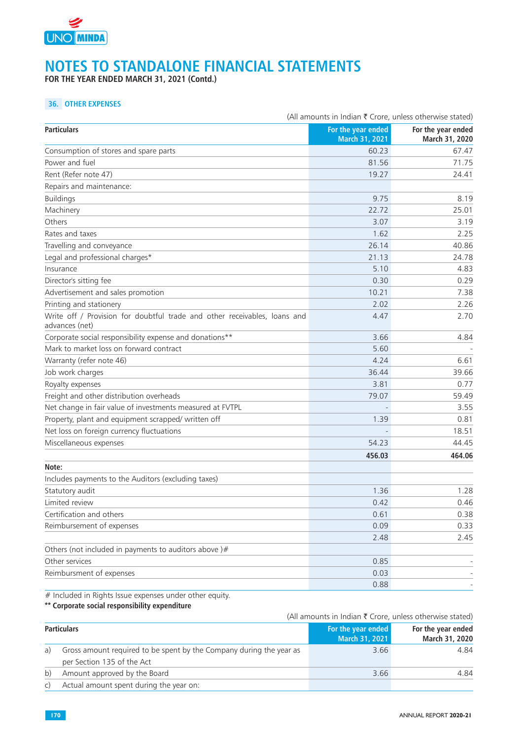

**FOR THE YEAR ENDED MARCH 31, 2021 (Contd.)**

## **36. OTHER EXPENSES**

|                                                                                             | (All amounts in Indian ₹ Crore, unless otherwise stated) |                                      |  |
|---------------------------------------------------------------------------------------------|----------------------------------------------------------|--------------------------------------|--|
| <b>Particulars</b>                                                                          | For the year ended<br><b>March 31, 2021</b>              | For the year ended<br>March 31, 2020 |  |
| Consumption of stores and spare parts                                                       | 60.23                                                    | 67.47                                |  |
| Power and fuel                                                                              | 81.56                                                    | 71.75                                |  |
| Rent (Refer note 47)                                                                        | 19.27                                                    | 24.41                                |  |
| Repairs and maintenance:                                                                    |                                                          |                                      |  |
| <b>Buildings</b>                                                                            | 9.75                                                     | 8.19                                 |  |
| Machinery                                                                                   | 22.72                                                    | 25.01                                |  |
| Others                                                                                      | 3.07                                                     | 3.19                                 |  |
| Rates and taxes                                                                             | 1.62                                                     | 2.25                                 |  |
| Travelling and conveyance                                                                   | 26.14                                                    | 40.86                                |  |
| Legal and professional charges*                                                             | 21.13                                                    | 24.78                                |  |
| Insurance                                                                                   | 5.10                                                     | 4.83                                 |  |
| Director's sitting fee                                                                      | 0.30                                                     | 0.29                                 |  |
| Advertisement and sales promotion                                                           | 10.21                                                    | 7.38                                 |  |
| Printing and stationery                                                                     | 2.02                                                     | 2.26                                 |  |
| Write off / Provision for doubtful trade and other receivables, loans and<br>advances (net) | 4.47                                                     | 2.70                                 |  |
| Corporate social responsibility expense and donations**                                     | 3.66                                                     | 4.84                                 |  |
| Mark to market loss on forward contract                                                     | 5.60                                                     |                                      |  |
| Warranty (refer note 46)                                                                    | 4.24                                                     | 6.61                                 |  |
| Job work charges                                                                            | 36.44                                                    | 39.66                                |  |
| Royalty expenses                                                                            | 3.81                                                     | 0.77                                 |  |
| Freight and other distribution overheads                                                    | 79.07                                                    | 59.49                                |  |
| Net change in fair value of investments measured at FVTPL                                   |                                                          | 3.55                                 |  |
| Property, plant and equipment scrapped/ written off                                         | 1.39                                                     | 0.81                                 |  |
| Net loss on foreign currency fluctuations                                                   |                                                          | 18.51                                |  |
| Miscellaneous expenses                                                                      | 54.23                                                    | 44.45                                |  |
|                                                                                             | 456.03                                                   | 464.06                               |  |
| Note:                                                                                       |                                                          |                                      |  |
| Includes payments to the Auditors (excluding taxes)                                         |                                                          |                                      |  |
| Statutory audit                                                                             | 1.36                                                     | 1.28                                 |  |
| Limited review                                                                              | 0.42                                                     | 0.46                                 |  |
| Certification and others                                                                    | 0.61                                                     | 0.38                                 |  |
| Reimbursement of expenses                                                                   | 0.09                                                     | 0.33                                 |  |
|                                                                                             | 2.48                                                     | 2.45                                 |  |
| Others (not included in payments to auditors above)#                                        |                                                          |                                      |  |
| Other services                                                                              | 0.85                                                     |                                      |  |
| Reimbursment of expenses                                                                    | 0.03                                                     |                                      |  |
|                                                                                             | 0.88                                                     |                                      |  |

# Included in Rights Issue expenses under other equity.

**\*\* Corporate social responsibility expenditure** 

|    |                                                                                                   | (All amounts in Indian $\bar{\tau}$ Crore, unless otherwise stated) |                                      |
|----|---------------------------------------------------------------------------------------------------|---------------------------------------------------------------------|--------------------------------------|
|    | <b>Particulars</b>                                                                                | For the year ended<br>March 31, 2021                                | For the year ended<br>March 31, 2020 |
| a) | Gross amount required to be spent by the Company during the year as<br>per Section 135 of the Act | 3.66                                                                | 4.84                                 |
| b) | Amount approved by the Board                                                                      | 3.66                                                                | 4.84                                 |
| C) | Actual amount spent during the year on:                                                           |                                                                     |                                      |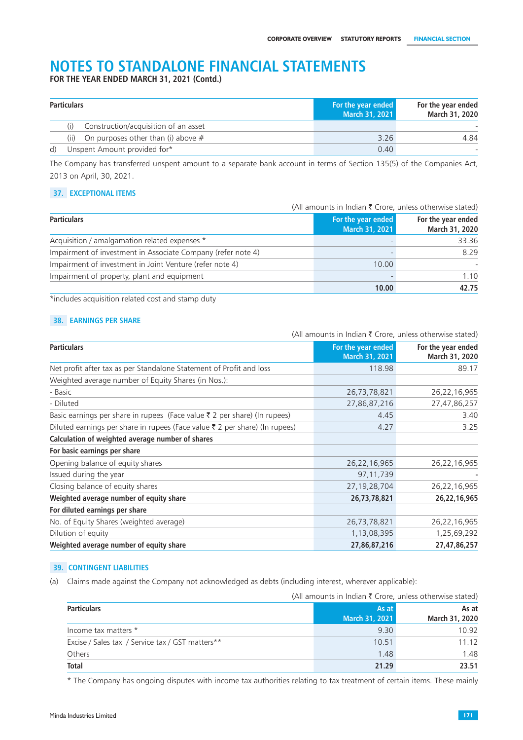**FOR THE YEAR ENDED MARCH 31, 2021 (Contd.)**

| <b>Particulars</b> |                                              | <b>For the year ended</b><br>March 31, 2021 | For the year ended<br>March 31, 2020 |
|--------------------|----------------------------------------------|---------------------------------------------|--------------------------------------|
|                    | Construction/acquisition of an asset         |                                             |                                      |
|                    | On purposes other than (i) above $#$<br>(ii) | 3.26                                        | 4.84                                 |
| d)                 | Unspent Amount provided for*                 | 0.40                                        |                                      |

The Company has transferred unspent amount to a separate bank account in terms of Section 135(5) of the Companies Act, 2013 on April, 30, 2021.

### **37. EXCEPTIONAL ITEMS**

(All amounts in Indian  $\bar{\tau}$  Crore, unless otherwise stated)

| <b>Particulars</b>                                           | For the year ended<br>March 31, 2021 | For the year ended<br>March 31, 2020 |
|--------------------------------------------------------------|--------------------------------------|--------------------------------------|
| Acquisition / amalgamation related expenses *                |                                      | 33.36                                |
| Impairment of investment in Associate Company (refer note 4) |                                      | 8.29                                 |
| Impairment of investment in Joint Venture (refer note 4)     | 10.00                                |                                      |
| Impairment of property, plant and equipment                  |                                      | 1.10                                 |
|                                                              | 10.00                                | 42.75                                |

\*includes acquisition related cost and stamp duty

#### **38. EARNINGS PER SHARE**

|                                                                                      | (All amounts in Indian $\bar{\tau}$ Crore, unless otherwise stated) |                                      |
|--------------------------------------------------------------------------------------|---------------------------------------------------------------------|--------------------------------------|
| <b>Particulars</b>                                                                   | For the year ended<br>March 31, 2021                                | For the year ended<br>March 31, 2020 |
| Net profit after tax as per Standalone Statement of Profit and loss                  | 118.98                                                              | 89.17                                |
| Weighted average number of Equity Shares (in Nos.):                                  |                                                                     |                                      |
| - Basic                                                                              | 26,73,78,821                                                        | 26,22,16,965                         |
| - Diluted                                                                            | 27,86,87,216                                                        | 27,47,86,257                         |
| Basic earnings per share in rupees (Face value $\bar{\tau}$ 2 per share) (In rupees) | 4.45                                                                | 3.40                                 |
| Diluted earnings per share in rupees (Face value ₹ 2 per share) (In rupees)          | 4.27                                                                | 3.25                                 |
| Calculation of weighted average number of shares                                     |                                                                     |                                      |
| For basic earnings per share                                                         |                                                                     |                                      |
| Opening balance of equity shares                                                     | 26,22,16,965                                                        | 26,22,16,965                         |
| Issued during the year                                                               | 97,11,739                                                           |                                      |
| Closing balance of equity shares                                                     | 27, 19, 28, 704                                                     | 26,22,16,965                         |
| Weighted average number of equity share                                              | 26,73,78,821                                                        | 26,22,16,965                         |
| For diluted earnings per share                                                       |                                                                     |                                      |
| No. of Equity Shares (weighted average)                                              | 26,73,78,821                                                        | 26,22,16,965                         |
| Dilution of equity                                                                   | 1,13,08,395                                                         | 1,25,69,292                          |
| Weighted average number of equity share                                              | 27,86,87,216                                                        | 27,47,86,257                         |

#### **39. CONTINGENT LIABILITIES**

(a) Claims made against the Company not acknowledged as debts (including interest, wherever applicable):

|                                                  |                         | (All amounts in Indian $\bar{\tau}$ Crore, unless otherwise stated) |
|--------------------------------------------------|-------------------------|---------------------------------------------------------------------|
| <b>Particulars</b>                               | As at<br>March 31, 2021 | As at<br>March 31, 2020                                             |
| Income tax matters *                             | 9.30                    | 10.92                                                               |
| Excise / Sales tax / Service tax / GST matters** | 10.51                   | 11.12                                                               |
| Others                                           | 1.48                    | 1.48                                                                |
| <b>Total</b>                                     | 21.29                   | 23.51                                                               |

\* The Company has ongoing disputes with income tax authorities relating to tax treatment of certain items. These mainly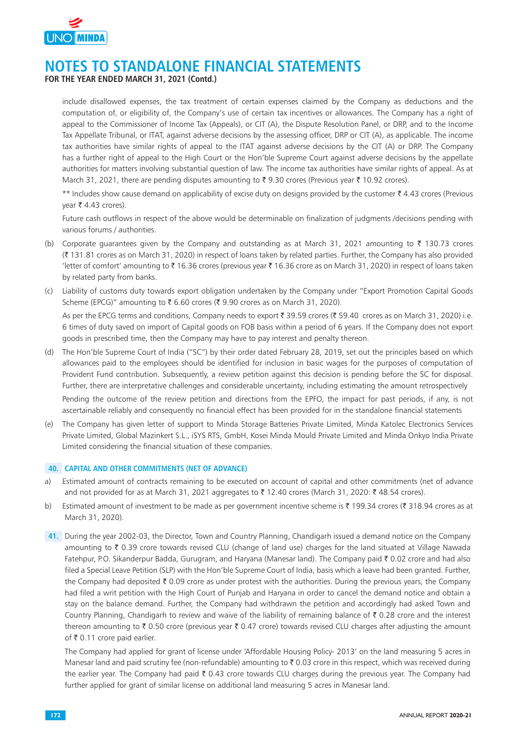

**FOR THE YEAR ENDED MARCH 31, 2021 (Contd.)**

include disallowed expenses, the tax treatment of certain expenses claimed by the Company as deductions and the computation of, or eligibility of, the Company's use of certain tax incentives or allowances. The Company has a right of appeal to the Commissioner of Income Tax (Appeals), or CIT (A), the Dispute Resolution Panel, or DRP, and to the Income Tax Appellate Tribunal, or ITAT, against adverse decisions by the assessing officer, DRP or CIT (A), as applicable. The income tax authorities have similar rights of appeal to the ITAT against adverse decisions by the CIT (A) or DRP. The Company has a further right of appeal to the High Court or the Hon'ble Supreme Court against adverse decisions by the appellate authorities for matters involving substantial question of law. The income tax authorities have similar rights of appeal. As at March 31, 2021, there are pending disputes amounting to  $\bar{\tau}$  9.30 crores (Previous year  $\bar{\tau}$  10.92 crores).

\*\* Includes show cause demand on applicability of excise duty on designs provided by the customer  $\bar{\zeta}$  4.43 crores (Previous vear  $\bar{\bar{\xi}}$  4.43 crores).

Future cash outflows in respect of the above would be determinable on finalization of judgments /decisions pending with various forums / authorities.

- (b) Corporate guarantees given by the Company and outstanding as at March 31, 2021 amounting to  $\bar{\tau}$  130.73 crores (` 131.81 crores as on March 31, 2020) in respect of loans taken by related parties. Further, the Company has also provided 'letter of comfort' amounting to  $\bar{z}$  16.36 crores (previous year  $\bar{z}$  16.36 crore as on March 31, 2020) in respect of loans taken by related party from banks.
- (c) Liability of customs duty towards export obligation undertaken by the Company under "Export Promotion Capital Goods Scheme (EPCG)" amounting to ₹ 6.60 crores (₹ 9.90 crores as on March 31, 2020).

As per the EPCG terms and conditions, Company needs to export  $\bar{\tau}$  39.59 crores ( $\bar{\tau}$  59.40 crores as on March 31, 2020) i.e. 6 times of duty saved on import of Capital goods on FOB basis within a period of 6 years. If the Company does not export goods in prescribed time, then the Company may have to pay interest and penalty thereon.

- (d) The Hon'ble Supreme Court of India ("SC") by their order dated February 28, 2019, set out the principles based on which allowances paid to the employees should be identified for inclusion in basic wages for the purposes of computation of Provident Fund contribution. Subsequently, a review petition against this decision is pending before the SC for disposal. Further, there are interpretative challenges and considerable uncertainty, including estimating the amount retrospectively Pending the outcome of the review petition and directions from the EPFO, the impact for past periods, if any, is not ascertainable reliably and consequently no financial effect has been provided for in the standalone financial statements
- (e) The Company has given letter of support to Minda Storage Batteries Private Limited, Minda Katolec Electronics Services Private Limited, Global Mazinkert S.L., iSYS RTS, GmbH, Kosei Minda Mould Private Limited and Minda Onkyo India Private Limited considering the financial situation of these companies.

#### **40. CAPITAL AND OTHER COMMITMENTS (NET OF ADVANCE)**

- a) Estimated amount of contracts remaining to be executed on account of capital and other commitments (net of advance and not provided for as at March 31, 2021 aggregates to  $\bar{\tau}$  12.40 crores (March 31, 2020:  $\bar{\tau}$  48.54 crores).
- b) Estimated amount of investment to be made as per government incentive scheme is  $\bar{\xi}$  199.34 crores ( $\bar{\xi}$  318.94 crores as at March 31, 2020).
- **41.** During the year 2002-03, the Director, Town and Country Planning, Chandigarh issued a demand notice on the Company amounting to  $\bar{\zeta}$  0.39 crore towards revised CLU (change of land use) charges for the land situated at Village Nawada Fatehpur, P.O. Sikanderpur Badda, Gurugram, and Haryana (Manesar land). The Company paid ₹ 0.02 crore and had also filed a Special Leave Petition (SLP) with the Hon'ble Supreme Court of India, basis which a leave had been granted. Further, the Company had deposited  $\bar{\tau}$  0.09 crore as under protest with the authorities. During the previous years, the Company had filed a writ petition with the High Court of Punjab and Haryana in order to cancel the demand notice and obtain a stay on the balance demand. Further, the Company had withdrawn the petition and accordingly had asked Town and Country Planning, Chandigarh to review and waive of the liability of remaining balance of  $\bar{\tau}$  0.28 crore and the interest thereon amounting to  $\bar{\tau}$  0.50 crore (previous year  $\bar{\tau}$  0.47 crore) towards revised CLU charges after adjusting the amount of  $\bar{\tau}$  0.11 crore paid earlier.

The Company had applied for grant of license under 'Affordable Housing Policy- 2013' on the land measuring 5 acres in Manesar land and paid scrutiny fee (non-refundable) amounting to  $\bar{\tau}$  0.03 crore in this respect, which was received during the earlier year. The Company had paid ₹ 0.43 crore towards CLU charges during the previous year. The Company had further applied for grant of similar license on additional land measuring 5 acres in Manesar land.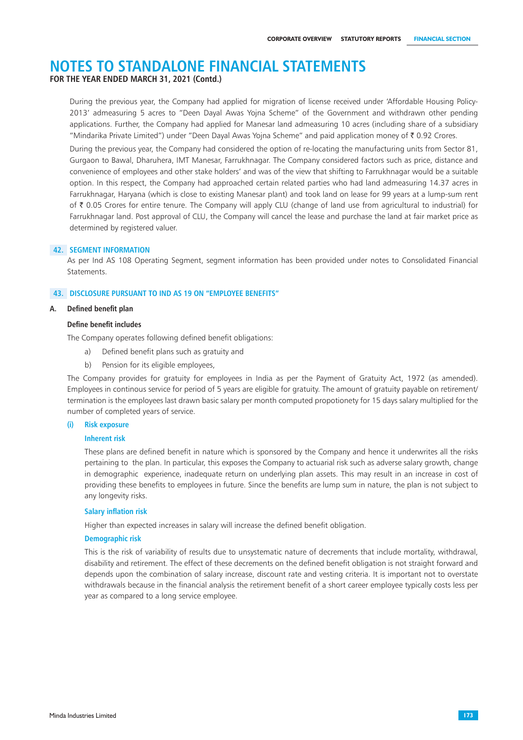**FOR THE YEAR ENDED MARCH 31, 2021 (Contd.)**

During the previous year, the Company had applied for migration of license received under 'Affordable Housing Policy-2013' admeasuring 5 acres to "Deen Dayal Awas Yojna Scheme" of the Government and withdrawn other pending applications. Further, the Company had applied for Manesar land admeasuring 10 acres (including share of a subsidiary "Mindarika Private Limited") under "Deen Dayal Awas Yojna Scheme" and paid application money of ₹ 0.92 Crores.

During the previous year, the Company had considered the option of re-locating the manufacturing units from Sector 81, Gurgaon to Bawal, Dharuhera, IMT Manesar, Farrukhnagar. The Company considered factors such as price, distance and convenience of employees and other stake holders' and was of the view that shifting to Farrukhnagar would be a suitable option. In this respect, the Company had approached certain related parties who had land admeasuring 14.37 acres in Farrukhnagar, Haryana (which is close to existing Manesar plant) and took land on lease for 99 years at a lump-sum rent of ` 0.05 Crores for entire tenure. The Company will apply CLU (change of land use from agricultural to industrial) for Farrukhnagar land. Post approval of CLU, the Company will cancel the lease and purchase the land at fair market price as determined by registered valuer.

#### **42. SEGMENT INFORMATION**

As per Ind AS 108 Operating Segment, segment information has been provided under notes to Consolidated Financial **Statements** 

#### **43. DISCLOSURE PURSUANT TO IND AS 19 ON "EMPLOYEE BENEFITS"**

#### **A. Defined benefit plan**

### **Define benefit includes**

The Company operates following defined benefit obligations:

- a) Defined benefit plans such as gratuity and
- b) Pension for its eligible employees,

The Company provides for gratuity for employees in India as per the Payment of Gratuity Act, 1972 (as amended). Employees in continous service for period of 5 years are eligible for gratuity. The amount of gratuity payable on retirement/ termination is the employees last drawn basic salary per month computed propotionety for 15 days salary multiplied for the number of completed years of service.

#### **(i) Risk exposure**

#### **Inherent risk**

These plans are defined benefit in nature which is sponsored by the Company and hence it underwrites all the risks pertaining to the plan. In particular, this exposes the Company to actuarial risk such as adverse salary growth, change in demographic experience, inadequate return on underlying plan assets. This may result in an increase in cost of providing these benefits to employees in future. Since the benefits are lump sum in nature, the plan is not subject to any longevity risks.

#### **Salary inflation risk**

Higher than expected increases in salary will increase the defined benefit obligation.

#### **Demographic risk**

This is the risk of variability of results due to unsystematic nature of decrements that include mortality, withdrawal, disability and retirement. The effect of these decrements on the defined benefit obligation is not straight forward and depends upon the combination of salary increase, discount rate and vesting criteria. It is important not to overstate withdrawals because in the financial analysis the retirement benefit of a short career employee typically costs less per year as compared to a long service employee.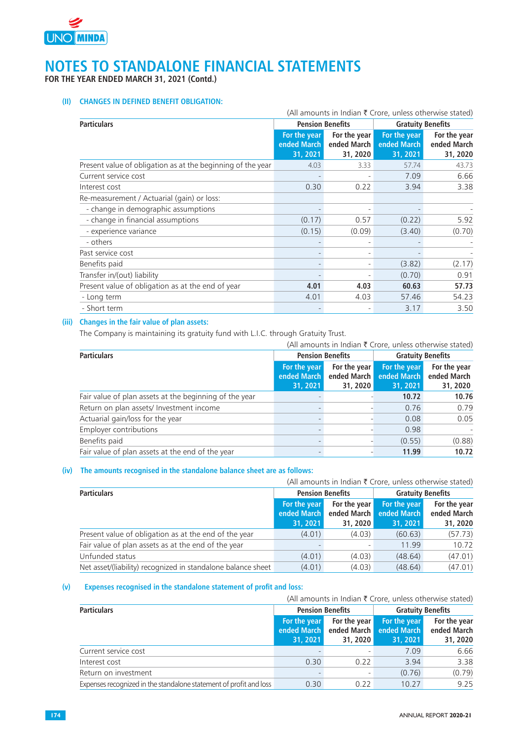

**FOR THE YEAR ENDED MARCH 31, 2021 (Contd.)**

#### **(II) CHANGES IN DEFINED BENEFIT OBLIGATION:**

|                                                             |                             |                             |                             | (All amounts in Indian ₹ Crore, unless otherwise stated) |  |
|-------------------------------------------------------------|-----------------------------|-----------------------------|-----------------------------|----------------------------------------------------------|--|
| <b>Particulars</b>                                          |                             | <b>Pension Benefits</b>     |                             | <b>Gratuity Benefits</b>                                 |  |
|                                                             | For the year<br>ended March | For the year<br>ended March | For the year<br>ended March | For the year<br>ended March                              |  |
|                                                             | 31, 2021                    | 31, 2020                    | 31, 2021                    | 31, 2020                                                 |  |
| Present value of obligation as at the beginning of the year | 4.03                        | 3.33                        | 57.74                       | 43.73                                                    |  |
| Current service cost                                        |                             |                             | 7.09                        | 6.66                                                     |  |
| Interest cost                                               | 0.30                        | 0.22                        | 3.94                        | 3.38                                                     |  |
| Re-measurement / Actuarial (gain) or loss:                  |                             |                             |                             |                                                          |  |
| - change in demographic assumptions                         |                             |                             |                             |                                                          |  |
| - change in financial assumptions                           | (0.17)                      | 0.57                        | (0.22)                      | 5.92                                                     |  |
| - experience variance                                       | (0.15)                      | (0.09)                      | (3.40)                      | (0.70)                                                   |  |
| - others                                                    |                             |                             |                             |                                                          |  |
| Past service cost                                           |                             |                             |                             |                                                          |  |
| Benefits paid                                               |                             |                             | (3.82)                      | (2.17)                                                   |  |
| Transfer in/(out) liability                                 |                             |                             | (0.70)                      | 0.91                                                     |  |
| Present value of obligation as at the end of year           | 4.01                        | 4.03                        | 60.63                       | 57.73                                                    |  |
| - Long term                                                 | 4.01                        | 4.03                        | 57.46                       | 54.23                                                    |  |
| - Short term                                                |                             |                             | 3.17                        | 3.50                                                     |  |

### **(iii) Changes in the fair value of plan assets:**

The Company is maintaining its gratuity fund with L.I.C. through Gratuity Trust.

|                                                        | (All amounts in Indian $\bar{\tau}$ Crore, unless otherwise stated) |                                         |                                         |                                         |
|--------------------------------------------------------|---------------------------------------------------------------------|-----------------------------------------|-----------------------------------------|-----------------------------------------|
| <b>Particulars</b>                                     |                                                                     | <b>Pension Benefits</b>                 | <b>Gratuity Benefits</b>                |                                         |
|                                                        | For the year<br>ended March<br>31, 2021                             | For the year<br>ended March<br>31, 2020 | For the year<br>ended March<br>31, 2021 | For the year<br>ended March<br>31, 2020 |
| Fair value of plan assets at the beginning of the year |                                                                     |                                         | 10.72                                   | 10.76                                   |
| Return on plan assets/ Investment income               |                                                                     |                                         | 0.76                                    | 0.79                                    |
| Actuarial gain/loss for the year                       |                                                                     |                                         | 0.08                                    | 0.05                                    |
| Employer contributions                                 |                                                                     |                                         | 0.98                                    |                                         |
| Benefits paid                                          |                                                                     |                                         | (0.55)                                  | (0.88)                                  |
| Fair value of plan assets at the end of the year       |                                                                     |                                         | 11.99                                   | 10.72                                   |

#### **(iv) The amounts recognised in the standalone balance sheet are as follows:**

|                                                              | (All amounts in Indian $\bar{\tau}$ Crore, unless otherwise stated) |                              |             |                              |
|--------------------------------------------------------------|---------------------------------------------------------------------|------------------------------|-------------|------------------------------|
| <b>Particulars</b>                                           |                                                                     | <b>Pension Benefits</b>      |             | <b>Gratuity Benefits</b>     |
|                                                              |                                                                     | For the year<br>For the year |             | For the year<br>For the year |
|                                                              | ended March                                                         | ended March                  | ended March | ended March                  |
|                                                              | 31, 2021                                                            | 31, 2020                     | 31, 2021    | 31, 2020                     |
| Present value of obligation as at the end of the year        | (4.01)                                                              | (4.03)                       | (60.63)     | (57.73)                      |
| Fair value of plan assets as at the end of the year          |                                                                     |                              | 11.99       | 10.72                        |
| Unfunded status                                              | (4.01)                                                              | (4.03)                       | (48.64)     | (47.01)                      |
| Net asset/(liability) recognized in standalone balance sheet | (4.01)                                                              | (4.03)                       | (48.64)     | (47.01)                      |

#### **(v) Expenses recognised in the standalone statement of profit and loss:**

| (All amounts in Indian $\bar{\tau}$ Crore, unless otherwise stated) |                             |              |                                         |                             |
|---------------------------------------------------------------------|-----------------------------|--------------|-----------------------------------------|-----------------------------|
| <b>Particulars</b>                                                  | <b>Pension Benefits</b>     |              | <b>Gratuity Benefits</b>                |                             |
|                                                                     | For the year<br>ended March | For the year | For the year<br>ended March ended March | For the year<br>ended March |
|                                                                     | 31, 2021                    | 31, 2020     | 31, 2021                                | 31, 2020                    |
| Current service cost                                                |                             |              | 7.09                                    | 6.66                        |
| Interest cost                                                       | 0.30                        | 0.22         | 3.94                                    | 3.38                        |
| Return on investment                                                |                             |              | (0.76)                                  | (0.79)                      |
| Expenses recognized in the standalone statement of profit and loss  | 0.30                        | 0.22         | 10.27                                   | 9.25                        |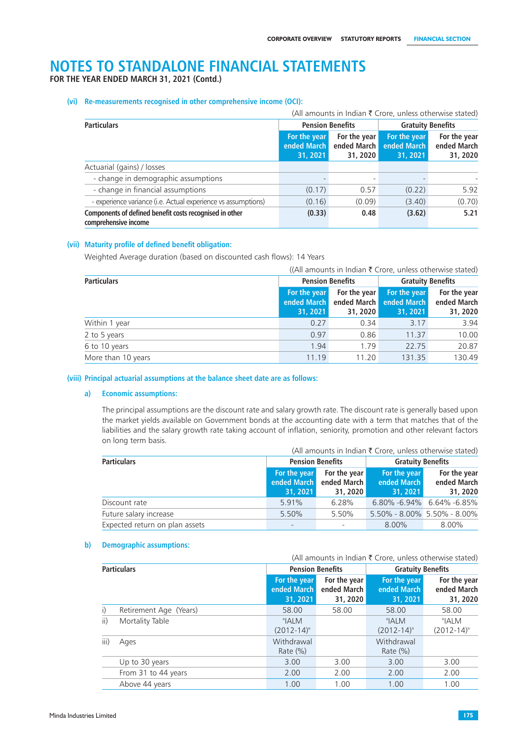**FOR THE YEAR ENDED MARCH 31, 2021 (Contd.)**

#### **(vi) Re-measurements recognised in other comprehensive income (OCI):**

| (All amounts in Indian $\bar{\tau}$ Crore, unless otherwise stated)             |                             |                             |                             |                             |
|---------------------------------------------------------------------------------|-----------------------------|-----------------------------|-----------------------------|-----------------------------|
| <b>Particulars</b>                                                              |                             | <b>Pension Benefits</b>     | <b>Gratuity Benefits</b>    |                             |
|                                                                                 | For the year<br>ended March | For the year<br>ended March | For the year<br>ended March | For the year<br>ended March |
|                                                                                 | 31, 2021                    | 31, 2020                    | 31, 2021                    | 31, 2020                    |
| Actuarial (gains) / losses                                                      |                             |                             |                             |                             |
| - change in demographic assumptions                                             |                             |                             |                             |                             |
| - change in financial assumptions                                               | (0.17)                      | 0.57                        | (0.22)                      | 5.92                        |
| - experience variance (i.e. Actual experience vs assumptions)                   | (0.16)                      | (0.09)                      | (3.40)                      | (0.70)                      |
| Components of defined benefit costs recognised in other<br>comprehensive income | (0.33)                      | 0.48                        | (3.62)                      | 5.21                        |

#### **(vii) Maturity profile of defined benefit obligation:**

Weighted Average duration (based on discounted cash flows): 14 Years

| ((All amounts in Indian $\bar{\tau}$ Crore, unless otherwise stated) |                                         |                                         |                                         |                                         |  |
|----------------------------------------------------------------------|-----------------------------------------|-----------------------------------------|-----------------------------------------|-----------------------------------------|--|
| <b>Particulars</b>                                                   | <b>Pension Benefits</b>                 |                                         |                                         | <b>Gratuity Benefits</b>                |  |
|                                                                      | For the year<br>ended March<br>31, 2021 | For the year<br>ended March<br>31, 2020 | For the year<br>ended March<br>31, 2021 | For the year<br>ended March<br>31, 2020 |  |
| Within 1 year                                                        | 0.27                                    | 0.34                                    | 3.17                                    | 3.94                                    |  |
| 2 to 5 years                                                         | 0.97                                    | 0.86                                    | 11.37                                   | 10.00                                   |  |
| 6 to 10 years                                                        | 1.94                                    | 1.79                                    | 22.75                                   | 20.87                                   |  |
| More than 10 years                                                   | 11.19                                   | 11.20                                   | 131.35                                  | 130.49                                  |  |

#### **(viii) Principal actuarial assumptions at the balance sheet date are as follows:**

#### **a) Economic assumptions:**

The principal assumptions are the discount rate and salary growth rate. The discount rate is generally based upon the market yields available on Government bonds at the accounting date with a term that matches that of the liabilities and the salary growth rate taking account of inflation, seniority, promotion and other relevant factors on long term basis. (All amounts in Indian  $\bar{x}$  Crore, unless otherwise stated)

|                                               | (All amounts in Indian $\zeta$ Crore, unless otherwise stated) |                                         |                                         |                                         |
|-----------------------------------------------|----------------------------------------------------------------|-----------------------------------------|-----------------------------------------|-----------------------------------------|
| <b>Particulars</b><br><b>Pension Benefits</b> |                                                                | <b>Gratuity Benefits</b>                |                                         |                                         |
|                                               | For the year<br>ended March<br>31, 2021                        | For the year<br>ended March<br>31, 2020 | For the year<br>ended March<br>31, 2021 | For the year<br>ended March<br>31, 2020 |
| Discount rate                                 | 5.91%                                                          | 6.28%                                   |                                         | $6.80\% - 6.94\% - 6.64\% - 6.85\%$     |
| Future salary increase                        | 5.50%                                                          | 5.50%                                   |                                         | $5.50\% - 8.00\% - 5.50\% - 8.00\%$     |
| Expected return on plan assets                |                                                                |                                         | 8.00%                                   | 8.00%                                   |

#### **b) Demographic assumptions:**

|      |                        | (All amounts in Indian $\bar{\tau}$ Crore, unless otherwise stated) |                                         |                                         |                                         |
|------|------------------------|---------------------------------------------------------------------|-----------------------------------------|-----------------------------------------|-----------------------------------------|
|      | <b>Particulars</b>     |                                                                     | <b>Pension Benefits</b>                 | <b>Gratuity Benefits</b>                |                                         |
|      |                        | For the year<br>ended March<br>31, 2021                             | For the year<br>ended March<br>31, 2020 | For the year<br>ended March<br>31, 2021 | For the year<br>ended March<br>31, 2020 |
| i)   | Retirement Age (Years) | 58.00                                                               | 58.00                                   | 58.00                                   | 58.00                                   |
| ii)  | Mortality Table        | "IALM<br>$(2012 - 14)$ "                                            |                                         | "IALM<br>$(2012 - 14)$ "                | "IALM<br>$(2012 - 14)$ "                |
| iii) | Ages                   | Withdrawal<br>Rate $(\%)$                                           |                                         | Withdrawal<br>Rate $(\%)$               |                                         |
|      | Up to 30 years         | 3.00                                                                | 3.00                                    | 3.00                                    | 3.00                                    |
|      | From 31 to 44 years    | 2.00                                                                | 2.00                                    | 2.00                                    | 2.00                                    |
|      | Above 44 years         | 1.00                                                                | 1.00                                    | 1.00                                    | 1.00                                    |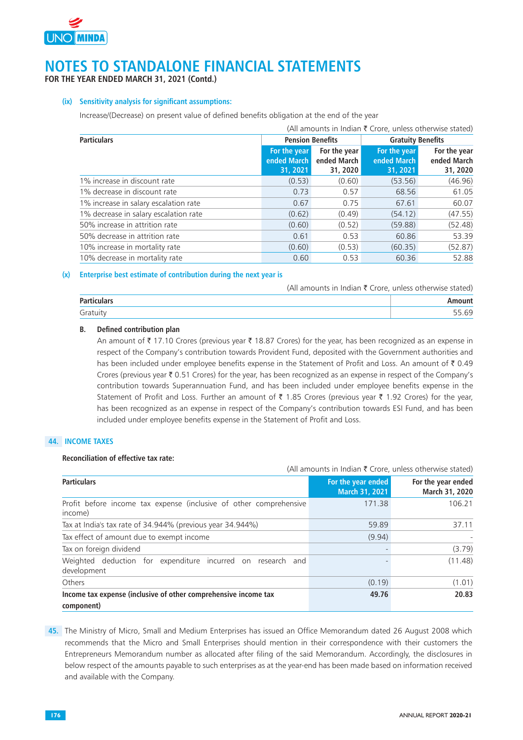

**FOR THE YEAR ENDED MARCH 31, 2021 (Contd.)**

#### **(ix) Sensitivity analysis for significant assumptions:**

Increase/(Decrease) on present value of defined benefits obligation at the end of the year

| (All amounts in Indian $\bar{\tau}$ Crore, unless otherwise stated) |                                         |                                         |                                         |                                         |
|---------------------------------------------------------------------|-----------------------------------------|-----------------------------------------|-----------------------------------------|-----------------------------------------|
| <b>Pension Benefits</b><br><b>Particulars</b>                       |                                         |                                         | <b>Gratuity Benefits</b>                |                                         |
|                                                                     | For the year<br>ended March<br>31, 2021 | For the year<br>ended March<br>31, 2020 | For the year<br>ended March<br>31, 2021 | For the year<br>ended March<br>31, 2020 |
| 1% increase in discount rate                                        | (0.53)                                  | (0.60)                                  | (53.56)                                 | (46.96)                                 |
| 1% decrease in discount rate                                        | 0.73                                    | 0.57                                    | 68.56                                   | 61.05                                   |
| 1% increase in salary escalation rate                               | 0.67                                    | 0.75                                    | 67.61                                   | 60.07                                   |
| 1% decrease in salary escalation rate                               | (0.62)                                  | (0.49)                                  | (54.12)                                 | (47.55)                                 |
| 50% increase in attrition rate                                      | (0.60)                                  | (0.52)                                  | (59.88)                                 | (52.48)                                 |
| 50% decrease in attrition rate                                      | 0.61                                    | 0.53                                    | 60.86                                   | 53.39                                   |
| 10% increase in mortality rate                                      | (0.60)                                  | (0.53)                                  | (60.35)                                 | (52.87)                                 |
| 10% decrease in mortality rate                                      | 0.60                                    | 0.53                                    | 60.36                                   | 52.88                                   |

#### **(x) Enterprise best estimate of contribution during the next year is**

| (All amounts in Indian $\bar{\tau}$ Crore, unless otherwise stated) |  |        |
|---------------------------------------------------------------------|--|--------|
| <b>Particulars</b>                                                  |  | Amount |
| Gratuity                                                            |  | 55.69  |

#### **B. Defined contribution plan**

An amount of  $\bar{\tau}$  17.10 Crores (previous year  $\bar{\tau}$  18.87 Crores) for the year, has been recognized as an expense in respect of the Company's contribution towards Provident Fund, deposited with the Government authorities and has been included under employee benefits expense in the Statement of Profit and Loss. An amount of  $\bar{\tau}$  0.49 Crores (previous year  $\bar{\tau}$  0.51 Crores) for the year, has been recognized as an expense in respect of the Company's contribution towards Superannuation Fund, and has been included under employee benefits expense in the Statement of Profit and Loss. Further an amount of  $\bar{\tau}$  1.85 Crores (previous year  $\bar{\tau}$  1.92 Crores) for the year, has been recognized as an expense in respect of the Company's contribution towards ESI Fund, and has been included under employee benefits expense in the Statement of Profit and Loss.

### **44. INCOME TAXES**

#### **Reconciliation of effective tax rate:**

|                                                                               | (All amounts in Indian $\bar{\tau}$ Crore, unless otherwise stated) |                                      |
|-------------------------------------------------------------------------------|---------------------------------------------------------------------|--------------------------------------|
| <b>Particulars</b>                                                            | For the year ended<br>March 31, 2021                                | For the year ended<br>March 31, 2020 |
| Profit before income tax expense (inclusive of other comprehensive<br>income) | 171.38                                                              | 106.21                               |
| Tax at India's tax rate of 34.944% (previous year 34.944%)                    | 59.89                                                               | 37.11                                |
| Tax effect of amount due to exempt income                                     | (9.94)                                                              |                                      |
| Tax on foreign dividend                                                       |                                                                     | (3.79)                               |
| Weighted deduction for expenditure incurred on research and<br>development    |                                                                     | (11.48)                              |
| Others                                                                        | (0.19)                                                              | (1.01)                               |
| Income tax expense (inclusive of other comprehensive income tax<br>component) | 49.76                                                               | 20.83                                |

**45.** The Ministry of Micro, Small and Medium Enterprises has issued an Office Memorandum dated 26 August 2008 which recommends that the Micro and Small Enterprises should mention in their correspondence with their customers the Entrepreneurs Memorandum number as allocated after filing of the said Memorandum. Accordingly, the disclosures in below respect of the amounts payable to such enterprises as at the year-end has been made based on information received and available with the Company.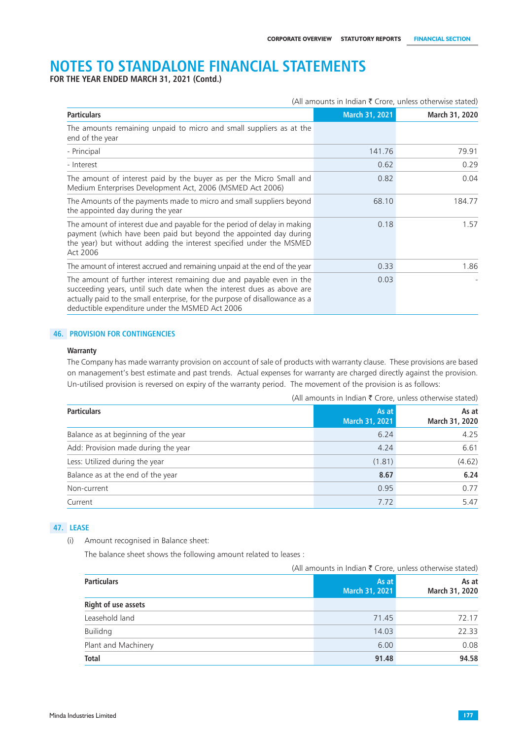**FOR THE YEAR ENDED MARCH 31, 2021 (Contd.)**

| (All amounts in Indian $\bar{\tau}$ Crore, unless otherwise stated)                                                                                                                                                                                                             |                |                |
|---------------------------------------------------------------------------------------------------------------------------------------------------------------------------------------------------------------------------------------------------------------------------------|----------------|----------------|
| <b>Particulars</b>                                                                                                                                                                                                                                                              | March 31, 2021 | March 31, 2020 |
| The amounts remaining unpaid to micro and small suppliers as at the<br>end of the year                                                                                                                                                                                          |                |                |
| - Principal                                                                                                                                                                                                                                                                     | 141.76         | 79.91          |
| - Interest                                                                                                                                                                                                                                                                      | 0.62           | 0.29           |
| The amount of interest paid by the buyer as per the Micro Small and<br>Medium Enterprises Development Act, 2006 (MSMED Act 2006)                                                                                                                                                | 0.82           | 0.04           |
| The Amounts of the payments made to micro and small suppliers beyond<br>the appointed day during the year                                                                                                                                                                       | 68.10          | 184.77         |
| The amount of interest due and payable for the period of delay in making<br>payment (which have been paid but beyond the appointed day during<br>the year) but without adding the interest specified under the MSMED<br>Act 2006                                                | 0.18           | 1.57           |
| The amount of interest accrued and remaining unpaid at the end of the year                                                                                                                                                                                                      | 0.33           | 1.86           |
| The amount of further interest remaining due and payable even in the<br>succeeding years, until such date when the interest dues as above are<br>actually paid to the small enterprise, for the purpose of disallowance as a<br>deductible expenditure under the MSMED Act 2006 | 0.03           |                |

### **46. PROVISION FOR CONTINGENCIES**

#### **Warranty**

The Company has made warranty provision on account of sale of products with warranty clause. These provisions are based on management's best estimate and past trends. Actual expenses for warranty are charged directly against the provision. Un-utilised provision is reversed on expiry of the warranty period. The movement of the provision is as follows:

|                                     | (All amounts in Indian $\bar{\tau}$ Crore, unless otherwise stated) |                         |
|-------------------------------------|---------------------------------------------------------------------|-------------------------|
| <b>Particulars</b>                  | As at<br>March 31, 2021                                             | As at<br>March 31, 2020 |
| Balance as at beginning of the year | 6.24                                                                | 4.25                    |
| Add: Provision made during the year | 4.24                                                                | 6.61                    |
| Less: Utilized during the year      | (1.81)                                                              | (4.62)                  |
| Balance as at the end of the year   | 8.67                                                                | 6.24                    |
| Non-current                         | 0.95                                                                | 0.77                    |
| Current                             | 7.72                                                                | 5.47                    |

### **47. LEASE**

(i) Amount recognised in Balance sheet:

The balance sheet shows the following amount related to leases :

|                     | (All amounts in Indian ₹ Crore, unless otherwise stated) |                         |
|---------------------|----------------------------------------------------------|-------------------------|
| <b>Particulars</b>  | As at<br><b>March 31, 2021</b>                           | As at<br>March 31, 2020 |
| Right of use assets |                                                          |                         |
| Leasehold land      | 71.45                                                    | 72.17                   |
| Builidng            | 14.03                                                    | 22.33                   |
| Plant and Machinery | 6.00                                                     | 0.08                    |
| <b>Total</b>        | 91.48                                                    | 94.58                   |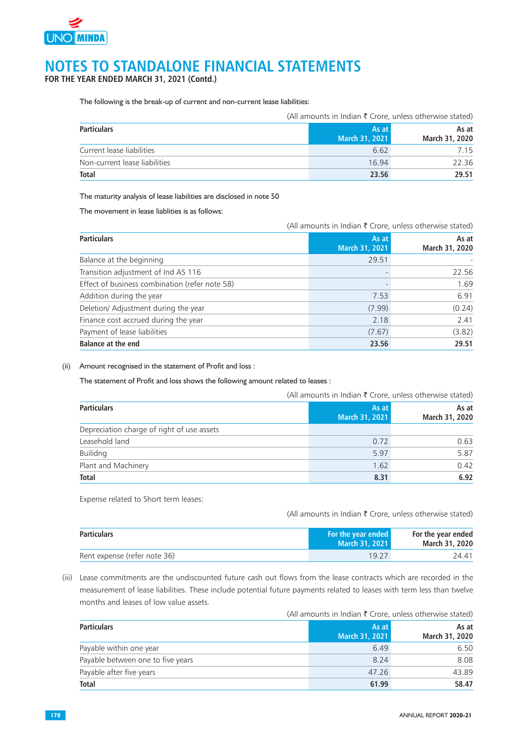

**FOR THE YEAR ENDED MARCH 31, 2021 (Contd.)**

The following is the break-up of current and non-current lease liabilities:

| (All amounts in Indian ₹ Crore, unless otherwise stated) |                         |                         |
|----------------------------------------------------------|-------------------------|-------------------------|
| <b>Particulars</b>                                       | As at<br>March 31, 2021 | As at<br>March 31, 2020 |
| Current lease liabilities                                | 6.62                    | 7.15                    |
| Non-current lease liabilities                            | 16.94                   | 22.36                   |
| <b>Total</b>                                             | 23.56                   | 29.51                   |

The maturity analysis of lease liabilities are disclosed in note 50

The movement in lease liablities is as follows:

|                                                |                         | (All amounts in Indian ₹ Crore, unless otherwise stated) |  |
|------------------------------------------------|-------------------------|----------------------------------------------------------|--|
| <b>Particulars</b>                             | As at<br>March 31, 2021 | As at<br>March 31, 2020                                  |  |
| Balance at the beginning                       | 29.51                   |                                                          |  |
| Transition adjustment of Ind AS 116            |                         | 22.56                                                    |  |
| Effect of business combination (refer note 58) |                         | 1.69                                                     |  |
| Addition during the year                       | 7.53                    | 6.91                                                     |  |
| Deletion/ Adjustment during the year           | (7.99)                  | (0.24)                                                   |  |
| Finance cost accrued during the year           | 2.18                    | 2.41                                                     |  |
| Payment of lease liabilities                   | (7.67)                  | (3.82)                                                   |  |
| <b>Balance at the end</b>                      | 23.56                   | 29.51                                                    |  |

#### (ii) Amount recognised in the statement of Profit and loss :

The statement of Profit and loss shows the following amount related to leases :

|                                            | (All amounts in Indian $\bar{\tau}$ Crore, unless otherwise stated) |                         |
|--------------------------------------------|---------------------------------------------------------------------|-------------------------|
| <b>Particulars</b>                         | As at<br>March 31, 2021                                             | As at<br>March 31, 2020 |
| Depreciation charge of right of use assets |                                                                     |                         |
| Leasehold land                             | 0.72                                                                | 0.63                    |
| <b>Builidng</b>                            | 5.97                                                                | 5.87                    |
| Plant and Machinery                        | 1.62                                                                | 0.42                    |
| <b>Total</b>                               | 8.31                                                                | 6.92                    |

Expense related to Short term leases:

(All amounts in Indian  $\bar{\tau}$  Crore, unless otherwise stated)

| <b>Particulars</b>           | <b>For the year ended</b><br>March 31, 2021 | For the year ended<br>March 31, 2020 |
|------------------------------|---------------------------------------------|--------------------------------------|
| Rent expense (refer note 36) | 19 27                                       | 24.41                                |

(iii) Lease commitments are the undiscounted future cash out flows from the lease contracts which are recorded in the measurement of lease liabilities. These include potential future payments related to leases with term less than twelve months and leases of low value assets.

| (All amounts in Indian ₹ Crore, unless otherwise stated) |  |
|----------------------------------------------------------|--|
|----------------------------------------------------------|--|

| <b>Particulars</b>                | As at          | As at          |
|-----------------------------------|----------------|----------------|
|                                   | March 31, 2021 | March 31, 2020 |
| Payable within one year           | 6.49           | 6.50           |
| Payable between one to five years | 8.24           | 8.08           |
| Payable after five years          | 47.26          | 43.89          |
| <b>Total</b>                      | 61.99          | 58.47          |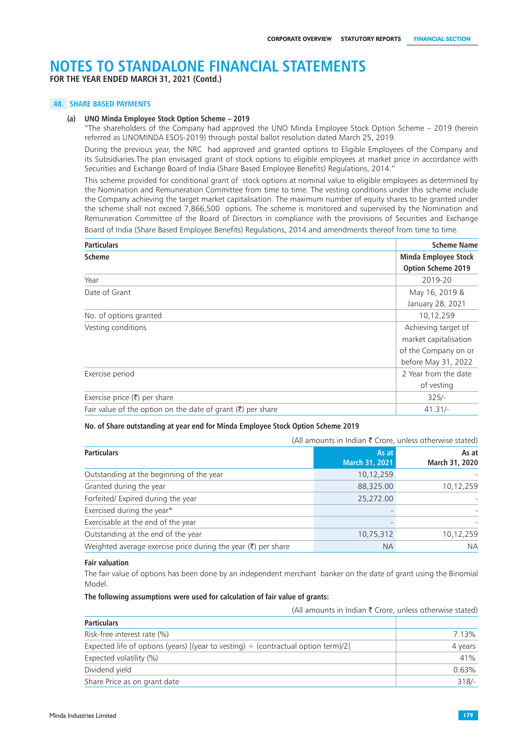**FOR THE YEAR ENDED MARCH 31, 2021 (Contd.)**

#### **48. SHARE BASED PAYMENTS**

#### **(a) UNO Minda Employee Stock Option Scheme – 2019**

"The shareholders of the Company had approved the UNO Minda Employee Stock Option Scheme – 2019 (herein referred as UNOMINDA ESOS-2019) through postal ballot resolution dated March 25, 2019.

During the previous year, the NRC had approved and granted options to Eligible Employees of the Company and its Subsidiaries.The plan envisaged grant of stock options to eligible employees at market price in accordance with Securities and Exchange Board of India (Share Based Employee Benefits) Regulations, 2014."

This scheme provided for conditional grant of stock options at nominal value to eligible employees as determined by the Nomination and Remuneration Committee from time to time. The vesting conditions under this scheme include the Company achieving the target market capitalisation. The maximum number of equity shares to be granted under the scheme shall not exceed 7,866,500 options. The scheme is monitored and supervised by the Nomination and Remuneration Committee of the Board of Directors in compliance with the provisions of Securities and Exchange

Board of India (Share Based Employee Benefits) Regulations, 2014 and amendments thereof from time to time.

| <b>Particulars</b>                                                  | <b>Scheme Name</b>          |
|---------------------------------------------------------------------|-----------------------------|
| <b>Scheme</b>                                                       | <b>Minda Employee Stock</b> |
|                                                                     | <b>Option Scheme 2019</b>   |
| Year                                                                | 2019-20                     |
| Date of Grant                                                       | May 16, 2019 &              |
|                                                                     | January 28, 2021            |
| No. of options granted                                              | 10,12,259                   |
| Vesting conditions                                                  | Achieving target of         |
|                                                                     | market capitalisation       |
|                                                                     | of the Company on or        |
|                                                                     | before May 31, 2022         |
| Exercise period                                                     | 2 Year from the date        |
|                                                                     | of vesting                  |
| Exercise price $(\overline{\tau})$ per share                        | $325/-$                     |
| Fair value of the option on the date of grant $(\bar{x})$ per share | $41.31/-$                   |

#### **No. of Share outstanding at year end for Minda Employee Stock Option Scheme 2019**

(All amounts in Indian  $\bar{\xi}$  Crore, unless otherwise stated) **Particulars As at March 31, 2021 As at March 31, 2020** Outstanding at the beginning of the year 10,12,259 - 10,12,259 Granted during the year **88,325.00** 10,12,259 Forfeited/ Expired during the year 25,272.00 Exercised during the year\*  $-$ Exercisable at the end of the year - - Outstanding at the end of the year 10,12,259

#### **Fair valuation**

The fair value of options has been done by an independent merchant banker on the date of grant using the Binomial Model.

Weighted average exercise price during the year  $(\vec{\tau})$  per share NA NA NA NA NA

#### **The following assumptions were used for calculation of fair value of grants:**

| (All amounts in Indian ₹ Crore, unless otherwise stated) |  |
|----------------------------------------------------------|--|
|----------------------------------------------------------|--|

| <b>Particulars</b>                                                                   |         |
|--------------------------------------------------------------------------------------|---------|
| Risk-free interest rate (%)                                                          | 7.13%   |
| Expected life of options (years) [(year to vesting) $+$ (contractual option term)/2] | 4 years |
| Expected volatility (%)                                                              | 41%     |
| Dividend yield                                                                       | 0.63%   |
| Share Price as on grant date                                                         | $318/-$ |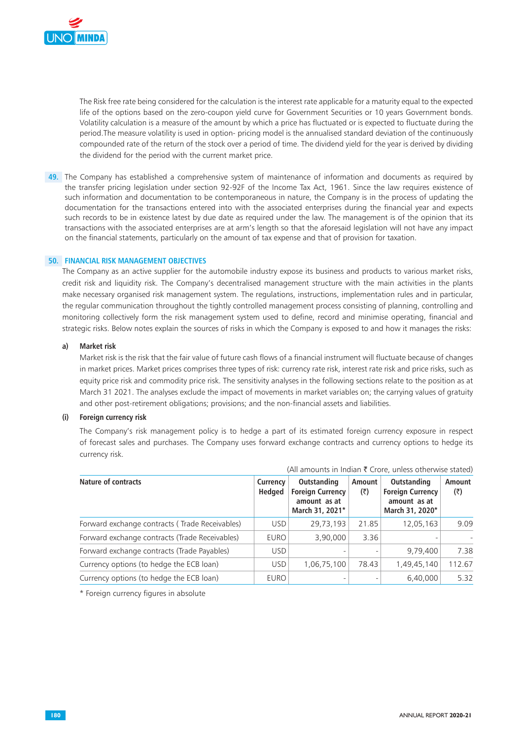

The Risk free rate being considered for the calculation is the interest rate applicable for a maturity equal to the expected life of the options based on the zero-coupon yield curve for Government Securities or 10 years Government bonds. Volatility calculation is a measure of the amount by which a price has fluctuated or is expected to fluctuate during the period.The measure volatility is used in option- pricing model is the annualised standard deviation of the continuously compounded rate of the return of the stock over a period of time. The dividend yield for the year is derived by dividing the dividend for the period with the current market price.

**49.** The Company has established a comprehensive system of maintenance of information and documents as required by the transfer pricing legislation under section 92-92F of the Income Tax Act, 1961. Since the law requires existence of such information and documentation to be contemporaneous in nature, the Company is in the process of updating the documentation for the transactions entered into with the associated enterprises during the financial year and expects such records to be in existence latest by due date as required under the law. The management is of the opinion that its transactions with the associated enterprises are at arm's length so that the aforesaid legislation will not have any impact on the financial statements, particularly on the amount of tax expense and that of provision for taxation.

#### **50. FINANCIAL RISK MANAGEMENT OBJECTIVES**

The Company as an active supplier for the automobile industry expose its business and products to various market risks, credit risk and liquidity risk. The Company's decentralised management structure with the main activities in the plants make necessary organised risk management system. The regulations, instructions, implementation rules and in particular, the regular communication throughout the tightly controlled management process consisting of planning, controlling and monitoring collectively form the risk management system used to define, record and minimise operating, financial and strategic risks. Below notes explain the sources of risks in which the Company is exposed to and how it manages the risks:

#### **a) Market risk**

Market risk is the risk that the fair value of future cash flows of a financial instrument will fluctuate because of changes in market prices. Market prices comprises three types of risk: currency rate risk, interest rate risk and price risks, such as equity price risk and commodity price risk. The sensitivity analyses in the following sections relate to the position as at March 31 2021. The analyses exclude the impact of movements in market variables on; the carrying values of gratuity and other post-retirement obligations; provisions; and the non-financial assets and liabilities.

#### **(i) Foreign currency risk**

The Company's risk management policy is to hedge a part of its estimated foreign currency exposure in respect of forecast sales and purchases. The Company uses forward exchange contracts and currency options to hedge its currency risk.

| <b>Nature of contracts</b>                     | Currency<br><b>Hedged</b> | Outstanding<br><b>Foreign Currency</b><br>amount as at<br>March 31, 2021* | <b>Amount</b><br>(₹) | Outstanding<br><b>Foreign Currency</b><br>amount as at<br>March 31, 2020* | <b>Amount</b><br>$(\overline{\zeta})$ |
|------------------------------------------------|---------------------------|---------------------------------------------------------------------------|----------------------|---------------------------------------------------------------------------|---------------------------------------|
| Forward exchange contracts (Trade Receivables) | <b>USD</b>                | 29,73,193                                                                 | 21.85                | 12,05,163                                                                 | 9.09                                  |
| Forward exchange contracts (Trade Receivables) | EURO                      | 3,90,000                                                                  | 3.36                 |                                                                           |                                       |
| Forward exchange contracts (Trade Payables)    | <b>USD</b>                |                                                                           |                      | 9,79,400                                                                  | 7.38                                  |
| Currency options (to hedge the ECB loan)       | <b>USD</b>                | 1,06,75,100                                                               | 78.43                | 1,49,45,140                                                               | 112.67                                |
| Currency options (to hedge the ECB loan)       | EURO                      |                                                                           |                      | 6,40,000                                                                  | 5.32                                  |

\* Foreign currency figures in absolute

 $(\Delta \parallel \Delta \text{m}_0)$  and  $\Delta \text{m}_0$  in  $\Delta \text{m}_0$  in  $\Delta \text{m}_0$  and  $\Delta \text{m}_0$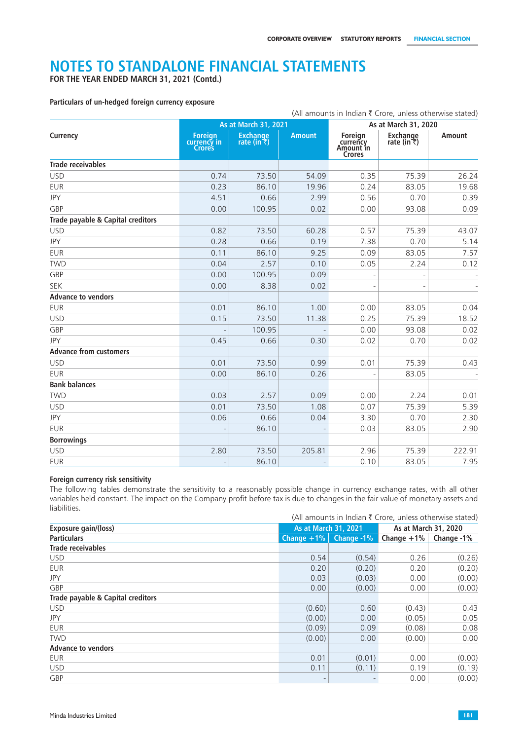**FOR THE YEAR ENDED MARCH 31, 2021 (Contd.)**

### **Particulars of un-hedged foreign currency exposure**

|                                   |                               |                         |               |                                                   | (All amounts in Indian ₹ Crore, unless otherwise stated) |               |
|-----------------------------------|-------------------------------|-------------------------|---------------|---------------------------------------------------|----------------------------------------------------------|---------------|
|                                   |                               | As at March 31, 2021    |               |                                                   | As at March 31, 2020                                     |               |
| Currency                          | <b>Foreign</b><br>currency in | Exchange<br>rate (in ₹) | <b>Amount</b> | Foreign<br>currency<br>Amount in<br><b>Crores</b> | Exchange<br>rate (in ₹)                                  | <b>Amount</b> |
| <b>Trade receivables</b>          |                               |                         |               |                                                   |                                                          |               |
| <b>USD</b>                        | 0.74                          | 73.50                   | 54.09         | 0.35                                              | 75.39                                                    | 26.24         |
| <b>EUR</b>                        | 0.23                          | 86.10                   | 19.96         | 0.24                                              | 83.05                                                    | 19.68         |
| JPY                               | 4.51                          | 0.66                    | 2.99          | 0.56                                              | 0.70                                                     | 0.39          |
| GBP                               | 0.00                          | 100.95                  | 0.02          | 0.00                                              | 93.08                                                    | 0.09          |
| Trade payable & Capital creditors |                               |                         |               |                                                   |                                                          |               |
| <b>USD</b>                        | 0.82                          | 73.50                   | 60.28         | 0.57                                              | 75.39                                                    | 43.07         |
| JPY                               | 0.28                          | 0.66                    | 0.19          | 7.38                                              | 0.70                                                     | 5.14          |
| <b>EUR</b>                        | 0.11                          | 86.10                   | 9.25          | 0.09                                              | 83.05                                                    | 7.57          |
| <b>TWD</b>                        | 0.04                          | 2.57                    | 0.10          | 0.05                                              | 2.24                                                     | 0.12          |
| GBP                               | 0.00                          | 100.95                  | 0.09          |                                                   |                                                          |               |
| <b>SEK</b>                        | 0.00                          | 8.38                    | 0.02          | $\overline{a}$                                    |                                                          |               |
| <b>Advance to vendors</b>         |                               |                         |               |                                                   |                                                          |               |
| EUR                               | 0.01                          | 86.10                   | 1.00          | 0.00                                              | 83.05                                                    | 0.04          |
| <b>USD</b>                        | 0.15                          | 73.50                   | 11.38         | 0.25                                              | 75.39                                                    | 18.52         |
| GBP                               |                               | 100.95                  | $\mathcal{L}$ | 0.00                                              | 93.08                                                    | 0.02          |
| <b>JPY</b>                        | 0.45                          | 0.66                    | 0.30          | 0.02                                              | 0.70                                                     | 0.02          |
| <b>Advance from customers</b>     |                               |                         |               |                                                   |                                                          |               |
| <b>USD</b>                        | 0.01                          | 73.50                   | 0.99          | 0.01                                              | 75.39                                                    | 0.43          |
| <b>EUR</b>                        | 0.00                          | 86.10                   | 0.26          |                                                   | 83.05                                                    |               |
| <b>Bank balances</b>              |                               |                         |               |                                                   |                                                          |               |
| <b>TWD</b>                        | 0.03                          | 2.57                    | 0.09          | 0.00                                              | 2.24                                                     | 0.01          |
| <b>USD</b>                        | 0.01                          | 73.50                   | 1.08          | 0.07                                              | 75.39                                                    | 5.39          |
| <b>JPY</b>                        | 0.06                          | 0.66                    | 0.04          | 3.30                                              | 0.70                                                     | 2.30          |
| <b>EUR</b>                        |                               | 86.10                   |               | 0.03                                              | 83.05                                                    | 2.90          |
| <b>Borrowings</b>                 |                               |                         |               |                                                   |                                                          |               |
| <b>USD</b>                        | 2.80                          | 73.50                   | 205.81        | 2.96                                              | 75.39                                                    | 222.91        |
| <b>EUR</b>                        |                               | 86.10                   |               | 0.10                                              | 83.05                                                    | 7.95          |

### **Foreign currency risk sensitivity**

The following tables demonstrate the sensitivity to a reasonably possible change in currency exchange rates, with all other variables held constant. The impact on the Company profit before tax is due to changes in the fair value of monetary assets and liabilities.  $\overline{A}$ l amounts in Indian  $\overline{A}$  Crore, unless otherwise stated)

|                                   |                             |        |                      | (All amounts in Indian ₹ Crore, unless otherwise stated) |
|-----------------------------------|-----------------------------|--------|----------------------|----------------------------------------------------------|
| Exposure gain/(loss)              | <b>As at March 31, 2021</b> |        | As at March 31, 2020 |                                                          |
| <b>Particulars</b>                | Change $+1\%$ Change -1%    |        | Change $+1\%$        | Change -1%                                               |
| <b>Trade receivables</b>          |                             |        |                      |                                                          |
| <b>USD</b>                        | 0.54                        | (0.54) | 0.26                 | (0.26)                                                   |
| <b>EUR</b>                        | 0.20                        | (0.20) | 0.20                 | (0.20)                                                   |
| <b>JPY</b>                        | 0.03                        | (0.03) | 0.00                 | (0.00)                                                   |
| GBP                               | 0.00                        | (0.00) | 0.00                 | (0.00)                                                   |
| Trade payable & Capital creditors |                             |        |                      |                                                          |
| <b>USD</b>                        | (0.60)                      | 0.60   | (0.43)               | 0.43                                                     |
| JPY                               | (0.00)                      | 0.00   | (0.05)               | 0.05                                                     |
| <b>EUR</b>                        | (0.09)                      | 0.09   | (0.08)               | 0.08                                                     |
| <b>TWD</b>                        | (0.00)                      | 0.00   | (0.00)               | 0.00                                                     |
| <b>Advance to vendors</b>         |                             |        |                      |                                                          |
| <b>EUR</b>                        | 0.01                        | (0.01) | 0.00                 | (0.00)                                                   |
| <b>USD</b>                        | 0.11                        | (0.11) | 0.19                 | (0.19)                                                   |
| GBP                               |                             |        | 0.00                 | (0.00)                                                   |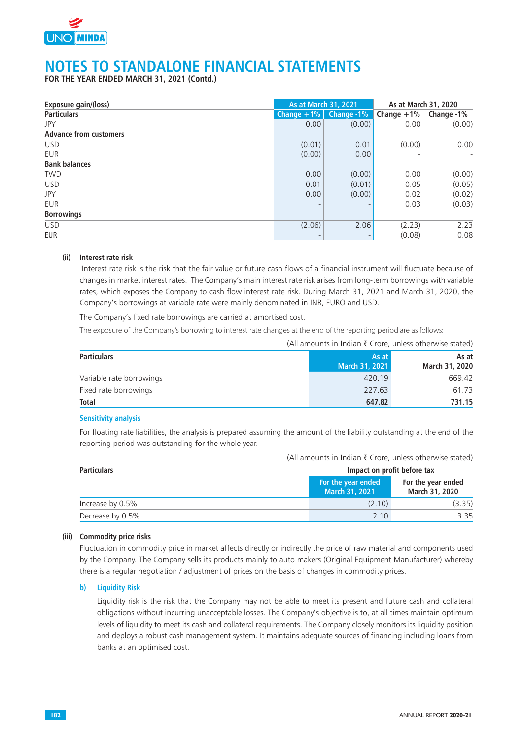

**FOR THE YEAR ENDED MARCH 31, 2021 (Contd.)**

| Exposure gain/(loss)          | <b>As at March 31, 2021</b> |                          | As at March 31, 2020 |                          |
|-------------------------------|-----------------------------|--------------------------|----------------------|--------------------------|
| <b>Particulars</b>            | Change $+1\%$               | Change -1%               | Change $+1\%$        | Change -1%               |
| JPY                           | 0.00                        | (0.00)                   | 0.00                 | (0.00)                   |
| <b>Advance from customers</b> |                             |                          |                      |                          |
| <b>USD</b>                    | (0.01)                      | 0.01                     | (0.00)               | 0.00                     |
| <b>EUR</b>                    | (0.00)                      | 0.00                     |                      | $\overline{\phantom{a}}$ |
| <b>Bank balances</b>          |                             |                          |                      |                          |
| <b>TWD</b>                    | 0.00                        | (0.00)                   | 0.00                 | (0.00)                   |
| <b>USD</b>                    | 0.01                        | (0.01)                   | 0.05                 | (0.05)                   |
| JPY                           | 0.00                        | (0.00)                   | 0.02                 | (0.02)                   |
| <b>EUR</b>                    |                             | $\overline{\phantom{a}}$ | 0.03                 | (0.03)                   |
| <b>Borrowings</b>             |                             |                          |                      |                          |
| <b>USD</b>                    | (2.06)                      | 2.06                     | (2.23)               | 2.23                     |
| <b>EUR</b>                    |                             | $\overline{\phantom{a}}$ | (0.08)               | 0.08                     |

#### **(ii) Interest rate risk**

"Interest rate risk is the risk that the fair value or future cash flows of a financial instrument will fluctuate because of changes in market interest rates. The Company's main interest rate risk arises from long-term borrowings with variable rates, which exposes the Company to cash flow interest rate risk. During March 31, 2021 and March 31, 2020, the Company's borrowings at variable rate were mainly denominated in INR, EURO and USD.

The Company's fixed rate borrowings are carried at amortised cost."

The exposure of the Company's borrowing to interest rate changes at the end of the reporting period are as follows:

|                          | (All amounts in Indian $\bar{\tau}$ Crore, unless otherwise stated) |                         |
|--------------------------|---------------------------------------------------------------------|-------------------------|
| <b>Particulars</b>       | As at<br>March 31, 2021                                             | As at<br>March 31, 2020 |
| Variable rate borrowings | 420.19                                                              | 669.42                  |
| Fixed rate borrowings    | 227.63                                                              | 61.73                   |
| Total                    | 647.82                                                              | 731.15                  |

#### **Sensitivity analysis**

For floating rate liabilities, the analysis is prepared assuming the amount of the liability outstanding at the end of the reporting period was outstanding for the whole year.

(All amounts in Indian  $\bar{\tau}$  Crore, unless otherwise stated)

| <b>Particulars</b> | Impact on profit before tax          |                                      |
|--------------------|--------------------------------------|--------------------------------------|
|                    | For the year ended<br>March 31, 2021 | For the year ended<br>March 31, 2020 |
| Increase by 0.5%   | (2.10)                               | (3.35)                               |
| Decrease by 0.5%   | 2.10                                 | 3.35                                 |

#### **(iii) Commodity price risks**

Fluctuation in commodity price in market affects directly or indirectly the price of raw material and components used by the Company. The Company sells its products mainly to auto makers (Original Equipment Manufacturer) whereby there is a regular negotiation / adjustment of prices on the basis of changes in commodity prices.

#### **b) Liquidity Risk**

Liquidity risk is the risk that the Company may not be able to meet its present and future cash and collateral obligations without incurring unacceptable losses. The Company's objective is to, at all times maintain optimum levels of liquidity to meet its cash and collateral requirements. The Company closely monitors its liquidity position and deploys a robust cash management system. It maintains adequate sources of financing including loans from banks at an optimised cost.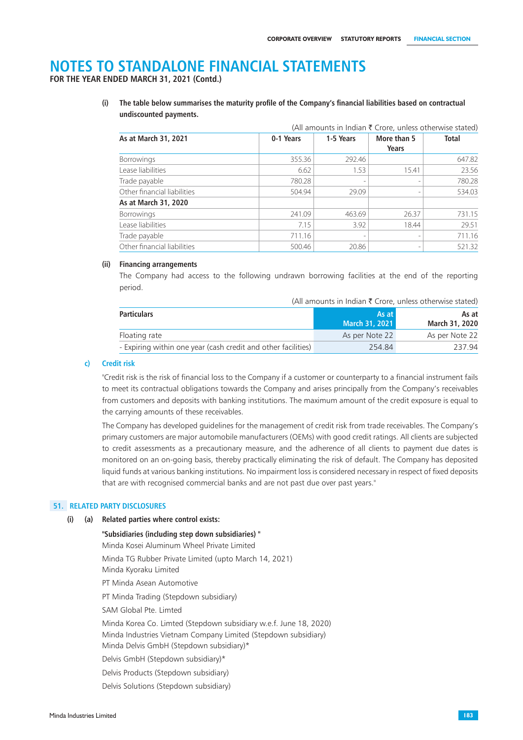**FOR THE YEAR ENDED MARCH 31, 2021 (Contd.)**

**(i) The table below summarises the maturity profile of the Company's financial liabilities based on contractual undiscounted payments.**

|                             |           |           | (All amounts in Indian ₹ Crore, unless otherwise stated) |              |
|-----------------------------|-----------|-----------|----------------------------------------------------------|--------------|
| As at March 31, 2021        | 0-1 Years | 1-5 Years | More than 5<br>Years                                     | <b>Total</b> |
| <b>Borrowings</b>           | 355.36    | 292.46    |                                                          | 647.82       |
| Lease liabilities           | 6.62      | 1.53      | 15.41                                                    | 23.56        |
| Trade payable               | 780.28    |           |                                                          | 780.28       |
| Other financial liabilities | 504.94    | 29.09     | -                                                        | 534.03       |
| As at March 31, 2020        |           |           |                                                          |              |
| <b>Borrowings</b>           | 241.09    | 463.69    | 26.37                                                    | 731.15       |
| Lease liabilities           | 7.15      | 3.92      | 18.44                                                    | 29.51        |
| Trade payable               | 711.16    |           |                                                          | 711.16       |
| Other financial liabilities | 500.46    | 20.86     |                                                          | 521.32       |

#### **(ii) Financing arrangements**

The Company had access to the following undrawn borrowing facilities at the end of the reporting period.

| (All amounts in Indian ₹ Crore, unless otherwise stated) |  |  |  |  |  |  |  |  |  |  |  |
|----------------------------------------------------------|--|--|--|--|--|--|--|--|--|--|--|
|----------------------------------------------------------|--|--|--|--|--|--|--|--|--|--|--|

| <b>Particulars</b>                                            | As at          | As at          |
|---------------------------------------------------------------|----------------|----------------|
|                                                               | March 31, 2021 | March 31, 2020 |
| Floating rate                                                 | As per Note 22 | As per Note 22 |
| - Expiring within one year (cash credit and other facilities) | 254.84         | 237.94         |

#### **c) Credit risk**

"Credit risk is the risk of financial loss to the Company if a customer or counterparty to a financial instrument fails to meet its contractual obligations towards the Company and arises principally from the Company's receivables from customers and deposits with banking institutions. The maximum amount of the credit exposure is equal to the carrying amounts of these receivables.

The Company has developed guidelines for the management of credit risk from trade receivables. The Company's primary customers are major automobile manufacturers (OEMs) with good credit ratings. All clients are subjected to credit assessments as a precautionary measure, and the adherence of all clients to payment due dates is monitored on an on-going basis, thereby practically eliminating the risk of default. The Company has deposited liquid funds at various banking institutions. No impairment loss is considered necessary in respect of fixed deposits that are with recognised commercial banks and are not past due over past years."

#### **51. RELATED PARTY DISCLOSURES**

**(i) (a) Related parties where control exists:** 

 **"Subsidiaries (including step down subsidiaries) "** Minda Kosei Aluminum Wheel Private Limited Minda TG Rubber Private Limited (upto March 14, 2021) Minda Kyoraku Limited PT Minda Asean Automotive PT Minda Trading (Stepdown subsidiary) SAM Global Pte. Limted Minda Korea Co. Limted (Stepdown subsidiary w.e.f. June 18, 2020) Minda Industries Vietnam Company Limited (Stepdown subsidiary) Minda Delvis GmbH (Stepdown subsidiary)\* Delvis GmbH (Stepdown subsidiary)\* Delvis Products (Stepdown subsidiary) Delvis Solutions (Stepdown subsidiary)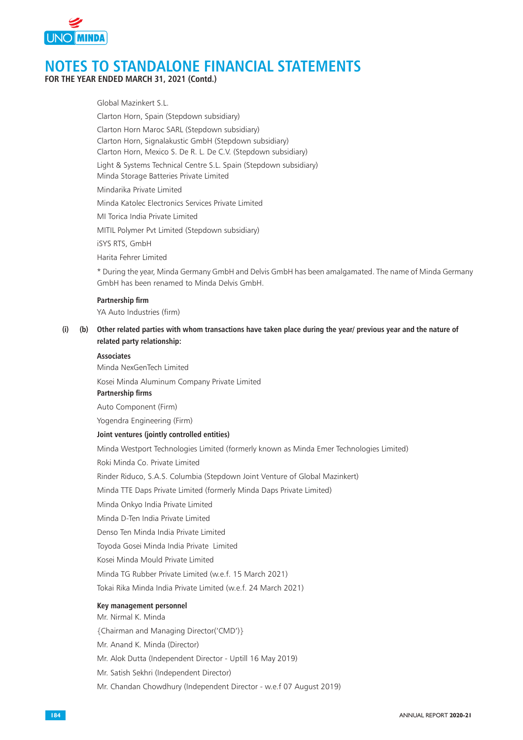

### **FOR THE YEAR ENDED MARCH 31, 2021 (Contd.)**

Global Mazinkert S.L.

- Clarton Horn, Spain (Stepdown subsidiary) Clarton Horn Maroc SARL (Stepdown subsidiary) Clarton Horn, Signalakustic GmbH (Stepdown subsidiary) Clarton Horn, Mexico S. De R. L. De C.V. (Stepdown subsidiary) Light & Systems Technical Centre S.L. Spain (Stepdown subsidiary) Minda Storage Batteries Private Limited Mindarika Private Limited Minda Katolec Electronics Services Private Limited MI Torica India Private Limited MITIL Polymer Pvt Limited (Stepdown subsidiary) iSYS RTS, GmbH Harita Fehrer Limited \* During the year, Minda Germany GmbH and Delvis GmbH has been amalgamated. The name of Minda Germany GmbH has been renamed to Minda Delvis GmbH. **Partnership firm**  YA Auto Industries (firm)
- **(i) (b) Other related parties with whom transactions have taken place during the year/ previous year and the nature of related party relationship:**

#### **Associates**

Minda NexGenTech Limited

Kosei Minda Aluminum Company Private Limited

#### **Partnership firms**

Auto Component (Firm)

Yogendra Engineering (Firm)

#### **Joint ventures (jointly controlled entities)**

Minda Westport Technologies Limited (formerly known as Minda Emer Technologies Limited)

Roki Minda Co. Private Limited

Rinder Riduco, S.A.S. Columbia (Stepdown Joint Venture of Global Mazinkert)

Minda TTE Daps Private Limited (formerly Minda Daps Private Limited)

Minda Onkyo India Private Limited

Minda D-Ten India Private Limited

Denso Ten Minda India Private Limited

Toyoda Gosei Minda India Private Limited

Kosei Minda Mould Private Limited

Minda TG Rubber Private Limited (w.e.f. 15 March 2021)

Tokai Rika Minda India Private Limited (w.e.f. 24 March 2021)

#### **Key management personnel**

Mr. Nirmal K. Minda

{Chairman and Managing Director('CMD')}

Mr. Anand K. Minda (Director)

Mr. Alok Dutta (Independent Director - Uptill 16 May 2019)

Mr. Satish Sekhri (Independent Director)

Mr. Chandan Chowdhury (Independent Director - w.e.f 07 August 2019)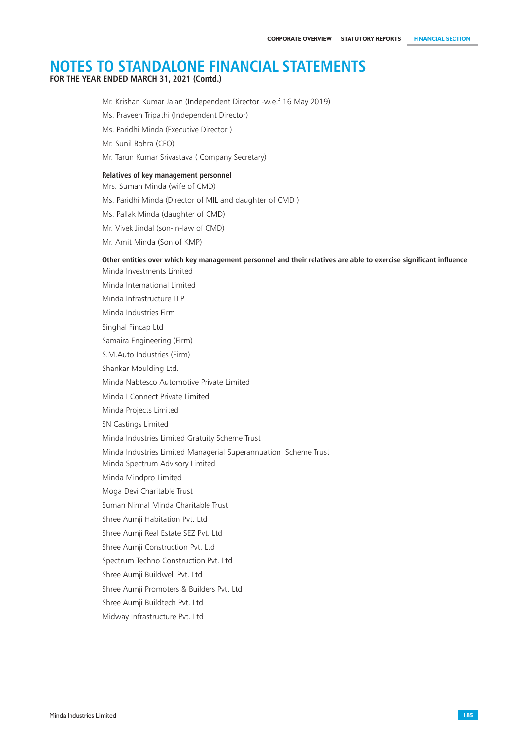### **FOR THE YEAR ENDED MARCH 31, 2021 (Contd.)**

Mr. Krishan Kumar Jalan (Independent Director -w.e.f 16 May 2019)

- Ms. Praveen Tripathi (Independent Director)
- Ms. Paridhi Minda (Executive Director )
- Mr. Sunil Bohra (CFO)
- Mr. Tarun Kumar Srivastava ( Company Secretary)

#### **Relatives of key management personnel**

Mrs. Suman Minda (wife of CMD)

- Ms. Paridhi Minda (Director of MIL and daughter of CMD )
- Ms. Pallak Minda (daughter of CMD)
- Mr. Vivek Jindal (son-in-law of CMD)
- Mr. Amit Minda (Son of KMP)

#### **Other entities over which key management personnel and their relatives are able to exercise significant influence**

Minda Investments Limited Minda International Limited Minda Infrastructure LLP Minda Industries Firm Singhal Fincap Ltd Samaira Engineering (Firm) S.M.Auto Industries (Firm) Shankar Moulding Ltd. Minda Nabtesco Automotive Private Limited Minda I Connect Private Limited Minda Projects Limited SN Castings Limited Minda Industries Limited Gratuity Scheme Trust Minda Industries Limited Managerial Superannuation Scheme Trust Minda Spectrum Advisory Limited Minda Mindpro Limited Moga Devi Charitable Trust Suman Nirmal Minda Charitable Trust Shree Aumji Habitation Pvt. Ltd Shree Aumji Real Estate SEZ Pvt. Ltd Shree Aumji Construction Pvt. Ltd Spectrum Techno Construction Pvt. Ltd Shree Aumji Buildwell Pvt. Ltd Shree Aumji Promoters & Builders Pvt. Ltd Shree Aumji Buildtech Pvt. Ltd

Midway Infrastructure Pvt. Ltd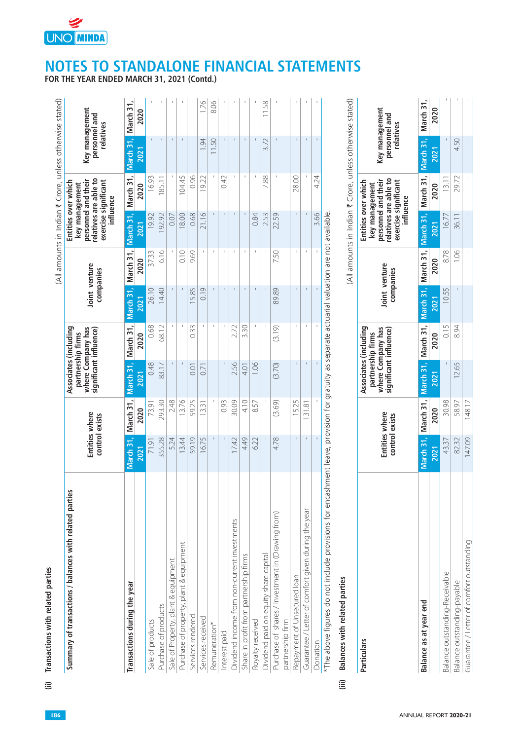| Summary of transactions / balances with related parties                                    |                 | Entities where<br>control exists | Associates (including<br>where Company has<br>significant influence)<br>partnership firms |                   | Joint venture<br>companies |               | relatives are able to<br>personnel and their<br>exercise significant<br>key management<br>influence                        | Entities over which | Key management<br>personnel and<br>relatives             |           |
|--------------------------------------------------------------------------------------------|-----------------|----------------------------------|-------------------------------------------------------------------------------------------|-------------------|----------------------------|---------------|----------------------------------------------------------------------------------------------------------------------------|---------------------|----------------------------------------------------------|-----------|
| Transactions during the year                                                               | March 31,       | March 31,                        | March $31$ ,                                                                              | March 31,         | March 31,                  | March 31,     | March 31,                                                                                                                  |                     | March 31, March 31, March 31,                            |           |
|                                                                                            | 2021            | 2020                             | 2021                                                                                      | 2020              | 202                        | 2020          | 2021                                                                                                                       | 2020                | 2021                                                     | 2020      |
| Purchase of products<br>Sale of products                                                   | 355.28<br>71.91 | 293.30<br>73.91                  | 0.48<br>83.17                                                                             | 68.12<br>0.68     | 26.10<br>14.40             | 6.16<br>37.33 | 192.92<br>19.92                                                                                                            | 16.93<br>185.11     | $\mathbf{I}$                                             |           |
| Sale of Property, plant & equipment                                                        | 5.24            | 2.48                             |                                                                                           |                   |                            |               | 0.07                                                                                                                       |                     | $\mathbb{L}$                                             |           |
| Purchase of property, plant & equipment                                                    | 13.44           | 13.76                            |                                                                                           |                   |                            | 0.10          | 18.00                                                                                                                      | 104.45              |                                                          |           |
| Services rendered                                                                          | 59.19           | 59.25                            | 0.01                                                                                      | 0.33              | 15.85                      | 9.69          | 0.68                                                                                                                       | 0.96                |                                                          |           |
| Services received                                                                          | 16.75           | 13.31                            | 0.71                                                                                      |                   | 0.19                       |               | 21.16                                                                                                                      | 19.22               | 1.94                                                     | 1.76      |
| Remuneration*                                                                              |                 |                                  |                                                                                           |                   |                            |               |                                                                                                                            |                     | 11.50                                                    | 8.06      |
| Dividend income from non-current investments<br>Interest paid                              | 17.42           | 0.93<br>30.09<br>$\mathbf I$     | $\mathbf I$<br>2.56                                                                       | 2.72              | $\mathbf{I}$               |               | $\mathbb{L}$                                                                                                               | 0.42                |                                                          |           |
| Share in profit from partnership firms                                                     | 4.49            | 4.10                             | 4.01                                                                                      | 3.30              | $\mathbf{I}$               |               |                                                                                                                            |                     | $\mathbf{I}$                                             |           |
| Royalty received                                                                           | 6.22            | 8.57                             | 1.06                                                                                      |                   | $\mathbf{I}$               |               | 0.84                                                                                                                       |                     | $\mathbf{I}$                                             |           |
| Purchase of shares / Investment in (Drawing from)<br>Dividend paid on equity share capital | 4.78            | (3.69)                           | (3.70)                                                                                    | (3.19)            | 89.89                      | 7.50          | 22.59<br>2.53                                                                                                              | 7.88                | 3.72                                                     | 11.58     |
| partnership firm                                                                           |                 |                                  |                                                                                           |                   |                            |               |                                                                                                                            |                     |                                                          |           |
| Repayment of Unsecured loan                                                                |                 | 15.25<br>$\mathbf{1}$            |                                                                                           |                   |                            |               | $\mathbf{I}$                                                                                                               | 28.00               |                                                          |           |
| Guarantee / Letter of comfort given during the year                                        |                 | 131.81<br>$\mathbf{I}$           | $\mathsf I$                                                                               |                   | $\mathbf{I}$               |               |                                                                                                                            |                     | $\mathbb{L}$                                             |           |
|                                                                                            |                 |                                  |                                                                                           |                   |                            |               |                                                                                                                            |                     | (All amounts in Indian ₹ Crore, unless otherwise stated) |           |
| Particulars                                                                                |                 | Entities where<br>control exists | Associates (including<br>where Company has<br>significant influence)                      | partnership firms | Joint venture<br>companies |               | relatives are able to<br>personnel and their<br>Entities over which<br>exercise significant<br>key management<br>influence |                     | Key management<br>personnel and<br>relatives             |           |
| Balance as at year end                                                                     | March 31,       | March 31,                        | March 31,                                                                                 | March 31,         | March 31,                  | March 31,     | March 31,                                                                                                                  | March 31,           | March 31,                                                | March 31, |
| Balance outstanding-Receivable                                                             | 43.37<br>2021   | 30.98<br>2020                    | 2021                                                                                      | 0.15<br>2020      | 10.55<br>2021              | 8.78<br>2020  | 16.77<br>2021                                                                                                              | 13.11<br>2020       | 2021                                                     | 2020      |
| Balance outstanding-payable                                                                | 82.32           | 58.97                            | 12.65                                                                                     | 8.94              |                            | 1.06          | 36.11                                                                                                                      | 29.72               | 4.50                                                     |           |
| Guarantee / Letter of comfort outstanding                                                  | 147.09          | 148.17                           |                                                                                           |                   |                            |               |                                                                                                                            |                     |                                                          |           |

| ł<br>í<br>'<br>١       |
|------------------------|
|                        |
| こうこう こうこうしょう<br>-<br>J |
| )<br>)<br>J<br>ļ       |
| )<br>)<br>roro<br>l    |
| t                      |
|                        |
| מרוחמ                  |
|                        |
| 211212                 |

| Particulars                               | Entities where<br>control exists |        | significant influence) | Associates (including<br>where Company has<br>partnership firms | companies | loint venture | personnel and their<br><b>Entiles over which</b><br>exercise significant<br>key management<br>influence | elatives are able to | Key management<br>personnel and<br>relatives                                                        |      |
|-------------------------------------------|----------------------------------|--------|------------------------|-----------------------------------------------------------------|-----------|---------------|---------------------------------------------------------------------------------------------------------|----------------------|-----------------------------------------------------------------------------------------------------|------|
| Balance as at year end                    |                                  |        |                        |                                                                 |           |               |                                                                                                         |                      | March 31, March 31, March 31, March 31, March 31, March 31, March 31, March 31, March 31, March 31, |      |
|                                           | 2021                             | 2020   | 2021                   |                                                                 | 2021      | $\sim 2020$   | <b>Age</b>                                                                                              | 2020                 | 2021                                                                                                | 2020 |
| Balance outstanding-Receivable            | 43.37                            | 30.98  |                        | 0.15                                                            | 10.55     | 8.78          | 16.77                                                                                                   | 13.11                |                                                                                                     |      |
| Balance outstanding-payable               | 82.32                            | 58.97  | 12.65                  | 8.94                                                            |           | $\frac{8}{1}$ | 36.11                                                                                                   | 29.72                | 4.50                                                                                                |      |
| Guarantee / Letter of comfort outstanding | 47.09                            | 148.17 |                        |                                                                 |           |               |                                                                                                         |                      |                                                                                                     |      |
|                                           |                                  |        |                        |                                                                 |           |               |                                                                                                         |                      |                                                                                                     |      |



## **NOTES TO STANDALONE FINANCIAL STATEMENTS FOR THE YEAR ENDED MARCH 31, 2021 (Contd.)**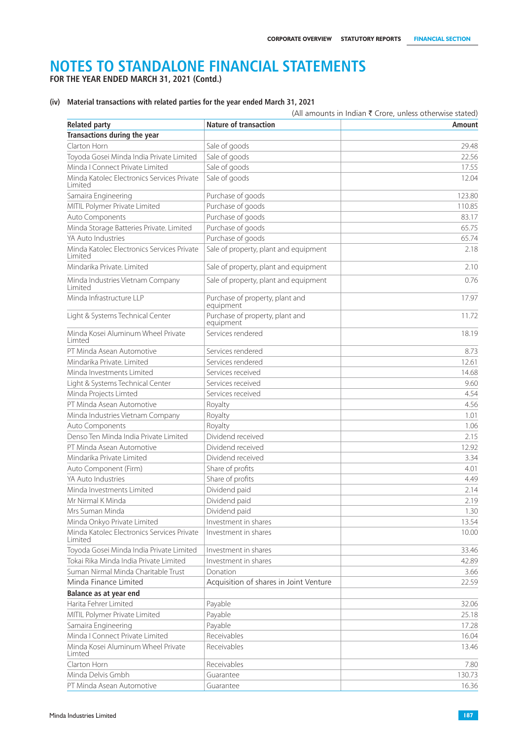**FOR THE YEAR ENDED MARCH 31, 2021 (Contd.)**

# **(iv) Material transactions with related parties for the year ended March 31, 2021**

| (All amounts in Indian $\bar{\tau}$ Crore, unless otherwise stated) |                                              |               |
|---------------------------------------------------------------------|----------------------------------------------|---------------|
| <b>Related party</b>                                                | <b>Nature of transaction</b>                 | <b>Amount</b> |
| Transactions during the year                                        |                                              |               |
| Clarton Horn                                                        | Sale of goods                                | 29.48         |
| Toyoda Gosei Minda India Private Limited                            | Sale of goods                                | 22.56         |
| Minda I Connect Private Limited                                     | Sale of goods                                | 17.55         |
| Minda Katolec Electronics Services Private<br>Limited               | Sale of goods                                | 12.04         |
| Samaira Engineering                                                 | Purchase of goods                            | 123.80        |
| MITIL Polymer Private Limited                                       | Purchase of goods                            | 110.85        |
| Auto Components                                                     | Purchase of goods                            | 83.17         |
| Minda Storage Batteries Private. Limited                            | Purchase of goods                            | 65.75         |
| YA Auto Industries                                                  | Purchase of goods                            | 65.74         |
| Minda Katolec Electronics Services Private<br>Limited               | Sale of property, plant and equipment        | 2.18          |
| Mindarika Private. Limited                                          | Sale of property, plant and equipment        | 2.10          |
| Minda Industries Vietnam Company<br>I imited                        | Sale of property, plant and equipment        | 0.76          |
| Minda Infrastructure LLP                                            | Purchase of property, plant and<br>equipment | 17.97         |
| Light & Systems Technical Center                                    | Purchase of property, plant and<br>equipment | 11.72         |
| Minda Kosei Aluminum Wheel Private<br>Limted                        | Services rendered                            | 18.19         |
| PT Minda Asean Automotive                                           | Services rendered                            | 8.73          |
| Mindarika Private. Limited                                          | Services rendered                            | 12.61         |
| Minda Investments Limited                                           | Services received                            | 14.68         |
| Light & Systems Technical Center                                    | Services received                            | 9.60          |
| Minda Projects Limted                                               | Services received                            | 4.54          |
| PT Minda Asean Automotive                                           | Royalty                                      | 4.56          |
| Minda Industries Vietnam Company                                    | Royalty                                      | 1.01          |
| Auto Components                                                     | Royalty                                      | 1.06          |
| Denso Ten Minda India Private Limited                               | Dividend received                            | 2.15          |
| PT Minda Asean Automotive                                           | Dividend received                            | 12.92         |
| Mindarika Private Limited                                           | Dividend received                            | 3.34          |
| Auto Component (Firm)                                               | Share of profits                             | 4.01          |
| YA Auto Industries                                                  | Share of profits                             | 4.49          |
| Minda Investments Limited                                           | Dividend paid                                | 2.14          |
| Mr Nirmal K Minda                                                   | Dividend paid                                | 2.19          |
| Mrs Suman Minda                                                     | Dividend paid                                | 1.30          |
| Minda Onkyo Private Limited                                         | Investment in shares                         | 13.54         |
| Minda Katolec Electronics Services Private<br>Limited               | Investment in shares                         | 10.00         |
| Toyoda Gosei Minda India Private Limited                            | Investment in shares                         | 33.46         |
| Tokai Rika Minda India Private Limited                              | Investment in shares                         | 42.89         |
| Suman Nirmal Minda Charitable Trust                                 | Donation                                     | 3.66          |
| Minda Finance Limited                                               | Acquisition of shares in Joint Venture       | 22.59         |
| Balance as at year end                                              |                                              |               |
| Harita Fehrer Limited                                               | Payable                                      | 32.06         |
| MITIL Polymer Private Limited                                       | Payable                                      | 25.18         |
| Samaira Engineering                                                 | Payable                                      | 17.28         |
| Minda I Connect Private Limited                                     | Receivables                                  | 16.04         |
| Minda Kosei Aluminum Wheel Private<br>Limted                        | Receivables                                  | 13.46         |
| Clarton Horn                                                        | Receivables                                  | 7.80          |
| Minda Delvis Gmbh                                                   | Guarantee                                    | 130.73        |
| PT Minda Asean Automotive                                           | Guarantee                                    | 16.36         |
|                                                                     |                                              |               |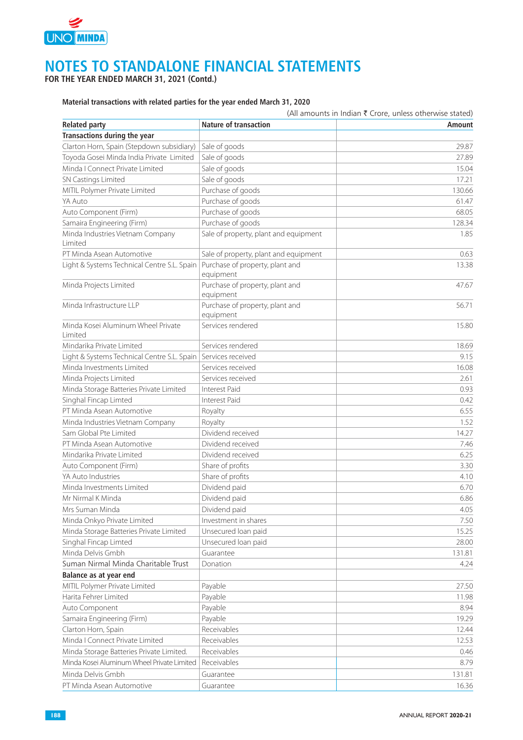

**FOR THE YEAR ENDED MARCH 31, 2021 (Contd.)**

# **Material transactions with related parties for the year ended March 31, 2020**

| (All amounts in Indian ₹ Crore, unless otherwise stated) |                                              |        |
|----------------------------------------------------------|----------------------------------------------|--------|
| <b>Related party</b>                                     | <b>Nature of transaction</b>                 | Amount |
| Transactions during the year                             |                                              |        |
| Clarton Horn, Spain (Stepdown subsidiary)                | Sale of goods                                | 29.87  |
| Toyoda Gosei Minda India Private Limited                 | Sale of goods                                | 27.89  |
| Minda I Connect Private Limited                          | Sale of goods                                | 15.04  |
| <b>SN Castings Limited</b>                               | Sale of goods                                | 17.21  |
| MITIL Polymer Private Limited                            | Purchase of goods                            | 130.66 |
| YA Auto                                                  | Purchase of goods                            | 61.47  |
| Auto Component (Firm)                                    | Purchase of goods                            | 68.05  |
| Samaira Engineering (Firm)                               | Purchase of goods                            | 128.34 |
| Minda Industries Vietnam Company<br>Limited              | Sale of property, plant and equipment        | 1.85   |
| PT Minda Asean Automotive                                | Sale of property, plant and equipment        | 0.63   |
| Light & Systems Technical Centre S.L. Spain              | Purchase of property, plant and<br>equipment | 13.38  |
| Minda Projects Limited                                   | Purchase of property, plant and<br>equipment | 47.67  |
| Minda Infrastructure LLP                                 | Purchase of property, plant and<br>equipment | 56.71  |
| Minda Kosei Aluminum Wheel Private<br>Limited            | Services rendered                            | 15.80  |
| Mindarika Private Limited                                | Services rendered                            | 18.69  |
| Light & Systems Technical Centre S.L. Spain              | Services received                            | 9.15   |
| Minda Investments Limited                                | Services received                            | 16.08  |
| Minda Projects Limited                                   | Services received                            | 2.61   |
| Minda Storage Batteries Private Limited                  | Interest Paid                                | 0.93   |
| Singhal Fincap Limted                                    | Interest Paid                                | 0.42   |
| PT Minda Asean Automotive                                | Royalty                                      | 6.55   |
| Minda Industries Vietnam Company                         | Royalty                                      | 1.52   |
| Sam Global Pte Limited                                   | Dividend received                            | 14.27  |
| PT Minda Asean Automotive                                | Dividend received                            | 7.46   |
| Mindarika Private Limited                                | Dividend received                            | 6.25   |
| Auto Component (Firm)                                    | Share of profits                             | 3.30   |
| YA Auto Industries                                       | Share of profits                             | 4.10   |
| Minda Investments Limited                                | Dividend paid                                | 6.70   |
| Mr Nirmal K Minda                                        | Dividend paid                                | 6.86   |
| Mrs Suman Minda                                          | Dividend paid                                | 4.05   |
| Minda Onkyo Private Limited                              | Investment in shares                         | 7.50   |
| Minda Storage Batteries Private Limited                  | Unsecured loan paid                          | 15.25  |
| Singhal Fincap Limted                                    | Unsecured loan paid                          | 28.00  |
| Minda Delvis Gmbh                                        | Guarantee                                    | 131.81 |
| Suman Nirmal Minda Charitable Trust                      | Donation                                     | 4.24   |
| Balance as at year end                                   |                                              |        |
| MITIL Polymer Private Limited                            | Payable                                      | 27.50  |
| Harita Fehrer Limited                                    | Payable                                      | 11.98  |
| Auto Component                                           | Payable                                      | 8.94   |
| Samaira Engineering (Firm)                               | Payable                                      | 19.29  |
| Clarton Horn, Spain                                      | Receivables                                  | 12.44  |
| Minda I Connect Private Limited                          | Receivables                                  | 12.53  |
| Minda Storage Batteries Private Limited.                 | Receivables                                  | 0.46   |
| Minda Kosei Aluminum Wheel Private Limited               | Receivables                                  | 8.79   |
| Minda Delvis Gmbh                                        | Guarantee                                    | 131.81 |
| PT Minda Asean Automotive                                | Guarantee                                    | 16.36  |
|                                                          |                                              |        |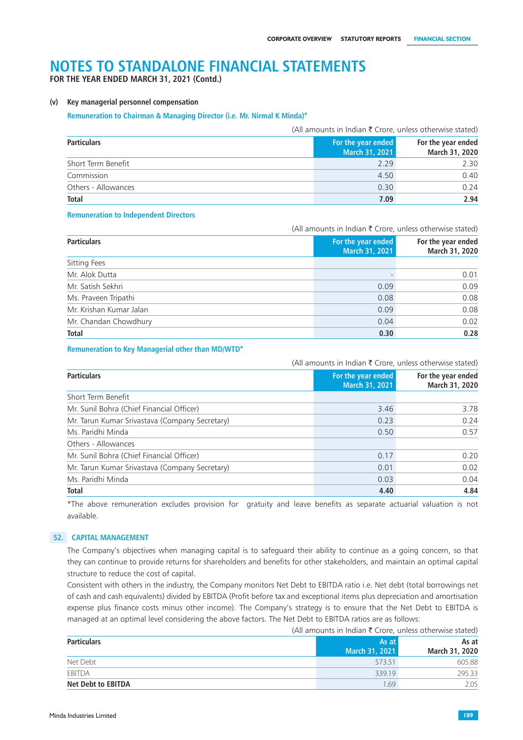**FOR THE YEAR ENDED MARCH 31, 2021 (Contd.)**

### **(v) Key managerial personnel compensation**

**Remuneration to Chairman & Managing Director (i.e. Mr. Nirmal K Minda)\***

|                     | (All amounts in Indian $\bar{\tau}$ Crore, unless otherwise stated) |                                      |
|---------------------|---------------------------------------------------------------------|--------------------------------------|
| <b>Particulars</b>  | For the year ended<br>March 31, 2021                                | For the year ended<br>March 31, 2020 |
| Short Term Benefit  | 2.29                                                                | 2.30                                 |
| Commission          | 4.50                                                                | 0.40                                 |
| Others - Allowances | 0.30                                                                | 0.24                                 |
| <b>Total</b>        | 7.09                                                                | 2.94                                 |

#### **Remuneration to Independent Directors**

|                         |                                      | (All amounts in Indian $\bar{\tau}$ Crore, unless otherwise stated) |  |
|-------------------------|--------------------------------------|---------------------------------------------------------------------|--|
| <b>Particulars</b>      | For the year ended<br>March 31, 2021 | For the year ended<br>March 31, 2020                                |  |
| Sitting Fees            |                                      |                                                                     |  |
| Mr. Alok Dutta          |                                      | 0.01                                                                |  |
| Mr. Satish Sekhri       | 0.09                                 | 0.09                                                                |  |
| Ms. Praveen Tripathi    | 0.08                                 | 0.08                                                                |  |
| Mr. Krishan Kumar Jalan | 0.09                                 | 0.08                                                                |  |
| Mr. Chandan Chowdhury   | 0.04                                 | 0.02                                                                |  |
| <b>Total</b>            | 0.30                                 | 0.28                                                                |  |

#### **Remuneration to Key Managerial other than MD/WTD\***

|                                                | (All amounts in Indian $\bar{\tau}$ Crore, unless otherwise stated) |                                      |
|------------------------------------------------|---------------------------------------------------------------------|--------------------------------------|
| <b>Particulars</b>                             | For the year ended<br><b>March 31, 2021</b>                         | For the year ended<br>March 31, 2020 |
| Short Term Benefit                             |                                                                     |                                      |
| Mr. Sunil Bohra (Chief Financial Officer)      | 3.46                                                                | 3.78                                 |
| Mr. Tarun Kumar Srivastava (Company Secretary) | 0.23                                                                | 0.24                                 |
| Ms. Paridhi Minda                              | 0.50                                                                | 0.57                                 |
| Others - Allowances                            |                                                                     |                                      |
| Mr. Sunil Bohra (Chief Financial Officer)      | 0.17                                                                | 0.20                                 |
| Mr. Tarun Kumar Srivastava (Company Secretary) | 0.01                                                                | 0.02                                 |
| Ms. Paridhi Minda                              | 0.03                                                                | 0.04                                 |
| <b>Total</b>                                   | 4.40                                                                | 4.84                                 |

\*The above remuneration excludes provision for gratuity and leave benefits as separate actuarial valuation is not available.

## **52. CAPITAL MANAGEMENT**

The Company's objectives when managing capital is to safeguard their ability to continue as a going concern, so that they can continue to provide returns for shareholders and benefits for other stakeholders, and maintain an optimal capital structure to reduce the cost of capital.

Consistent with others in the industry, the Company monitors Net Debt to EBITDA ratio i.e. Net debt (total borrowings net of cash and cash equivalents) divided by EBITDA (Profit before tax and exceptional items plus depreciation and amortisation expense plus finance costs minus other income). The Company's strategy is to ensure that the Net Debt to EBITDA is managed at an optimal level considering the above factors. The Net Debt to EBITDA ratios are as follows:

|                    | (All amounts in Indian $\bar{\tau}$ Crore, unless otherwise stated) |                                |
|--------------------|---------------------------------------------------------------------|--------------------------------|
| <b>Particulars</b> | As at I<br>March 31, 2021                                           | As at<br><b>March 31, 2020</b> |
| Net Debt           | 573.51                                                              | 605.88                         |
| EBITDA             | 339.19                                                              | 295.33                         |
| Net Debt to EBITDA | 1.69                                                                | 2.05                           |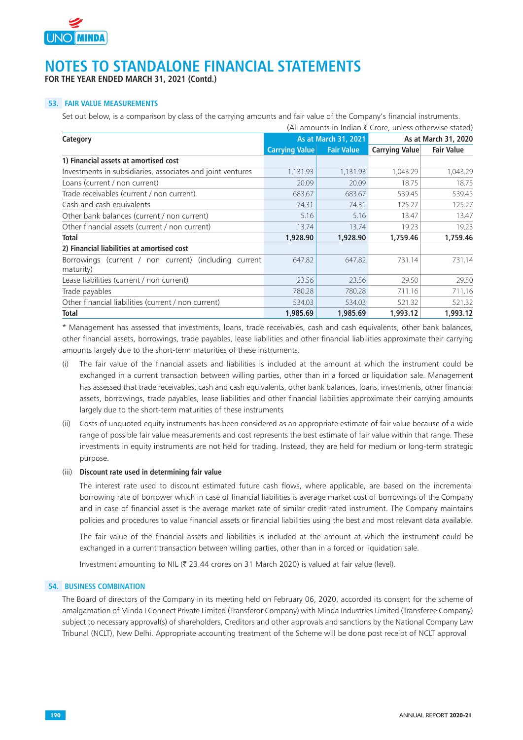

**FOR THE YEAR ENDED MARCH 31, 2021 (Contd.)**

## **53. FAIR VALUE MEASUREMENTS**

Set out below, is a comparison by class of the carrying amounts and fair value of the Company's financial instruments.

|                                                                    | (All amounts in Indian $\bar{\tau}$ Crore, unless otherwise stated) |                   |                      |                   |
|--------------------------------------------------------------------|---------------------------------------------------------------------|-------------------|----------------------|-------------------|
| Category                                                           | As at March 31, 2021                                                |                   | As at March 31, 2020 |                   |
|                                                                    | <b>Carrying Value</b>                                               | <b>Fair Value</b> | Carrying Value       | <b>Fair Value</b> |
| 1) Financial assets at amortised cost                              |                                                                     |                   |                      |                   |
| Investments in subsidiaries, associates and joint ventures         | 1,131.93                                                            | 1,131.93          | 1,043.29             | 1,043.29          |
| Loans (current / non current)                                      | 20.09                                                               | 20.09             | 18.75                | 18.75             |
| Trade receivables (current / non current)                          | 683.67                                                              | 683.67            | 539.45               | 539.45            |
| Cash and cash equivalents                                          | 74.31                                                               | 74.31             | 125.27               | 125.27            |
| Other bank balances (current / non current)                        | 5.16                                                                | 5.16              | 13.47                | 13.47             |
| Other financial assets (current / non current)                     | 13.74                                                               | 13.74             | 19.23                | 19.23             |
| Total                                                              | 1,928.90                                                            | 1,928.90          | 1,759.46             | 1,759.46          |
| 2) Financial liabilities at amortised cost                         |                                                                     |                   |                      |                   |
| Borrowings (current / non current) (including current<br>maturity) | 647.82                                                              | 647.82            | 731.14               | 731.14            |
| Lease liabilities (current / non current)                          | 23.56                                                               | 23.56             | 29.50                | 29.50             |
| Trade payables                                                     | 780.28                                                              | 780.28            | 711.16               | 711.16            |
| Other financial liabilities (current / non current)                | 534.03                                                              | 534.03            | 521.32               | 521.32            |
| <b>Total</b>                                                       | 1,985.69                                                            | 1,985.69          | 1,993.12             | 1,993.12          |

\* Management has assessed that investments, loans, trade receivables, cash and cash equivalents, other bank balances, other financial assets, borrowings, trade payables, lease liabilities and other financial liabilities approximate their carrying amounts largely due to the short-term maturities of these instruments.

- (i) The fair value of the financial assets and liabilities is included at the amount at which the instrument could be exchanged in a current transaction between willing parties, other than in a forced or liquidation sale. Management has assessed that trade receivables, cash and cash equivalents, other bank balances, loans, investments, other financial assets, borrowings, trade payables, lease liabilities and other financial liabilities approximate their carrying amounts largely due to the short-term maturities of these instruments
- (ii) Costs of unquoted equity instruments has been considered as an appropriate estimate of fair value because of a wide range of possible fair value measurements and cost represents the best estimate of fair value within that range. These investments in equity instruments are not held for trading. Instead, they are held for medium or long-term strategic purpose.

## (iii) **Discount rate used in determining fair value**

The interest rate used to discount estimated future cash flows, where applicable, are based on the incremental borrowing rate of borrower which in case of financial liabilities is average market cost of borrowings of the Company and in case of financial asset is the average market rate of similar credit rated instrument. The Company maintains policies and procedures to value financial assets or financial liabilities using the best and most relevant data available.

The fair value of the financial assets and liabilities is included at the amount at which the instrument could be exchanged in a current transaction between willing parties, other than in a forced or liquidation sale.

Investment amounting to NIL ( $\bar{\tau}$  23.44 crores on 31 March 2020) is valued at fair value (level).

## **54. BUSINESS COMBINATION**

The Board of directors of the Company in its meeting held on February 06, 2020, accorded its consent for the scheme of amalgamation of Minda I Connect Private Limited (Transferor Company) with Minda Industries Limited (Transferee Company) subject to necessary approval(s) of shareholders, Creditors and other approvals and sanctions by the National Company Law Tribunal (NCLT), New Delhi. Appropriate accounting treatment of the Scheme will be done post receipt of NCLT approval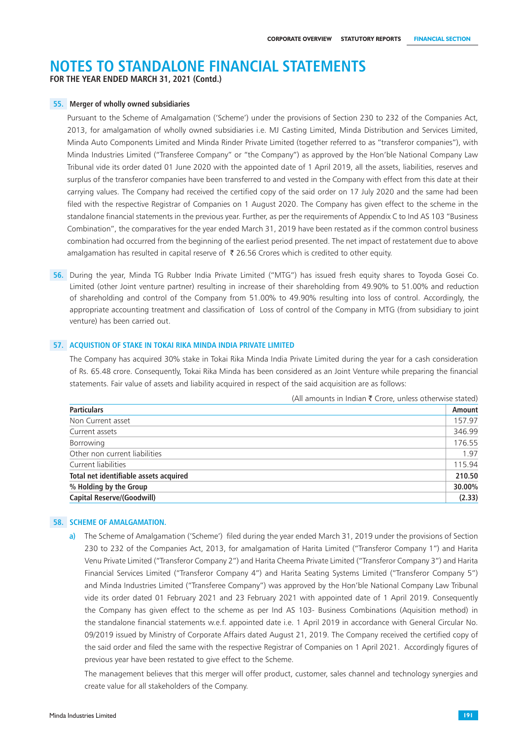**FOR THE YEAR ENDED MARCH 31, 2021 (Contd.)**

#### **55. Merger of wholly owned subsidiaries**

Pursuant to the Scheme of Amalgamation ('Scheme') under the provisions of Section 230 to 232 of the Companies Act, 2013, for amalgamation of wholly owned subsidiaries i.e. MJ Casting Limited, Minda Distribution and Services Limited, Minda Auto Components Limited and Minda Rinder Private Limited (together referred to as "transferor companies"), with Minda Industries Limited ("Transferee Company" or "the Company") as approved by the Hon'ble National Company Law Tribunal vide its order dated 01 June 2020 with the appointed date of 1 April 2019, all the assets, liabilities, reserves and surplus of the transferor companies have been transferred to and vested in the Company with effect from this date at their carrying values. The Company had received the certified copy of the said order on 17 July 2020 and the same had been filed with the respective Registrar of Companies on 1 August 2020. The Company has given effect to the scheme in the standalone financial statements in the previous year. Further, as per the requirements of Appendix C to Ind AS 103 "Business Combination", the comparatives for the year ended March 31, 2019 have been restated as if the common control business combination had occurred from the beginning of the earliest period presented. The net impact of restatement due to above amalgamation has resulted in capital reserve of  $\bar{\tau}$  26.56 Crores which is credited to other equity.

**56.** During the year, Minda TG Rubber India Private Limited ("MTG") has issued fresh equity shares to Toyoda Gosei Co. Limited (other Joint venture partner) resulting in increase of their shareholding from 49.90% to 51.00% and reduction of shareholding and control of the Company from 51.00% to 49.90% resulting into loss of control. Accordingly, the appropriate accounting treatment and classification of Loss of control of the Company in MTG (from subsidiary to joint venture) has been carried out.

#### **57. ACQUISTION OF STAKE IN TOKAI RIKA MINDA INDIA PRIVATE LIMITED**

The Company has acquired 30% stake in Tokai Rika Minda India Private Limited during the year for a cash consideration of Rs. 65.48 crore. Consequently, Tokai Rika Minda has been considered as an Joint Venture while preparing the financial statements. Fair value of assets and liability acquired in respect of the said acquisition are as follows:

| (All amounts in Indian $\bar{\tau}$ Crore, unless otherwise stated) |               |
|---------------------------------------------------------------------|---------------|
| <b>Particulars</b>                                                  | <b>Amount</b> |
| Non Current asset                                                   | 157.97        |
| Current assets                                                      | 346.99        |
| Borrowing                                                           | 176.55        |
| Other non current liabilities                                       | 1.97          |
| Current liabilities                                                 | 115.94        |
| Total net identifiable assets acquired                              | 210.50        |
| % Holding by the Group                                              | 30.00%        |
| Capital Reserve/(Goodwill)                                          | (2.33)        |

### **58. SCHEME OF AMALGAMATION.**

**a)** The Scheme of Amalgamation ('Scheme') filed during the year ended March 31, 2019 under the provisions of Section 230 to 232 of the Companies Act, 2013, for amalgamation of Harita Limited ("Transferor Company 1") and Harita Venu Private Limited ("Transferor Company 2") and Harita Cheema Private Limited ("Transferor Company 3") and Harita Financial Services Limited ("Transferor Company 4") and Harita Seating Systems Limited ("Transferor Company 5") and Minda Industries Limited ("Transferee Company") was approved by the Hon'ble National Company Law Tribunal vide its order dated 01 February 2021 and 23 February 2021 with appointed date of 1 April 2019. Consequently the Company has given effect to the scheme as per Ind AS 103- Business Combinations (Aquisition method) in the standalone financial statements w.e.f. appointed date i.e. 1 April 2019 in accordance with General Circular No. 09/2019 issued by Ministry of Corporate Affairs dated August 21, 2019. The Company received the certified copy of the said order and filed the same with the respective Registrar of Companies on 1 April 2021. Accordingly figures of previous year have been restated to give effect to the Scheme.

The management believes that this merger will offer product, customer, sales channel and technology synergies and create value for all stakeholders of the Company.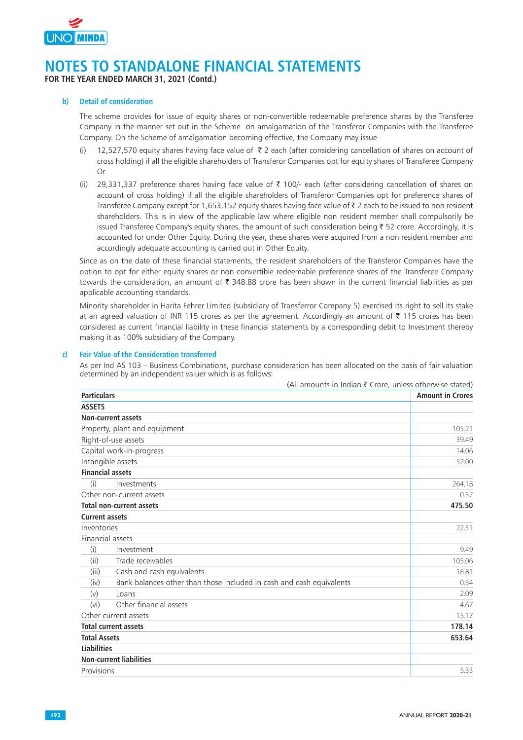

**FOR THE YEAR ENDED MARCH 31, 2021 (Contd.)**

### **b) Detail of consideration**

The scheme provides for issue of equity shares or non-convertible redeemable preference shares by the Transferee Company in the manner set out in the Scheme on amalgamation of the Transferor Companies with the Transferee Company. On the Scheme of amalgamation becoming effective, the Company may issue

- (i) 12,527,570 equity shares having face value of  $\bar{\tau}$  2 each (after considering cancellation of shares on account of cross holding) if all the eligible shareholders of Transferor Companies opt for equity shares of Transferee Company Or
- (ii) 29,331,337 preference shares having face value of  $\bar{\tau}$  100/- each (after considering cancellation of shares on account of cross holding) if all the eligible shareholders of Transferor Companies opt for preference shares of Transferee Company except for 1,653,152 equity shares having face value of  $\bar{\tau}$  2 each to be issued to non resident shareholders. This is in view of the applicable law where eligible non resident member shall compulsorily be issued Transferee Company's equity shares, the amount of such consideration being  $\bar{\tau}$  52 crore. Accordingly, it is accounted for under Other Equity. During the year, these shares were acquired from a non resident member and accordingly adequate accounting is carried out in Other Equity.

Since as on the date of these financial statements, the resident shareholders of the Transferor Companies have the option to opt for either equity shares or non convertible redeemable preference shares of the Transferee Company towards the consideration, an amount of  $\bar{\tau}$  348.88 crore has been shown in the current financial liabilities as per applicable accounting standards.

Minority shareholder in Harita Fehrer Limited (subsidiary of Transferror Company 5) exercised its right to sell its stake at an agreed valuation of INR 115 crores as per the agreement. Accordingly an amount of  $\bar{\tau}$  115 crores has been considered as current financial liability in these financial statements by a corresponding debit to Investment thereby making it as 100% subsidiary of the Company.

#### **c) Fair Value of the Consideration transferred**

As per Ind AS 103 – Business Combinations, purchase consideration has been allocated on the basis of fair valuation determined by an independent valuer which is as follows:

|                       | (All amounts in Indian $\bar{\tau}$ Crore, unless otherwise stated)  |                         |
|-----------------------|----------------------------------------------------------------------|-------------------------|
| <b>Particulars</b>    |                                                                      | <b>Amount in Crores</b> |
| <b>ASSETS</b>         |                                                                      |                         |
|                       | <b>Non-current assets</b>                                            |                         |
|                       | Property, plant and equipment                                        | 105.21                  |
|                       | Right-of-use assets                                                  | 39.49                   |
|                       | Capital work-in-progress                                             | 14.06                   |
|                       | Intangible assets                                                    | 52.00                   |
|                       | <b>Financial assets</b>                                              |                         |
| (i)                   | Investments                                                          | 264.18                  |
|                       | Other non-current assets                                             | 0.57                    |
|                       | <b>Total non-current assets</b>                                      | 475.50                  |
| <b>Current assets</b> |                                                                      |                         |
| Inventories           |                                                                      | 22.51                   |
|                       | <b>Financial assets</b>                                              |                         |
| (i)                   | Investment                                                           | 9.49                    |
| (ii)                  | Trade receivables                                                    | 105.06                  |
| (iii)                 | Cash and cash equivalents                                            | 18.81                   |
| (iv)                  | Bank balances other than those included in cash and cash equivalents | 0.34                    |
| (v)                   | Loans                                                                | 2.09                    |
| (v <sub>i</sub> )     | Other financial assets                                               | 4.67                    |
|                       | Other current assets                                                 | 15.17                   |
|                       | <b>Total current assets</b>                                          | 178.14                  |
| <b>Total Assets</b>   |                                                                      | 653.64                  |
| <b>Liabilities</b>    |                                                                      |                         |
|                       | <b>Non-current liabilities</b>                                       |                         |
| Provisions            |                                                                      | 5.33                    |